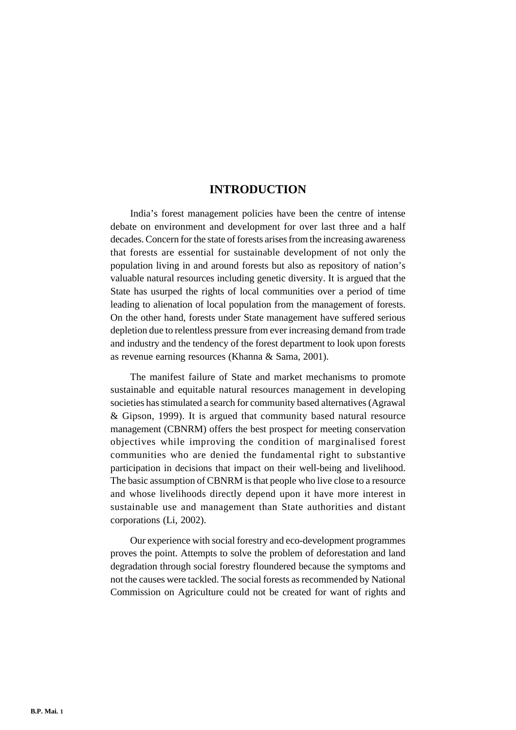# **INTRODUCTION**

India's forest management policies have been the centre of intense debate on environment and development for over last three and a half decades. Concern for the state of forests arises from the increasing awareness that forests are essential for sustainable development of not only the population living in and around forests but also as repository of nation's valuable natural resources including genetic diversity. It is argued that the State has usurped the rights of local communities over a period of time leading to alienation of local population from the management of forests. On the other hand, forests under State management have suffered serious depletion due to relentless pressure from ever increasing demand from trade and industry and the tendency of the forest department to look upon forests as revenue earning resources (Khanna & Sama, 2001).

The manifest failure of State and market mechanisms to promote sustainable and equitable natural resources management in developing societies has stimulated a search for community based alternatives (Agrawal & Gipson, 1999). It is argued that community based natural resource management (CBNRM) offers the best prospect for meeting conservation objectives while improving the condition of marginalised forest communities who are denied the fundamental right to substantive participation in decisions that impact on their well-being and livelihood. The basic assumption of CBNRM is that people who live close to a resource and whose livelihoods directly depend upon it have more interest in sustainable use and management than State authorities and distant corporations (Li, 2002).

Our experience with social forestry and eco-development programmes proves the point. Attempts to solve the problem of deforestation and land degradation through social forestry floundered because the symptoms and not the causes were tackled. The social forests as recommended by National Commission on Agriculture could not be created for want of rights and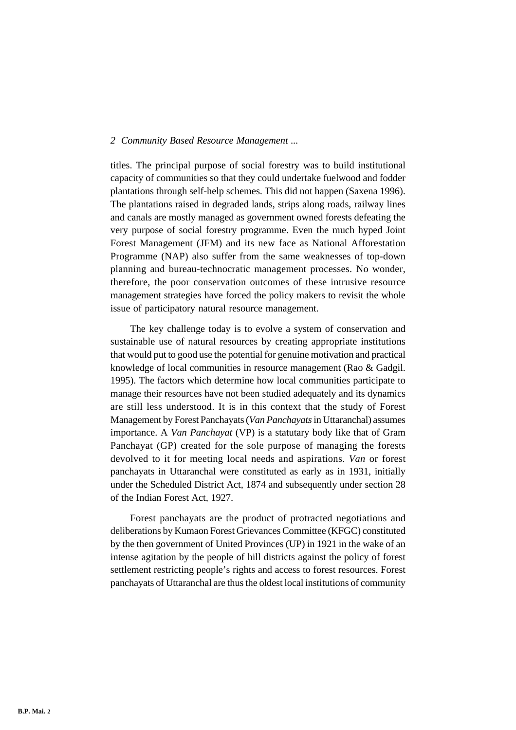titles. The principal purpose of social forestry was to build institutional capacity of communities so that they could undertake fuelwood and fodder plantations through self-help schemes. This did not happen (Saxena 1996). The plantations raised in degraded lands, strips along roads, railway lines and canals are mostly managed as government owned forests defeating the very purpose of social forestry programme. Even the much hyped Joint Forest Management (JFM) and its new face as National Afforestation Programme (NAP) also suffer from the same weaknesses of top-down planning and bureau-technocratic management processes. No wonder, therefore, the poor conservation outcomes of these intrusive resource management strategies have forced the policy makers to revisit the whole issue of participatory natural resource management.

The key challenge today is to evolve a system of conservation and sustainable use of natural resources by creating appropriate institutions that would put to good use the potential for genuine motivation and practical knowledge of local communities in resource management (Rao & Gadgil. 1995). The factors which determine how local communities participate to manage their resources have not been studied adequately and its dynamics are still less understood. It is in this context that the study of Forest Management by Forest Panchayats (*Van Panchayats* in Uttaranchal) assumes importance. A *Van Panchayat* (VP) is a statutary body like that of Gram Panchayat (GP) created for the sole purpose of managing the forests devolved to it for meeting local needs and aspirations. *Van* or forest panchayats in Uttaranchal were constituted as early as in 1931, initially under the Scheduled District Act, 1874 and subsequently under section 28 of the Indian Forest Act, 1927.

Forest panchayats are the product of protracted negotiations and deliberations by Kumaon Forest Grievances Committee (KFGC) constituted by the then government of United Provinces (UP) in 1921 in the wake of an intense agitation by the people of hill districts against the policy of forest settlement restricting people's rights and access to forest resources. Forest panchayats of Uttaranchal are thus the oldest local institutions of community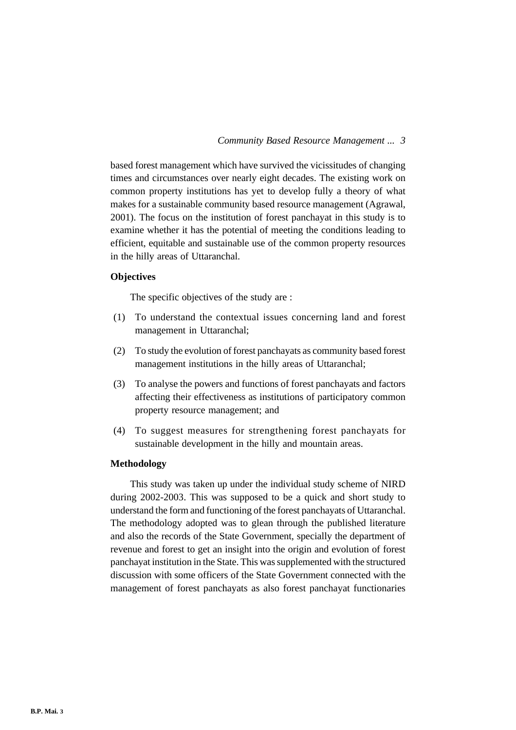based forest management which have survived the vicissitudes of changing times and circumstances over nearly eight decades. The existing work on common property institutions has yet to develop fully a theory of what makes for a sustainable community based resource management (Agrawal, 2001). The focus on the institution of forest panchayat in this study is to examine whether it has the potential of meeting the conditions leading to efficient, equitable and sustainable use of the common property resources in the hilly areas of Uttaranchal.

# **Objectives**

The specific objectives of the study are :

- (1) To understand the contextual issues concerning land and forest management in Uttaranchal;
- (2) To study the evolution of forest panchayats as community based forest management institutions in the hilly areas of Uttaranchal;
- (3) To analyse the powers and functions of forest panchayats and factors affecting their effectiveness as institutions of participatory common property resource management; and
- (4) To suggest measures for strengthening forest panchayats for sustainable development in the hilly and mountain areas.

# **Methodology**

This study was taken up under the individual study scheme of NIRD during 2002-2003. This was supposed to be a quick and short study to understand the form and functioning of the forest panchayats of Uttaranchal. The methodology adopted was to glean through the published literature and also the records of the State Government, specially the department of revenue and forest to get an insight into the origin and evolution of forest panchayat institution in the State. This was supplemented with the structured discussion with some officers of the State Government connected with the management of forest panchayats as also forest panchayat functionaries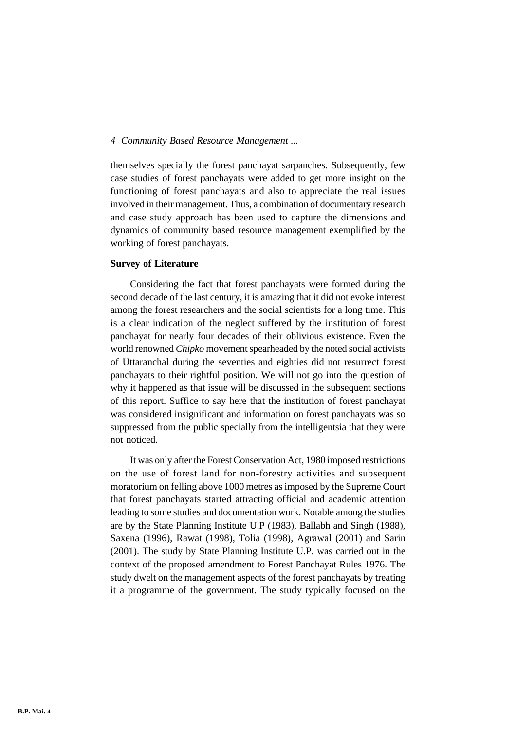themselves specially the forest panchayat sarpanches. Subsequently, few case studies of forest panchayats were added to get more insight on the functioning of forest panchayats and also to appreciate the real issues involved in their management. Thus, a combination of documentary research and case study approach has been used to capture the dimensions and dynamics of community based resource management exemplified by the working of forest panchayats.

# **Survey of Literature**

Considering the fact that forest panchayats were formed during the second decade of the last century, it is amazing that it did not evoke interest among the forest researchers and the social scientists for a long time. This is a clear indication of the neglect suffered by the institution of forest panchayat for nearly four decades of their oblivious existence. Even the world renowned *Chipko* movement spearheaded by the noted social activists of Uttaranchal during the seventies and eighties did not resurrect forest panchayats to their rightful position. We will not go into the question of why it happened as that issue will be discussed in the subsequent sections of this report. Suffice to say here that the institution of forest panchayat was considered insignificant and information on forest panchayats was so suppressed from the public specially from the intelligentsia that they were not noticed.

It was only after the Forest Conservation Act, 1980 imposed restrictions on the use of forest land for non-forestry activities and subsequent moratorium on felling above 1000 metres as imposed by the Supreme Court that forest panchayats started attracting official and academic attention leading to some studies and documentation work. Notable among the studies are by the State Planning Institute U.P (1983), Ballabh and Singh (1988), Saxena (1996), Rawat (1998), Tolia (1998), Agrawal (2001) and Sarin (2001). The study by State Planning Institute U.P. was carried out in the context of the proposed amendment to Forest Panchayat Rules 1976. The study dwelt on the management aspects of the forest panchayats by treating it a programme of the government. The study typically focused on the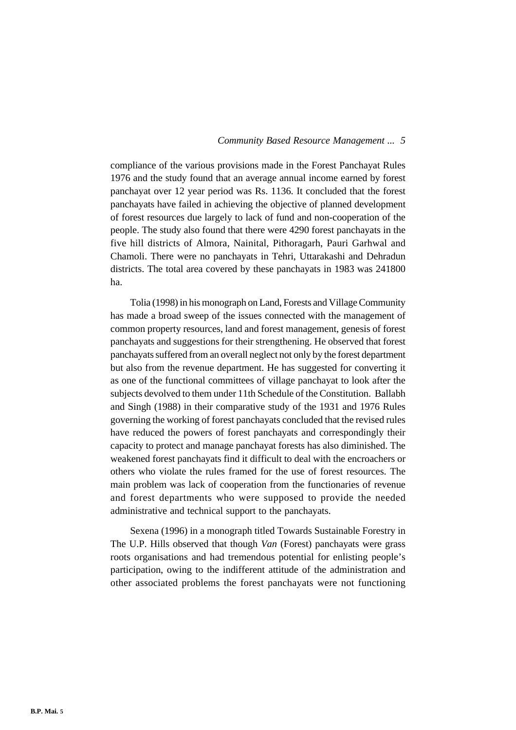compliance of the various provisions made in the Forest Panchayat Rules 1976 and the study found that an average annual income earned by forest panchayat over 12 year period was Rs. 1136. It concluded that the forest panchayats have failed in achieving the objective of planned development of forest resources due largely to lack of fund and non-cooperation of the people. The study also found that there were 4290 forest panchayats in the five hill districts of Almora, Nainital, Pithoragarh, Pauri Garhwal and Chamoli. There were no panchayats in Tehri, Uttarakashi and Dehradun districts. The total area covered by these panchayats in 1983 was 241800 ha.

Tolia (1998) in his monograph on Land, Forests and Village Community has made a broad sweep of the issues connected with the management of common property resources, land and forest management, genesis of forest panchayats and suggestions for their strengthening. He observed that forest panchayats suffered from an overall neglect not only by the forest department but also from the revenue department. He has suggested for converting it as one of the functional committees of village panchayat to look after the subjects devolved to them under 11th Schedule of the Constitution. Ballabh and Singh (1988) in their comparative study of the 1931 and 1976 Rules governing the working of forest panchayats concluded that the revised rules have reduced the powers of forest panchayats and correspondingly their capacity to protect and manage panchayat forests has also diminished. The weakened forest panchayats find it difficult to deal with the encroachers or others who violate the rules framed for the use of forest resources. The main problem was lack of cooperation from the functionaries of revenue and forest departments who were supposed to provide the needed administrative and technical support to the panchayats.

Sexena (1996) in a monograph titled Towards Sustainable Forestry in The U.P. Hills observed that though *Van* (Forest) panchayats were grass roots organisations and had tremendous potential for enlisting people's participation, owing to the indifferent attitude of the administration and other associated problems the forest panchayats were not functioning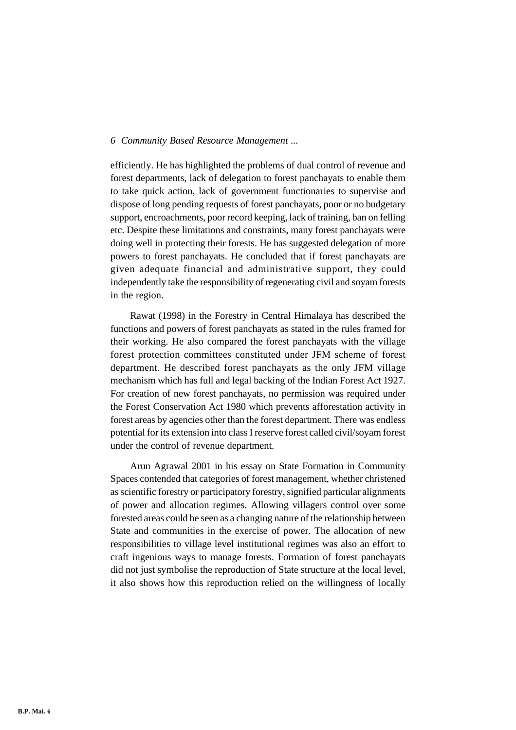efficiently. He has highlighted the problems of dual control of revenue and forest departments, lack of delegation to forest panchayats to enable them to take quick action, lack of government functionaries to supervise and dispose of long pending requests of forest panchayats, poor or no budgetary support, encroachments, poor record keeping, lack of training, ban on felling etc. Despite these limitations and constraints, many forest panchayats were doing well in protecting their forests. He has suggested delegation of more powers to forest panchayats. He concluded that if forest panchayats are given adequate financial and administrative support, they could independently take the responsibility of regenerating civil and soyam forests in the region.

Rawat (1998) in the Forestry in Central Himalaya has described the functions and powers of forest panchayats as stated in the rules framed for their working. He also compared the forest panchayats with the village forest protection committees constituted under JFM scheme of forest department. He described forest panchayats as the only JFM village mechanism which has full and legal backing of the Indian Forest Act 1927. For creation of new forest panchayats, no permission was required under the Forest Conservation Act 1980 which prevents afforestation activity in forest areas by agencies other than the forest department. There was endless potential for its extension into class I reserve forest called civil/soyam forest under the control of revenue department.

Arun Agrawal 2001 in his essay on State Formation in Community Spaces contended that categories of forest management, whether christened as scientific forestry or participatory forestry, signified particular alignments of power and allocation regimes. Allowing villagers control over some forested areas could be seen as a changing nature of the relationship between State and communities in the exercise of power. The allocation of new responsibilities to village level institutional regimes was also an effort to craft ingenious ways to manage forests. Formation of forest panchayats did not just symbolise the reproduction of State structure at the local level, it also shows how this reproduction relied on the willingness of locally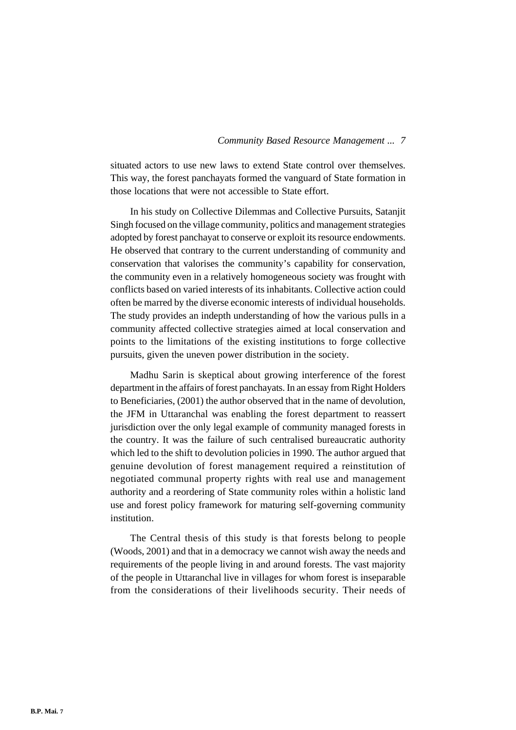situated actors to use new laws to extend State control over themselves. This way, the forest panchayats formed the vanguard of State formation in those locations that were not accessible to State effort.

In his study on Collective Dilemmas and Collective Pursuits, Satanjit Singh focused on the village community, politics and management strategies adopted by forest panchayat to conserve or exploit its resource endowments. He observed that contrary to the current understanding of community and conservation that valorises the community's capability for conservation, the community even in a relatively homogeneous society was frought with conflicts based on varied interests of its inhabitants. Collective action could often be marred by the diverse economic interests of individual households. The study provides an indepth understanding of how the various pulls in a community affected collective strategies aimed at local conservation and points to the limitations of the existing institutions to forge collective pursuits, given the uneven power distribution in the society.

Madhu Sarin is skeptical about growing interference of the forest department in the affairs of forest panchayats. In an essay from Right Holders to Beneficiaries, (2001) the author observed that in the name of devolution, the JFM in Uttaranchal was enabling the forest department to reassert jurisdiction over the only legal example of community managed forests in the country. It was the failure of such centralised bureaucratic authority which led to the shift to devolution policies in 1990. The author argued that genuine devolution of forest management required a reinstitution of negotiated communal property rights with real use and management authority and a reordering of State community roles within a holistic land use and forest policy framework for maturing self-governing community institution.

The Central thesis of this study is that forests belong to people (Woods, 2001) and that in a democracy we cannot wish away the needs and requirements of the people living in and around forests. The vast majority of the people in Uttaranchal live in villages for whom forest is inseparable from the considerations of their livelihoods security. Their needs of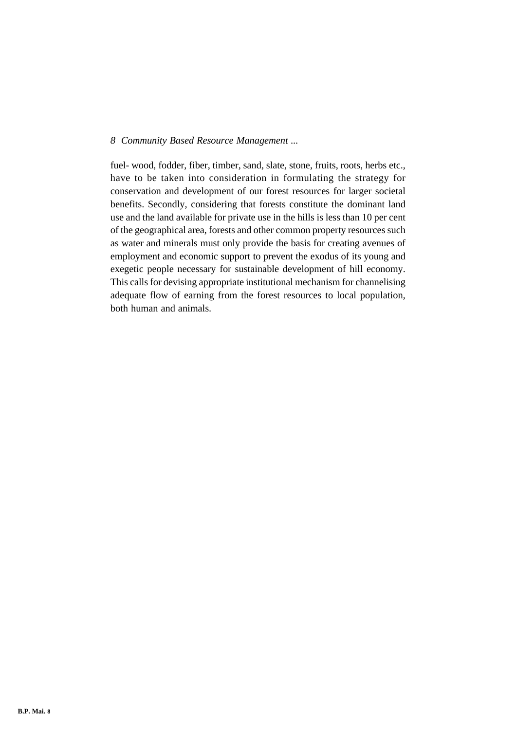fuel- wood, fodder, fiber, timber, sand, slate, stone, fruits, roots, herbs etc., have to be taken into consideration in formulating the strategy for conservation and development of our forest resources for larger societal benefits. Secondly, considering that forests constitute the dominant land use and the land available for private use in the hills is less than 10 per cent of the geographical area, forests and other common property resources such as water and minerals must only provide the basis for creating avenues of employment and economic support to prevent the exodus of its young and exegetic people necessary for sustainable development of hill economy. This calls for devising appropriate institutional mechanism for channelising adequate flow of earning from the forest resources to local population, both human and animals.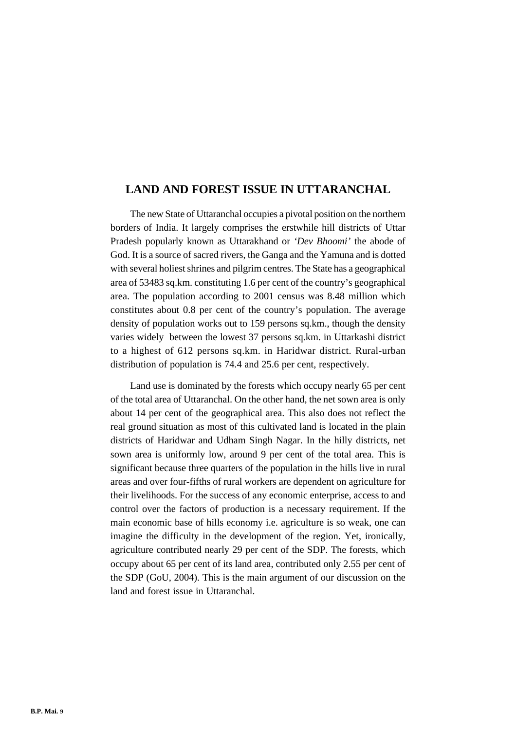# **LAND AND FOREST ISSUE IN UTTARANCHAL**

The new State of Uttaranchal occupies a pivotal position on the northern borders of India. It largely comprises the erstwhile hill districts of Uttar Pradesh popularly known as Uttarakhand or *'Dev Bhoomi'* the abode of God. It is a source of sacred rivers, the Ganga and the Yamuna and is dotted with several holiest shrines and pilgrim centres. The State has a geographical area of 53483 sq.km. constituting 1.6 per cent of the country's geographical area. The population according to 2001 census was 8.48 million which constitutes about 0.8 per cent of the country's population. The average density of population works out to 159 persons sq.km., though the density varies widely between the lowest 37 persons sq.km. in Uttarkashi district to a highest of 612 persons sq.km. in Haridwar district. Rural-urban distribution of population is 74.4 and 25.6 per cent, respectively.

Land use is dominated by the forests which occupy nearly 65 per cent of the total area of Uttaranchal. On the other hand, the net sown area is only about 14 per cent of the geographical area. This also does not reflect the real ground situation as most of this cultivated land is located in the plain districts of Haridwar and Udham Singh Nagar. In the hilly districts, net sown area is uniformly low, around 9 per cent of the total area. This is significant because three quarters of the population in the hills live in rural areas and over four-fifths of rural workers are dependent on agriculture for their livelihoods. For the success of any economic enterprise, access to and control over the factors of production is a necessary requirement. If the main economic base of hills economy i.e. agriculture is so weak, one can imagine the difficulty in the development of the region. Yet, ironically, agriculture contributed nearly 29 per cent of the SDP. The forests, which occupy about 65 per cent of its land area, contributed only 2.55 per cent of the SDP (GoU, 2004). This is the main argument of our discussion on the land and forest issue in Uttaranchal.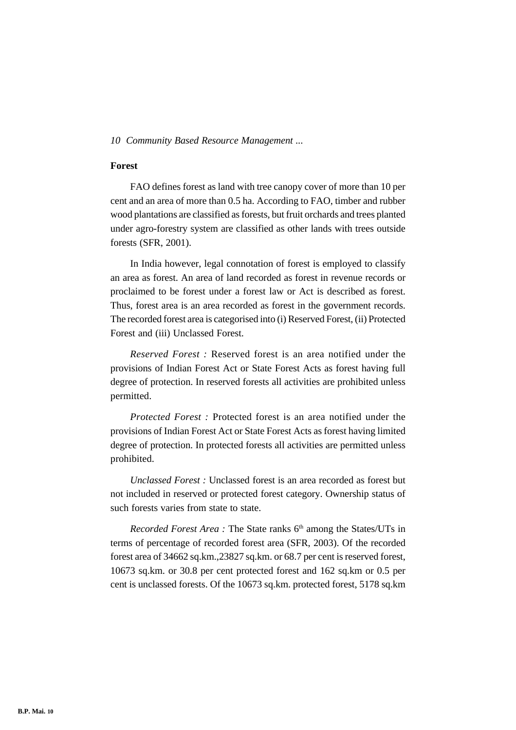# **Forest**

FAO defines forest as land with tree canopy cover of more than 10 per cent and an area of more than 0.5 ha. According to FAO, timber and rubber wood plantations are classified as forests, but fruit orchards and trees planted under agro-forestry system are classified as other lands with trees outside forests (SFR, 2001).

In India however, legal connotation of forest is employed to classify an area as forest. An area of land recorded as forest in revenue records or proclaimed to be forest under a forest law or Act is described as forest. Thus, forest area is an area recorded as forest in the government records. The recorded forest area is categorised into (i) Reserved Forest, (ii) Protected Forest and (iii) Unclassed Forest.

*Reserved Forest :* Reserved forest is an area notified under the provisions of Indian Forest Act or State Forest Acts as forest having full degree of protection. In reserved forests all activities are prohibited unless permitted.

*Protected Forest :* Protected forest is an area notified under the provisions of Indian Forest Act or State Forest Acts as forest having limited degree of protection. In protected forests all activities are permitted unless prohibited.

*Unclassed Forest :* Unclassed forest is an area recorded as forest but not included in reserved or protected forest category. Ownership status of such forests varies from state to state.

*Recorded Forest Area* : The State ranks 6<sup>th</sup> among the States/UTs in terms of percentage of recorded forest area (SFR, 2003). Of the recorded forest area of 34662 sq.km.,23827 sq.km. or 68.7 per cent is reserved forest, 10673 sq.km. or 30.8 per cent protected forest and 162 sq.km or 0.5 per cent is unclassed forests. Of the 10673 sq.km. protected forest, 5178 sq.km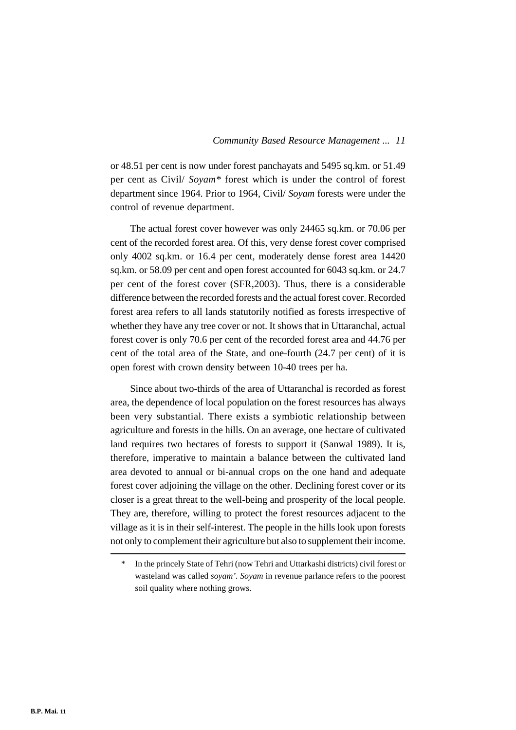or 48.51 per cent is now under forest panchayats and 5495 sq.km. or 51.49 per cent as Civil/ *Soyam\** forest which is under the control of forest department since 1964. Prior to 1964, Civil/ *Soyam* forests were under the control of revenue department.

The actual forest cover however was only 24465 sq.km. or 70.06 per cent of the recorded forest area. Of this, very dense forest cover comprised only 4002 sq.km. or 16.4 per cent, moderately dense forest area 14420 sq.km. or 58.09 per cent and open forest accounted for 6043 sq.km. or 24.7 per cent of the forest cover (SFR,2003). Thus, there is a considerable difference between the recorded forests and the actual forest cover. Recorded forest area refers to all lands statutorily notified as forests irrespective of whether they have any tree cover or not. It shows that in Uttaranchal, actual forest cover is only 70.6 per cent of the recorded forest area and 44.76 per cent of the total area of the State, and one-fourth (24.7 per cent) of it is open forest with crown density between 10-40 trees per ha.

Since about two-thirds of the area of Uttaranchal is recorded as forest area, the dependence of local population on the forest resources has always been very substantial. There exists a symbiotic relationship between agriculture and forests in the hills. On an average, one hectare of cultivated land requires two hectares of forests to support it (Sanwal 1989). It is, therefore, imperative to maintain a balance between the cultivated land area devoted to annual or bi-annual crops on the one hand and adequate forest cover adjoining the village on the other. Declining forest cover or its closer is a great threat to the well-being and prosperity of the local people. They are, therefore, willing to protect the forest resources adjacent to the village as it is in their self-interest. The people in the hills look upon forests not only to complement their agriculture but also to supplement their income.

In the princely State of Tehri (now Tehri and Uttarkashi districts) civil forest or wasteland was called *soyam'. Soyam* in revenue parlance refers to the poorest soil quality where nothing grows.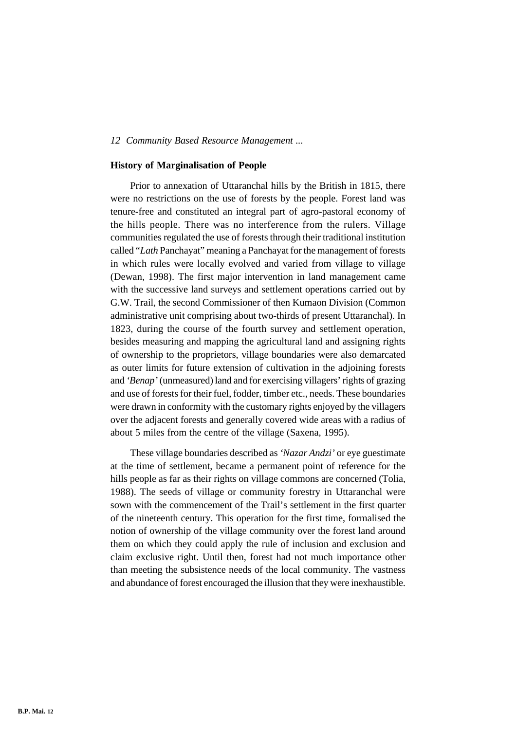#### **History of Marginalisation of People**

Prior to annexation of Uttaranchal hills by the British in 1815, there were no restrictions on the use of forests by the people. Forest land was tenure-free and constituted an integral part of agro-pastoral economy of the hills people. There was no interference from the rulers. Village communities regulated the use of forests through their traditional institution called "*Lath* Panchayat" meaning a Panchayat for the management of forests in which rules were locally evolved and varied from village to village (Dewan, 1998). The first major intervention in land management came with the successive land surveys and settlement operations carried out by G.W. Trail, the second Commissioner of then Kumaon Division (Common administrative unit comprising about two-thirds of present Uttaranchal). In 1823, during the course of the fourth survey and settlement operation, besides measuring and mapping the agricultural land and assigning rights of ownership to the proprietors, village boundaries were also demarcated as outer limits for future extension of cultivation in the adjoining forests and *'Benap'* (unmeasured) land and for exercising villagers' rights of grazing and use of forests for their fuel, fodder, timber etc., needs. These boundaries were drawn in conformity with the customary rights enjoyed by the villagers over the adjacent forests and generally covered wide areas with a radius of about 5 miles from the centre of the village (Saxena, 1995).

These village boundaries described as *'Nazar Andzi'* or eye guestimate at the time of settlement, became a permanent point of reference for the hills people as far as their rights on village commons are concerned (Tolia, 1988). The seeds of village or community forestry in Uttaranchal were sown with the commencement of the Trail's settlement in the first quarter of the nineteenth century. This operation for the first time, formalised the notion of ownership of the village community over the forest land around them on which they could apply the rule of inclusion and exclusion and claim exclusive right. Until then, forest had not much importance other than meeting the subsistence needs of the local community. The vastness and abundance of forest encouraged the illusion that they were inexhaustible.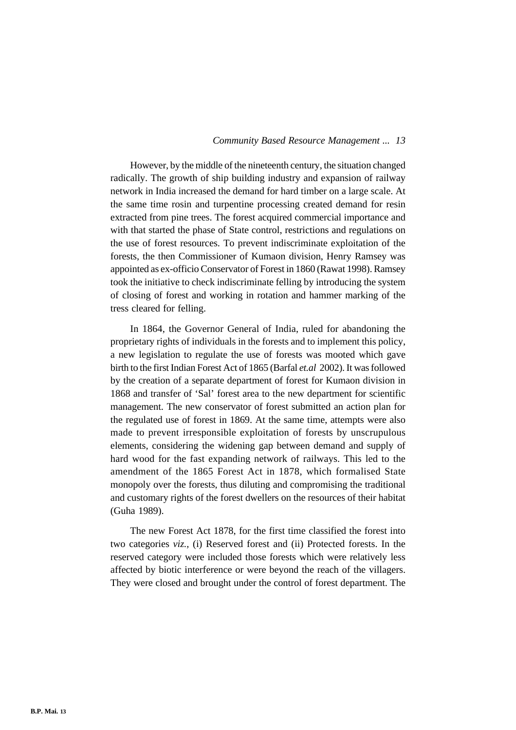However, by the middle of the nineteenth century, the situation changed radically. The growth of ship building industry and expansion of railway network in India increased the demand for hard timber on a large scale. At the same time rosin and turpentine processing created demand for resin extracted from pine trees. The forest acquired commercial importance and with that started the phase of State control, restrictions and regulations on the use of forest resources. To prevent indiscriminate exploitation of the forests, the then Commissioner of Kumaon division, Henry Ramsey was appointed as ex-officio Conservator of Forest in 1860 (Rawat 1998). Ramsey took the initiative to check indiscriminate felling by introducing the system of closing of forest and working in rotation and hammer marking of the tress cleared for felling.

In 1864, the Governor General of India, ruled for abandoning the proprietary rights of individuals in the forests and to implement this policy, a new legislation to regulate the use of forests was mooted which gave birth to the first Indian Forest Act of 1865 (Barfal *et.al* 2002). It was followed by the creation of a separate department of forest for Kumaon division in 1868 and transfer of 'Sal' forest area to the new department for scientific management. The new conservator of forest submitted an action plan for the regulated use of forest in 1869. At the same time, attempts were also made to prevent irresponsible exploitation of forests by unscrupulous elements, considering the widening gap between demand and supply of hard wood for the fast expanding network of railways. This led to the amendment of the 1865 Forest Act in 1878, which formalised State monopoly over the forests, thus diluting and compromising the traditional and customary rights of the forest dwellers on the resources of their habitat (Guha 1989).

The new Forest Act 1878, for the first time classified the forest into two categories *viz.,* (i) Reserved forest and (ii) Protected forests. In the reserved category were included those forests which were relatively less affected by biotic interference or were beyond the reach of the villagers. They were closed and brought under the control of forest department. The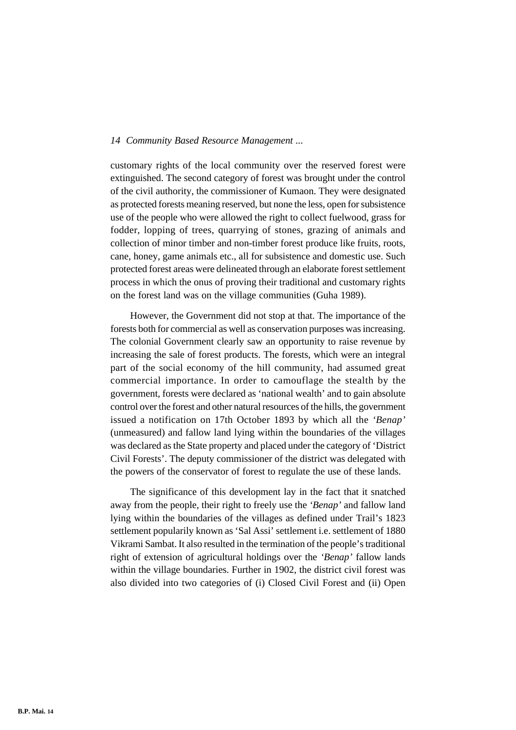customary rights of the local community over the reserved forest were extinguished. The second category of forest was brought under the control of the civil authority, the commissioner of Kumaon. They were designated as protected forests meaning reserved, but none the less, open for subsistence use of the people who were allowed the right to collect fuelwood, grass for fodder, lopping of trees, quarrying of stones, grazing of animals and collection of minor timber and non-timber forest produce like fruits, roots, cane, honey, game animals etc., all for subsistence and domestic use. Such protected forest areas were delineated through an elaborate forest settlement process in which the onus of proving their traditional and customary rights on the forest land was on the village communities (Guha 1989).

However, the Government did not stop at that. The importance of the forests both for commercial as well as conservation purposes was increasing. The colonial Government clearly saw an opportunity to raise revenue by increasing the sale of forest products. The forests, which were an integral part of the social economy of the hill community, had assumed great commercial importance. In order to camouflage the stealth by the government, forests were declared as 'national wealth' and to gain absolute control over the forest and other natural resources of the hills, the government issued a notification on 17th October 1893 by which all the *'Benap'* (unmeasured) and fallow land lying within the boundaries of the villages was declared as the State property and placed under the category of 'District Civil Forests'. The deputy commissioner of the district was delegated with the powers of the conservator of forest to regulate the use of these lands.

The significance of this development lay in the fact that it snatched away from the people, their right to freely use the *'Benap'* and fallow land lying within the boundaries of the villages as defined under Trail's 1823 settlement popularily known as 'Sal Assi' settlement i.e. settlement of 1880 Vikrami Sambat. It also resulted in the termination of the people's traditional right of extension of agricultural holdings over the *'Benap'* fallow lands within the village boundaries. Further in 1902, the district civil forest was also divided into two categories of (i) Closed Civil Forest and (ii) Open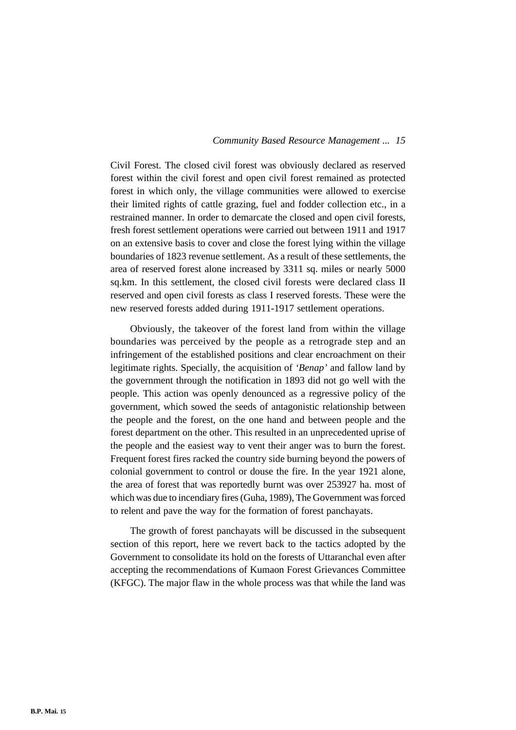Civil Forest. The closed civil forest was obviously declared as reserved forest within the civil forest and open civil forest remained as protected forest in which only, the village communities were allowed to exercise their limited rights of cattle grazing, fuel and fodder collection etc., in a restrained manner. In order to demarcate the closed and open civil forests, fresh forest settlement operations were carried out between 1911 and 1917 on an extensive basis to cover and close the forest lying within the village boundaries of 1823 revenue settlement. As a result of these settlements, the area of reserved forest alone increased by 3311 sq. miles or nearly 5000 sq.km. In this settlement, the closed civil forests were declared class II reserved and open civil forests as class I reserved forests. These were the new reserved forests added during 1911-1917 settlement operations.

Obviously, the takeover of the forest land from within the village boundaries was perceived by the people as a retrograde step and an infringement of the established positions and clear encroachment on their legitimate rights. Specially, the acquisition of *'Benap'* and fallow land by the government through the notification in 1893 did not go well with the people. This action was openly denounced as a regressive policy of the government, which sowed the seeds of antagonistic relationship between the people and the forest, on the one hand and between people and the forest department on the other. This resulted in an unprecedented uprise of the people and the easiest way to vent their anger was to burn the forest. Frequent forest fires racked the country side burning beyond the powers of colonial government to control or douse the fire. In the year 1921 alone, the area of forest that was reportedly burnt was over 253927 ha. most of which was due to incendiary fires (Guha, 1989), The Government was forced to relent and pave the way for the formation of forest panchayats.

The growth of forest panchayats will be discussed in the subsequent section of this report, here we revert back to the tactics adopted by the Government to consolidate its hold on the forests of Uttaranchal even after accepting the recommendations of Kumaon Forest Grievances Committee (KFGC). The major flaw in the whole process was that while the land was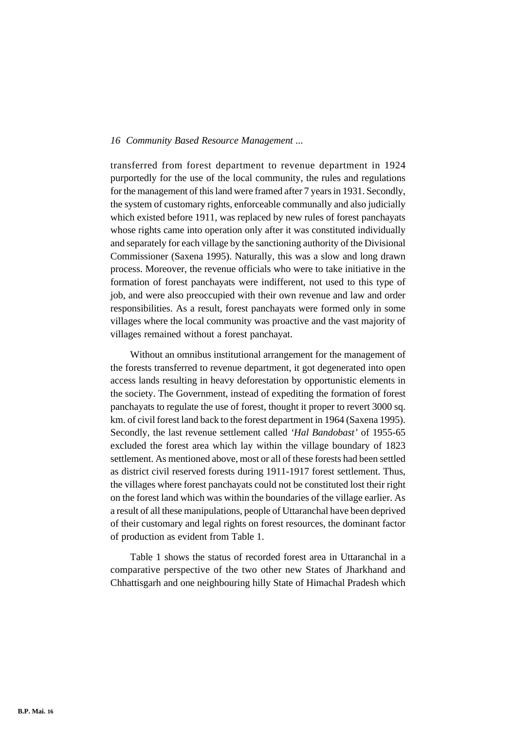transferred from forest department to revenue department in 1924 purportedly for the use of the local community, the rules and regulations for the management of this land were framed after 7 years in 1931. Secondly, the system of customary rights, enforceable communally and also judicially which existed before 1911, was replaced by new rules of forest panchayats whose rights came into operation only after it was constituted individually and separately for each village by the sanctioning authority of the Divisional Commissioner (Saxena 1995). Naturally, this was a slow and long drawn process. Moreover, the revenue officials who were to take initiative in the formation of forest panchayats were indifferent, not used to this type of job, and were also preoccupied with their own revenue and law and order responsibilities. As a result, forest panchayats were formed only in some villages where the local community was proactive and the vast majority of villages remained without a forest panchayat.

Without an omnibus institutional arrangement for the management of the forests transferred to revenue department, it got degenerated into open access lands resulting in heavy deforestation by opportunistic elements in the society. The Government, instead of expediting the formation of forest panchayats to regulate the use of forest, thought it proper to revert 3000 sq. km. of civil forest land back to the forest department in 1964 (Saxena 1995). Secondly, the last revenue settlement called *'Hal Bandobast'* of 1955-65 excluded the forest area which lay within the village boundary of 1823 settlement. As mentioned above, most or all of these forests had been settled as district civil reserved forests during 1911-1917 forest settlement. Thus, the villages where forest panchayats could not be constituted lost their right on the forest land which was within the boundaries of the village earlier. As a result of all these manipulations, people of Uttaranchal have been deprived of their customary and legal rights on forest resources, the dominant factor of production as evident from Table 1.

Table 1 shows the status of recorded forest area in Uttaranchal in a comparative perspective of the two other new States of Jharkhand and Chhattisgarh and one neighbouring hilly State of Himachal Pradesh which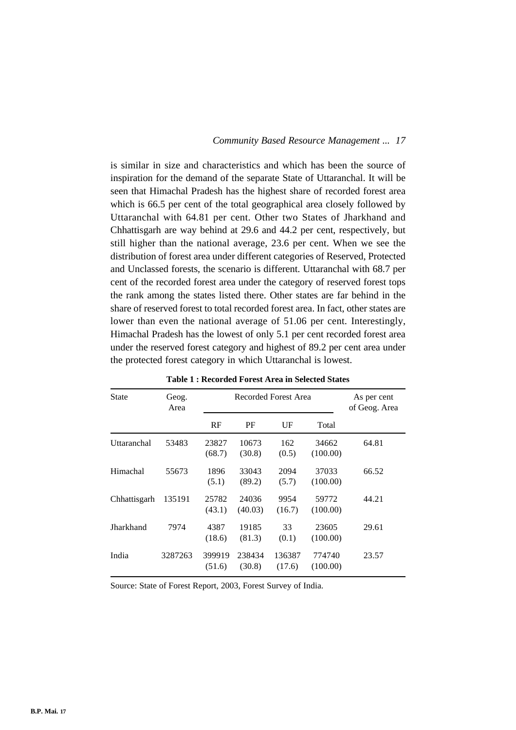is similar in size and characteristics and which has been the source of inspiration for the demand of the separate State of Uttaranchal. It will be seen that Himachal Pradesh has the highest share of recorded forest area which is 66.5 per cent of the total geographical area closely followed by Uttaranchal with 64.81 per cent. Other two States of Jharkhand and Chhattisgarh are way behind at 29.6 and 44.2 per cent, respectively, but still higher than the national average, 23.6 per cent. When we see the distribution of forest area under different categories of Reserved, Protected and Unclassed forests, the scenario is different. Uttaranchal with 68.7 per cent of the recorded forest area under the category of reserved forest tops the rank among the states listed there. Other states are far behind in the share of reserved forest to total recorded forest area. In fact, other states are lower than even the national average of 51.06 per cent. Interestingly, Himachal Pradesh has the lowest of only 5.1 per cent recorded forest area under the reserved forest category and highest of 89.2 per cent area under the protected forest category in which Uttaranchal is lowest.

| <b>State</b> | Geog.<br>Area |                  | Recorded Forest Area | As per cent<br>of Geog. Area |                    |       |
|--------------|---------------|------------------|----------------------|------------------------------|--------------------|-------|
|              |               | RF               | PF                   | UF                           | Total              |       |
| Uttaranchal  | 53483         | 23827<br>(68.7)  | 10673<br>(30.8)      | 162<br>(0.5)                 | 34662<br>(100.00)  | 64.81 |
| Himachal     | 55673         | 1896<br>(5.1)    | 33043<br>(89.2)      | 2094<br>(5.7)                | 37033<br>(100.00)  | 66.52 |
| Chhattisgarh | 135191        | 25782<br>(43.1)  | 24036<br>(40.03)     | 9954<br>(16.7)               | 59772<br>(100.00)  | 44.21 |
| Jharkhand    | 7974          | 4387<br>(18.6)   | 19185<br>(81.3)      | 33<br>(0.1)                  | 23605<br>(100.00)  | 29.61 |
| India        | 3287263       | 399919<br>(51.6) | 238434<br>(30.8)     | 136387<br>(17.6)             | 774740<br>(100.00) | 23.57 |

**Table 1 : Recorded Forest Area in Selected States**

Source: State of Forest Report, 2003, Forest Survey of India.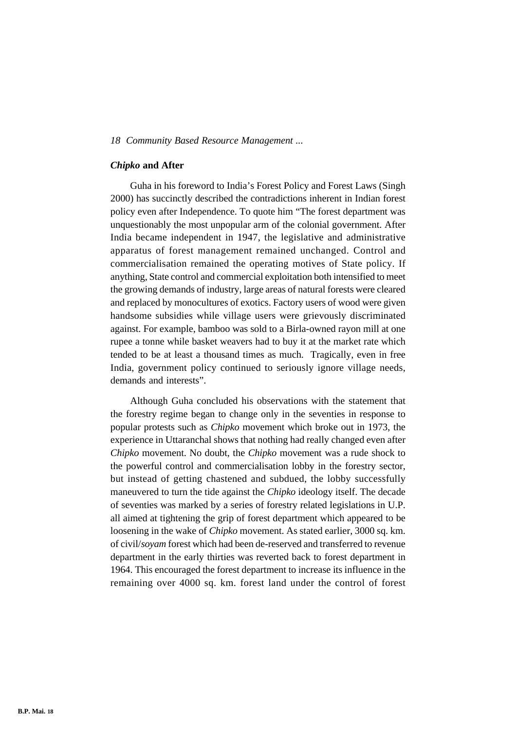#### *Chipko* **and After**

Guha in his foreword to India's Forest Policy and Forest Laws (Singh 2000) has succinctly described the contradictions inherent in Indian forest policy even after Independence. To quote him "The forest department was unquestionably the most unpopular arm of the colonial government. After India became independent in 1947, the legislative and administrative apparatus of forest management remained unchanged. Control and commercialisation remained the operating motives of State policy. If anything, State control and commercial exploitation both intensified to meet the growing demands of industry, large areas of natural forests were cleared and replaced by monocultures of exotics. Factory users of wood were given handsome subsidies while village users were grievously discriminated against. For example, bamboo was sold to a Birla-owned rayon mill at one rupee a tonne while basket weavers had to buy it at the market rate which tended to be at least a thousand times as much. Tragically, even in free India, government policy continued to seriously ignore village needs, demands and interests".

Although Guha concluded his observations with the statement that the forestry regime began to change only in the seventies in response to popular protests such as *Chipko* movement which broke out in 1973, the experience in Uttaranchal shows that nothing had really changed even after *Chipko* movement. No doubt, the *Chipko* movement was a rude shock to the powerful control and commercialisation lobby in the forestry sector, but instead of getting chastened and subdued, the lobby successfully maneuvered to turn the tide against the *Chipko* ideology itself. The decade of seventies was marked by a series of forestry related legislations in U.P. all aimed at tightening the grip of forest department which appeared to be loosening in the wake of *Chipko* movement. As stated earlier, 3000 sq. km. of civil/*soyam* forest which had been de-reserved and transferred to revenue department in the early thirties was reverted back to forest department in 1964. This encouraged the forest department to increase its influence in the remaining over 4000 sq. km. forest land under the control of forest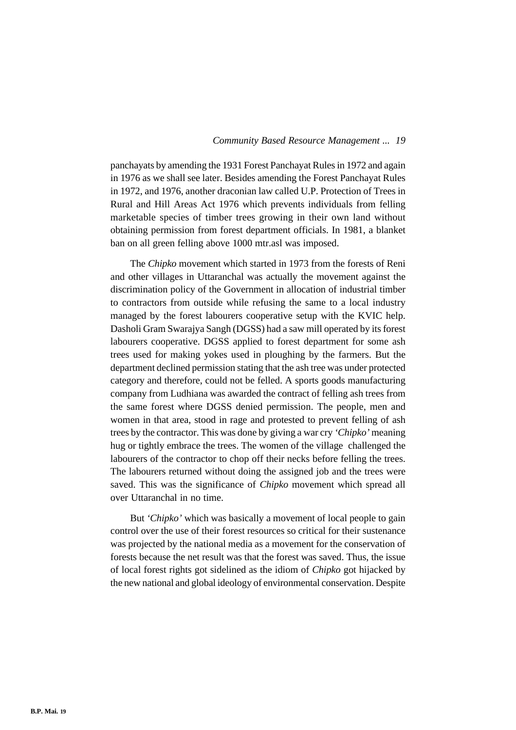panchayats by amending the 1931 Forest Panchayat Rules in 1972 and again in 1976 as we shall see later. Besides amending the Forest Panchayat Rules in 1972, and 1976, another draconian law called U.P. Protection of Trees in Rural and Hill Areas Act 1976 which prevents individuals from felling marketable species of timber trees growing in their own land without obtaining permission from forest department officials. In 1981, a blanket ban on all green felling above 1000 mtr.asl was imposed.

The *Chipko* movement which started in 1973 from the forests of Reni and other villages in Uttaranchal was actually the movement against the discrimination policy of the Government in allocation of industrial timber to contractors from outside while refusing the same to a local industry managed by the forest labourers cooperative setup with the KVIC help. Dasholi Gram Swarajya Sangh (DGSS) had a saw mill operated by its forest labourers cooperative. DGSS applied to forest department for some ash trees used for making yokes used in ploughing by the farmers. But the department declined permission stating that the ash tree was under protected category and therefore, could not be felled. A sports goods manufacturing company from Ludhiana was awarded the contract of felling ash trees from the same forest where DGSS denied permission. The people, men and women in that area, stood in rage and protested to prevent felling of ash trees by the contractor. This was done by giving a war cry *'Chipko'* meaning hug or tightly embrace the trees. The women of the village challenged the labourers of the contractor to chop off their necks before felling the trees. The labourers returned without doing the assigned job and the trees were saved. This was the significance of *Chipko* movement which spread all over Uttaranchal in no time.

But *'Chipko'* which was basically a movement of local people to gain control over the use of their forest resources so critical for their sustenance was projected by the national media as a movement for the conservation of forests because the net result was that the forest was saved. Thus, the issue of local forest rights got sidelined as the idiom of *Chipko* got hijacked by the new national and global ideology of environmental conservation. Despite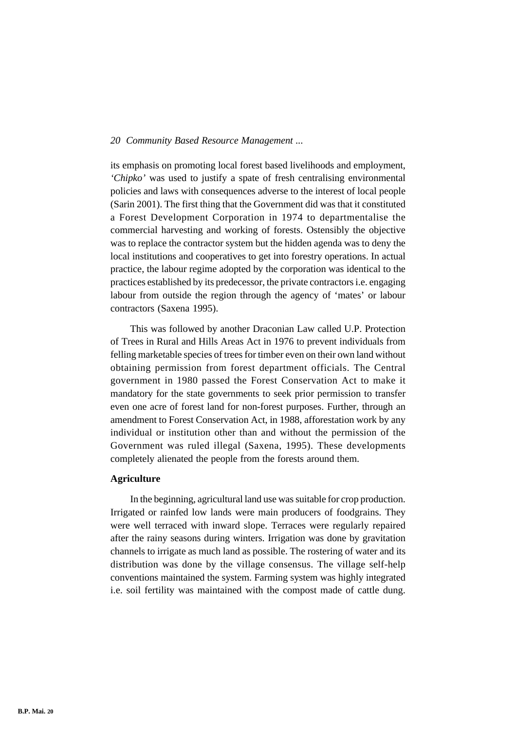its emphasis on promoting local forest based livelihoods and employment, *'Chipko'* was used to justify a spate of fresh centralising environmental policies and laws with consequences adverse to the interest of local people (Sarin 2001). The first thing that the Government did was that it constituted a Forest Development Corporation in 1974 to departmentalise the commercial harvesting and working of forests. Ostensibly the objective was to replace the contractor system but the hidden agenda was to deny the local institutions and cooperatives to get into forestry operations. In actual practice, the labour regime adopted by the corporation was identical to the practices established by its predecessor, the private contractors i.e. engaging labour from outside the region through the agency of 'mates' or labour contractors (Saxena 1995).

This was followed by another Draconian Law called U.P. Protection of Trees in Rural and Hills Areas Act in 1976 to prevent individuals from felling marketable species of trees for timber even on their own land without obtaining permission from forest department officials. The Central government in 1980 passed the Forest Conservation Act to make it mandatory for the state governments to seek prior permission to transfer even one acre of forest land for non-forest purposes. Further, through an amendment to Forest Conservation Act, in 1988, afforestation work by any individual or institution other than and without the permission of the Government was ruled illegal (Saxena, 1995). These developments completely alienated the people from the forests around them.

# **Agriculture**

In the beginning, agricultural land use was suitable for crop production. Irrigated or rainfed low lands were main producers of foodgrains. They were well terraced with inward slope. Terraces were regularly repaired after the rainy seasons during winters. Irrigation was done by gravitation channels to irrigate as much land as possible. The rostering of water and its distribution was done by the village consensus. The village self-help conventions maintained the system. Farming system was highly integrated i.e. soil fertility was maintained with the compost made of cattle dung.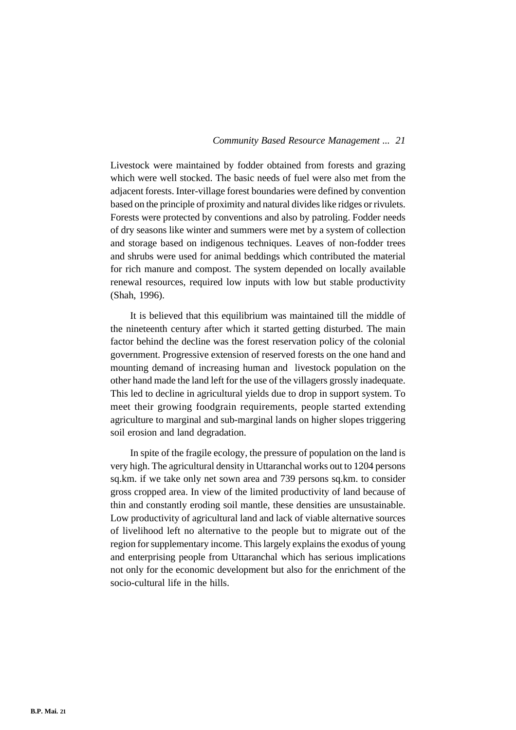Livestock were maintained by fodder obtained from forests and grazing which were well stocked. The basic needs of fuel were also met from the adjacent forests. Inter-village forest boundaries were defined by convention based on the principle of proximity and natural divides like ridges or rivulets. Forests were protected by conventions and also by patroling. Fodder needs of dry seasons like winter and summers were met by a system of collection and storage based on indigenous techniques. Leaves of non-fodder trees and shrubs were used for animal beddings which contributed the material for rich manure and compost. The system depended on locally available renewal resources, required low inputs with low but stable productivity (Shah, 1996).

It is believed that this equilibrium was maintained till the middle of the nineteenth century after which it started getting disturbed. The main factor behind the decline was the forest reservation policy of the colonial government. Progressive extension of reserved forests on the one hand and mounting demand of increasing human and livestock population on the other hand made the land left for the use of the villagers grossly inadequate. This led to decline in agricultural yields due to drop in support system. To meet their growing foodgrain requirements, people started extending agriculture to marginal and sub-marginal lands on higher slopes triggering soil erosion and land degradation.

In spite of the fragile ecology, the pressure of population on the land is very high. The agricultural density in Uttaranchal works out to 1204 persons sq.km. if we take only net sown area and 739 persons sq.km. to consider gross cropped area. In view of the limited productivity of land because of thin and constantly eroding soil mantle, these densities are unsustainable. Low productivity of agricultural land and lack of viable alternative sources of livelihood left no alternative to the people but to migrate out of the region for supplementary income. This largely explains the exodus of young and enterprising people from Uttaranchal which has serious implications not only for the economic development but also for the enrichment of the socio-cultural life in the hills.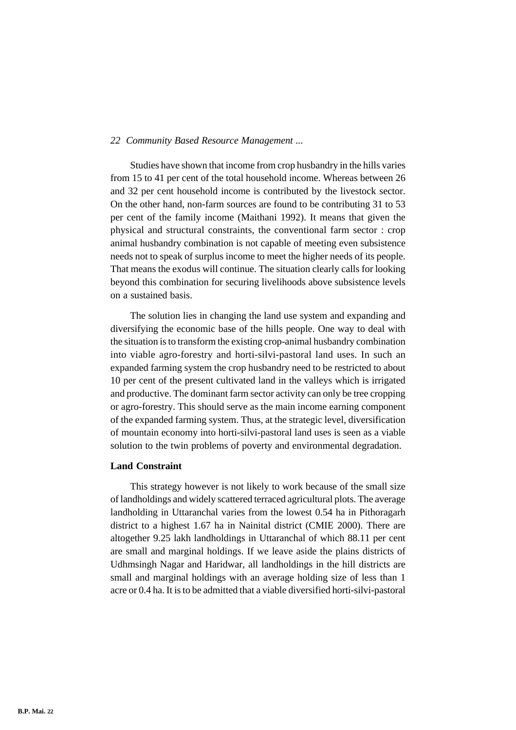Studies have shown that income from crop husbandry in the hills varies from 15 to 41 per cent of the total household income. Whereas between 26 and 32 per cent household income is contributed by the livestock sector. On the other hand, non-farm sources are found to be contributing 31 to 53 per cent of the family income (Maithani 1992). It means that given the physical and structural constraints, the conventional farm sector : crop animal husbandry combination is not capable of meeting even subsistence needs not to speak of surplus income to meet the higher needs of its people. That means the exodus will continue. The situation clearly calls for looking beyond this combination for securing livelihoods above subsistence levels on a sustained basis.

The solution lies in changing the land use system and expanding and diversifying the economic base of the hills people. One way to deal with the situation is to transform the existing crop-animal husbandry combination into viable agro-forestry and horti-silvi-pastoral land uses. In such an expanded farming system the crop husbandry need to be restricted to about 10 per cent of the present cultivated land in the valleys which is irrigated and productive. The dominant farm sector activity can only be tree cropping or agro-forestry. This should serve as the main income earning component of the expanded farming system. Thus, at the strategic level, diversification of mountain economy into horti-silvi-pastoral land uses is seen as a viable solution to the twin problems of poverty and environmental degradation.

# **Land Constraint**

This strategy however is not likely to work because of the small size of landholdings and widely scattered terraced agricultural plots. The average landholding in Uttaranchal varies from the lowest 0.54 ha in Pithoragarh district to a highest 1.67 ha in Nainital district (CMIE 2000). There are altogether 9.25 lakh landholdings in Uttaranchal of which 88.11 per cent are small and marginal holdings. If we leave aside the plains districts of Udhmsingh Nagar and Haridwar, all landholdings in the hill districts are small and marginal holdings with an average holding size of less than 1 acre or 0.4 ha. It is to be admitted that a viable diversified horti-silvi-pastoral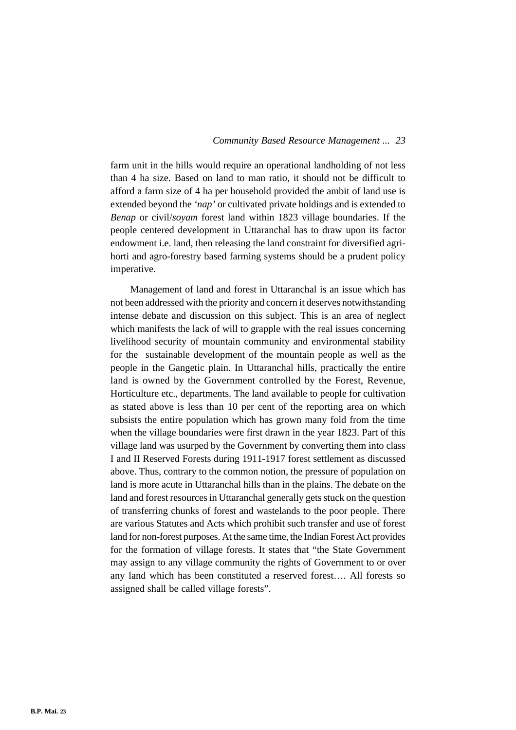farm unit in the hills would require an operational landholding of not less than 4 ha size. Based on land to man ratio, it should not be difficult to afford a farm size of 4 ha per household provided the ambit of land use is extended beyond the *'nap'* or cultivated private holdings and is extended to *Benap* or civil/*soyam* forest land within 1823 village boundaries. If the people centered development in Uttaranchal has to draw upon its factor endowment i.e. land, then releasing the land constraint for diversified agrihorti and agro-forestry based farming systems should be a prudent policy imperative.

Management of land and forest in Uttaranchal is an issue which has not been addressed with the priority and concern it deserves notwithstanding intense debate and discussion on this subject. This is an area of neglect which manifests the lack of will to grapple with the real issues concerning livelihood security of mountain community and environmental stability for the sustainable development of the mountain people as well as the people in the Gangetic plain. In Uttaranchal hills, practically the entire land is owned by the Government controlled by the Forest, Revenue, Horticulture etc., departments. The land available to people for cultivation as stated above is less than 10 per cent of the reporting area on which subsists the entire population which has grown many fold from the time when the village boundaries were first drawn in the year 1823. Part of this village land was usurped by the Government by converting them into class I and II Reserved Forests during 1911-1917 forest settlement as discussed above. Thus, contrary to the common notion, the pressure of population on land is more acute in Uttaranchal hills than in the plains. The debate on the land and forest resources in Uttaranchal generally gets stuck on the question of transferring chunks of forest and wastelands to the poor people. There are various Statutes and Acts which prohibit such transfer and use of forest land for non-forest purposes. At the same time, the Indian Forest Act provides for the formation of village forests. It states that "the State Government may assign to any village community the rights of Government to or over any land which has been constituted a reserved forest…. All forests so assigned shall be called village forests".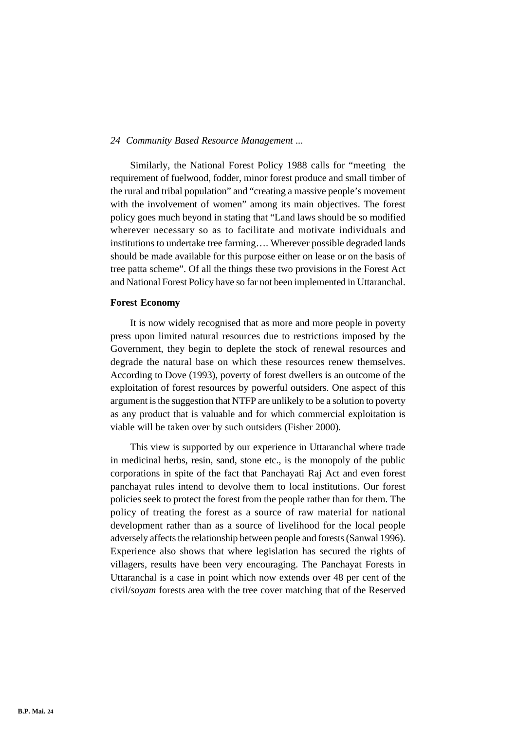Similarly, the National Forest Policy 1988 calls for "meeting the requirement of fuelwood, fodder, minor forest produce and small timber of the rural and tribal population" and "creating a massive people's movement with the involvement of women" among its main objectives. The forest policy goes much beyond in stating that "Land laws should be so modified wherever necessary so as to facilitate and motivate individuals and institutions to undertake tree farming…. Wherever possible degraded lands should be made available for this purpose either on lease or on the basis of tree patta scheme". Of all the things these two provisions in the Forest Act and National Forest Policy have so far not been implemented in Uttaranchal.

#### **Forest Economy**

It is now widely recognised that as more and more people in poverty press upon limited natural resources due to restrictions imposed by the Government, they begin to deplete the stock of renewal resources and degrade the natural base on which these resources renew themselves. According to Dove (1993), poverty of forest dwellers is an outcome of the exploitation of forest resources by powerful outsiders. One aspect of this argument is the suggestion that NTFP are unlikely to be a solution to poverty as any product that is valuable and for which commercial exploitation is viable will be taken over by such outsiders (Fisher 2000).

This view is supported by our experience in Uttaranchal where trade in medicinal herbs, resin, sand, stone etc., is the monopoly of the public corporations in spite of the fact that Panchayati Raj Act and even forest panchayat rules intend to devolve them to local institutions. Our forest policies seek to protect the forest from the people rather than for them. The policy of treating the forest as a source of raw material for national development rather than as a source of livelihood for the local people adversely affects the relationship between people and forests (Sanwal 1996). Experience also shows that where legislation has secured the rights of villagers, results have been very encouraging. The Panchayat Forests in Uttaranchal is a case in point which now extends over 48 per cent of the civil/*soyam* forests area with the tree cover matching that of the Reserved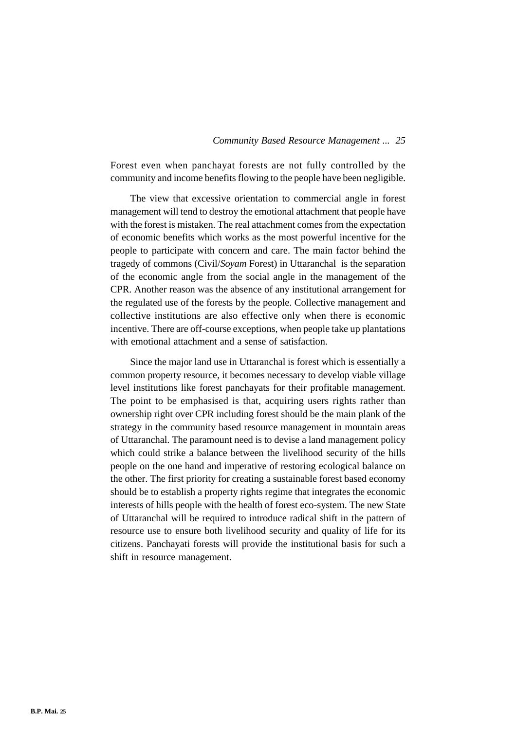Forest even when panchayat forests are not fully controlled by the community and income benefits flowing to the people have been negligible.

The view that excessive orientation to commercial angle in forest management will tend to destroy the emotional attachment that people have with the forest is mistaken. The real attachment comes from the expectation of economic benefits which works as the most powerful incentive for the people to participate with concern and care. The main factor behind the tragedy of commons (Civil/*Soyam* Forest) in Uttaranchal is the separation of the economic angle from the social angle in the management of the CPR. Another reason was the absence of any institutional arrangement for the regulated use of the forests by the people. Collective management and collective institutions are also effective only when there is economic incentive. There are off-course exceptions, when people take up plantations with emotional attachment and a sense of satisfaction.

Since the major land use in Uttaranchal is forest which is essentially a common property resource, it becomes necessary to develop viable village level institutions like forest panchayats for their profitable management. The point to be emphasised is that, acquiring users rights rather than ownership right over CPR including forest should be the main plank of the strategy in the community based resource management in mountain areas of Uttaranchal. The paramount need is to devise a land management policy which could strike a balance between the livelihood security of the hills people on the one hand and imperative of restoring ecological balance on the other. The first priority for creating a sustainable forest based economy should be to establish a property rights regime that integrates the economic interests of hills people with the health of forest eco-system. The new State of Uttaranchal will be required to introduce radical shift in the pattern of resource use to ensure both livelihood security and quality of life for its citizens. Panchayati forests will provide the institutional basis for such a shift in resource management.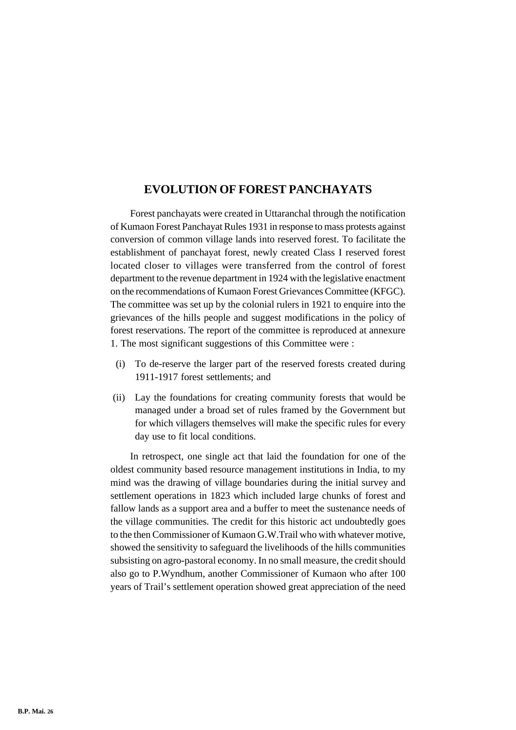# **EVOLUTION OF FOREST PANCHAYATS**

Forest panchayats were created in Uttaranchal through the notification of Kumaon Forest Panchayat Rules 1931 in response to mass protests against conversion of common village lands into reserved forest. To facilitate the establishment of panchayat forest, newly created Class I reserved forest located closer to villages were transferred from the control of forest department to the revenue department in 1924 with the legislative enactment on the recommendations of Kumaon Forest Grievances Committee (KFGC). The committee was set up by the colonial rulers in 1921 to enquire into the grievances of the hills people and suggest modifications in the policy of forest reservations. The report of the committee is reproduced at annexure 1. The most significant suggestions of this Committee were :

- (i) To de-reserve the larger part of the reserved forests created during 1911-1917 forest settlements; and
- (ii) Lay the foundations for creating community forests that would be managed under a broad set of rules framed by the Government but for which villagers themselves will make the specific rules for every day use to fit local conditions.

In retrospect, one single act that laid the foundation for one of the oldest community based resource management institutions in India, to my mind was the drawing of village boundaries during the initial survey and settlement operations in 1823 which included large chunks of forest and fallow lands as a support area and a buffer to meet the sustenance needs of the village communities. The credit for this historic act undoubtedly goes to the then Commissioner of Kumaon G.W.Trail who with whatever motive, showed the sensitivity to safeguard the livelihoods of the hills communities subsisting on agro-pastoral economy. In no small measure, the credit should also go to P.Wyndhum, another Commissioner of Kumaon who after 100 years of Trail's settlement operation showed great appreciation of the need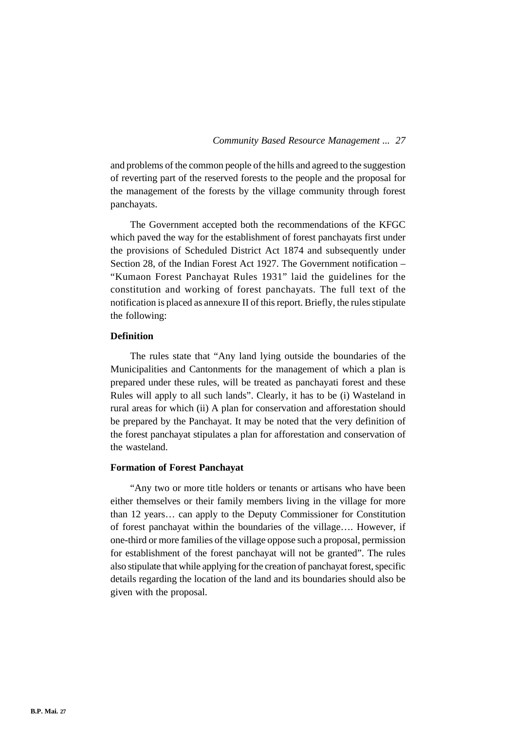and problems of the common people of the hills and agreed to the suggestion of reverting part of the reserved forests to the people and the proposal for the management of the forests by the village community through forest panchayats.

The Government accepted both the recommendations of the KFGC which paved the way for the establishment of forest panchayats first under the provisions of Scheduled District Act 1874 and subsequently under Section 28, of the Indian Forest Act 1927. The Government notification – "Kumaon Forest Panchayat Rules 1931" laid the guidelines for the constitution and working of forest panchayats. The full text of the notification is placed as annexure II of this report. Briefly, the rules stipulate the following:

# **Definition**

The rules state that "Any land lying outside the boundaries of the Municipalities and Cantonments for the management of which a plan is prepared under these rules, will be treated as panchayati forest and these Rules will apply to all such lands". Clearly, it has to be (i) Wasteland in rural areas for which (ii) A plan for conservation and afforestation should be prepared by the Panchayat. It may be noted that the very definition of the forest panchayat stipulates a plan for afforestation and conservation of the wasteland.

#### **Formation of Forest Panchayat**

"Any two or more title holders or tenants or artisans who have been either themselves or their family members living in the village for more than 12 years… can apply to the Deputy Commissioner for Constitution of forest panchayat within the boundaries of the village…. However, if one-third or more families of the village oppose such a proposal, permission for establishment of the forest panchayat will not be granted". The rules also stipulate that while applying for the creation of panchayat forest, specific details regarding the location of the land and its boundaries should also be given with the proposal.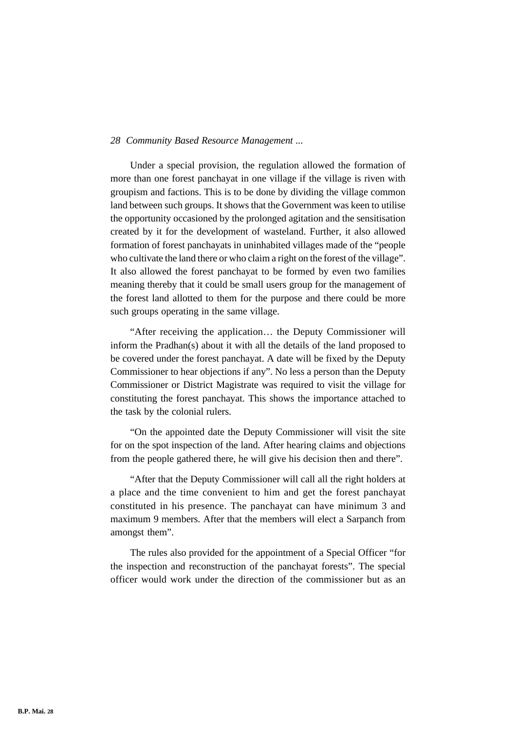Under a special provision, the regulation allowed the formation of more than one forest panchayat in one village if the village is riven with groupism and factions. This is to be done by dividing the village common land between such groups. It shows that the Government was keen to utilise the opportunity occasioned by the prolonged agitation and the sensitisation created by it for the development of wasteland. Further, it also allowed formation of forest panchayats in uninhabited villages made of the "people who cultivate the land there or who claim a right on the forest of the village". It also allowed the forest panchayat to be formed by even two families meaning thereby that it could be small users group for the management of the forest land allotted to them for the purpose and there could be more such groups operating in the same village.

"After receiving the application… the Deputy Commissioner will inform the Pradhan(s) about it with all the details of the land proposed to be covered under the forest panchayat. A date will be fixed by the Deputy Commissioner to hear objections if any". No less a person than the Deputy Commissioner or District Magistrate was required to visit the village for constituting the forest panchayat. This shows the importance attached to the task by the colonial rulers.

"On the appointed date the Deputy Commissioner will visit the site for on the spot inspection of the land. After hearing claims and objections from the people gathered there, he will give his decision then and there".

"After that the Deputy Commissioner will call all the right holders at a place and the time convenient to him and get the forest panchayat constituted in his presence. The panchayat can have minimum 3 and maximum 9 members. After that the members will elect a Sarpanch from amongst them".

The rules also provided for the appointment of a Special Officer "for the inspection and reconstruction of the panchayat forests". The special officer would work under the direction of the commissioner but as an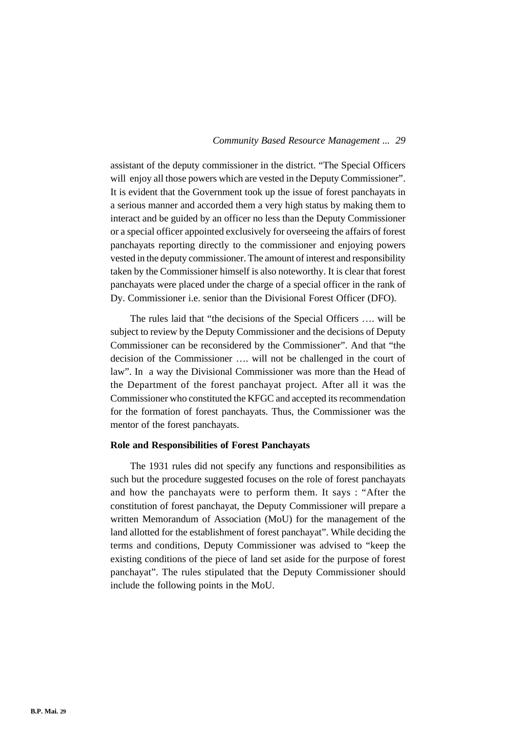assistant of the deputy commissioner in the district. "The Special Officers will enjoy all those powers which are vested in the Deputy Commissioner". It is evident that the Government took up the issue of forest panchayats in a serious manner and accorded them a very high status by making them to interact and be guided by an officer no less than the Deputy Commissioner or a special officer appointed exclusively for overseeing the affairs of forest panchayats reporting directly to the commissioner and enjoying powers vested in the deputy commissioner. The amount of interest and responsibility taken by the Commissioner himself is also noteworthy. It is clear that forest panchayats were placed under the charge of a special officer in the rank of Dy. Commissioner i.e. senior than the Divisional Forest Officer (DFO).

The rules laid that "the decisions of the Special Officers …. will be subject to review by the Deputy Commissioner and the decisions of Deputy Commissioner can be reconsidered by the Commissioner". And that "the decision of the Commissioner …. will not be challenged in the court of law". In a way the Divisional Commissioner was more than the Head of the Department of the forest panchayat project. After all it was the Commissioner who constituted the KFGC and accepted its recommendation for the formation of forest panchayats. Thus, the Commissioner was the mentor of the forest panchayats.

#### **Role and Responsibilities of Forest Panchayats**

The 1931 rules did not specify any functions and responsibilities as such but the procedure suggested focuses on the role of forest panchayats and how the panchayats were to perform them. It says : "After the constitution of forest panchayat, the Deputy Commissioner will prepare a written Memorandum of Association (MoU) for the management of the land allotted for the establishment of forest panchayat". While deciding the terms and conditions, Deputy Commissioner was advised to "keep the existing conditions of the piece of land set aside for the purpose of forest panchayat". The rules stipulated that the Deputy Commissioner should include the following points in the MoU.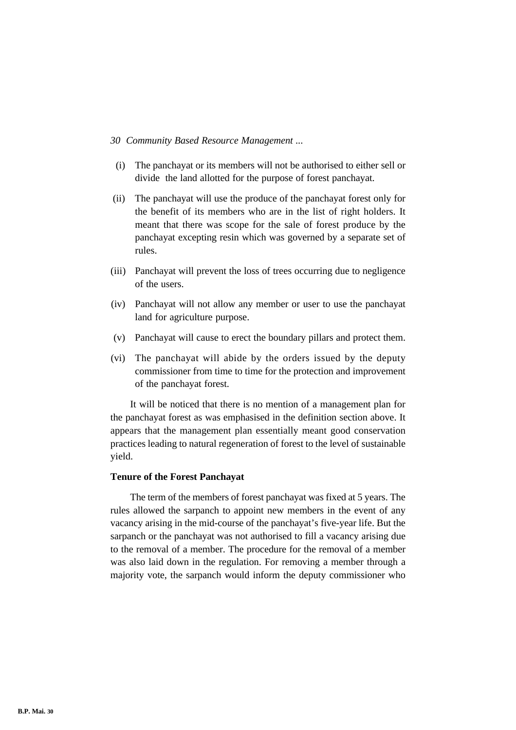- (i) The panchayat or its members will not be authorised to either sell or divide the land allotted for the purpose of forest panchayat.
- (ii) The panchayat will use the produce of the panchayat forest only for the benefit of its members who are in the list of right holders. It meant that there was scope for the sale of forest produce by the panchayat excepting resin which was governed by a separate set of rules.
- (iii) Panchayat will prevent the loss of trees occurring due to negligence of the users.
- (iv) Panchayat will not allow any member or user to use the panchayat land for agriculture purpose.
- (v) Panchayat will cause to erect the boundary pillars and protect them.
- (vi) The panchayat will abide by the orders issued by the deputy commissioner from time to time for the protection and improvement of the panchayat forest.

It will be noticed that there is no mention of a management plan for the panchayat forest as was emphasised in the definition section above. It appears that the management plan essentially meant good conservation practices leading to natural regeneration of forest to the level of sustainable yield.

## **Tenure of the Forest Panchayat**

The term of the members of forest panchayat was fixed at 5 years. The rules allowed the sarpanch to appoint new members in the event of any vacancy arising in the mid-course of the panchayat's five-year life. But the sarpanch or the panchayat was not authorised to fill a vacancy arising due to the removal of a member. The procedure for the removal of a member was also laid down in the regulation. For removing a member through a majority vote, the sarpanch would inform the deputy commissioner who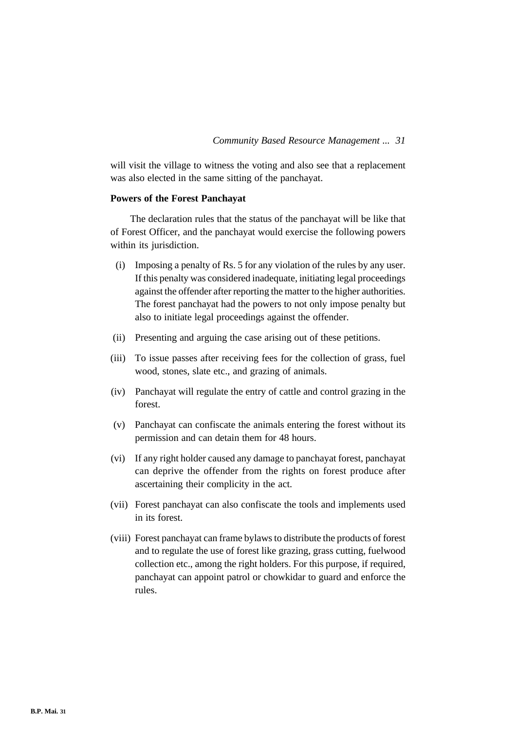will visit the village to witness the voting and also see that a replacement was also elected in the same sitting of the panchayat.

## **Powers of the Forest Panchayat**

The declaration rules that the status of the panchayat will be like that of Forest Officer, and the panchayat would exercise the following powers within its jurisdiction.

- (i) Imposing a penalty of Rs. 5 for any violation of the rules by any user. If this penalty was considered inadequate, initiating legal proceedings against the offender after reporting the matter to the higher authorities. The forest panchayat had the powers to not only impose penalty but also to initiate legal proceedings against the offender.
- (ii) Presenting and arguing the case arising out of these petitions.
- (iii) To issue passes after receiving fees for the collection of grass, fuel wood, stones, slate etc., and grazing of animals.
- (iv) Panchayat will regulate the entry of cattle and control grazing in the forest.
- (v) Panchayat can confiscate the animals entering the forest without its permission and can detain them for 48 hours.
- (vi) If any right holder caused any damage to panchayat forest, panchayat can deprive the offender from the rights on forest produce after ascertaining their complicity in the act.
- (vii) Forest panchayat can also confiscate the tools and implements used in its forest.
- (viii) Forest panchayat can frame bylaws to distribute the products of forest and to regulate the use of forest like grazing, grass cutting, fuelwood collection etc., among the right holders. For this purpose, if required, panchayat can appoint patrol or chowkidar to guard and enforce the rules.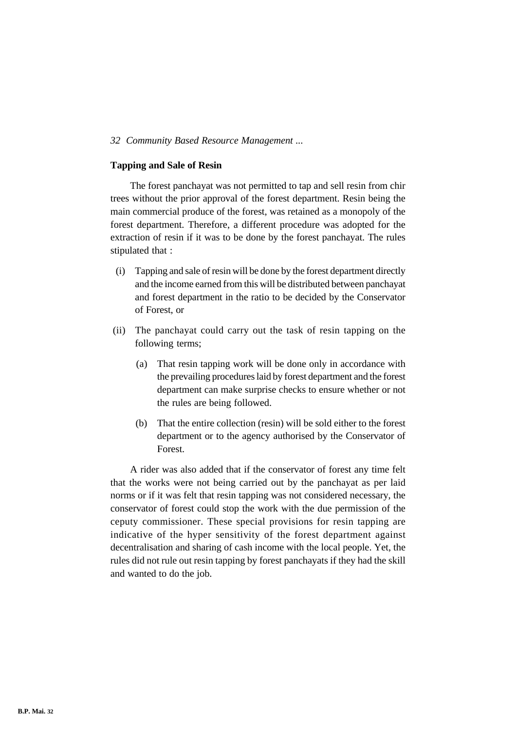# **Tapping and Sale of Resin**

The forest panchayat was not permitted to tap and sell resin from chir trees without the prior approval of the forest department. Resin being the main commercial produce of the forest, was retained as a monopoly of the forest department. Therefore, a different procedure was adopted for the extraction of resin if it was to be done by the forest panchayat. The rules stipulated that :

- (i) Tapping and sale of resin will be done by the forest department directly and the income earned from this will be distributed between panchayat and forest department in the ratio to be decided by the Conservator of Forest, or
- (ii) The panchayat could carry out the task of resin tapping on the following terms;
	- (a) That resin tapping work will be done only in accordance with the prevailing procedures laid by forest department and the forest department can make surprise checks to ensure whether or not the rules are being followed.
	- (b) That the entire collection (resin) will be sold either to the forest department or to the agency authorised by the Conservator of Forest.

A rider was also added that if the conservator of forest any time felt that the works were not being carried out by the panchayat as per laid norms or if it was felt that resin tapping was not considered necessary, the conservator of forest could stop the work with the due permission of the ceputy commissioner. These special provisions for resin tapping are indicative of the hyper sensitivity of the forest department against decentralisation and sharing of cash income with the local people. Yet, the rules did not rule out resin tapping by forest panchayats if they had the skill and wanted to do the job.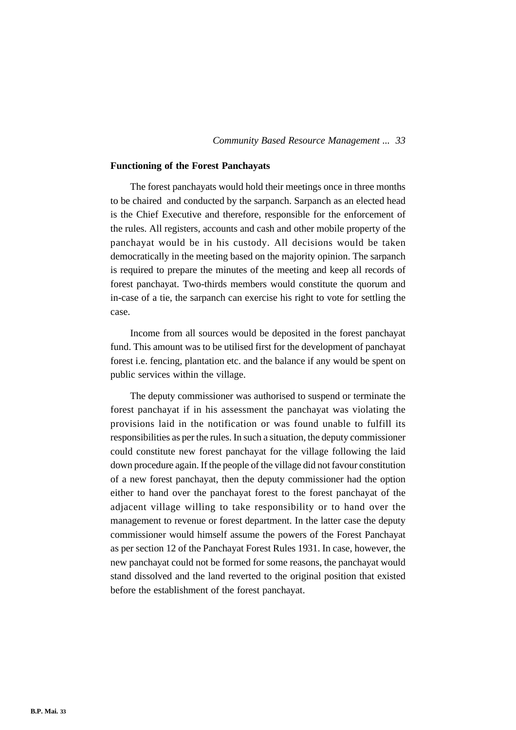# **Functioning of the Forest Panchayats**

The forest panchayats would hold their meetings once in three months to be chaired and conducted by the sarpanch. Sarpanch as an elected head is the Chief Executive and therefore, responsible for the enforcement of the rules. All registers, accounts and cash and other mobile property of the panchayat would be in his custody. All decisions would be taken democratically in the meeting based on the majority opinion. The sarpanch is required to prepare the minutes of the meeting and keep all records of forest panchayat. Two-thirds members would constitute the quorum and in-case of a tie, the sarpanch can exercise his right to vote for settling the case.

Income from all sources would be deposited in the forest panchayat fund. This amount was to be utilised first for the development of panchayat forest i.e. fencing, plantation etc. and the balance if any would be spent on public services within the village.

The deputy commissioner was authorised to suspend or terminate the forest panchayat if in his assessment the panchayat was violating the provisions laid in the notification or was found unable to fulfill its responsibilities as per the rules. In such a situation, the deputy commissioner could constitute new forest panchayat for the village following the laid down procedure again. If the people of the village did not favour constitution of a new forest panchayat, then the deputy commissioner had the option either to hand over the panchayat forest to the forest panchayat of the adjacent village willing to take responsibility or to hand over the management to revenue or forest department. In the latter case the deputy commissioner would himself assume the powers of the Forest Panchayat as per section 12 of the Panchayat Forest Rules 1931. In case, however, the new panchayat could not be formed for some reasons, the panchayat would stand dissolved and the land reverted to the original position that existed before the establishment of the forest panchayat.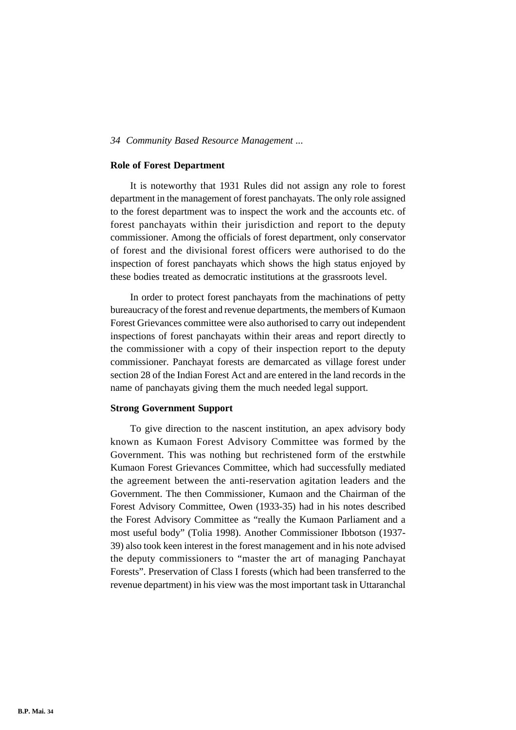# **Role of Forest Department**

It is noteworthy that 1931 Rules did not assign any role to forest department in the management of forest panchayats. The only role assigned to the forest department was to inspect the work and the accounts etc. of forest panchayats within their jurisdiction and report to the deputy commissioner. Among the officials of forest department, only conservator of forest and the divisional forest officers were authorised to do the inspection of forest panchayats which shows the high status enjoyed by these bodies treated as democratic institutions at the grassroots level.

In order to protect forest panchayats from the machinations of petty bureaucracy of the forest and revenue departments, the members of Kumaon Forest Grievances committee were also authorised to carry out independent inspections of forest panchayats within their areas and report directly to the commissioner with a copy of their inspection report to the deputy commissioner. Panchayat forests are demarcated as village forest under section 28 of the Indian Forest Act and are entered in the land records in the name of panchayats giving them the much needed legal support.

# **Strong Government Support**

To give direction to the nascent institution, an apex advisory body known as Kumaon Forest Advisory Committee was formed by the Government. This was nothing but rechristened form of the erstwhile Kumaon Forest Grievances Committee, which had successfully mediated the agreement between the anti-reservation agitation leaders and the Government. The then Commissioner, Kumaon and the Chairman of the Forest Advisory Committee, Owen (1933-35) had in his notes described the Forest Advisory Committee as "really the Kumaon Parliament and a most useful body" (Tolia 1998). Another Commissioner Ibbotson (1937- 39) also took keen interest in the forest management and in his note advised the deputy commissioners to "master the art of managing Panchayat Forests". Preservation of Class I forests (which had been transferred to the revenue department) in his view was the most important task in Uttaranchal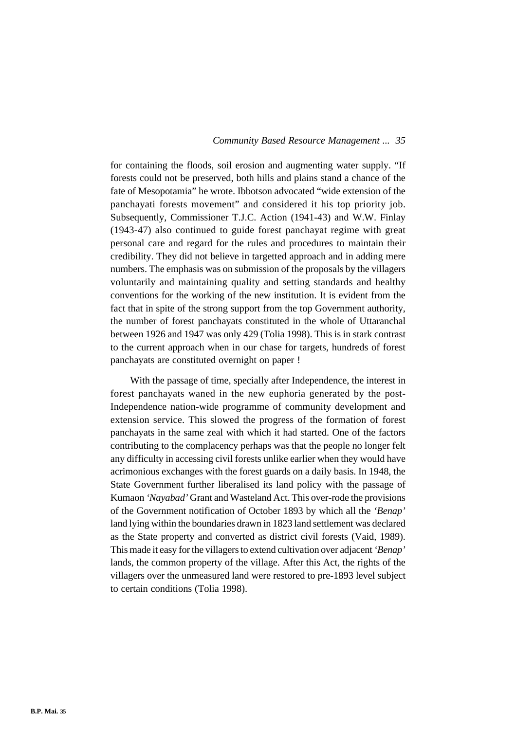for containing the floods, soil erosion and augmenting water supply. "If forests could not be preserved, both hills and plains stand a chance of the fate of Mesopotamia" he wrote. Ibbotson advocated "wide extension of the panchayati forests movement" and considered it his top priority job. Subsequently, Commissioner T.J.C. Action (1941-43) and W.W. Finlay (1943-47) also continued to guide forest panchayat regime with great personal care and regard for the rules and procedures to maintain their credibility. They did not believe in targetted approach and in adding mere numbers. The emphasis was on submission of the proposals by the villagers voluntarily and maintaining quality and setting standards and healthy conventions for the working of the new institution. It is evident from the fact that in spite of the strong support from the top Government authority, the number of forest panchayats constituted in the whole of Uttaranchal between 1926 and 1947 was only 429 (Tolia 1998). This is in stark contrast to the current approach when in our chase for targets, hundreds of forest panchayats are constituted overnight on paper !

With the passage of time, specially after Independence, the interest in forest panchayats waned in the new euphoria generated by the post-Independence nation-wide programme of community development and extension service. This slowed the progress of the formation of forest panchayats in the same zeal with which it had started. One of the factors contributing to the complacency perhaps was that the people no longer felt any difficulty in accessing civil forests unlike earlier when they would have acrimonious exchanges with the forest guards on a daily basis. In 1948, the State Government further liberalised its land policy with the passage of Kumaon *'Nayabad'* Grant and Wasteland Act. This over-rode the provisions of the Government notification of October 1893 by which all the *'Benap'* land lying within the boundaries drawn in 1823 land settlement was declared as the State property and converted as district civil forests (Vaid, 1989). This made it easy for the villagers to extend cultivation over adjacent *'Benap'* lands, the common property of the village. After this Act, the rights of the villagers over the unmeasured land were restored to pre-1893 level subject to certain conditions (Tolia 1998).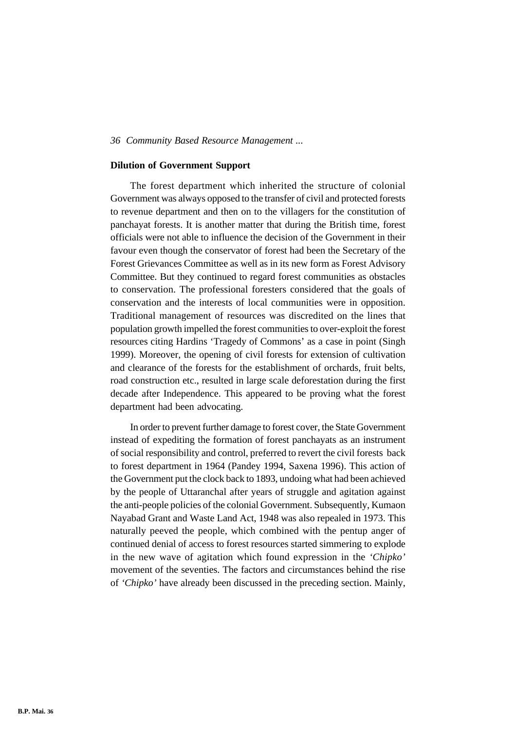# **Dilution of Government Support**

The forest department which inherited the structure of colonial Government was always opposed to the transfer of civil and protected forests to revenue department and then on to the villagers for the constitution of panchayat forests. It is another matter that during the British time, forest officials were not able to influence the decision of the Government in their favour even though the conservator of forest had been the Secretary of the Forest Grievances Committee as well as in its new form as Forest Advisory Committee. But they continued to regard forest communities as obstacles to conservation. The professional foresters considered that the goals of conservation and the interests of local communities were in opposition. Traditional management of resources was discredited on the lines that population growth impelled the forest communities to over-exploit the forest resources citing Hardins 'Tragedy of Commons' as a case in point (Singh 1999). Moreover, the opening of civil forests for extension of cultivation and clearance of the forests for the establishment of orchards, fruit belts, road construction etc., resulted in large scale deforestation during the first decade after Independence. This appeared to be proving what the forest department had been advocating.

In order to prevent further damage to forest cover, the State Government instead of expediting the formation of forest panchayats as an instrument of social responsibility and control, preferred to revert the civil forests back to forest department in 1964 (Pandey 1994, Saxena 1996). This action of the Government put the clock back to 1893, undoing what had been achieved by the people of Uttaranchal after years of struggle and agitation against the anti-people policies of the colonial Government. Subsequently, Kumaon Nayabad Grant and Waste Land Act, 1948 was also repealed in 1973. This naturally peeved the people, which combined with the pentup anger of continued denial of access to forest resources started simmering to explode in the new wave of agitation which found expression in the *'Chipko'* movement of the seventies. The factors and circumstances behind the rise of *'Chipko'* have already been discussed in the preceding section. Mainly,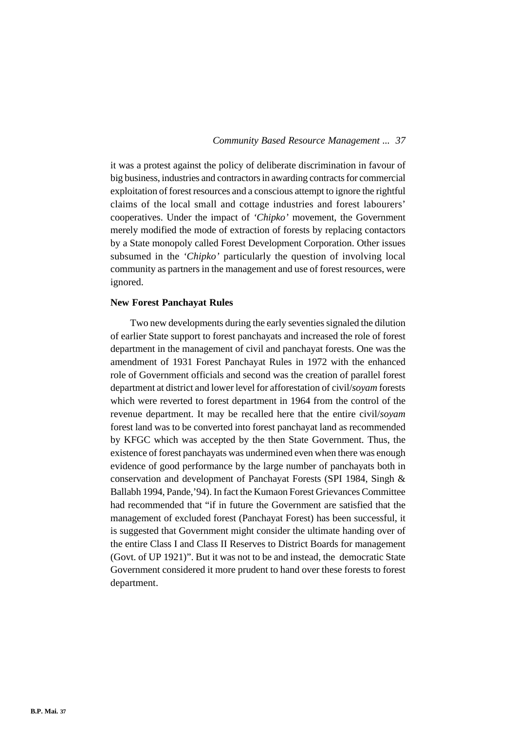it was a protest against the policy of deliberate discrimination in favour of big business, industries and contractors in awarding contracts for commercial exploitation of forest resources and a conscious attempt to ignore the rightful claims of the local small and cottage industries and forest labourers' cooperatives. Under the impact of *'Chipko'* movement, the Government merely modified the mode of extraction of forests by replacing contactors by a State monopoly called Forest Development Corporation. Other issues subsumed in the *'Chipko'* particularly the question of involving local community as partners in the management and use of forest resources, were ignored.

### **New Forest Panchayat Rules**

Two new developments during the early seventies signaled the dilution of earlier State support to forest panchayats and increased the role of forest department in the management of civil and panchayat forests. One was the amendment of 1931 Forest Panchayat Rules in 1972 with the enhanced role of Government officials and second was the creation of parallel forest department at district and lower level for afforestation of civil/*soyam* forests which were reverted to forest department in 1964 from the control of the revenue department. It may be recalled here that the entire civil/*soyam* forest land was to be converted into forest panchayat land as recommended by KFGC which was accepted by the then State Government. Thus, the existence of forest panchayats was undermined even when there was enough evidence of good performance by the large number of panchayats both in conservation and development of Panchayat Forests (SPI 1984, Singh & Ballabh 1994, Pande,'94). In fact the Kumaon Forest Grievances Committee had recommended that "if in future the Government are satisfied that the management of excluded forest (Panchayat Forest) has been successful, it is suggested that Government might consider the ultimate handing over of the entire Class I and Class II Reserves to District Boards for management (Govt. of UP 1921)". But it was not to be and instead, the democratic State Government considered it more prudent to hand over these forests to forest department.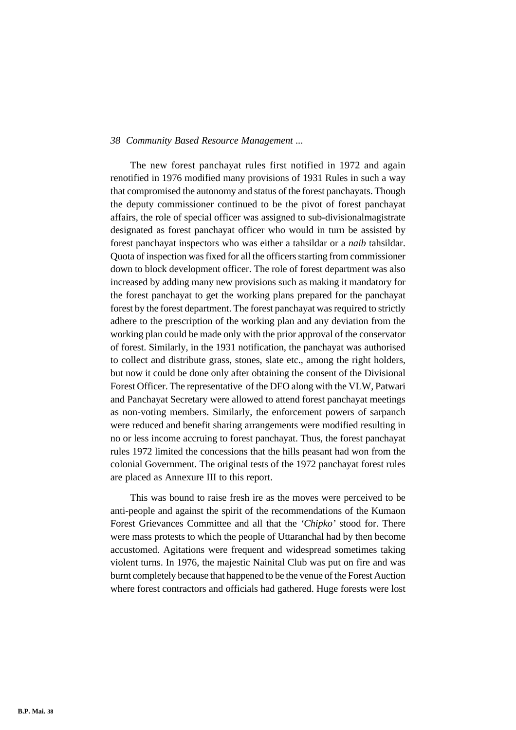The new forest panchayat rules first notified in 1972 and again renotified in 1976 modified many provisions of 1931 Rules in such a way that compromised the autonomy and status of the forest panchayats. Though the deputy commissioner continued to be the pivot of forest panchayat affairs, the role of special officer was assigned to sub-divisionalmagistrate designated as forest panchayat officer who would in turn be assisted by forest panchayat inspectors who was either a tahsildar or a *naib* tahsildar. Quota of inspection was fixed for all the officers starting from commissioner down to block development officer. The role of forest department was also increased by adding many new provisions such as making it mandatory for the forest panchayat to get the working plans prepared for the panchayat forest by the forest department. The forest panchayat was required to strictly adhere to the prescription of the working plan and any deviation from the working plan could be made only with the prior approval of the conservator of forest. Similarly, in the 1931 notification, the panchayat was authorised to collect and distribute grass, stones, slate etc., among the right holders, but now it could be done only after obtaining the consent of the Divisional Forest Officer. The representative of the DFO along with the VLW, Patwari and Panchayat Secretary were allowed to attend forest panchayat meetings as non-voting members. Similarly, the enforcement powers of sarpanch were reduced and benefit sharing arrangements were modified resulting in no or less income accruing to forest panchayat. Thus, the forest panchayat rules 1972 limited the concessions that the hills peasant had won from the colonial Government. The original tests of the 1972 panchayat forest rules are placed as Annexure III to this report.

This was bound to raise fresh ire as the moves were perceived to be anti-people and against the spirit of the recommendations of the Kumaon Forest Grievances Committee and all that the *'Chipko'* stood for. There were mass protests to which the people of Uttaranchal had by then become accustomed. Agitations were frequent and widespread sometimes taking violent turns. In 1976, the majestic Nainital Club was put on fire and was burnt completely because that happened to be the venue of the Forest Auction where forest contractors and officials had gathered. Huge forests were lost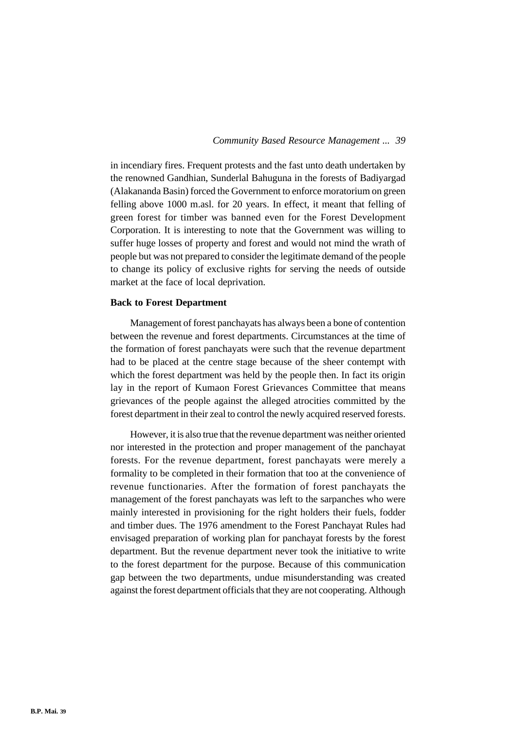in incendiary fires. Frequent protests and the fast unto death undertaken by the renowned Gandhian, Sunderlal Bahuguna in the forests of Badiyargad (Alakananda Basin) forced the Government to enforce moratorium on green felling above 1000 m.asl. for 20 years. In effect, it meant that felling of green forest for timber was banned even for the Forest Development Corporation. It is interesting to note that the Government was willing to suffer huge losses of property and forest and would not mind the wrath of people but was not prepared to consider the legitimate demand of the people to change its policy of exclusive rights for serving the needs of outside market at the face of local deprivation.

## **Back to Forest Department**

Management of forest panchayats has always been a bone of contention between the revenue and forest departments. Circumstances at the time of the formation of forest panchayats were such that the revenue department had to be placed at the centre stage because of the sheer contempt with which the forest department was held by the people then. In fact its origin lay in the report of Kumaon Forest Grievances Committee that means grievances of the people against the alleged atrocities committed by the forest department in their zeal to control the newly acquired reserved forests.

However, it is also true that the revenue department was neither oriented nor interested in the protection and proper management of the panchayat forests. For the revenue department, forest panchayats were merely a formality to be completed in their formation that too at the convenience of revenue functionaries. After the formation of forest panchayats the management of the forest panchayats was left to the sarpanches who were mainly interested in provisioning for the right holders their fuels, fodder and timber dues. The 1976 amendment to the Forest Panchayat Rules had envisaged preparation of working plan for panchayat forests by the forest department. But the revenue department never took the initiative to write to the forest department for the purpose. Because of this communication gap between the two departments, undue misunderstanding was created against the forest department officials that they are not cooperating. Although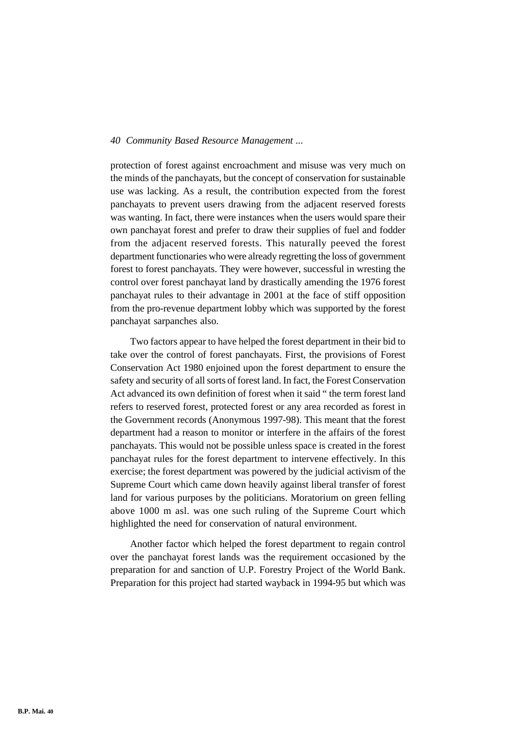protection of forest against encroachment and misuse was very much on the minds of the panchayats, but the concept of conservation for sustainable use was lacking. As a result, the contribution expected from the forest panchayats to prevent users drawing from the adjacent reserved forests was wanting. In fact, there were instances when the users would spare their own panchayat forest and prefer to draw their supplies of fuel and fodder from the adjacent reserved forests. This naturally peeved the forest department functionaries who were already regretting the loss of government forest to forest panchayats. They were however, successful in wresting the control over forest panchayat land by drastically amending the 1976 forest panchayat rules to their advantage in 2001 at the face of stiff opposition from the pro-revenue department lobby which was supported by the forest panchayat sarpanches also.

Two factors appear to have helped the forest department in their bid to take over the control of forest panchayats. First, the provisions of Forest Conservation Act 1980 enjoined upon the forest department to ensure the safety and security of all sorts of forest land. In fact, the Forest Conservation Act advanced its own definition of forest when it said " the term forest land refers to reserved forest, protected forest or any area recorded as forest in the Government records (Anonymous 1997-98). This meant that the forest department had a reason to monitor or interfere in the affairs of the forest panchayats. This would not be possible unless space is created in the forest panchayat rules for the forest department to intervene effectively. In this exercise; the forest department was powered by the judicial activism of the Supreme Court which came down heavily against liberal transfer of forest land for various purposes by the politicians. Moratorium on green felling above 1000 m asl. was one such ruling of the Supreme Court which highlighted the need for conservation of natural environment.

Another factor which helped the forest department to regain control over the panchayat forest lands was the requirement occasioned by the preparation for and sanction of U.P. Forestry Project of the World Bank. Preparation for this project had started wayback in 1994-95 but which was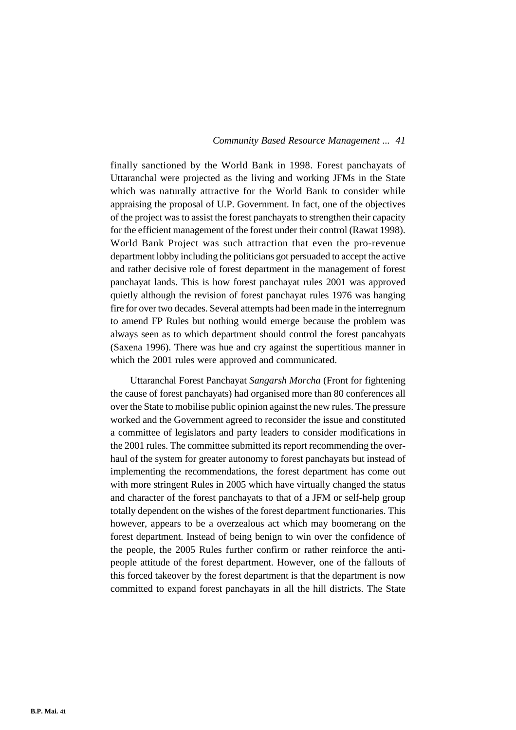finally sanctioned by the World Bank in 1998. Forest panchayats of Uttaranchal were projected as the living and working JFMs in the State which was naturally attractive for the World Bank to consider while appraising the proposal of U.P. Government. In fact, one of the objectives of the project was to assist the forest panchayats to strengthen their capacity for the efficient management of the forest under their control (Rawat 1998). World Bank Project was such attraction that even the pro-revenue department lobby including the politicians got persuaded to accept the active and rather decisive role of forest department in the management of forest panchayat lands. This is how forest panchayat rules 2001 was approved quietly although the revision of forest panchayat rules 1976 was hanging fire for over two decades. Several attempts had been made in the interregnum to amend FP Rules but nothing would emerge because the problem was always seen as to which department should control the forest pancahyats (Saxena 1996). There was hue and cry against the supertitious manner in which the 2001 rules were approved and communicated.

Uttaranchal Forest Panchayat *Sangarsh Morcha* (Front for fightening the cause of forest panchayats) had organised more than 80 conferences all over the State to mobilise public opinion against the new rules. The pressure worked and the Government agreed to reconsider the issue and constituted a committee of legislators and party leaders to consider modifications in the 2001 rules. The committee submitted its report recommending the overhaul of the system for greater autonomy to forest panchayats but instead of implementing the recommendations, the forest department has come out with more stringent Rules in 2005 which have virtually changed the status and character of the forest panchayats to that of a JFM or self-help group totally dependent on the wishes of the forest department functionaries. This however, appears to be a overzealous act which may boomerang on the forest department. Instead of being benign to win over the confidence of the people, the 2005 Rules further confirm or rather reinforce the antipeople attitude of the forest department. However, one of the fallouts of this forced takeover by the forest department is that the department is now committed to expand forest panchayats in all the hill districts. The State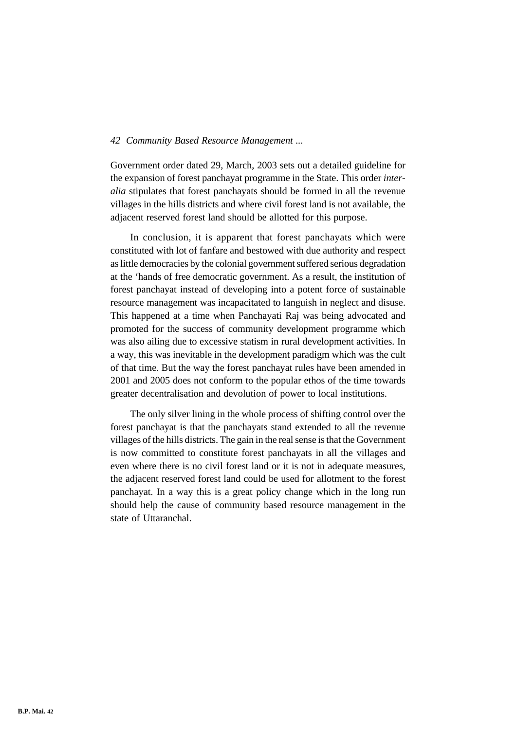Government order dated 29, March, 2003 sets out a detailed guideline for the expansion of forest panchayat programme in the State. This order *interalia* stipulates that forest panchayats should be formed in all the revenue villages in the hills districts and where civil forest land is not available, the adjacent reserved forest land should be allotted for this purpose.

In conclusion, it is apparent that forest panchayats which were constituted with lot of fanfare and bestowed with due authority and respect as little democracies by the colonial government suffered serious degradation at the 'hands of free democratic government. As a result, the institution of forest panchayat instead of developing into a potent force of sustainable resource management was incapacitated to languish in neglect and disuse. This happened at a time when Panchayati Raj was being advocated and promoted for the success of community development programme which was also ailing due to excessive statism in rural development activities. In a way, this was inevitable in the development paradigm which was the cult of that time. But the way the forest panchayat rules have been amended in 2001 and 2005 does not conform to the popular ethos of the time towards greater decentralisation and devolution of power to local institutions.

The only silver lining in the whole process of shifting control over the forest panchayat is that the panchayats stand extended to all the revenue villages of the hills districts. The gain in the real sense is that the Government is now committed to constitute forest panchayats in all the villages and even where there is no civil forest land or it is not in adequate measures, the adjacent reserved forest land could be used for allotment to the forest panchayat. In a way this is a great policy change which in the long run should help the cause of community based resource management in the state of Uttaranchal.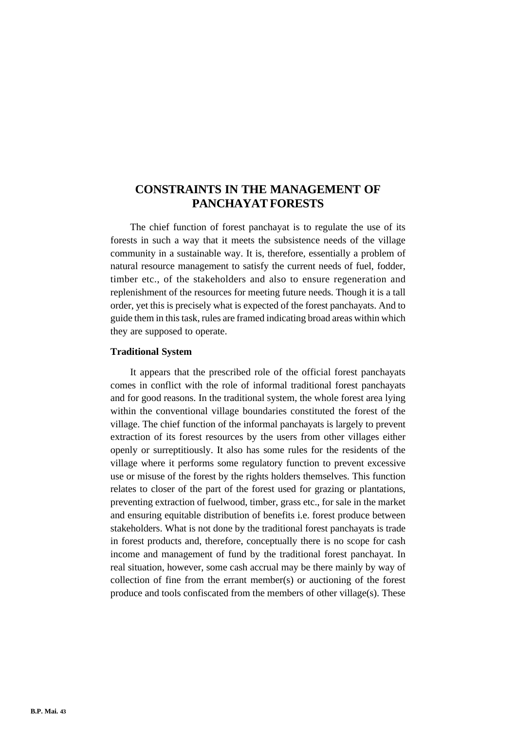# **CONSTRAINTS IN THE MANAGEMENT OF PANCHAYAT FORESTS**

The chief function of forest panchayat is to regulate the use of its forests in such a way that it meets the subsistence needs of the village community in a sustainable way. It is, therefore, essentially a problem of natural resource management to satisfy the current needs of fuel, fodder, timber etc., of the stakeholders and also to ensure regeneration and replenishment of the resources for meeting future needs. Though it is a tall order, yet this is precisely what is expected of the forest panchayats. And to guide them in this task, rules are framed indicating broad areas within which they are supposed to operate.

### **Traditional System**

It appears that the prescribed role of the official forest panchayats comes in conflict with the role of informal traditional forest panchayats and for good reasons. In the traditional system, the whole forest area lying within the conventional village boundaries constituted the forest of the village. The chief function of the informal panchayats is largely to prevent extraction of its forest resources by the users from other villages either openly or surreptitiously. It also has some rules for the residents of the village where it performs some regulatory function to prevent excessive use or misuse of the forest by the rights holders themselves. This function relates to closer of the part of the forest used for grazing or plantations, preventing extraction of fuelwood, timber, grass etc., for sale in the market and ensuring equitable distribution of benefits i.e. forest produce between stakeholders. What is not done by the traditional forest panchayats is trade in forest products and, therefore, conceptually there is no scope for cash income and management of fund by the traditional forest panchayat. In real situation, however, some cash accrual may be there mainly by way of collection of fine from the errant member(s) or auctioning of the forest produce and tools confiscated from the members of other village(s). These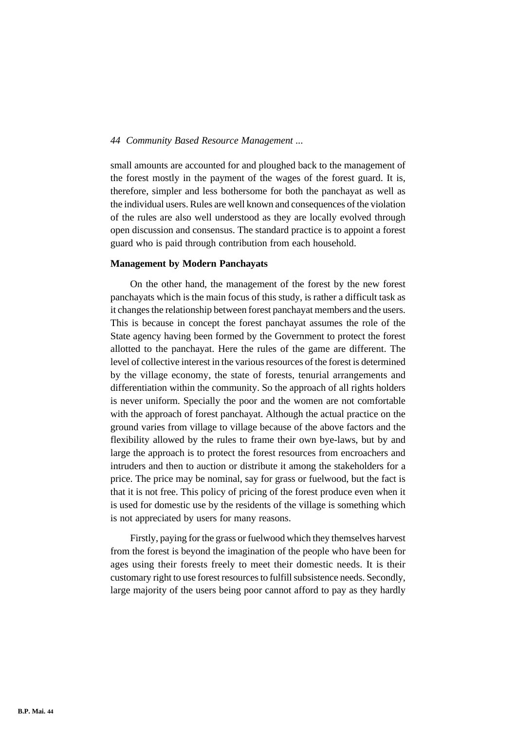small amounts are accounted for and ploughed back to the management of the forest mostly in the payment of the wages of the forest guard. It is, therefore, simpler and less bothersome for both the panchayat as well as the individual users. Rules are well known and consequences of the violation of the rules are also well understood as they are locally evolved through open discussion and consensus. The standard practice is to appoint a forest guard who is paid through contribution from each household.

#### **Management by Modern Panchayats**

On the other hand, the management of the forest by the new forest panchayats which is the main focus of this study, is rather a difficult task as it changes the relationship between forest panchayat members and the users. This is because in concept the forest panchayat assumes the role of the State agency having been formed by the Government to protect the forest allotted to the panchayat. Here the rules of the game are different. The level of collective interest in the various resources of the forest is determined by the village economy, the state of forests, tenurial arrangements and differentiation within the community. So the approach of all rights holders is never uniform. Specially the poor and the women are not comfortable with the approach of forest panchayat. Although the actual practice on the ground varies from village to village because of the above factors and the flexibility allowed by the rules to frame their own bye-laws, but by and large the approach is to protect the forest resources from encroachers and intruders and then to auction or distribute it among the stakeholders for a price. The price may be nominal, say for grass or fuelwood, but the fact is that it is not free. This policy of pricing of the forest produce even when it is used for domestic use by the residents of the village is something which is not appreciated by users for many reasons.

Firstly, paying for the grass or fuelwood which they themselves harvest from the forest is beyond the imagination of the people who have been for ages using their forests freely to meet their domestic needs. It is their customary right to use forest resources to fulfill subsistence needs. Secondly, large majority of the users being poor cannot afford to pay as they hardly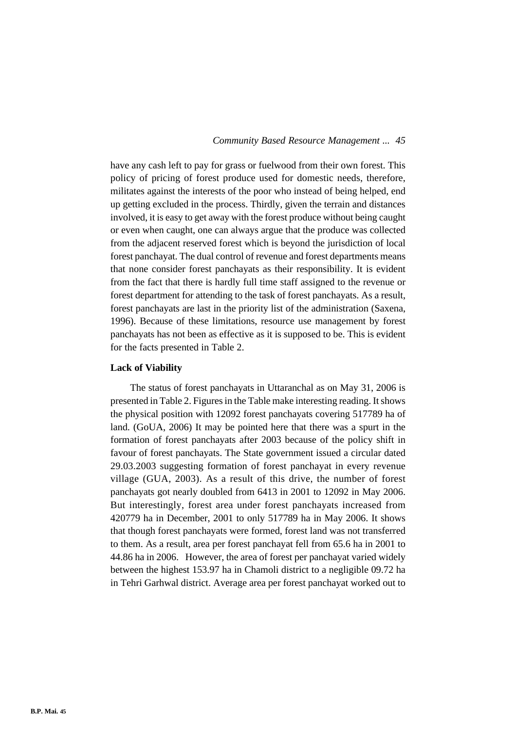have any cash left to pay for grass or fuelwood from their own forest. This policy of pricing of forest produce used for domestic needs, therefore, militates against the interests of the poor who instead of being helped, end up getting excluded in the process. Thirdly, given the terrain and distances involved, it is easy to get away with the forest produce without being caught or even when caught, one can always argue that the produce was collected from the adjacent reserved forest which is beyond the jurisdiction of local forest panchayat. The dual control of revenue and forest departments means that none consider forest panchayats as their responsibility. It is evident from the fact that there is hardly full time staff assigned to the revenue or forest department for attending to the task of forest panchayats. As a result, forest panchayats are last in the priority list of the administration (Saxena, 1996). Because of these limitations, resource use management by forest panchayats has not been as effective as it is supposed to be. This is evident for the facts presented in Table 2.

## **Lack of Viability**

The status of forest panchayats in Uttaranchal as on May 31, 2006 is presented in Table 2. Figures in the Table make interesting reading. It shows the physical position with 12092 forest panchayats covering 517789 ha of land. (GoUA, 2006) It may be pointed here that there was a spurt in the formation of forest panchayats after 2003 because of the policy shift in favour of forest panchayats. The State government issued a circular dated 29.03.2003 suggesting formation of forest panchayat in every revenue village (GUA, 2003). As a result of this drive, the number of forest panchayats got nearly doubled from 6413 in 2001 to 12092 in May 2006. But interestingly, forest area under forest panchayats increased from 420779 ha in December, 2001 to only 517789 ha in May 2006. It shows that though forest panchayats were formed, forest land was not transferred to them. As a result, area per forest panchayat fell from 65.6 ha in 2001 to 44.86 ha in 2006. However, the area of forest per panchayat varied widely between the highest 153.97 ha in Chamoli district to a negligible 09.72 ha in Tehri Garhwal district. Average area per forest panchayat worked out to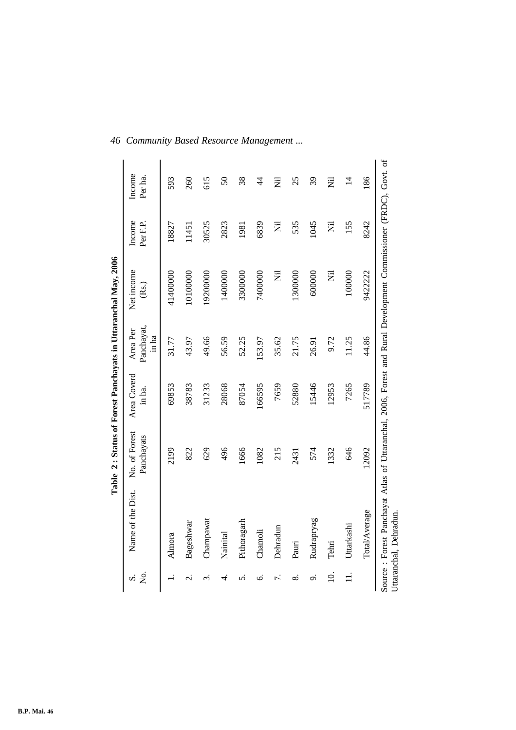| 。<br>No<br>Μ      | Name of the Dist. | No. of Forest<br>Panchayats | Area Coverd<br>in ha. | Panchayat,<br>Area Per<br>in ha | Net income<br>(Rs.) | Income<br>Per <sub>F.P</sub> . | Income<br>Per ha. |
|-------------------|-------------------|-----------------------------|-----------------------|---------------------------------|---------------------|--------------------------------|-------------------|
|                   | Almora            | 2199                        | 69853                 | 31.77                           | 41400000            | 18827                          | 593               |
| $\dot{\sim}$      | Bageshwar         | 822                         | 38783                 | 43.97                           | 10100000            | 11451                          | 260               |
| $\dot{\varsigma}$ | Champawat         | 629                         | 31233                 | 49.66                           | 19200000            | 30525                          | 615               |
| 4.                | Nainital          | 496                         | 28068                 | 56.59                           | 1400000             | 2823                           | $50\,$            |
| n                 | Pithoragarh       | 1666                        | 87054                 | 52.25                           | 3300000             | 1981                           | 38                |
| Ġ.                | Chamoli           | 1082                        | 166595                | 153.97                          | 7400000             | 6839                           | $\frac{4}{4}$     |
| 7.                | Dehradun          | 215                         | 7659                  | 35.62                           | Ē                   | Ē                              | $\overline{z}$    |
| ∞ं                | Pauri             | 2431                        | 52880                 | 21.75                           | 1300000             | 535                            | 25                |
| ö                 | Rudrapryag        | 574                         | 15446                 | 26.91                           | 600000              | 1045                           | 39                |
| $\overline{10}$   | Tehri             | 332                         | 12953                 | 9.72                            | Ē                   | Ż                              | $\bar{z}$         |
| $\exists$         | Uttarkashi        | 646                         | 7265                  | 11.25                           | 100000              | 155                            | $\overline{4}$    |
|                   | Total/Average     | 12092                       | 517789                | 44.86                           | 9422222             | 8242                           | 186               |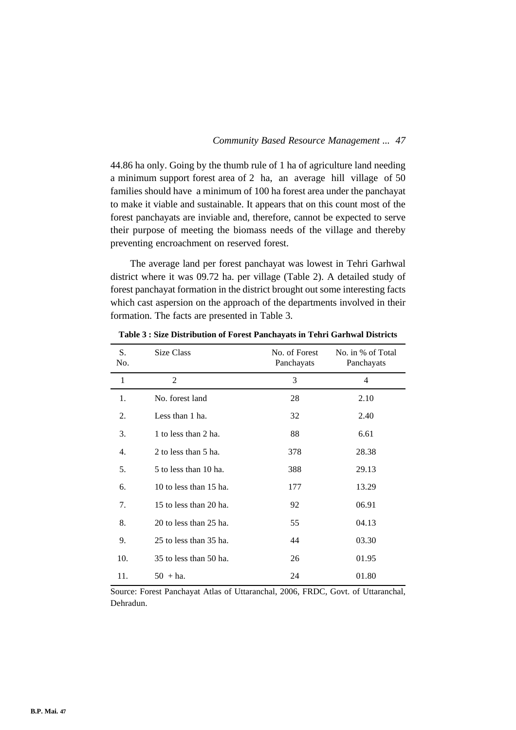44.86 ha only. Going by the thumb rule of 1 ha of agriculture land needing a minimum support forest area of 2 ha, an average hill village of 50 families should have a minimum of 100 ha forest area under the panchayat to make it viable and sustainable. It appears that on this count most of the forest panchayats are inviable and, therefore, cannot be expected to serve their purpose of meeting the biomass needs of the village and thereby preventing encroachment on reserved forest.

The average land per forest panchayat was lowest in Tehri Garhwal district where it was 09.72 ha. per village (Table 2). A detailed study of forest panchayat formation in the district brought out some interesting facts which cast aspersion on the approach of the departments involved in their formation. The facts are presented in Table 3.

| S.<br>No. | Size Class             | No. of Forest<br>Panchayats | No. in % of Total<br>Panchayats |
|-----------|------------------------|-----------------------------|---------------------------------|
| 1         | $\mathfrak{D}$         | 3                           | $\overline{4}$                  |
| 1.        | No. forest land        | 28                          | 2.10                            |
| 2.        | Less than 1 ha.        | 32                          | 2.40                            |
| 3.        | 1 to less than 2 ha.   | 88                          | 6.61                            |
| 4.        | 2 to less than 5 ha.   | 378                         | 28.38                           |
| 5.        | 5 to less than 10 ha.  | 388                         | 29.13                           |
| 6.        | 10 to less than 15 ha. | 177                         | 13.29                           |
| 7.        | 15 to less than 20 ha. | 92                          | 06.91                           |
| 8.        | 20 to less than 25 ha. | 55                          | 04.13                           |
| 9.        | 25 to less than 35 ha. | 44                          | 03.30                           |
| 10.       | 35 to less than 50 ha. | 26                          | 01.95                           |
| 11.       | $50 + ha$ .            | 24                          | 01.80                           |

**Table 3 : Size Distribution of Forest Panchayats in Tehri Garhwal Districts**

Source: Forest Panchayat Atlas of Uttaranchal, 2006, FRDC, Govt. of Uttaranchal, Dehradun.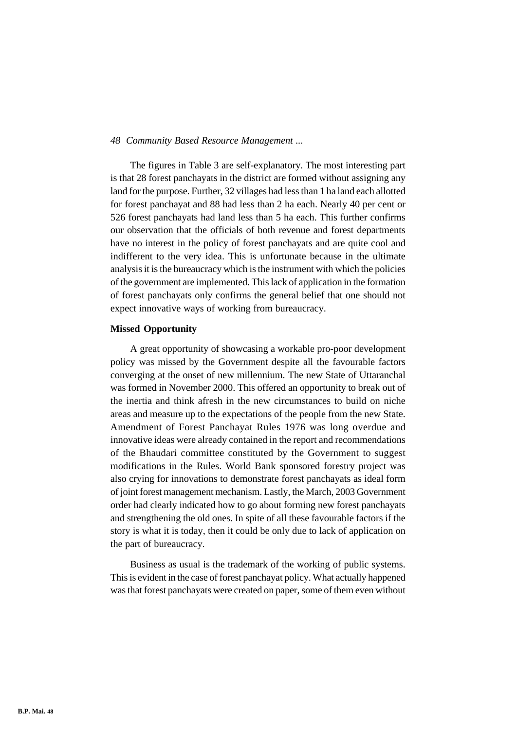The figures in Table 3 are self-explanatory. The most interesting part is that 28 forest panchayats in the district are formed without assigning any land for the purpose. Further, 32 villages had less than 1 ha land each allotted for forest panchayat and 88 had less than 2 ha each. Nearly 40 per cent or 526 forest panchayats had land less than 5 ha each. This further confirms our observation that the officials of both revenue and forest departments have no interest in the policy of forest panchayats and are quite cool and indifferent to the very idea. This is unfortunate because in the ultimate analysis it is the bureaucracy which is the instrument with which the policies of the government are implemented. This lack of application in the formation of forest panchayats only confirms the general belief that one should not expect innovative ways of working from bureaucracy.

### **Missed Opportunity**

A great opportunity of showcasing a workable pro-poor development policy was missed by the Government despite all the favourable factors converging at the onset of new millennium. The new State of Uttaranchal was formed in November 2000. This offered an opportunity to break out of the inertia and think afresh in the new circumstances to build on niche areas and measure up to the expectations of the people from the new State. Amendment of Forest Panchayat Rules 1976 was long overdue and innovative ideas were already contained in the report and recommendations of the Bhaudari committee constituted by the Government to suggest modifications in the Rules. World Bank sponsored forestry project was also crying for innovations to demonstrate forest panchayats as ideal form of joint forest management mechanism. Lastly, the March, 2003 Government order had clearly indicated how to go about forming new forest panchayats and strengthening the old ones. In spite of all these favourable factors if the story is what it is today, then it could be only due to lack of application on the part of bureaucracy.

Business as usual is the trademark of the working of public systems. This is evident in the case of forest panchayat policy. What actually happened was that forest panchayats were created on paper, some of them even without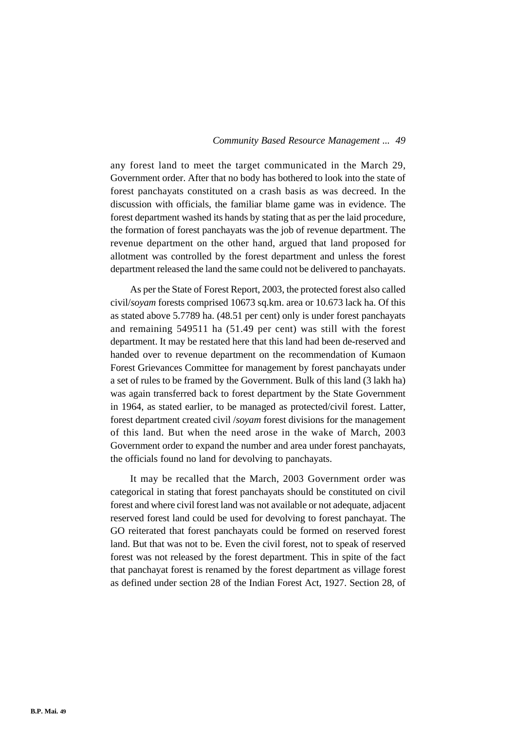any forest land to meet the target communicated in the March 29, Government order. After that no body has bothered to look into the state of forest panchayats constituted on a crash basis as was decreed. In the discussion with officials, the familiar blame game was in evidence. The forest department washed its hands by stating that as per the laid procedure, the formation of forest panchayats was the job of revenue department. The revenue department on the other hand, argued that land proposed for allotment was controlled by the forest department and unless the forest department released the land the same could not be delivered to panchayats.

As per the State of Forest Report, 2003, the protected forest also called civil/*soyam* forests comprised 10673 sq.km. area or 10.673 lack ha. Of this as stated above 5.7789 ha. (48.51 per cent) only is under forest panchayats and remaining 549511 ha (51.49 per cent) was still with the forest department. It may be restated here that this land had been de-reserved and handed over to revenue department on the recommendation of Kumaon Forest Grievances Committee for management by forest panchayats under a set of rules to be framed by the Government. Bulk of this land (3 lakh ha) was again transferred back to forest department by the State Government in 1964, as stated earlier, to be managed as protected/civil forest. Latter, forest department created civil /*soyam* forest divisions for the management of this land. But when the need arose in the wake of March, 2003 Government order to expand the number and area under forest panchayats, the officials found no land for devolving to panchayats.

It may be recalled that the March, 2003 Government order was categorical in stating that forest panchayats should be constituted on civil forest and where civil forest land was not available or not adequate, adjacent reserved forest land could be used for devolving to forest panchayat. The GO reiterated that forest panchayats could be formed on reserved forest land. But that was not to be. Even the civil forest, not to speak of reserved forest was not released by the forest department. This in spite of the fact that panchayat forest is renamed by the forest department as village forest as defined under section 28 of the Indian Forest Act, 1927. Section 28, of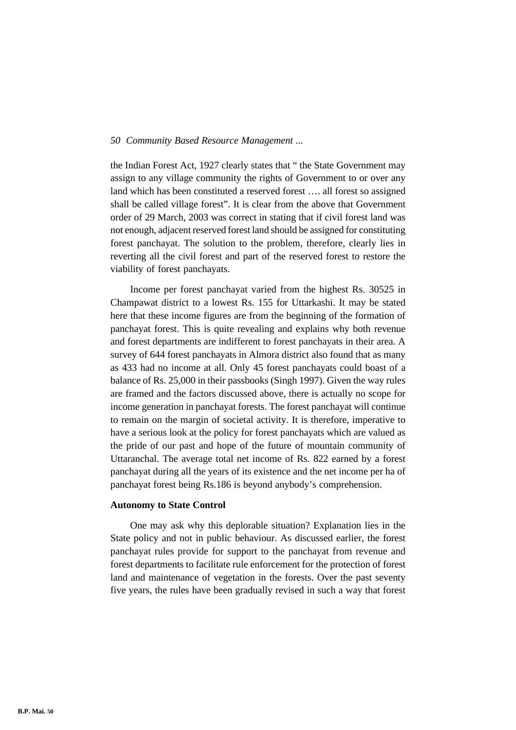the Indian Forest Act, 1927 clearly states that " the State Government may assign to any village community the rights of Government to or over any land which has been constituted a reserved forest …. all forest so assigned shall be called village forest". It is clear from the above that Government order of 29 March, 2003 was correct in stating that if civil forest land was not enough, adjacent reserved forest land should be assigned for constituting forest panchayat. The solution to the problem, therefore, clearly lies in reverting all the civil forest and part of the reserved forest to restore the viability of forest panchayats.

Income per forest panchayat varied from the highest Rs. 30525 in Champawat district to a lowest Rs. 155 for Uttarkashi. It may be stated here that these income figures are from the beginning of the formation of panchayat forest. This is quite revealing and explains why both revenue and forest departments are indifferent to forest panchayats in their area. A survey of 644 forest panchayats in Almora district also found that as many as 433 had no income at all. Only 45 forest panchayats could boast of a balance of Rs. 25,000 in their passbooks (Singh 1997). Given the way rules are framed and the factors discussed above, there is actually no scope for income generation in panchayat forests. The forest panchayat will continue to remain on the margin of societal activity. It is therefore, imperative to have a serious look at the policy for forest panchayats which are valued as the pride of our past and hope of the future of mountain community of Uttaranchal. The average total net income of Rs. 822 earned by a forest panchayat during all the years of its existence and the net income per ha of panchayat forest being Rs.186 is beyond anybody's comprehension.

#### **Autonomy to State Control**

One may ask why this deplorable situation? Explanation lies in the State policy and not in public behaviour. As discussed earlier, the forest panchayat rules provide for support to the panchayat from revenue and forest departments to facilitate rule enforcement for the protection of forest land and maintenance of vegetation in the forests. Over the past seventy five years, the rules have been gradually revised in such a way that forest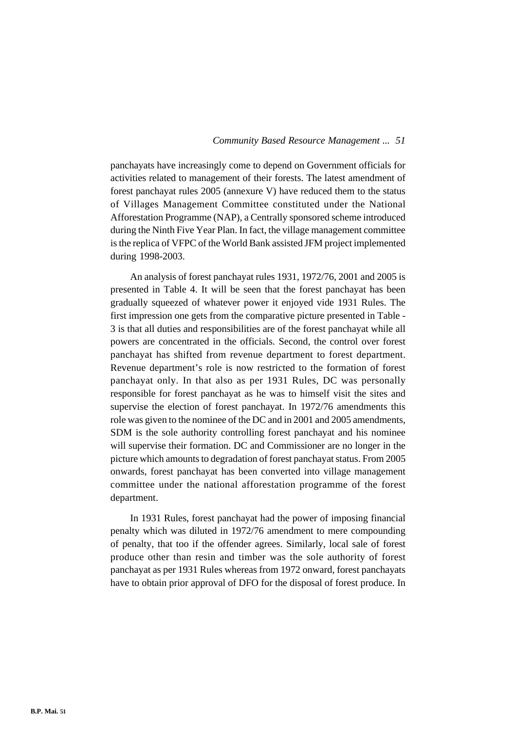panchayats have increasingly come to depend on Government officials for activities related to management of their forests. The latest amendment of forest panchayat rules 2005 (annexure V) have reduced them to the status of Villages Management Committee constituted under the National Afforestation Programme (NAP), a Centrally sponsored scheme introduced during the Ninth Five Year Plan. In fact, the village management committee is the replica of VFPC of the World Bank assisted JFM project implemented during 1998-2003.

An analysis of forest panchayat rules 1931, 1972/76, 2001 and 2005 is presented in Table 4. It will be seen that the forest panchayat has been gradually squeezed of whatever power it enjoyed vide 1931 Rules. The first impression one gets from the comparative picture presented in Table - 3 is that all duties and responsibilities are of the forest panchayat while all powers are concentrated in the officials. Second, the control over forest panchayat has shifted from revenue department to forest department. Revenue department's role is now restricted to the formation of forest panchayat only. In that also as per 1931 Rules, DC was personally responsible for forest panchayat as he was to himself visit the sites and supervise the election of forest panchayat. In 1972/76 amendments this role was given to the nominee of the DC and in 2001 and 2005 amendments, SDM is the sole authority controlling forest panchayat and his nominee will supervise their formation. DC and Commissioner are no longer in the picture which amounts to degradation of forest panchayat status. From 2005 onwards, forest panchayat has been converted into village management committee under the national afforestation programme of the forest department.

In 1931 Rules, forest panchayat had the power of imposing financial penalty which was diluted in 1972/76 amendment to mere compounding of penalty, that too if the offender agrees. Similarly, local sale of forest produce other than resin and timber was the sole authority of forest panchayat as per 1931 Rules whereas from 1972 onward, forest panchayats have to obtain prior approval of DFO for the disposal of forest produce. In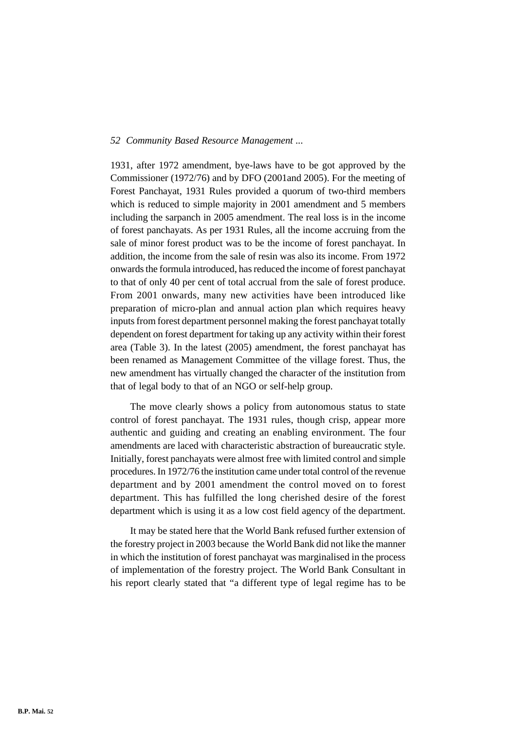1931, after 1972 amendment, bye-laws have to be got approved by the Commissioner (1972/76) and by DFO (2001and 2005). For the meeting of Forest Panchayat, 1931 Rules provided a quorum of two-third members which is reduced to simple majority in 2001 amendment and 5 members including the sarpanch in 2005 amendment. The real loss is in the income of forest panchayats. As per 1931 Rules, all the income accruing from the sale of minor forest product was to be the income of forest panchayat. In addition, the income from the sale of resin was also its income. From 1972 onwards the formula introduced, has reduced the income of forest panchayat to that of only 40 per cent of total accrual from the sale of forest produce. From 2001 onwards, many new activities have been introduced like preparation of micro-plan and annual action plan which requires heavy inputs from forest department personnel making the forest panchayat totally dependent on forest department for taking up any activity within their forest area (Table 3). In the latest (2005) amendment, the forest panchayat has been renamed as Management Committee of the village forest. Thus, the new amendment has virtually changed the character of the institution from that of legal body to that of an NGO or self-help group.

The move clearly shows a policy from autonomous status to state control of forest panchayat. The 1931 rules, though crisp, appear more authentic and guiding and creating an enabling environment. The four amendments are laced with characteristic abstraction of bureaucratic style. Initially, forest panchayats were almost free with limited control and simple procedures. In 1972/76 the institution came under total control of the revenue department and by 2001 amendment the control moved on to forest department. This has fulfilled the long cherished desire of the forest department which is using it as a low cost field agency of the department.

It may be stated here that the World Bank refused further extension of the forestry project in 2003 because the World Bank did not like the manner in which the institution of forest panchayat was marginalised in the process of implementation of the forestry project. The World Bank Consultant in his report clearly stated that "a different type of legal regime has to be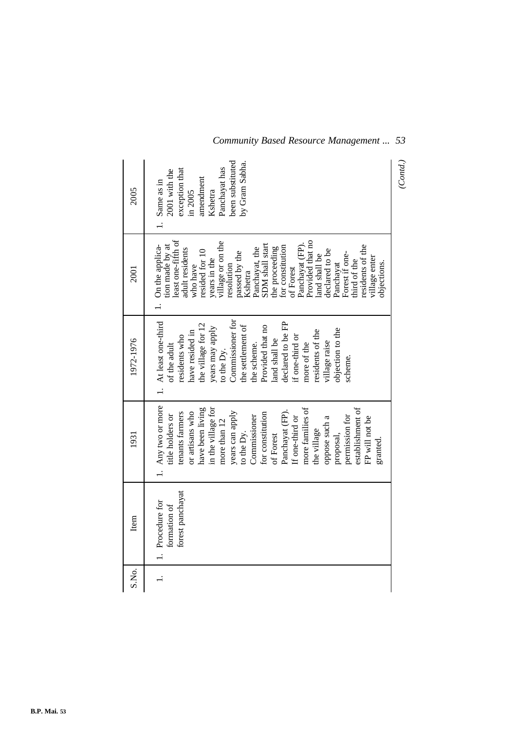| 2005      | been substituted<br>by Gram Sabha.<br>Panchayat has<br>exception that<br>2001 with the<br>amendment<br>. Same as in<br>Kshetra<br>in 2005                                                                                                                                                                                                                                                                                                                        | (Cond.) |
|-----------|------------------------------------------------------------------------------------------------------------------------------------------------------------------------------------------------------------------------------------------------------------------------------------------------------------------------------------------------------------------------------------------------------------------------------------------------------------------|---------|
| 2001      | least one-fifth of<br>Provided that no<br>years in the<br>village or on the<br>1. On the applica-<br>tion made by at<br>SDM shall start<br>Panchayat (FP).<br>for constitution<br>residents of the<br>the proceeding<br>adult residents<br>Panchayat, the<br>declared to be<br>who have<br>resided for 10<br>passed by the<br>Forest if one-<br>land shall be<br>village enter<br>third of the<br>objections.<br>Panchayat<br>resolution<br>of Forest<br>Kshetra |         |
| 1972-1976 | 1. At least one-third<br>Commissioner for<br>declared to be FP<br>the village for 12<br>the settlement of<br>Provided that no<br>years may apply<br>objection to the<br>have resided in<br>residents of the<br>if one-third or<br>residents who<br>land shall be<br>village raise<br>the scheme.<br>more of the<br>of the adult<br>to the Dy.<br>scheme.                                                                                                         |         |
| 1931      | 1. Any two or more<br>in the village for<br>more families of<br>establishment of<br>have been living<br>Panchayat (FP).<br>tenants farmers<br>or artisans who<br>years can apply<br>for constitution<br>Commissioner<br>permission for<br>title holders or<br>oppose such a<br>If one-third or<br>FP will not be<br>more than 12<br>the village<br>to the Dy.<br>proposal,<br>of Forest<br>granted                                                               |         |
| Item      | forest panchayat<br>1. Procedure for<br>formation of                                                                                                                                                                                                                                                                                                                                                                                                             |         |
| S.No.     |                                                                                                                                                                                                                                                                                                                                                                                                                                                                  |         |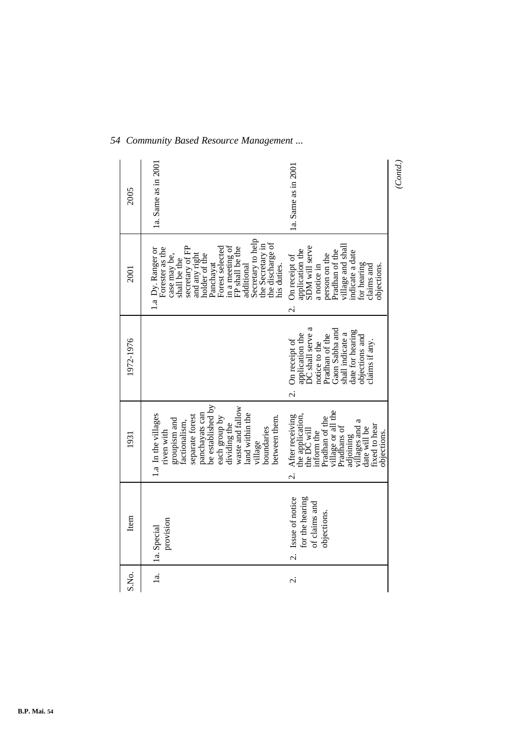| 2005      | 1a. Same as in 2001                                                                                                                                                                                                                                                                       | 1a. Same as in 2001                                                                                                                                                                                                  | (Cond.) |
|-----------|-------------------------------------------------------------------------------------------------------------------------------------------------------------------------------------------------------------------------------------------------------------------------------------------|----------------------------------------------------------------------------------------------------------------------------------------------------------------------------------------------------------------------|---------|
| 2001      | Secretary to help<br>the discharge of<br>the Secretary in<br>secretary of FP<br>and any right<br>holder of the<br>in a meeting of<br>Forest selected<br>FP shall be the<br>additional<br>Forester as the<br>1.a Dy. Ranger or<br>case may be,<br>shall be the<br>Panchayat<br>his duties. | village and shall<br>indicate a date<br>application the<br>SDM will serve<br>Pradhan of the<br>person on the<br>On receipt of<br>for hearing<br>a notice in<br>objections.<br>claims and<br>$\overline{\mathcal{C}}$ |         |
| 1972-1976 |                                                                                                                                                                                                                                                                                           | application the<br>DC shall serve a<br>Gaon Sabha and<br>date for hearing<br>shall indicate a<br>Pradhan of the<br>objections and<br>claims if any.<br>On receipt of<br>notice to the<br>$\overline{\mathcal{C}}$    |         |
| 1931      | be established by<br>waste and fallow<br>panchayats can<br>1.a In the villages<br>land within the<br>separate forest<br>between them.<br>each group by<br>groupism and<br>factionalism,<br>dividing the<br>boundaries<br>riven with<br>village                                            | village or all the<br>Pradhans of<br>the application,<br>the DC will<br>After receiving<br>Pradhan of the<br>villages and a<br>fixed to hear<br>date will be<br>inform the<br>objections.<br>adjoining               |         |
| Item      | provision<br>1a. Special                                                                                                                                                                                                                                                                  | for the hearing<br>Issue of notice<br>of claims and<br>objections.<br>.<br>ن                                                                                                                                         |         |
| S.No.     | $\frac{a}{a}$                                                                                                                                                                                                                                                                             | $\dot{\sim}$                                                                                                                                                                                                         |         |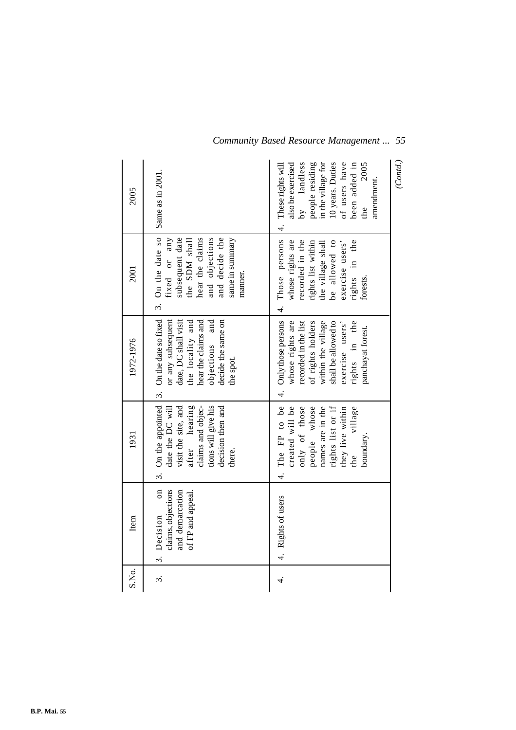| S.No.                | Item                                                                                        | 1931                                                                                                                                                         | 1972-1976                                                                                                                                                                                                          | 2001                                                                                                                                                          | 2005                                                                                                                                                                              |
|----------------------|---------------------------------------------------------------------------------------------|--------------------------------------------------------------------------------------------------------------------------------------------------------------|--------------------------------------------------------------------------------------------------------------------------------------------------------------------------------------------------------------------|---------------------------------------------------------------------------------------------------------------------------------------------------------------|-----------------------------------------------------------------------------------------------------------------------------------------------------------------------------------|
| $\dot{\mathfrak{c}}$ | $\mathfrak{a}$<br>claims, objections<br>and demarcation<br>of FP and appeal.<br>3. Decision | after hearing<br>claims and objec-<br>visit the site, and<br>tions will give his<br>decision then and<br>date the DC will<br>there.                          | 3. On the appointed $\vert$ 3. On the date so fixed<br>date, DC shall visit<br>the locality and<br>hear the claims and<br>objections and<br>decide the same on<br>or any subsequent<br>the spot.                   | 3. On the date so<br>and objections<br>and decide the<br>hear the claims<br>subsequent date<br>the SDM shall<br>same in summary<br>any<br>fixed or<br>manner. | Same as in 2001.                                                                                                                                                                  |
| 4.                   | 4. Rights of users                                                                          | 4. The FP to be<br>rights list or if<br>created will be<br>only of those<br>people whose<br>names are in the<br>they live within<br>the village<br>boundary. | 4. Only those persons  4. Those persons  4.<br>within the village<br>rights in the<br>whose rights are<br>recorded in the list<br>of rights holders<br>shall be allowed to<br>exercise users'<br>panchayat forest. | whose rights are<br>recorded in the<br>be allowed to<br>rights in the<br>rights list within<br>exercise users'<br>the village shall<br>forests.               | also be exercised<br>by landless<br>people residing<br>in the village for<br>10 years. Duties<br>of users have<br>2005<br>been added in<br>These rights will<br>amendment.<br>the |
|                      |                                                                                             |                                                                                                                                                              |                                                                                                                                                                                                                    |                                                                                                                                                               | (Contd.)                                                                                                                                                                          |

**B.P. Mai. 55**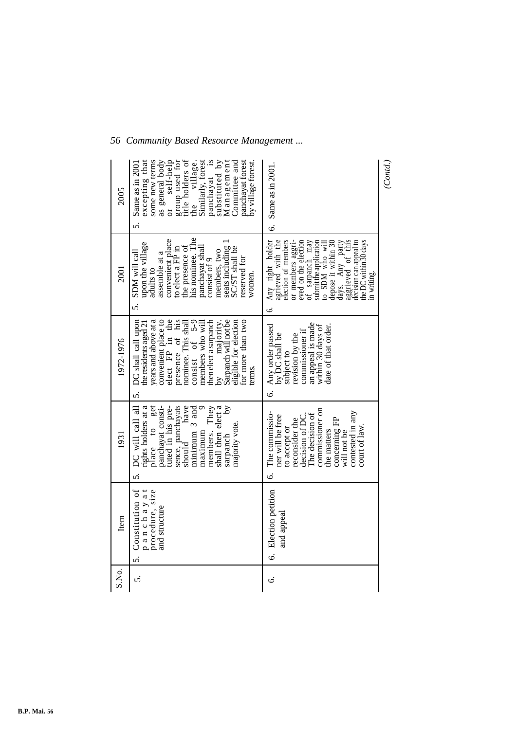| 2005      | title holders of<br>group used for<br>panchayat is<br>substituted by<br>excepting that<br>as general body<br>or self-help<br>Similarly, forest<br>Management<br>some new terms<br>Committee and<br>panchayat forest<br>the village.<br>by village forest.<br>Same as in 2001<br>.<br>ა                          | $6.$ Same as in $2001$ .                                                                                                                                                                                                                                                                                                | (Cond.) |
|-----------|-----------------------------------------------------------------------------------------------------------------------------------------------------------------------------------------------------------------------------------------------------------------------------------------------------------------|-------------------------------------------------------------------------------------------------------------------------------------------------------------------------------------------------------------------------------------------------------------------------------------------------------------------------|---------|
| 2001      | his nominee. The<br>convenient place<br>seats including 1<br>upon the village<br>the presence of<br>panchayat shall<br>SC/ST shall be<br>to elect a FP in<br>members, two<br>SDM will call<br>assemble at a<br>consist of 9<br>reserved for<br>adults to<br>women.<br>.<br>ა                                    | Any right holder<br>agrieved with the<br>election of members<br>or members aggri-<br>eved on the election<br>sarpanch may<br>decision can appeal to<br>submit the application<br>the DC within 30 days<br>depose it within 30<br>days. Any party<br>aggrieved of this<br>to SDM who will<br>in writing.<br>J<br>نې<br>: |         |
| 1972-1976 | years and above at a<br>convenient place to<br>elect FP in the<br>by<br>Sarpanch will not be<br>5. DC shall call upon<br>presence of his<br>for more than two<br>eligible for election<br>consist of $5-9$<br>nominee. This shall<br>then elect a sarpanch<br>the residents aged 21<br>members who will<br>erms | an appeal is made<br>date of that order.<br>within 30 days of<br>Any order passed<br>commissioner if<br>by DC shall be<br>revision by the<br>subject to<br>$\dot{\circ}$                                                                                                                                                |         |
| 1931      | rights holders at a<br>have<br>$\overline{\mathcal{S}}$<br>place to get<br>panchayat consti-<br>tuted in his pre-<br>sence, panchayats<br>should have<br>shall then elect a<br>DC will call all<br>minimum 3 and<br>They<br>majority vote.<br>members.<br>maximum<br>sarpanch<br>s.                             | commissioner on<br>contested in any<br>The commissio-<br>The decision of<br>decision of DC.<br>ner will be free<br>reconsider the<br>concerning FP<br>court of law<br>to accept or<br>the matters<br>will not be<br>.<br>ف                                                                                              |         |
| Item      | Constitution of<br>panchayat<br>procedure, size<br>and structure<br>5.                                                                                                                                                                                                                                          | 6. Election petition<br>and appeal                                                                                                                                                                                                                                                                                      |         |
| S.No.     | s.                                                                                                                                                                                                                                                                                                              | Ġ                                                                                                                                                                                                                                                                                                                       |         |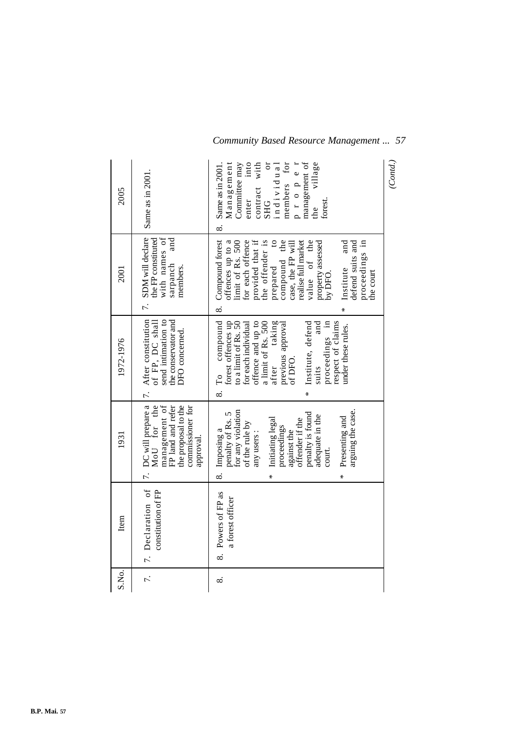| 2005      | Same as in 2001.                                                                                                                  | village<br>members for<br>management of<br>Management<br>ð<br>p r o p e r<br>into<br>contract with<br>Committee may<br>individual<br>Same as in 2001<br>enter<br>forest<br><b>SHG</b><br>the<br>$\infty$                                                                                                                                             | (Contd.) |
|-----------|-----------------------------------------------------------------------------------------------------------------------------------|------------------------------------------------------------------------------------------------------------------------------------------------------------------------------------------------------------------------------------------------------------------------------------------------------------------------------------------------------|----------|
| 2001      | 7. SDM will declare<br>and<br>with names of<br>the FP constituted<br>sarpanch<br>members.                                         | Compound forest<br>for each offence<br>provided that if<br>the offender is<br>offences up to a<br>$\overline{c}$<br>compound the<br>value of the<br>proceedings in<br>limit of Rs. 500<br>realise full market<br>and<br>property assessed<br>by DFO.<br>defend suits and<br>case, the FP will<br>prepared<br>Institute<br>the court<br>$\infty$<br>⋇ |          |
| 1972-1976 | 7. After constitution<br>send intimation to<br>the conservator and<br>of FP, DC shall<br>DFO concerned.                           | compound<br>forest offences up<br>offence and up to<br>taking<br>respect of claims<br>to a limit of Rs. 50<br>a limit of Rs. 500<br>after taking<br>Institute, defend<br>and<br>proceedings in<br>for each individual<br>previous approval<br>under these rules.<br>of DFO.<br>suits<br>$\Gamma_{\rm O}$<br>⊗.<br>∗                                  |          |
| 1931      | 7. DC will prepare a<br>management of<br>FP land and refer<br>MoU for the<br>the proposal to the<br>commissioner for<br>approval. | for any violation<br>arguing the case.<br>penalty of Rs. 5<br>penalty is found<br>adequate in the<br>Presenting and<br>Initiating legal<br>offender if the<br>of the rule by<br>proceedings<br>against the<br>Imposing a<br>any users:<br>court.<br>$\infty$<br>*<br>×                                                                               |          |
| Item      | 7. Declaration of<br>constitution of FP                                                                                           | Powers of FP as<br>a forest officer<br>∞.                                                                                                                                                                                                                                                                                                            |          |
| S.No.     | $\ddot{\tau}$                                                                                                                     | ∞ं                                                                                                                                                                                                                                                                                                                                                   |          |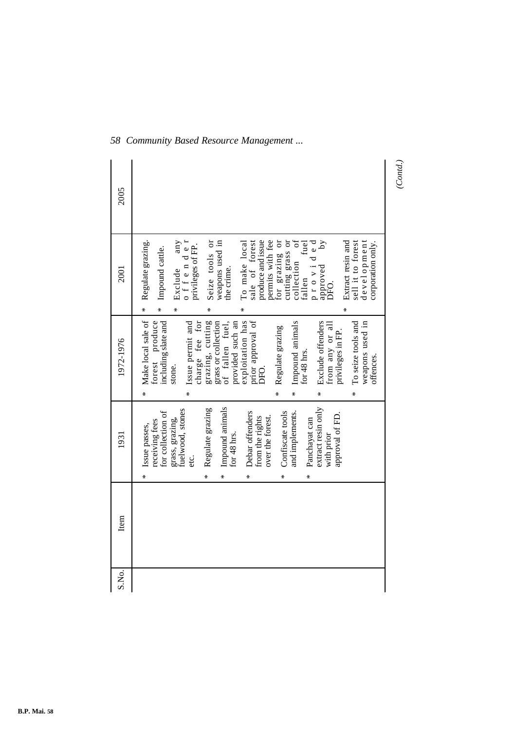| 2005      |                                                                                                                                                                                                                                                                                                                                                                                                                                                                                                                                                                                               |
|-----------|-----------------------------------------------------------------------------------------------------------------------------------------------------------------------------------------------------------------------------------------------------------------------------------------------------------------------------------------------------------------------------------------------------------------------------------------------------------------------------------------------------------------------------------------------------------------------------------------------|
| 2001      | Regulate grazing.<br>Seize tools or<br>weapons used in<br>permits with fee<br>cutting grass or<br>collection of<br>fallen fuel<br>$\begin{array}{ll} \texttt{Exclude} & \texttt{any} \\ \texttt{o} \texttt{f} \texttt{f} \texttt{e} \texttt{n} \texttt{d} \texttt{e} \texttt{r} \end{array}$<br>produce and issue<br>Extract resin and<br>To make local<br>sale of forest<br>for grazing or<br>provided<br>sell it to forest<br>development<br>corporation only.<br>privileges of FP.<br>Impound cattle.<br>approved<br>Exclude<br>the crime.<br>DFO.<br>$\ast$<br>$\ast$<br>∗<br>₩<br>⋇<br>⋇ |
| 1972-1976 | Make local sale of<br>forest produce<br>including slate and<br>charge fee for<br>exploitation has<br>grazing, cutting<br>prior approval of<br>Exclude offenders<br>Issue permit and<br>Impound animals<br>To seize tools and<br>weapons used in<br>grass or collection<br>of fallen fuel,<br>provided such an<br>from any or all<br>Regulate grazing<br>privileges in FP.<br>for 48 hrs.<br>offences.<br>stone.<br>DFO.<br>$\ast$<br>$\ast$<br>×<br>₩<br>∗<br>∗                                                                                                                               |
| 1931      | extract resin only<br>Impound animals<br>grass, grazing,<br>fuelwood, stones<br>Regulate grazing<br>and implements.<br>for collection of<br>Debar offenders<br>Confiscate tools<br>approval of FD.<br>over the forest.<br>from the rights<br>Panchayat can<br>receiving fees<br>Issue passes,<br>for $48$ hrs.<br>with prior<br>etc.<br>∗<br>∗<br>⋇<br>∗<br>⋇                                                                                                                                                                                                                                 |
| Item      |                                                                                                                                                                                                                                                                                                                                                                                                                                                                                                                                                                                               |
| S.No.     |                                                                                                                                                                                                                                                                                                                                                                                                                                                                                                                                                                                               |

*(Contd.)*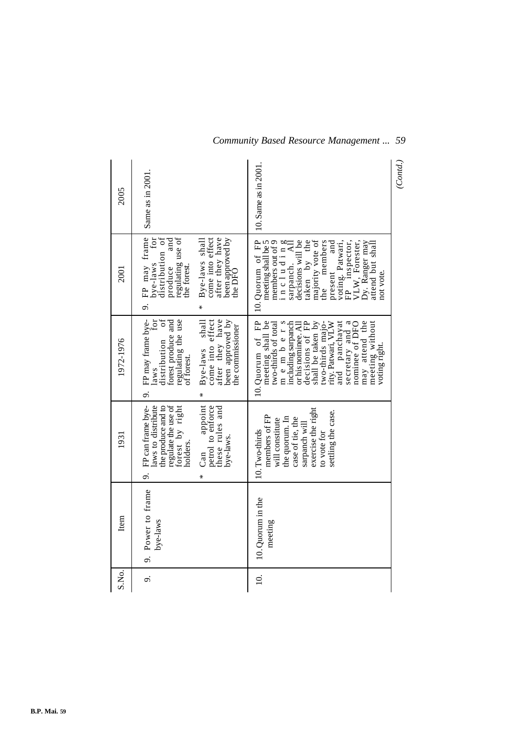| 2005      | Same as in 2001.                                                                                                                                                                                                                        | 10. Same as in 2001.                                                                                                                                                                                                                                                                                             | (Cond.) |
|-----------|-----------------------------------------------------------------------------------------------------------------------------------------------------------------------------------------------------------------------------------------|------------------------------------------------------------------------------------------------------------------------------------------------------------------------------------------------------------------------------------------------------------------------------------------------------------------|---------|
| 2001      | 9. FP may frame<br>bye-laws for<br>distribution of<br>regulating use of<br>the forest.<br>come into effect<br>after they have<br>been approved by<br>the DFO<br>Bye-laws shall<br>produce<br>⋇                                          | taken by the<br>majority vote of<br>10. Quorum of FP<br>decisions will be<br>members out of 9<br>the members<br>meeting shall be 5<br>FP inspector,<br>present and<br>voting. Patwari,<br>VLW, Forester,<br>Dy. Ranger may<br>attend but shall<br>$\overline{AB}$<br>includin<br>sarpanch.<br>not vote.          |         |
| 1972-1976 | FP may frame bye-<br>for<br>$\sigma$ f<br>after they have<br>regulating the use<br>come into effect<br>been approved by<br>forest produce and<br>shall<br>the commissioner<br>distribution<br>Bye-laws<br>of forest.<br>laws<br>o.<br>₩ | 10. Quorum of FP<br>members<br>including sarpanch<br>decisions of FP<br>shall be taken by<br>two-thirds majo-<br>rity.Patwari, VLW<br>and panchayat<br>secretary and a<br>nominee of DFO<br>may attend the<br>meeting shall be<br>two-thirds of total<br>meeting without<br>or his nominée. All<br>voting right. |         |
| 1931      | regulate the use of<br>FP can frame bye-<br>laws to distribute<br>forest by right<br>appoint<br>the produce and to<br>petrol to enforce<br>these rules and<br>bye-laws.<br>holders<br>Can<br>o.                                         | exercise the right<br>settling the case.<br>members of FP<br>the quorum. In<br>case of tie, the<br>will constitute<br>sarpanch will<br>10. Two-thirds<br>to vote for                                                                                                                                             |         |
| Item      | Power to frame<br>bye-laws<br>o.                                                                                                                                                                                                        | 10. Quorum in the<br>meeting                                                                                                                                                                                                                                                                                     |         |
| S.No.     | o.                                                                                                                                                                                                                                      | $\overline{10}$ .                                                                                                                                                                                                                                                                                                |         |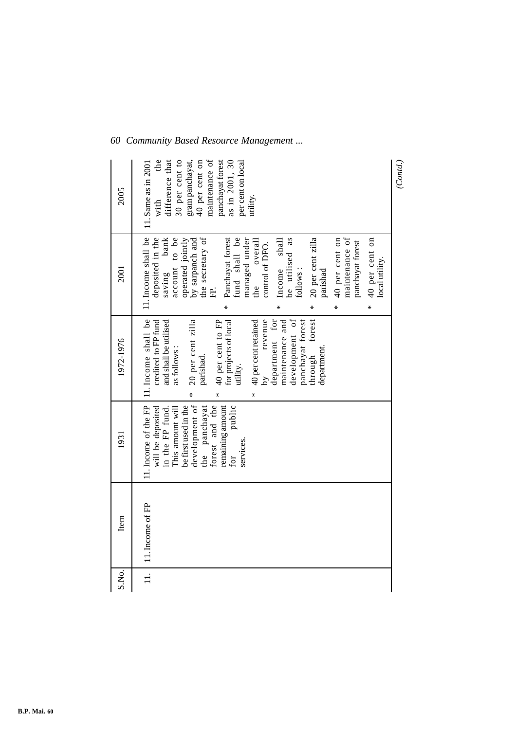| 2005      | maintenance of<br>panchayat forest<br>the<br>30 per cent to<br>as in 2001, 30<br>difference that<br>gram panchayat,<br>40 per cent on<br>per cent on local<br>11. Same as in 2001<br>with<br>utility.                                                                                                                                                                                                                                   | (Cond.) |
|-----------|-----------------------------------------------------------------------------------------------------------------------------------------------------------------------------------------------------------------------------------------------------------------------------------------------------------------------------------------------------------------------------------------------------------------------------------------|---------|
| 2001      | 11. Income shall be<br>by sarpanch and<br>the secretary of<br>maintenance of<br>fund shall be<br>deposited in the<br>bank<br>account to be<br>managed under<br>Income shall<br>be utilised as<br>20 per cent zilla<br>40 per cent on<br>Panchayat forest<br>* 40 per cent on<br>operated jointly<br>overall<br>panchayat forest<br>control of DFO.<br>local utility.<br>saving<br>follows:<br>parishad<br>the<br>庄.<br>*<br>¥<br>⋇<br>⋇ |         |
| 1972-1976 | 11. Income shall be<br>development of<br>$\begin{tabular}{ll} \bf 40\,per\,centrained \\ \bf by & revenue \\ \bf department & for \end{tabular}$<br>maintenance and<br>panchayat forest<br>through forest<br>20 per cent zilla<br>40 per cent to FP<br>for projects of local<br>and shall be utilised<br>credited to FP fund<br>as follows:<br>department<br>parishad.<br>utility.<br>⋇<br>*                                            |         |
| 1931      | 11. Income of the FP<br>development of<br>forest and the<br>the panchayat<br>be first used in the<br>public<br>remaining amount<br>will be deposited<br>in the FP fund.<br>This amount will<br>services.<br>for                                                                                                                                                                                                                         |         |
| Item      | 11. Income of FP                                                                                                                                                                                                                                                                                                                                                                                                                        |         |
| S.No.     | $\overline{11}$ .                                                                                                                                                                                                                                                                                                                                                                                                                       |         |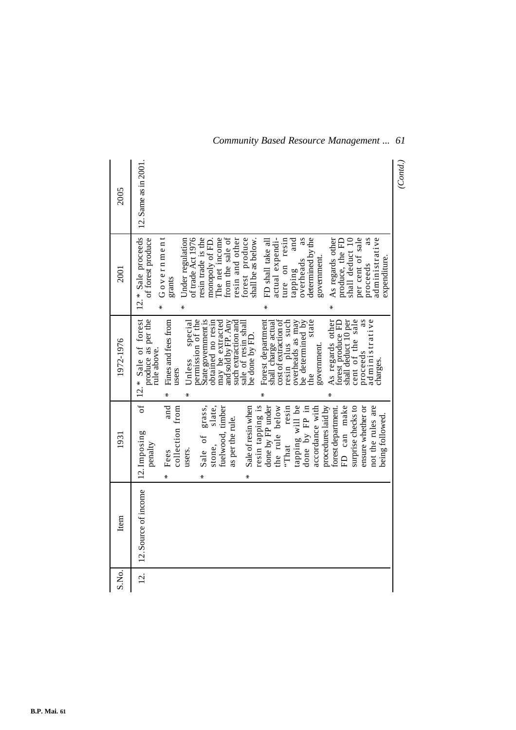| 2005      | 12. Same as in 2001.                                                                                                                                                                                                                                                                                                                                                                                                                                                                                                                                                                                           | (Cond.) |
|-----------|----------------------------------------------------------------------------------------------------------------------------------------------------------------------------------------------------------------------------------------------------------------------------------------------------------------------------------------------------------------------------------------------------------------------------------------------------------------------------------------------------------------------------------------------------------------------------------------------------------------|---------|
| 2001      | 12.* Sale proceeds<br>Government<br>resin trade is the<br>forest produce<br>per cent of sale<br>of forest produce<br>of trade Act 1976<br>The net income<br>from the sale of<br>resin and other<br>actual expendi-<br>as<br>As regards other<br>administrative<br>Under regulation<br>determined by the<br>shall deduct 10<br>ture on resin<br>produce, the FD<br>shall be as below.<br>FD shall take all<br>and<br>monopoly of FD<br>government.<br>expenditure.<br>overheads<br>proceeds<br>tapping<br>grants<br>₩<br>∗<br>₩<br>∗                                                                            |         |
| 1972-1976 | 12.* Sale of forest<br>produce as per the<br>cent of the sale<br>permission of the<br>State government is<br>Forest department<br>resin plus such<br>state<br>As regards other<br>forest produce FD<br>shall deduct 10 per<br>administrative<br>Fines and fees from<br>obtained no resin<br>and sold by FP. Any<br>cost of extraction of<br>be determined by<br>may be extracted<br>such extraction and<br>sale of resin shall<br>overheads as may<br>special<br>shall charge actual<br>be done by FD.<br>government.<br>rule above.<br>proceeds<br>Unless<br>charges.<br>users<br>$\ln e$<br>∗<br>*<br>∗<br>∗ |         |
| 1931      | of<br>and<br>grass,<br>slate,<br>resin tapping is<br>done by FP under<br>tapping will be<br>FD can make<br>ensure whether or<br>not the rules are<br>collection from<br>Sale of resin when<br>resin<br>accordance with<br>procedures laid by<br>surprise checks to<br>done by FP in<br>forest department.<br>fuelwood, timber<br>the rule below<br>being followed.<br>as per the rule.<br>12. Imposing<br>Sale of<br>$\lq$ That<br>penalty<br>stone,<br>users.<br>Fees<br>₩<br>×<br>∗                                                                                                                          |         |
| Item      | 12. Source of income                                                                                                                                                                                                                                                                                                                                                                                                                                                                                                                                                                                           |         |
| S.No.     | $\overline{2}$ .                                                                                                                                                                                                                                                                                                                                                                                                                                                                                                                                                                                               |         |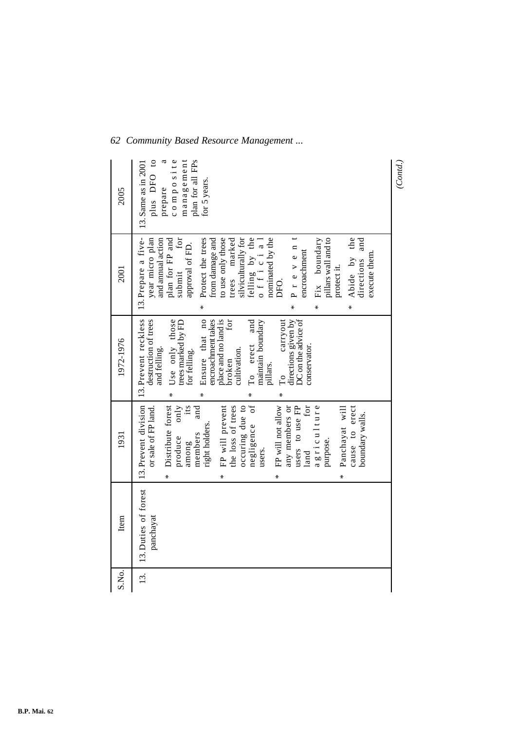| 2005      | plus DFO to<br>management<br>composite<br>a<br>plan for all FPs<br>13. Same as in 2001<br>for 5 years.<br>prepare                                                                                                                                                                                                                                                                                                                     | (Cond.) |
|-----------|---------------------------------------------------------------------------------------------------------------------------------------------------------------------------------------------------------------------------------------------------------------------------------------------------------------------------------------------------------------------------------------------------------------------------------------|---------|
| 2001      | 13. Prepare a five-<br>silviculturally for<br>felling by the<br>official<br>Protect the trees<br>to use only those<br>trees marked<br>nominated by the<br>Fix boundary<br>Abide by the<br>year micro plan<br>plan for FP and<br>submit for<br>from damage and<br>pillars wall and to<br>directions and<br>and annual action<br>approval of FD.<br>Preven<br>encroachment<br>execute them.<br>protect it.<br>DFO.<br>⋇<br>₩<br>₩<br>∗  |         |
| 1972-1976 | 13. Prevent reckless<br>carryout<br>directions given by<br>DC on the advice of<br>destruction of trees<br>Ensure that no<br>place and no land is<br>for<br>Use only those<br>encroachment takes<br>To erect and<br>trees marked by FD<br>maintain boundary<br>conservator.<br>and felling.<br>cultivation.<br>for felling.<br>broken<br>pillars.<br>$\Gamma$ o<br>∗<br>∗<br>∗                                                         |         |
| 1931      | 13. Prevent division<br>$\overline{\mathrm{ot}}$<br>FP will not allow<br>for<br>FP will prevent<br>the loss of trees<br>occuring due to<br>users to use FP<br>agriculture<br>Distribute forest<br>its<br>any members or<br>only<br>and<br>cause to erect<br>or sale of FP land.<br>Panchayat will<br>boundary walls.<br>right holders.<br>negligence<br>members<br>produce<br>purpose.<br>among<br>users.<br>land<br>∗<br>₩<br>₩<br>₩ |         |
| Item      | 13. Duties of forest<br>panchayat                                                                                                                                                                                                                                                                                                                                                                                                     |         |
| S.No.     | 13.                                                                                                                                                                                                                                                                                                                                                                                                                                   |         |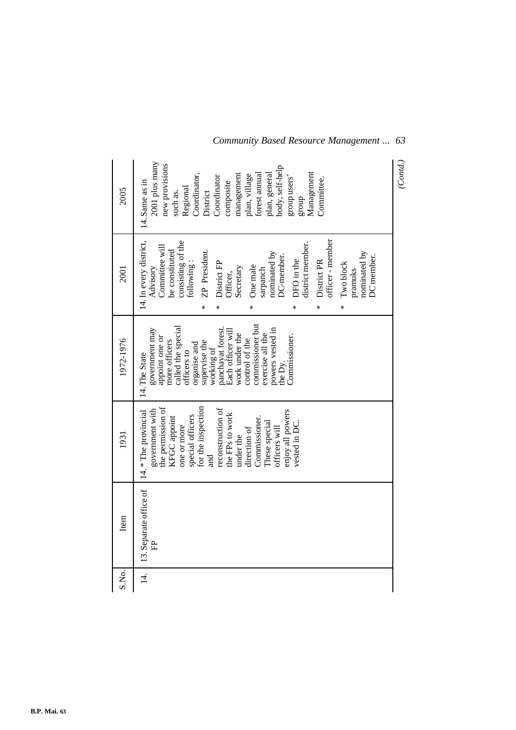| 2005      | 2001 plus many<br>new provisions<br>body, self-help<br>Management<br>Coordinator,<br>forest annual<br>management<br>plan, general<br>plan, village<br>Coordinator<br>group users'<br>Committee.<br>14. Same as in<br>composite<br>Regional<br>such as.<br>District<br>dno.fa                                                                                                      | (Cond.) |
|-----------|-----------------------------------------------------------------------------------------------------------------------------------------------------------------------------------------------------------------------------------------------------------------------------------------------------------------------------------------------------------------------------------|---------|
| 2001      | 14. In every district,<br>officer - member<br>consisting of the<br>district member.<br>Committee will<br>be constituted<br>ZP President.<br>nominated by<br>nominated by<br>DC-member.<br>DC member.<br>DFO in the<br>District PR<br>following:<br>District FP<br>Two block<br>One male<br>Advisory<br>Secretary<br>sarpanch<br>pramuks<br>Officer,<br>⋇<br>∗<br>*<br>⋇<br>⋇<br>⋇ |         |
| 1972-1976 | commissioner but<br>called the special<br>panchayat forest.<br>powers vested in<br>government may<br>Each officer will<br>work under the<br>exercise all the<br>Commissioner.<br>appoint one or<br>control of the<br>more officers<br>supervise the<br>organise and<br>working of<br>officers to<br>14. The State<br>the Dy.                                                      |         |
| 1931      | the permission of<br>for the inspection<br>reconstruction of<br>14.* The provincial<br>government with<br>enjoy all powers<br>the FPs to work<br>special officers<br>Commissioner.<br>KFGC appoint<br>These special<br>vested in DC.<br>one or more<br>officers will<br>direction of<br>under the<br>ម<br>ដ                                                                       |         |
| Item      | 13. Separate office of<br>庄                                                                                                                                                                                                                                                                                                                                                       |         |
| S.No.     | $\overline{4}$ .                                                                                                                                                                                                                                                                                                                                                                  |         |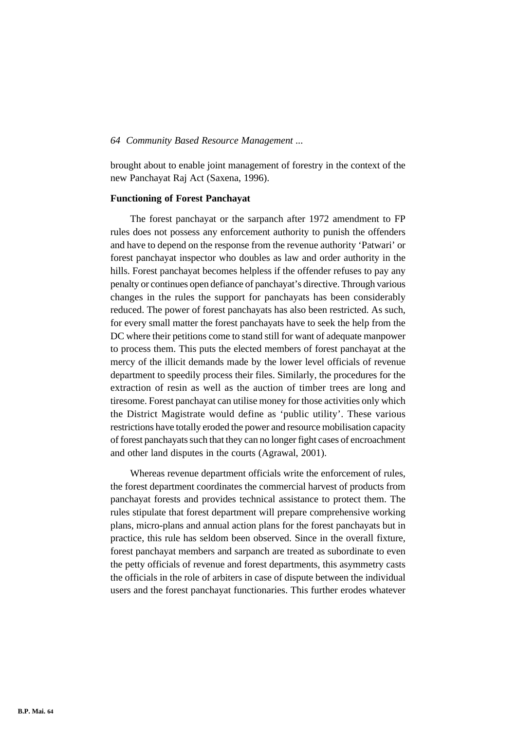brought about to enable joint management of forestry in the context of the new Panchayat Raj Act (Saxena, 1996).

#### **Functioning of Forest Panchayat**

The forest panchayat or the sarpanch after 1972 amendment to FP rules does not possess any enforcement authority to punish the offenders and have to depend on the response from the revenue authority 'Patwari' or forest panchayat inspector who doubles as law and order authority in the hills. Forest panchayat becomes helpless if the offender refuses to pay any penalty or continues open defiance of panchayat's directive. Through various changes in the rules the support for panchayats has been considerably reduced. The power of forest panchayats has also been restricted. As such, for every small matter the forest panchayats have to seek the help from the DC where their petitions come to stand still for want of adequate manpower to process them. This puts the elected members of forest panchayat at the mercy of the illicit demands made by the lower level officials of revenue department to speedily process their files. Similarly, the procedures for the extraction of resin as well as the auction of timber trees are long and tiresome. Forest panchayat can utilise money for those activities only which the District Magistrate would define as 'public utility'. These various restrictions have totally eroded the power and resource mobilisation capacity of forest panchayats such that they can no longer fight cases of encroachment and other land disputes in the courts (Agrawal, 2001).

Whereas revenue department officials write the enforcement of rules, the forest department coordinates the commercial harvest of products from panchayat forests and provides technical assistance to protect them. The rules stipulate that forest department will prepare comprehensive working plans, micro-plans and annual action plans for the forest panchayats but in practice, this rule has seldom been observed. Since in the overall fixture, forest panchayat members and sarpanch are treated as subordinate to even the petty officials of revenue and forest departments, this asymmetry casts the officials in the role of arbiters in case of dispute between the individual users and the forest panchayat functionaries. This further erodes whatever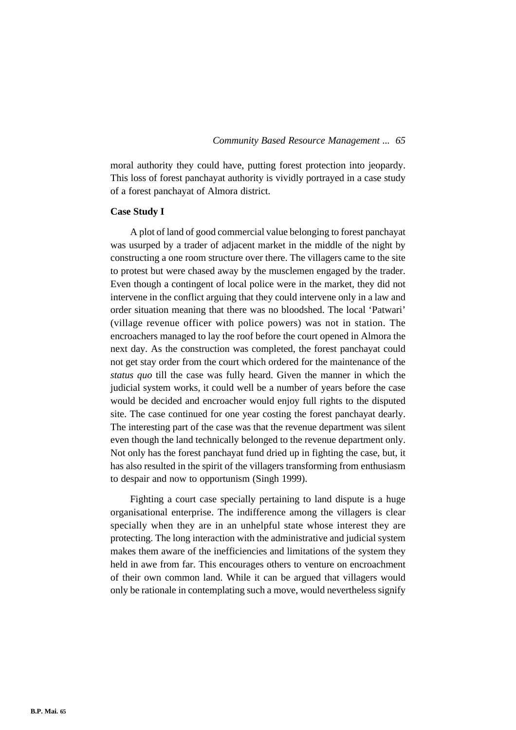moral authority they could have, putting forest protection into jeopardy. This loss of forest panchayat authority is vividly portrayed in a case study of a forest panchayat of Almora district.

#### **Case Study I**

A plot of land of good commercial value belonging to forest panchayat was usurped by a trader of adjacent market in the middle of the night by constructing a one room structure over there. The villagers came to the site to protest but were chased away by the musclemen engaged by the trader. Even though a contingent of local police were in the market, they did not intervene in the conflict arguing that they could intervene only in a law and order situation meaning that there was no bloodshed. The local 'Patwari' (village revenue officer with police powers) was not in station. The encroachers managed to lay the roof before the court opened in Almora the next day. As the construction was completed, the forest panchayat could not get stay order from the court which ordered for the maintenance of the *status quo* till the case was fully heard. Given the manner in which the judicial system works, it could well be a number of years before the case would be decided and encroacher would enjoy full rights to the disputed site. The case continued for one year costing the forest panchayat dearly. The interesting part of the case was that the revenue department was silent even though the land technically belonged to the revenue department only. Not only has the forest panchayat fund dried up in fighting the case, but, it has also resulted in the spirit of the villagers transforming from enthusiasm to despair and now to opportunism (Singh 1999).

Fighting a court case specially pertaining to land dispute is a huge organisational enterprise. The indifference among the villagers is clear specially when they are in an unhelpful state whose interest they are protecting. The long interaction with the administrative and judicial system makes them aware of the inefficiencies and limitations of the system they held in awe from far. This encourages others to venture on encroachment of their own common land. While it can be argued that villagers would only be rationale in contemplating such a move, would nevertheless signify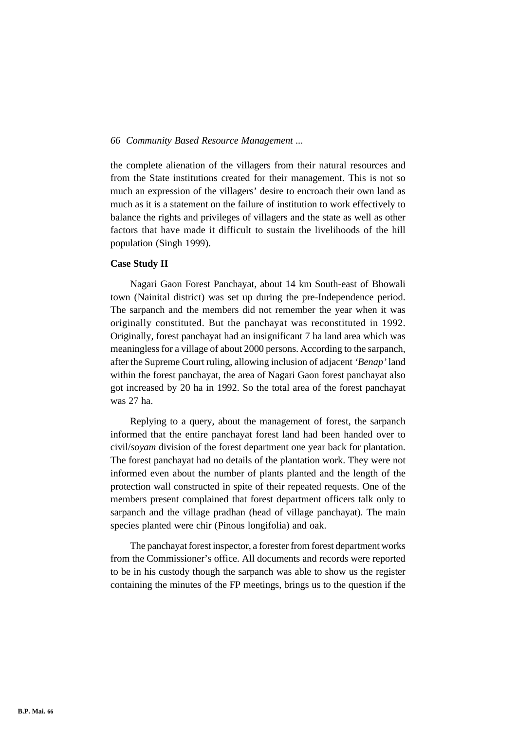the complete alienation of the villagers from their natural resources and from the State institutions created for their management. This is not so much an expression of the villagers' desire to encroach their own land as much as it is a statement on the failure of institution to work effectively to balance the rights and privileges of villagers and the state as well as other factors that have made it difficult to sustain the livelihoods of the hill population (Singh 1999).

### **Case Study II**

Nagari Gaon Forest Panchayat, about 14 km South-east of Bhowali town (Nainital district) was set up during the pre-Independence period. The sarpanch and the members did not remember the year when it was originally constituted. But the panchayat was reconstituted in 1992. Originally, forest panchayat had an insignificant 7 ha land area which was meaningless for a village of about 2000 persons. According to the sarpanch, after the Supreme Court ruling, allowing inclusion of adjacent *'Benap'* land within the forest panchayat, the area of Nagari Gaon forest panchayat also got increased by 20 ha in 1992. So the total area of the forest panchayat was 27 ha.

Replying to a query, about the management of forest, the sarpanch informed that the entire panchayat forest land had been handed over to civil/*soyam* division of the forest department one year back for plantation. The forest panchayat had no details of the plantation work. They were not informed even about the number of plants planted and the length of the protection wall constructed in spite of their repeated requests. One of the members present complained that forest department officers talk only to sarpanch and the village pradhan (head of village panchayat). The main species planted were chir (Pinous longifolia) and oak.

The panchayat forest inspector, a forester from forest department works from the Commissioner's office. All documents and records were reported to be in his custody though the sarpanch was able to show us the register containing the minutes of the FP meetings, brings us to the question if the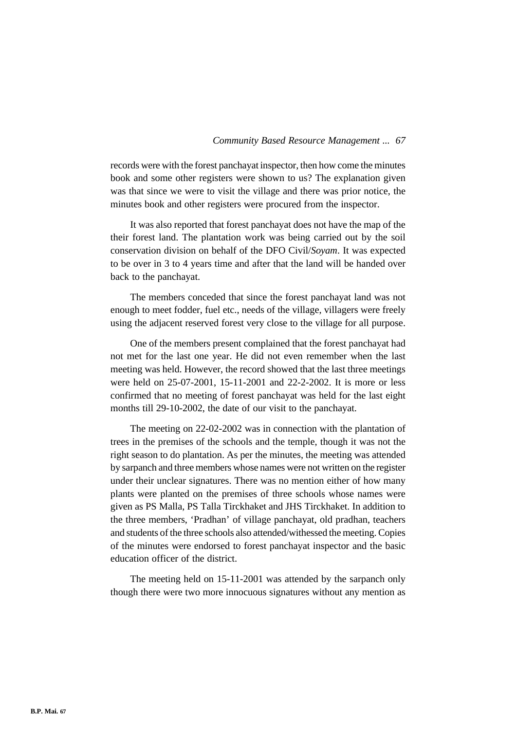records were with the forest panchayat inspector, then how come the minutes book and some other registers were shown to us? The explanation given was that since we were to visit the village and there was prior notice, the minutes book and other registers were procured from the inspector.

It was also reported that forest panchayat does not have the map of the their forest land. The plantation work was being carried out by the soil conservation division on behalf of the DFO Civil/*Soyam*. It was expected to be over in 3 to 4 years time and after that the land will be handed over back to the panchayat.

The members conceded that since the forest panchayat land was not enough to meet fodder, fuel etc., needs of the village, villagers were freely using the adjacent reserved forest very close to the village for all purpose.

One of the members present complained that the forest panchayat had not met for the last one year. He did not even remember when the last meeting was held. However, the record showed that the last three meetings were held on 25-07-2001, 15-11-2001 and 22-2-2002. It is more or less confirmed that no meeting of forest panchayat was held for the last eight months till 29-10-2002, the date of our visit to the panchayat.

The meeting on 22-02-2002 was in connection with the plantation of trees in the premises of the schools and the temple, though it was not the right season to do plantation. As per the minutes, the meeting was attended by sarpanch and three members whose names were not written on the register under their unclear signatures. There was no mention either of how many plants were planted on the premises of three schools whose names were given as PS Malla, PS Talla Tirckhaket and JHS Tirckhaket. In addition to the three members, 'Pradhan' of village panchayat, old pradhan, teachers and students of the three schools also attended/withessed the meeting. Copies of the minutes were endorsed to forest panchayat inspector and the basic education officer of the district.

The meeting held on 15-11-2001 was attended by the sarpanch only though there were two more innocuous signatures without any mention as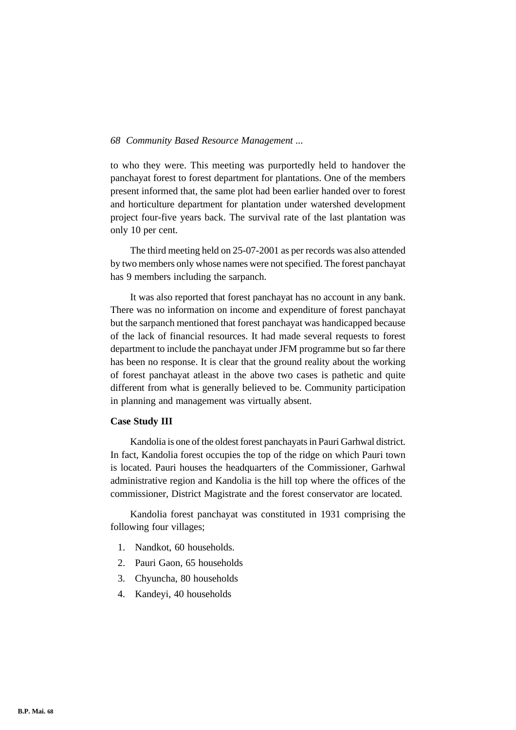to who they were. This meeting was purportedly held to handover the panchayat forest to forest department for plantations. One of the members present informed that, the same plot had been earlier handed over to forest and horticulture department for plantation under watershed development project four-five years back. The survival rate of the last plantation was only 10 per cent.

The third meeting held on 25-07-2001 as per records was also attended by two members only whose names were not specified. The forest panchayat has 9 members including the sarpanch.

It was also reported that forest panchayat has no account in any bank. There was no information on income and expenditure of forest panchayat but the sarpanch mentioned that forest panchayat was handicapped because of the lack of financial resources. It had made several requests to forest department to include the panchayat under JFM programme but so far there has been no response. It is clear that the ground reality about the working of forest panchayat atleast in the above two cases is pathetic and quite different from what is generally believed to be. Community participation in planning and management was virtually absent.

### **Case Study III**

Kandolia is one of the oldest forest panchayats in Pauri Garhwal district. In fact, Kandolia forest occupies the top of the ridge on which Pauri town is located. Pauri houses the headquarters of the Commissioner, Garhwal administrative region and Kandolia is the hill top where the offices of the commissioner, District Magistrate and the forest conservator are located.

Kandolia forest panchayat was constituted in 1931 comprising the following four villages;

- 1. Nandkot, 60 households.
- 2. Pauri Gaon, 65 households
- 3. Chyuncha, 80 households
- 4. Kandeyi, 40 households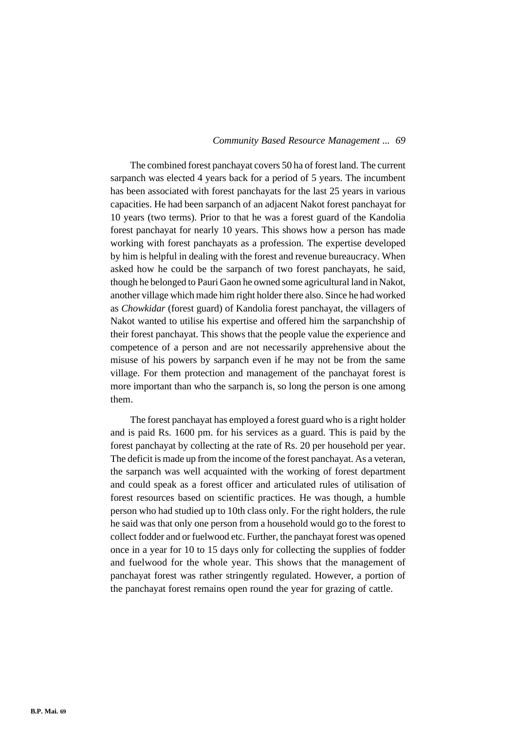The combined forest panchayat covers 50 ha of forest land. The current sarpanch was elected 4 years back for a period of 5 years. The incumbent has been associated with forest panchayats for the last 25 years in various capacities. He had been sarpanch of an adjacent Nakot forest panchayat for 10 years (two terms). Prior to that he was a forest guard of the Kandolia forest panchayat for nearly 10 years. This shows how a person has made working with forest panchayats as a profession. The expertise developed by him is helpful in dealing with the forest and revenue bureaucracy. When asked how he could be the sarpanch of two forest panchayats, he said, though he belonged to Pauri Gaon he owned some agricultural land in Nakot, another village which made him right holder there also. Since he had worked as *Chowkidar* (forest guard) of Kandolia forest panchayat, the villagers of Nakot wanted to utilise his expertise and offered him the sarpanchship of their forest panchayat. This shows that the people value the experience and competence of a person and are not necessarily apprehensive about the misuse of his powers by sarpanch even if he may not be from the same village. For them protection and management of the panchayat forest is more important than who the sarpanch is, so long the person is one among them.

The forest panchayat has employed a forest guard who is a right holder and is paid Rs. 1600 pm. for his services as a guard. This is paid by the forest panchayat by collecting at the rate of Rs. 20 per household per year. The deficit is made up from the income of the forest panchayat. As a veteran, the sarpanch was well acquainted with the working of forest department and could speak as a forest officer and articulated rules of utilisation of forest resources based on scientific practices. He was though, a humble person who had studied up to 10th class only. For the right holders, the rule he said was that only one person from a household would go to the forest to collect fodder and or fuelwood etc. Further, the panchayat forest was opened once in a year for 10 to 15 days only for collecting the supplies of fodder and fuelwood for the whole year. This shows that the management of panchayat forest was rather stringently regulated. However, a portion of the panchayat forest remains open round the year for grazing of cattle.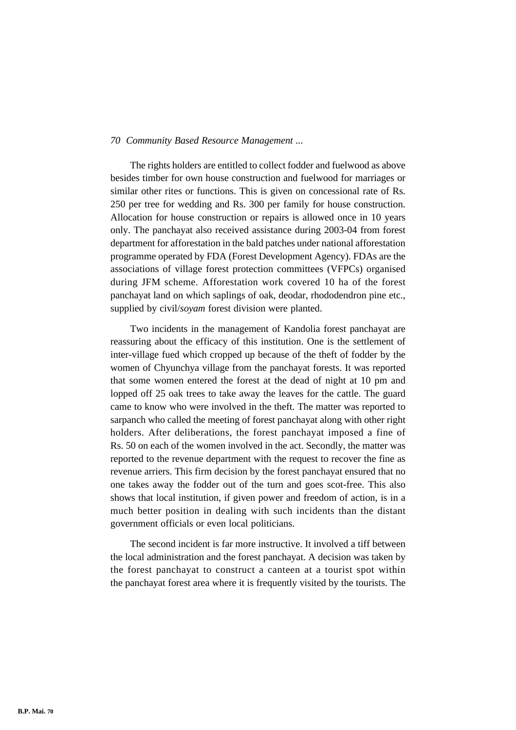The rights holders are entitled to collect fodder and fuelwood as above besides timber for own house construction and fuelwood for marriages or similar other rites or functions. This is given on concessional rate of Rs. 250 per tree for wedding and Rs. 300 per family for house construction. Allocation for house construction or repairs is allowed once in 10 years only. The panchayat also received assistance during 2003-04 from forest department for afforestation in the bald patches under national afforestation programme operated by FDA (Forest Development Agency). FDAs are the associations of village forest protection committees (VFPCs) organised during JFM scheme. Afforestation work covered 10 ha of the forest panchayat land on which saplings of oak, deodar, rhododendron pine etc., supplied by civil/*soyam* forest division were planted.

Two incidents in the management of Kandolia forest panchayat are reassuring about the efficacy of this institution. One is the settlement of inter-village fued which cropped up because of the theft of fodder by the women of Chyunchya village from the panchayat forests. It was reported that some women entered the forest at the dead of night at 10 pm and lopped off 25 oak trees to take away the leaves for the cattle. The guard came to know who were involved in the theft. The matter was reported to sarpanch who called the meeting of forest panchayat along with other right holders. After deliberations, the forest panchayat imposed a fine of Rs. 50 on each of the women involved in the act. Secondly, the matter was reported to the revenue department with the request to recover the fine as revenue arriers. This firm decision by the forest panchayat ensured that no one takes away the fodder out of the turn and goes scot-free. This also shows that local institution, if given power and freedom of action, is in a much better position in dealing with such incidents than the distant government officials or even local politicians.

The second incident is far more instructive. It involved a tiff between the local administration and the forest panchayat. A decision was taken by the forest panchayat to construct a canteen at a tourist spot within the panchayat forest area where it is frequently visited by the tourists. The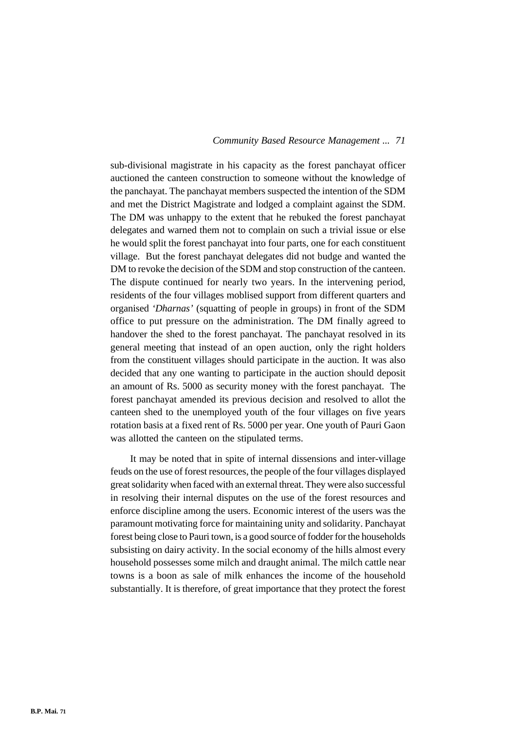sub-divisional magistrate in his capacity as the forest panchayat officer auctioned the canteen construction to someone without the knowledge of the panchayat. The panchayat members suspected the intention of the SDM and met the District Magistrate and lodged a complaint against the SDM. The DM was unhappy to the extent that he rebuked the forest panchayat delegates and warned them not to complain on such a trivial issue or else he would split the forest panchayat into four parts, one for each constituent village. But the forest panchayat delegates did not budge and wanted the DM to revoke the decision of the SDM and stop construction of the canteen. The dispute continued for nearly two years. In the intervening period, residents of the four villages moblised support from different quarters and organised *'Dharnas'* (squatting of people in groups) in front of the SDM office to put pressure on the administration. The DM finally agreed to handover the shed to the forest panchayat. The panchayat resolved in its general meeting that instead of an open auction, only the right holders from the constituent villages should participate in the auction. It was also decided that any one wanting to participate in the auction should deposit an amount of Rs. 5000 as security money with the forest panchayat. The forest panchayat amended its previous decision and resolved to allot the canteen shed to the unemployed youth of the four villages on five years rotation basis at a fixed rent of Rs. 5000 per year. One youth of Pauri Gaon was allotted the canteen on the stipulated terms.

It may be noted that in spite of internal dissensions and inter-village feuds on the use of forest resources, the people of the four villages displayed great solidarity when faced with an external threat. They were also successful in resolving their internal disputes on the use of the forest resources and enforce discipline among the users. Economic interest of the users was the paramount motivating force for maintaining unity and solidarity. Panchayat forest being close to Pauri town, is a good source of fodder for the households subsisting on dairy activity. In the social economy of the hills almost every household possesses some milch and draught animal. The milch cattle near towns is a boon as sale of milk enhances the income of the household substantially. It is therefore, of great importance that they protect the forest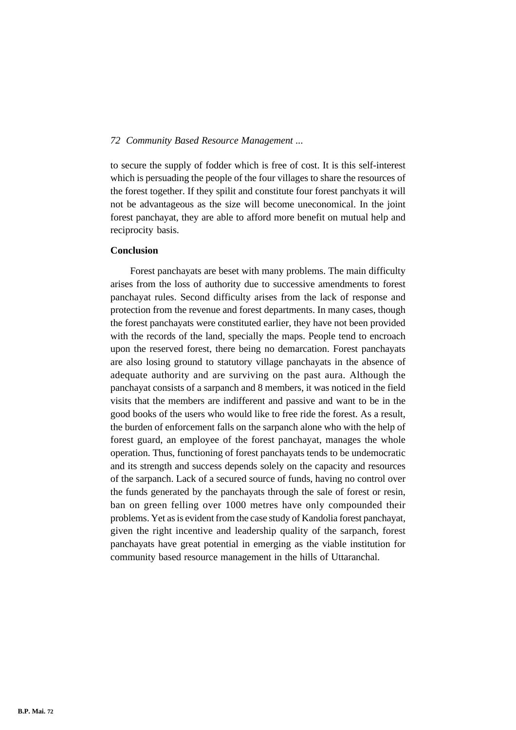to secure the supply of fodder which is free of cost. It is this self-interest which is persuading the people of the four villages to share the resources of the forest together. If they spilit and constitute four forest panchyats it will not be advantageous as the size will become uneconomical. In the joint forest panchayat, they are able to afford more benefit on mutual help and reciprocity basis.

### **Conclusion**

Forest panchayats are beset with many problems. The main difficulty arises from the loss of authority due to successive amendments to forest panchayat rules. Second difficulty arises from the lack of response and protection from the revenue and forest departments. In many cases, though the forest panchayats were constituted earlier, they have not been provided with the records of the land, specially the maps. People tend to encroach upon the reserved forest, there being no demarcation. Forest panchayats are also losing ground to statutory village panchayats in the absence of adequate authority and are surviving on the past aura. Although the panchayat consists of a sarpanch and 8 members, it was noticed in the field visits that the members are indifferent and passive and want to be in the good books of the users who would like to free ride the forest. As a result, the burden of enforcement falls on the sarpanch alone who with the help of forest guard, an employee of the forest panchayat, manages the whole operation. Thus, functioning of forest panchayats tends to be undemocratic and its strength and success depends solely on the capacity and resources of the sarpanch. Lack of a secured source of funds, having no control over the funds generated by the panchayats through the sale of forest or resin, ban on green felling over 1000 metres have only compounded their problems. Yet as is evident from the case study of Kandolia forest panchayat, given the right incentive and leadership quality of the sarpanch, forest panchayats have great potential in emerging as the viable institution for community based resource management in the hills of Uttaranchal.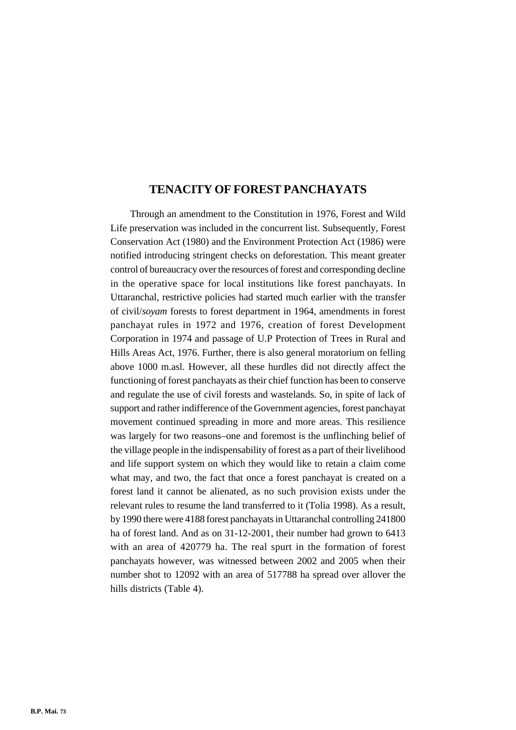# **TENACITY OF FOREST PANCHAYATS**

Through an amendment to the Constitution in 1976, Forest and Wild Life preservation was included in the concurrent list. Subsequently, Forest Conservation Act (1980) and the Environment Protection Act (1986) were notified introducing stringent checks on deforestation. This meant greater control of bureaucracy over the resources of forest and corresponding decline in the operative space for local institutions like forest panchayats. In Uttaranchal, restrictive policies had started much earlier with the transfer of civil/*soyam* forests to forest department in 1964, amendments in forest panchayat rules in 1972 and 1976, creation of forest Development Corporation in 1974 and passage of U.P Protection of Trees in Rural and Hills Areas Act, 1976. Further, there is also general moratorium on felling above 1000 m.asl. However, all these hurdles did not directly affect the functioning of forest panchayats as their chief function has been to conserve and regulate the use of civil forests and wastelands. So, in spite of lack of support and rather indifference of the Government agencies, forest panchayat movement continued spreading in more and more areas. This resilience was largely for two reasons–one and foremost is the unflinching belief of the village people in the indispensability of forest as a part of their livelihood and life support system on which they would like to retain a claim come what may, and two, the fact that once a forest panchayat is created on a forest land it cannot be alienated, as no such provision exists under the relevant rules to resume the land transferred to it (Tolia 1998). As a result, by 1990 there were 4188 forest panchayats in Uttaranchal controlling 241800 ha of forest land. And as on 31-12-2001, their number had grown to 6413 with an area of 420779 ha. The real spurt in the formation of forest panchayats however, was witnessed between 2002 and 2005 when their number shot to 12092 with an area of 517788 ha spread over allover the hills districts (Table 4).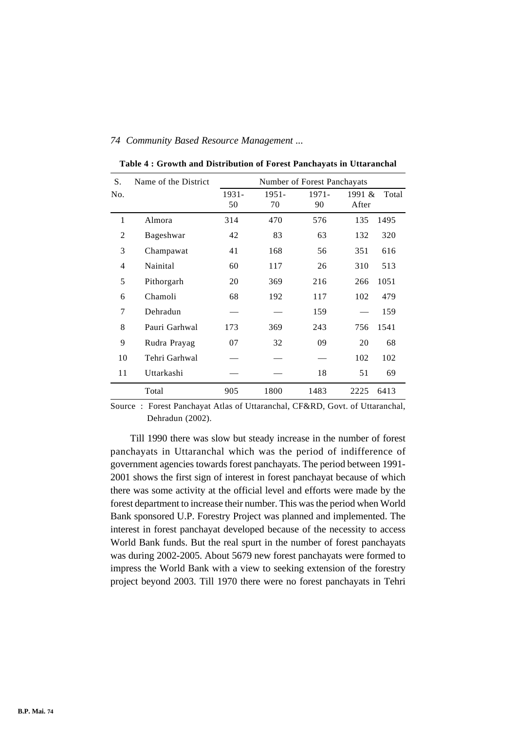| S.             | Name of the District | Number of Forest Panchayats |                |                |                 |       |
|----------------|----------------------|-----------------------------|----------------|----------------|-----------------|-------|
| No.            |                      | 1931-<br>50                 | $1951 -$<br>70 | $1971 -$<br>90 | 1991 &<br>After | Total |
|                |                      |                             |                |                |                 |       |
| 1              | Almora               | 314                         | 470            | 576            | 135             | 1495  |
| $\overline{2}$ | Bageshwar            | 42                          | 83             | 63             | 132             | 320   |
| 3              | Champawat            | 41                          | 168            | 56             | 351             | 616   |
| 4              | Nainital             | 60                          | 117            | 26             | 310             | 513   |
| 5              | Pithorgarh           | 20                          | 369            | 216            | 266             | 1051  |
| 6              | Chamoli              | 68                          | 192            | 117            | 102             | 479   |
| 7              | Dehradun             |                             |                | 159            |                 | 159   |
| 8              | Pauri Garhwal        | 173                         | 369            | 243            | 756             | 1541  |
| 9              | Rudra Prayag         | 07                          | 32             | 09             | 20              | 68    |
| 10             | Tehri Garhwal        |                             |                |                | 102             | 102   |
| 11             | Uttarkashi           |                             |                | 18             | 51              | 69    |
|                | Total                | 905                         | 1800           | 1483           | 2225            | 6413  |

**Table 4 : Growth and Distribution of Forest Panchayats in Uttaranchal**

Source : Forest Panchayat Atlas of Uttaranchal, CF&RD, Govt. of Uttaranchal, Dehradun (2002).

Till 1990 there was slow but steady increase in the number of forest panchayats in Uttaranchal which was the period of indifference of government agencies towards forest panchayats. The period between 1991- 2001 shows the first sign of interest in forest panchayat because of which there was some activity at the official level and efforts were made by the forest department to increase their number. This was the period when World Bank sponsored U.P. Forestry Project was planned and implemented. The interest in forest panchayat developed because of the necessity to access World Bank funds. But the real spurt in the number of forest panchayats was during 2002-2005. About 5679 new forest panchayats were formed to impress the World Bank with a view to seeking extension of the forestry project beyond 2003. Till 1970 there were no forest panchayats in Tehri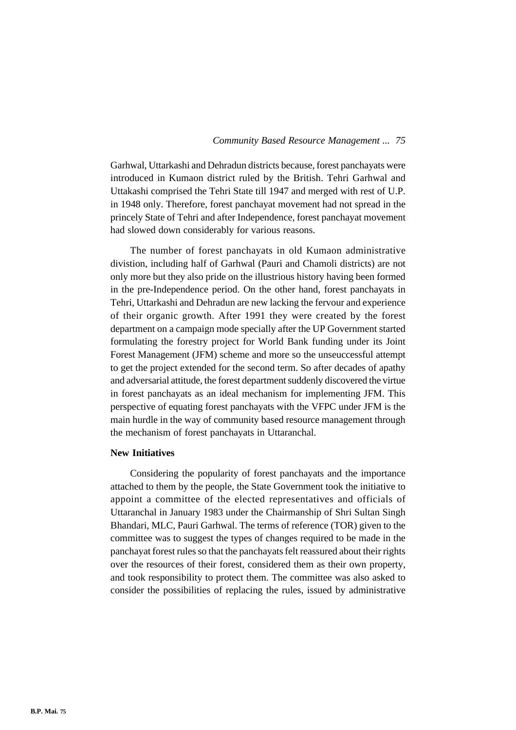Garhwal, Uttarkashi and Dehradun districts because, forest panchayats were introduced in Kumaon district ruled by the British. Tehri Garhwal and Uttakashi comprised the Tehri State till 1947 and merged with rest of U.P. in 1948 only. Therefore, forest panchayat movement had not spread in the princely State of Tehri and after Independence, forest panchayat movement had slowed down considerably for various reasons.

The number of forest panchayats in old Kumaon administrative divistion, including half of Garhwal (Pauri and Chamoli districts) are not only more but they also pride on the illustrious history having been formed in the pre-Independence period. On the other hand, forest panchayats in Tehri, Uttarkashi and Dehradun are new lacking the fervour and experience of their organic growth. After 1991 they were created by the forest department on a campaign mode specially after the UP Government started formulating the forestry project for World Bank funding under its Joint Forest Management (JFM) scheme and more so the unseuccessful attempt to get the project extended for the second term. So after decades of apathy and adversarial attitude, the forest department suddenly discovered the virtue in forest panchayats as an ideal mechanism for implementing JFM. This perspective of equating forest panchayats with the VFPC under JFM is the main hurdle in the way of community based resource management through the mechanism of forest panchayats in Uttaranchal.

## **New Initiatives**

Considering the popularity of forest panchayats and the importance attached to them by the people, the State Government took the initiative to appoint a committee of the elected representatives and officials of Uttaranchal in January 1983 under the Chairmanship of Shri Sultan Singh Bhandari, MLC, Pauri Garhwal. The terms of reference (TOR) given to the committee was to suggest the types of changes required to be made in the panchayat forest rules so that the panchayats felt reassured about their rights over the resources of their forest, considered them as their own property, and took responsibility to protect them. The committee was also asked to consider the possibilities of replacing the rules, issued by administrative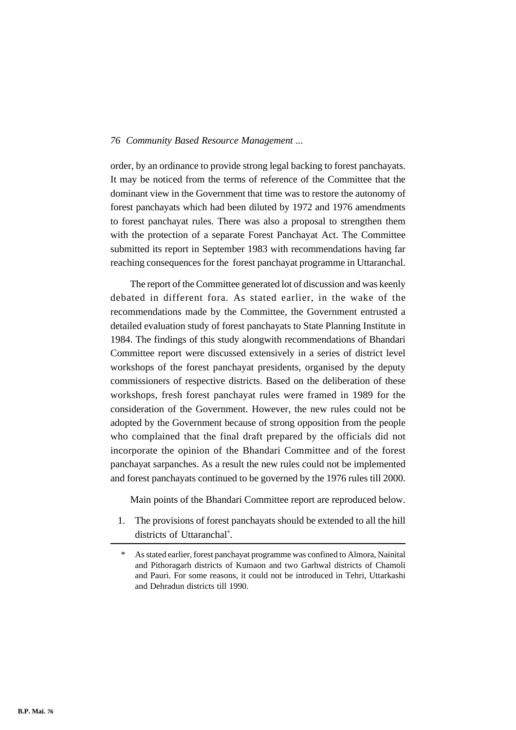order, by an ordinance to provide strong legal backing to forest panchayats. It may be noticed from the terms of reference of the Committee that the dominant view in the Government that time was to restore the autonomy of forest panchayats which had been diluted by 1972 and 1976 amendments to forest panchayat rules. There was also a proposal to strengthen them with the protection of a separate Forest Panchayat Act. The Committee submitted its report in September 1983 with recommendations having far reaching consequences for the forest panchayat programme in Uttaranchal.

The report of the Committee generated lot of discussion and was keenly debated in different fora. As stated earlier, in the wake of the recommendations made by the Committee, the Government entrusted a detailed evaluation study of forest panchayats to State Planning Institute in 1984. The findings of this study alongwith recommendations of Bhandari Committee report were discussed extensively in a series of district level workshops of the forest panchayat presidents, organised by the deputy commissioners of respective districts. Based on the deliberation of these workshops, fresh forest panchayat rules were framed in 1989 for the consideration of the Government. However, the new rules could not be adopted by the Government because of strong opposition from the people who complained that the final draft prepared by the officials did not incorporate the opinion of the Bhandari Committee and of the forest panchayat sarpanches. As a result the new rules could not be implemented and forest panchayats continued to be governed by the 1976 rules till 2000.

Main points of the Bhandari Committee report are reproduced below.

1. The provisions of forest panchayats should be extended to all the hill districts of Uttaranchal\* .

As stated earlier, forest panchayat programme was confined to Almora, Nainital and Pithoragarh districts of Kumaon and two Garhwal districts of Chamoli and Pauri. For some reasons, it could not be introduced in Tehri, Uttarkashi and Dehradun districts till 1990.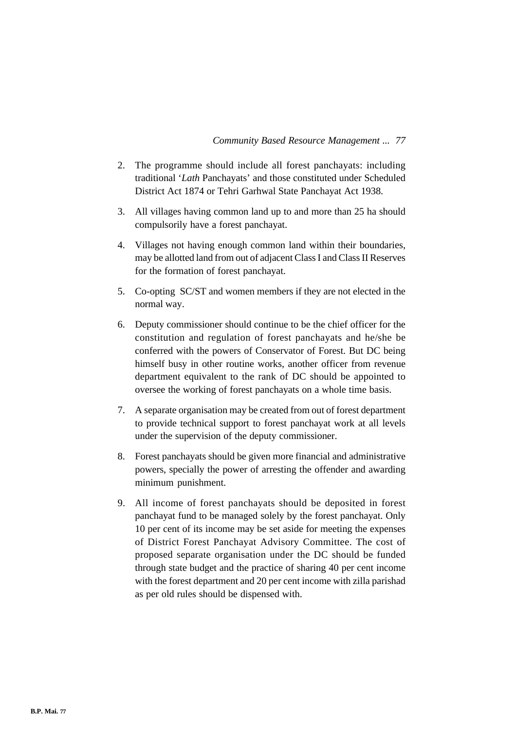- 2. The programme should include all forest panchayats: including traditional '*Lath* Panchayats' and those constituted under Scheduled District Act 1874 or Tehri Garhwal State Panchayat Act 1938.
- 3. All villages having common land up to and more than 25 ha should compulsorily have a forest panchayat.
- 4. Villages not having enough common land within their boundaries, may be allotted land from out of adjacent Class I and Class II Reserves for the formation of forest panchayat.
- 5. Co-opting SC/ST and women members if they are not elected in the normal way.
- 6. Deputy commissioner should continue to be the chief officer for the constitution and regulation of forest panchayats and he/she be conferred with the powers of Conservator of Forest. But DC being himself busy in other routine works, another officer from revenue department equivalent to the rank of DC should be appointed to oversee the working of forest panchayats on a whole time basis.
- 7. A separate organisation may be created from out of forest department to provide technical support to forest panchayat work at all levels under the supervision of the deputy commissioner.
- 8. Forest panchayats should be given more financial and administrative powers, specially the power of arresting the offender and awarding minimum punishment.
- 9. All income of forest panchayats should be deposited in forest panchayat fund to be managed solely by the forest panchayat. Only 10 per cent of its income may be set aside for meeting the expenses of District Forest Panchayat Advisory Committee. The cost of proposed separate organisation under the DC should be funded through state budget and the practice of sharing 40 per cent income with the forest department and 20 per cent income with zilla parishad as per old rules should be dispensed with.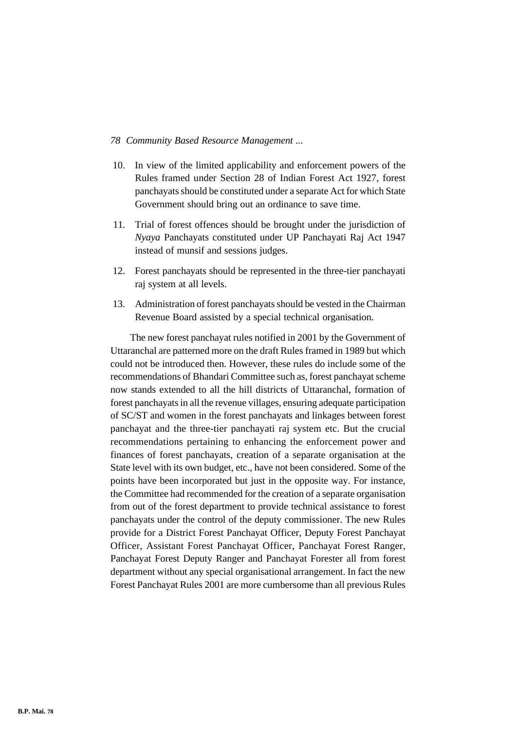- 10. In view of the limited applicability and enforcement powers of the Rules framed under Section 28 of Indian Forest Act 1927, forest panchayats should be constituted under a separate Act for which State Government should bring out an ordinance to save time.
- 11. Trial of forest offences should be brought under the jurisdiction of *Nyaya* Panchayats constituted under UP Panchayati Raj Act 1947 instead of munsif and sessions judges.
- 12. Forest panchayats should be represented in the three-tier panchayati raj system at all levels.
- 13. Administration of forest panchayats should be vested in the Chairman Revenue Board assisted by a special technical organisation.

The new forest panchayat rules notified in 2001 by the Government of Uttaranchal are patterned more on the draft Rules framed in 1989 but which could not be introduced then. However, these rules do include some of the recommendations of Bhandari Committee such as, forest panchayat scheme now stands extended to all the hill districts of Uttaranchal, formation of forest panchayats in all the revenue villages, ensuring adequate participation of SC/ST and women in the forest panchayats and linkages between forest panchayat and the three-tier panchayati raj system etc. But the crucial recommendations pertaining to enhancing the enforcement power and finances of forest panchayats, creation of a separate organisation at the State level with its own budget, etc., have not been considered. Some of the points have been incorporated but just in the opposite way. For instance, the Committee had recommended for the creation of a separate organisation from out of the forest department to provide technical assistance to forest panchayats under the control of the deputy commissioner. The new Rules provide for a District Forest Panchayat Officer, Deputy Forest Panchayat Officer, Assistant Forest Panchayat Officer, Panchayat Forest Ranger, Panchayat Forest Deputy Ranger and Panchayat Forester all from forest department without any special organisational arrangement. In fact the new Forest Panchayat Rules 2001 are more cumbersome than all previous Rules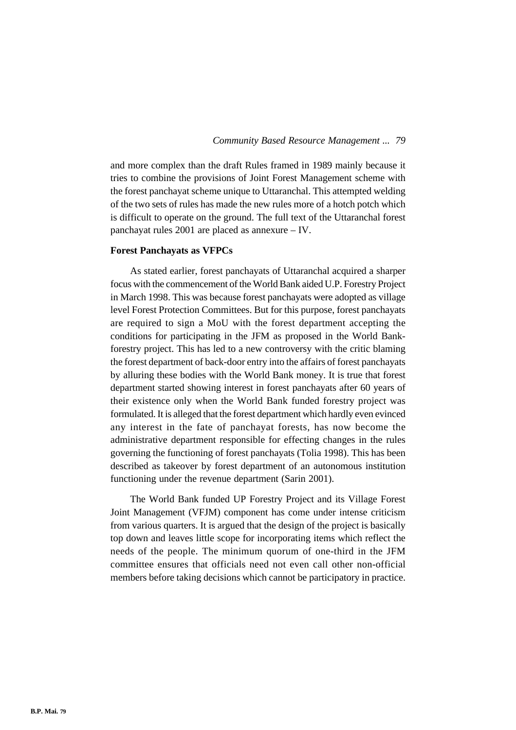and more complex than the draft Rules framed in 1989 mainly because it tries to combine the provisions of Joint Forest Management scheme with the forest panchayat scheme unique to Uttaranchal. This attempted welding of the two sets of rules has made the new rules more of a hotch potch which is difficult to operate on the ground. The full text of the Uttaranchal forest panchayat rules 2001 are placed as annexure – IV.

## **Forest Panchayats as VFPCs**

As stated earlier, forest panchayats of Uttaranchal acquired a sharper focus with the commencement of the World Bank aided U.P. Forestry Project in March 1998. This was because forest panchayats were adopted as village level Forest Protection Committees. But for this purpose, forest panchayats are required to sign a MoU with the forest department accepting the conditions for participating in the JFM as proposed in the World Bankforestry project. This has led to a new controversy with the critic blaming the forest department of back-door entry into the affairs of forest panchayats by alluring these bodies with the World Bank money. It is true that forest department started showing interest in forest panchayats after 60 years of their existence only when the World Bank funded forestry project was formulated. It is alleged that the forest department which hardly even evinced any interest in the fate of panchayat forests, has now become the administrative department responsible for effecting changes in the rules governing the functioning of forest panchayats (Tolia 1998). This has been described as takeover by forest department of an autonomous institution functioning under the revenue department (Sarin 2001).

The World Bank funded UP Forestry Project and its Village Forest Joint Management (VFJM) component has come under intense criticism from various quarters. It is argued that the design of the project is basically top down and leaves little scope for incorporating items which reflect the needs of the people. The minimum quorum of one-third in the JFM committee ensures that officials need not even call other non-official members before taking decisions which cannot be participatory in practice.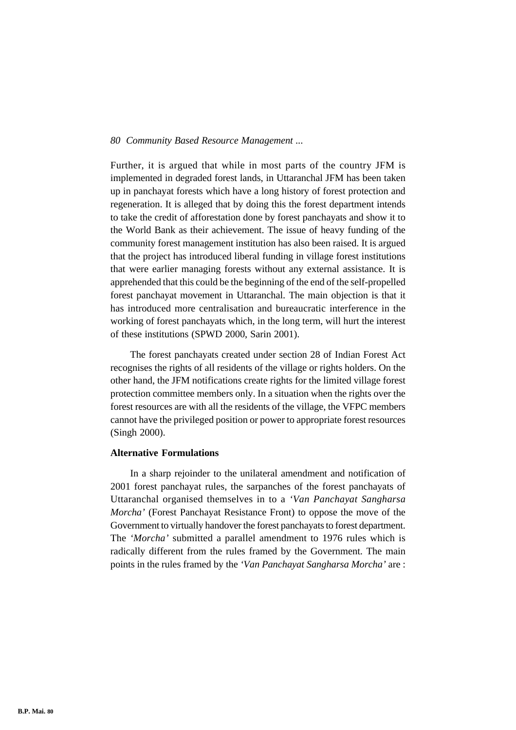Further, it is argued that while in most parts of the country JFM is implemented in degraded forest lands, in Uttaranchal JFM has been taken up in panchayat forests which have a long history of forest protection and regeneration. It is alleged that by doing this the forest department intends to take the credit of afforestation done by forest panchayats and show it to the World Bank as their achievement. The issue of heavy funding of the community forest management institution has also been raised. It is argued that the project has introduced liberal funding in village forest institutions that were earlier managing forests without any external assistance. It is apprehended that this could be the beginning of the end of the self-propelled forest panchayat movement in Uttaranchal. The main objection is that it has introduced more centralisation and bureaucratic interference in the working of forest panchayats which, in the long term, will hurt the interest of these institutions (SPWD 2000, Sarin 2001).

The forest panchayats created under section 28 of Indian Forest Act recognises the rights of all residents of the village or rights holders. On the other hand, the JFM notifications create rights for the limited village forest protection committee members only. In a situation when the rights over the forest resources are with all the residents of the village, the VFPC members cannot have the privileged position or power to appropriate forest resources (Singh 2000).

## **Alternative Formulations**

In a sharp rejoinder to the unilateral amendment and notification of 2001 forest panchayat rules, the sarpanches of the forest panchayats of Uttaranchal organised themselves in to a *'Van Panchayat Sangharsa Morcha'* (Forest Panchayat Resistance Front) to oppose the move of the Government to virtually handover the forest panchayats to forest department. The *'Morcha'* submitted a parallel amendment to 1976 rules which is radically different from the rules framed by the Government. The main points in the rules framed by the *'Van Panchayat Sangharsa Morcha'* are :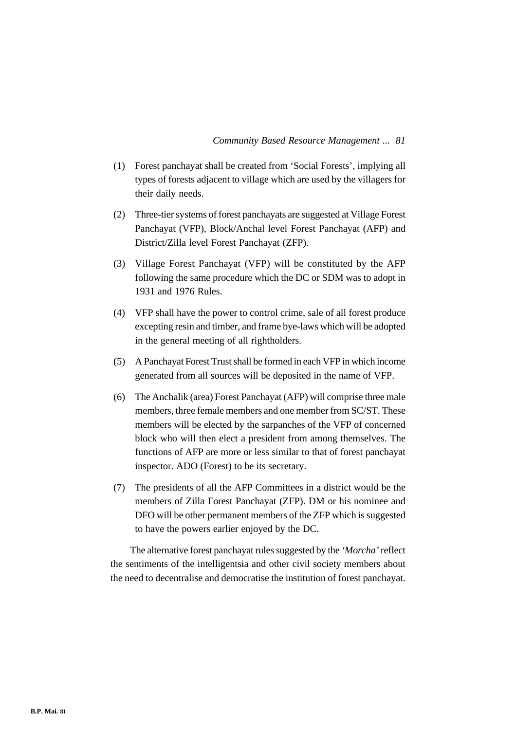- (1) Forest panchayat shall be created from 'Social Forests', implying all types of forests adjacent to village which are used by the villagers for their daily needs.
- (2) Three-tier systems of forest panchayats are suggested at Village Forest Panchayat (VFP), Block/Anchal level Forest Panchayat (AFP) and District/Zilla level Forest Panchayat (ZFP).
- (3) Village Forest Panchayat (VFP) will be constituted by the AFP following the same procedure which the DC or SDM was to adopt in 1931 and 1976 Rules.
- (4) VFP shall have the power to control crime, sale of all forest produce excepting resin and timber, and frame bye-laws which will be adopted in the general meeting of all rightholders.
- (5) A Panchayat Forest Trust shall be formed in each VFP in which income generated from all sources will be deposited in the name of VFP.
- (6) The Anchalik (area) Forest Panchayat (AFP) will comprise three male members, three female members and one member from SC/ST. These members will be elected by the sarpanches of the VFP of concerned block who will then elect a president from among themselves. The functions of AFP are more or less similar to that of forest panchayat inspector. ADO (Forest) to be its secretary.
- (7) The presidents of all the AFP Committees in a district would be the members of Zilla Forest Panchayat (ZFP). DM or his nominee and DFO will be other permanent members of the ZFP which is suggested to have the powers earlier enjoyed by the DC.

The alternative forest panchayat rules suggested by the *'Morcha'* reflect the sentiments of the intelligentsia and other civil society members about the need to decentralise and democratise the institution of forest panchayat.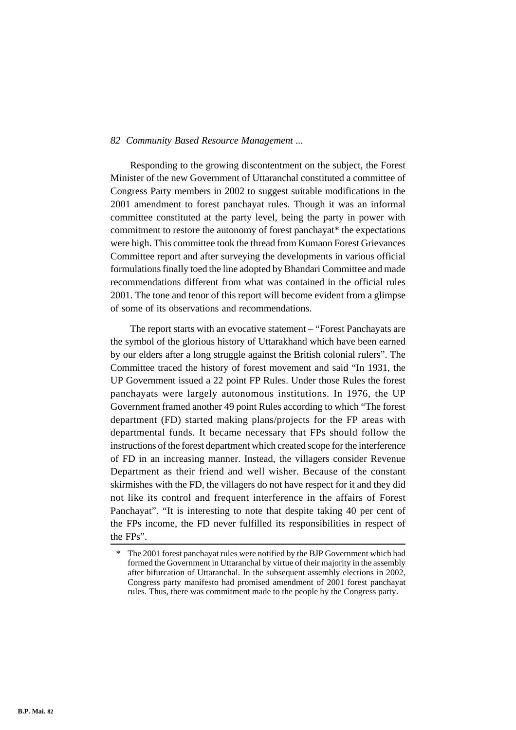Responding to the growing discontentment on the subject, the Forest Minister of the new Government of Uttaranchal constituted a committee of Congress Party members in 2002 to suggest suitable modifications in the 2001 amendment to forest panchayat rules. Though it was an informal committee constituted at the party level, being the party in power with commitment to restore the autonomy of forest panchayat\* the expectations were high. This committee took the thread from Kumaon Forest Grievances Committee report and after surveying the developments in various official formulations finally toed the line adopted by Bhandari Committee and made recommendations different from what was contained in the official rules 2001. The tone and tenor of this report will become evident from a glimpse of some of its observations and recommendations.

The report starts with an evocative statement – "Forest Panchayats are the symbol of the glorious history of Uttarakhand which have been earned by our elders after a long struggle against the British colonial rulers". The Committee traced the history of forest movement and said "In 1931, the UP Government issued a 22 point FP Rules. Under those Rules the forest panchayats were largely autonomous institutions. In 1976, the UP Government framed another 49 point Rules according to which "The forest department (FD) started making plans/projects for the FP areas with departmental funds. It became necessary that FPs should follow the instructions of the forest department which created scope for the interference of FD in an increasing manner. Instead, the villagers consider Revenue Department as their friend and well wisher. Because of the constant skirmishes with the FD, the villagers do not have respect for it and they did not like its control and frequent interference in the affairs of Forest Panchayat". "It is interesting to note that despite taking 40 per cent of the FPs income, the FD never fulfilled its responsibilities in respect of the FPs".

The 2001 forest panchayat rules were notified by the BJP Government which had formed the Government in Uttaranchal by virtue of their majority in the assembly after bifurcation of Uttaranchal. In the subsequent assembly elections in 2002, Congress party manifesto had promised amendment of 2001 forest panchayat rules. Thus, there was commitment made to the people by the Congress party.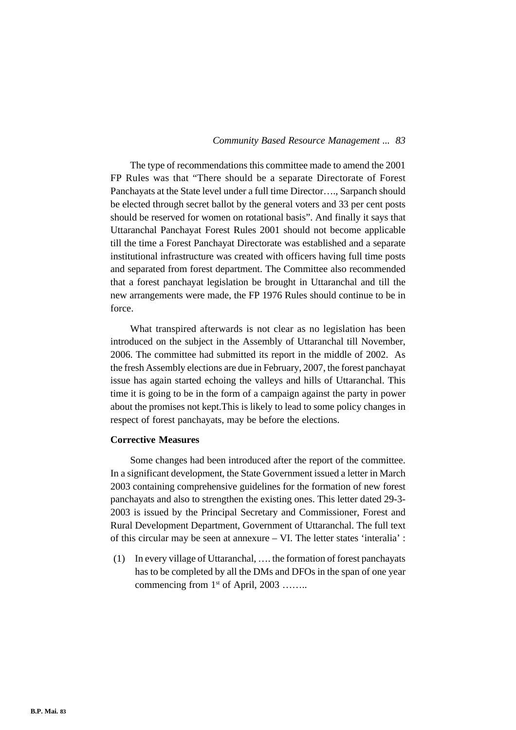The type of recommendations this committee made to amend the 2001 FP Rules was that "There should be a separate Directorate of Forest Panchayats at the State level under a full time Director…., Sarpanch should be elected through secret ballot by the general voters and 33 per cent posts should be reserved for women on rotational basis". And finally it says that Uttaranchal Panchayat Forest Rules 2001 should not become applicable till the time a Forest Panchayat Directorate was established and a separate institutional infrastructure was created with officers having full time posts and separated from forest department. The Committee also recommended that a forest panchayat legislation be brought in Uttaranchal and till the new arrangements were made, the FP 1976 Rules should continue to be in force.

What transpired afterwards is not clear as no legislation has been introduced on the subject in the Assembly of Uttaranchal till November, 2006. The committee had submitted its report in the middle of 2002. As the fresh Assembly elections are due in February, 2007, the forest panchayat issue has again started echoing the valleys and hills of Uttaranchal. This time it is going to be in the form of a campaign against the party in power about the promises not kept.This is likely to lead to some policy changes in respect of forest panchayats, may be before the elections.

## **Corrective Measures**

Some changes had been introduced after the report of the committee. In a significant development, the State Government issued a letter in March 2003 containing comprehensive guidelines for the formation of new forest panchayats and also to strengthen the existing ones. This letter dated 29-3- 2003 is issued by the Principal Secretary and Commissioner, Forest and Rural Development Department, Government of Uttaranchal. The full text of this circular may be seen at annexure – VI. The letter states 'interalia' :

(1) In every village of Uttaranchal, …. the formation of forest panchayats has to be completed by all the DMs and DFOs in the span of one year commencing from  $1<sup>st</sup>$  of April, 2003 ……..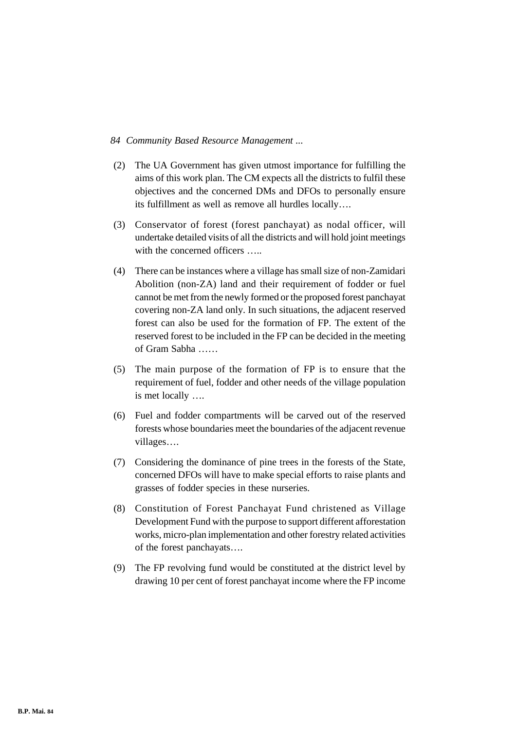- (2) The UA Government has given utmost importance for fulfilling the aims of this work plan. The CM expects all the districts to fulfil these objectives and the concerned DMs and DFOs to personally ensure its fulfillment as well as remove all hurdles locally….
- (3) Conservator of forest (forest panchayat) as nodal officer, will undertake detailed visits of all the districts and will hold joint meetings with the concerned officers .....
- (4) There can be instances where a village has small size of non-Zamidari Abolition (non-ZA) land and their requirement of fodder or fuel cannot be met from the newly formed or the proposed forest panchayat covering non-ZA land only. In such situations, the adjacent reserved forest can also be used for the formation of FP. The extent of the reserved forest to be included in the FP can be decided in the meeting of Gram Sabha ……
- (5) The main purpose of the formation of FP is to ensure that the requirement of fuel, fodder and other needs of the village population is met locally ….
- (6) Fuel and fodder compartments will be carved out of the reserved forests whose boundaries meet the boundaries of the adjacent revenue villages….
- (7) Considering the dominance of pine trees in the forests of the State, concerned DFOs will have to make special efforts to raise plants and grasses of fodder species in these nurseries.
- (8) Constitution of Forest Panchayat Fund christened as Village Development Fund with the purpose to support different afforestation works, micro-plan implementation and other forestry related activities of the forest panchayats….
- (9) The FP revolving fund would be constituted at the district level by drawing 10 per cent of forest panchayat income where the FP income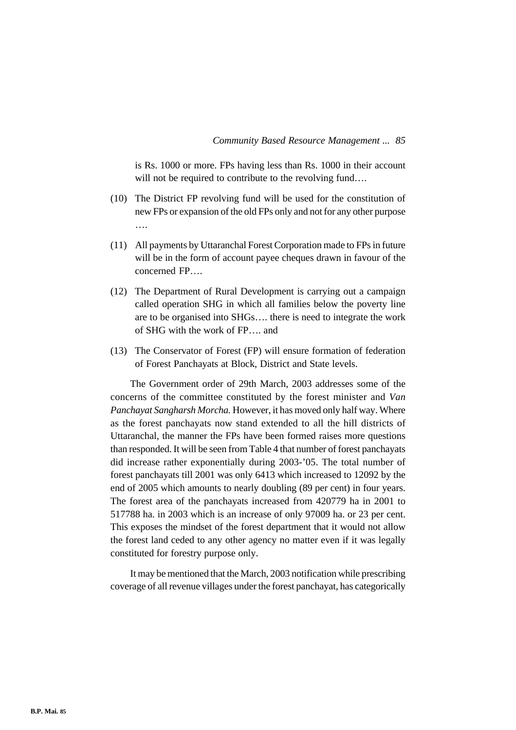is Rs. 1000 or more. FPs having less than Rs. 1000 in their account will not be required to contribute to the revolving fund....

- (10) The District FP revolving fund will be used for the constitution of new FPs or expansion of the old FPs only and not for any other purpose ….
- (11) All payments by Uttaranchal Forest Corporation made to FPs in future will be in the form of account payee cheques drawn in favour of the concerned FP….
- (12) The Department of Rural Development is carrying out a campaign called operation SHG in which all families below the poverty line are to be organised into SHGs…. there is need to integrate the work of SHG with the work of FP…. and
- (13) The Conservator of Forest (FP) will ensure formation of federation of Forest Panchayats at Block, District and State levels.

The Government order of 29th March, 2003 addresses some of the concerns of the committee constituted by the forest minister and *Van Panchayat Sangharsh Morcha.* However, it has moved only half way. Where as the forest panchayats now stand extended to all the hill districts of Uttaranchal, the manner the FPs have been formed raises more questions than responded. It will be seen from Table 4 that number of forest panchayats did increase rather exponentially during 2003-'05. The total number of forest panchayats till 2001 was only 6413 which increased to 12092 by the end of 2005 which amounts to nearly doubling (89 per cent) in four years. The forest area of the panchayats increased from 420779 ha in 2001 to 517788 ha. in 2003 which is an increase of only 97009 ha. or 23 per cent. This exposes the mindset of the forest department that it would not allow the forest land ceded to any other agency no matter even if it was legally constituted for forestry purpose only.

It may be mentioned that the March, 2003 notification while prescribing coverage of all revenue villages under the forest panchayat, has categorically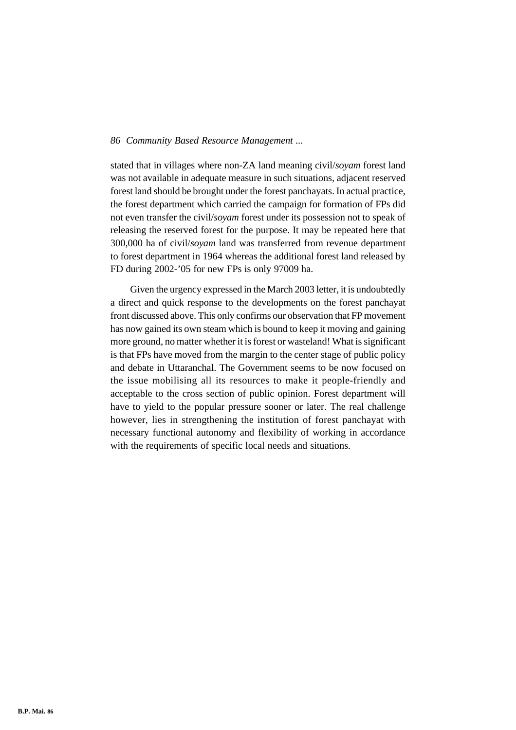stated that in villages where non-ZA land meaning civil/*soyam* forest land was not available in adequate measure in such situations, adjacent reserved forest land should be brought under the forest panchayats. In actual practice, the forest department which carried the campaign for formation of FPs did not even transfer the civil/*soyam* forest under its possession not to speak of releasing the reserved forest for the purpose. It may be repeated here that 300,000 ha of civil/*soyam* land was transferred from revenue department to forest department in 1964 whereas the additional forest land released by FD during 2002-'05 for new FPs is only 97009 ha.

Given the urgency expressed in the March 2003 letter, it is undoubtedly a direct and quick response to the developments on the forest panchayat front discussed above. This only confirms our observation that FP movement has now gained its own steam which is bound to keep it moving and gaining more ground, no matter whether it is forest or wasteland! What is significant is that FPs have moved from the margin to the center stage of public policy and debate in Uttaranchal. The Government seems to be now focused on the issue mobilising all its resources to make it people-friendly and acceptable to the cross section of public opinion. Forest department will have to yield to the popular pressure sooner or later. The real challenge however, lies in strengthening the institution of forest panchayat with necessary functional autonomy and flexibility of working in accordance with the requirements of specific local needs and situations.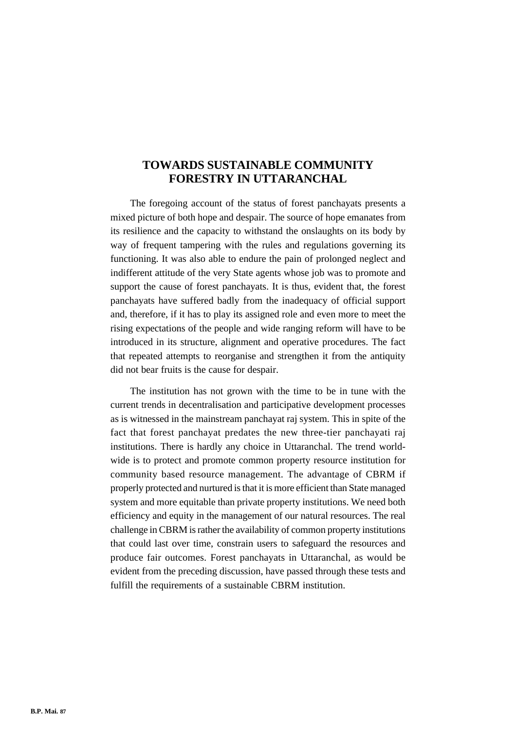# **TOWARDS SUSTAINABLE COMMUNITY FORESTRY IN UTTARANCHAL**

The foregoing account of the status of forest panchayats presents a mixed picture of both hope and despair. The source of hope emanates from its resilience and the capacity to withstand the onslaughts on its body by way of frequent tampering with the rules and regulations governing its functioning. It was also able to endure the pain of prolonged neglect and indifferent attitude of the very State agents whose job was to promote and support the cause of forest panchayats. It is thus, evident that, the forest panchayats have suffered badly from the inadequacy of official support and, therefore, if it has to play its assigned role and even more to meet the rising expectations of the people and wide ranging reform will have to be introduced in its structure, alignment and operative procedures. The fact that repeated attempts to reorganise and strengthen it from the antiquity did not bear fruits is the cause for despair.

The institution has not grown with the time to be in tune with the current trends in decentralisation and participative development processes as is witnessed in the mainstream panchayat raj system. This in spite of the fact that forest panchayat predates the new three-tier panchayati raj institutions. There is hardly any choice in Uttaranchal. The trend worldwide is to protect and promote common property resource institution for community based resource management. The advantage of CBRM if properly protected and nurtured is that it is more efficient than State managed system and more equitable than private property institutions. We need both efficiency and equity in the management of our natural resources. The real challenge in CBRM is rather the availability of common property institutions that could last over time, constrain users to safeguard the resources and produce fair outcomes. Forest panchayats in Uttaranchal, as would be evident from the preceding discussion, have passed through these tests and fulfill the requirements of a sustainable CBRM institution.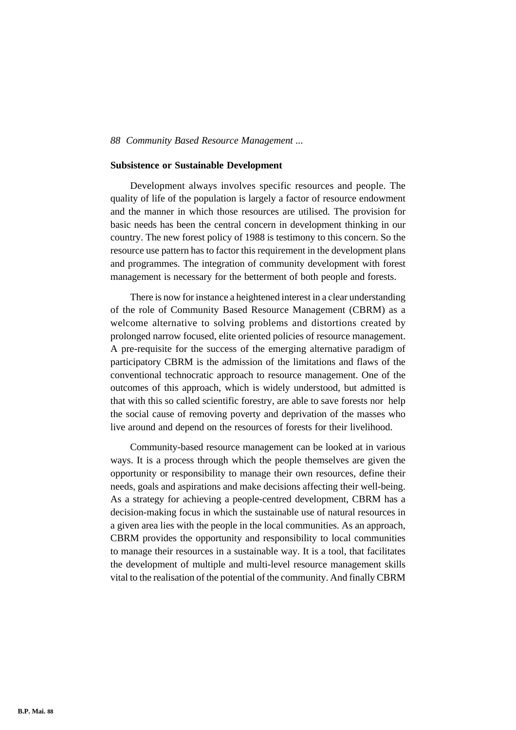#### **Subsistence or Sustainable Development**

Development always involves specific resources and people. The quality of life of the population is largely a factor of resource endowment and the manner in which those resources are utilised. The provision for basic needs has been the central concern in development thinking in our country. The new forest policy of 1988 is testimony to this concern. So the resource use pattern has to factor this requirement in the development plans and programmes. The integration of community development with forest management is necessary for the betterment of both people and forests.

There is now for instance a heightened interest in a clear understanding of the role of Community Based Resource Management (CBRM) as a welcome alternative to solving problems and distortions created by prolonged narrow focused, elite oriented policies of resource management. A pre-requisite for the success of the emerging alternative paradigm of participatory CBRM is the admission of the limitations and flaws of the conventional technocratic approach to resource management. One of the outcomes of this approach, which is widely understood, but admitted is that with this so called scientific forestry, are able to save forests nor help the social cause of removing poverty and deprivation of the masses who live around and depend on the resources of forests for their livelihood.

Community-based resource management can be looked at in various ways. It is a process through which the people themselves are given the opportunity or responsibility to manage their own resources, define their needs, goals and aspirations and make decisions affecting their well-being. As a strategy for achieving a people-centred development, CBRM has a decision-making focus in which the sustainable use of natural resources in a given area lies with the people in the local communities. As an approach, CBRM provides the opportunity and responsibility to local communities to manage their resources in a sustainable way. It is a tool, that facilitates the development of multiple and multi-level resource management skills vital to the realisation of the potential of the community. And finally CBRM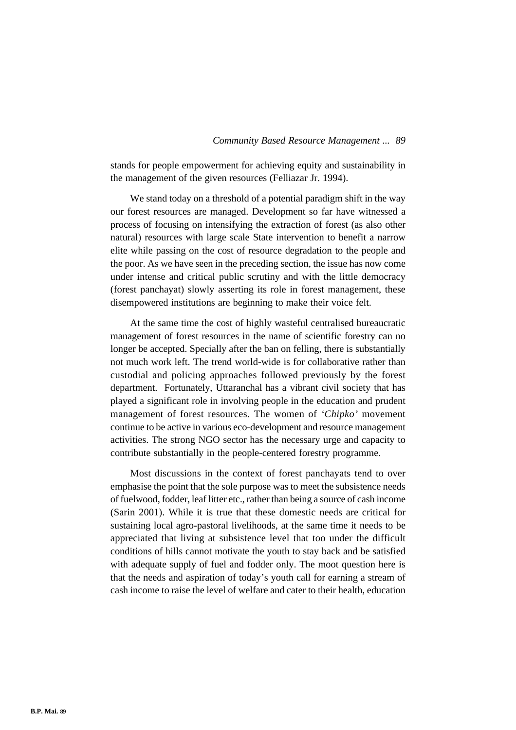stands for people empowerment for achieving equity and sustainability in the management of the given resources (Felliazar Jr. 1994).

We stand today on a threshold of a potential paradigm shift in the way our forest resources are managed. Development so far have witnessed a process of focusing on intensifying the extraction of forest (as also other natural) resources with large scale State intervention to benefit a narrow elite while passing on the cost of resource degradation to the people and the poor. As we have seen in the preceding section, the issue has now come under intense and critical public scrutiny and with the little democracy (forest panchayat) slowly asserting its role in forest management, these disempowered institutions are beginning to make their voice felt.

At the same time the cost of highly wasteful centralised bureaucratic management of forest resources in the name of scientific forestry can no longer be accepted. Specially after the ban on felling, there is substantially not much work left. The trend world-wide is for collaborative rather than custodial and policing approaches followed previously by the forest department. Fortunately, Uttaranchal has a vibrant civil society that has played a significant role in involving people in the education and prudent management of forest resources. The women of *'Chipko'* movement continue to be active in various eco-development and resource management activities. The strong NGO sector has the necessary urge and capacity to contribute substantially in the people-centered forestry programme.

Most discussions in the context of forest panchayats tend to over emphasise the point that the sole purpose was to meet the subsistence needs of fuelwood, fodder, leaf litter etc., rather than being a source of cash income (Sarin 2001). While it is true that these domestic needs are critical for sustaining local agro-pastoral livelihoods, at the same time it needs to be appreciated that living at subsistence level that too under the difficult conditions of hills cannot motivate the youth to stay back and be satisfied with adequate supply of fuel and fodder only. The moot question here is that the needs and aspiration of today's youth call for earning a stream of cash income to raise the level of welfare and cater to their health, education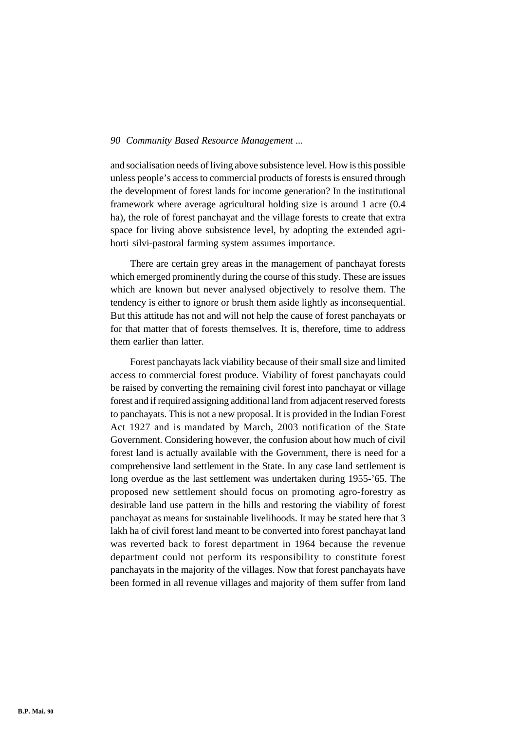and socialisation needs of living above subsistence level. How is this possible unless people's access to commercial products of forests is ensured through the development of forest lands for income generation? In the institutional framework where average agricultural holding size is around 1 acre (0.4 ha), the role of forest panchayat and the village forests to create that extra space for living above subsistence level, by adopting the extended agrihorti silvi-pastoral farming system assumes importance.

There are certain grey areas in the management of panchayat forests which emerged prominently during the course of this study. These are issues which are known but never analysed objectively to resolve them. The tendency is either to ignore or brush them aside lightly as inconsequential. But this attitude has not and will not help the cause of forest panchayats or for that matter that of forests themselves. It is, therefore, time to address them earlier than latter.

Forest panchayats lack viability because of their small size and limited access to commercial forest produce. Viability of forest panchayats could be raised by converting the remaining civil forest into panchayat or village forest and if required assigning additional land from adjacent reserved forests to panchayats. This is not a new proposal. It is provided in the Indian Forest Act 1927 and is mandated by March, 2003 notification of the State Government. Considering however, the confusion about how much of civil forest land is actually available with the Government, there is need for a comprehensive land settlement in the State. In any case land settlement is long overdue as the last settlement was undertaken during 1955-'65. The proposed new settlement should focus on promoting agro-forestry as desirable land use pattern in the hills and restoring the viability of forest panchayat as means for sustainable livelihoods. It may be stated here that 3 lakh ha of civil forest land meant to be converted into forest panchayat land was reverted back to forest department in 1964 because the revenue department could not perform its responsibility to constitute forest panchayats in the majority of the villages. Now that forest panchayats have been formed in all revenue villages and majority of them suffer from land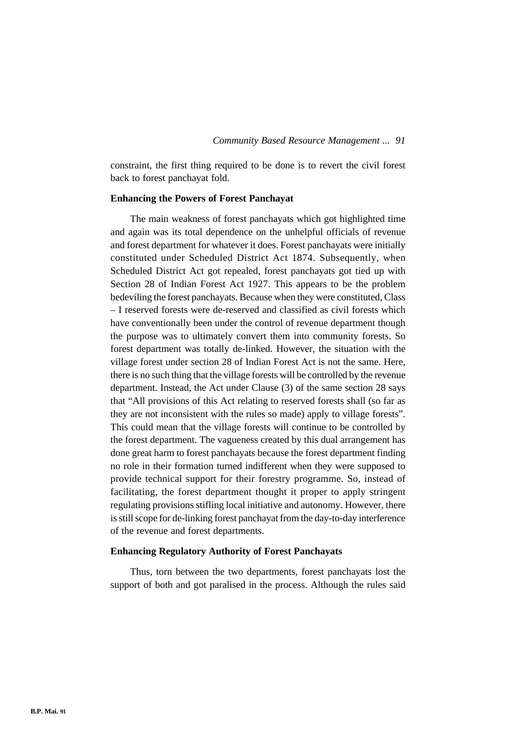constraint, the first thing required to be done is to revert the civil forest back to forest panchayat fold.

## **Enhancing the Powers of Forest Panchayat**

The main weakness of forest panchayats which got highlighted time and again was its total dependence on the unhelpful officials of revenue and forest department for whatever it does. Forest panchayats were initially constituted under Scheduled District Act 1874. Subsequently, when Scheduled District Act got repealed, forest panchayats got tied up with Section 28 of Indian Forest Act 1927. This appears to be the problem bedeviling the forest panchayats. Because when they were constituted, Class – I reserved forests were de-reserved and classified as civil forests which have conventionally been under the control of revenue department though the purpose was to ultimately convert them into community forests. So forest department was totally de-linked. However, the situation with the village forest under section 28 of Indian Forest Act is not the same. Here, there is no such thing that the village forests will be controlled by the revenue department. Instead, the Act under Clause (3) of the same section 28 says that "All provisions of this Act relating to reserved forests shall (so far as they are not inconsistent with the rules so made) apply to village forests". This could mean that the village forests will continue to be controlled by the forest department. The vagueness created by this dual arrangement has done great harm to forest panchayats because the forest department finding no role in their formation turned indifferent when they were supposed to provide technical support for their forestry programme. So, instead of facilitating, the forest department thought it proper to apply stringent regulating provisions stifling local initiative and autonomy. However, there is still scope for de-linking forest panchayat from the day-to-day interference of the revenue and forest departments.

### **Enhancing Regulatory Authority of Forest Panchayats**

Thus, torn between the two departments, forest panchayats lost the support of both and got paralised in the process. Although the rules said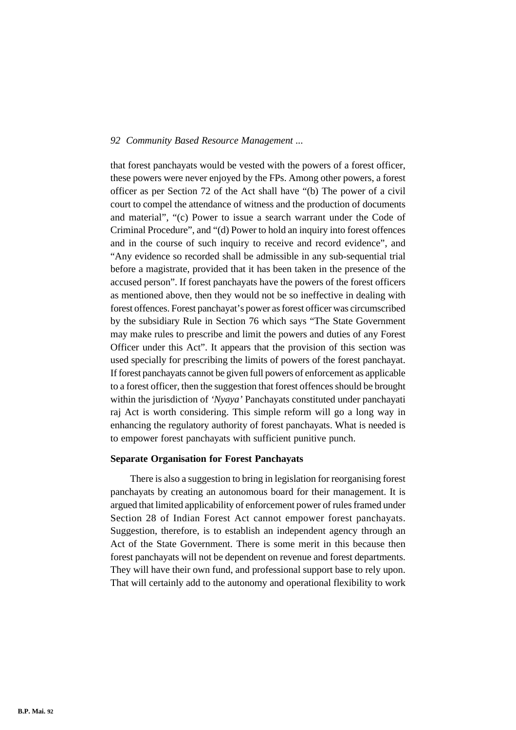that forest panchayats would be vested with the powers of a forest officer, these powers were never enjoyed by the FPs. Among other powers, a forest officer as per Section 72 of the Act shall have "(b) The power of a civil court to compel the attendance of witness and the production of documents and material", "(c) Power to issue a search warrant under the Code of Criminal Procedure", and "(d) Power to hold an inquiry into forest offences and in the course of such inquiry to receive and record evidence", and "Any evidence so recorded shall be admissible in any sub-sequential trial before a magistrate, provided that it has been taken in the presence of the accused person". If forest panchayats have the powers of the forest officers as mentioned above, then they would not be so ineffective in dealing with forest offences. Forest panchayat's power as forest officer was circumscribed by the subsidiary Rule in Section 76 which says "The State Government may make rules to prescribe and limit the powers and duties of any Forest Officer under this Act". It appears that the provision of this section was used specially for prescribing the limits of powers of the forest panchayat. If forest panchayats cannot be given full powers of enforcement as applicable to a forest officer, then the suggestion that forest offences should be brought within the jurisdiction of *'Nyaya'* Panchayats constituted under panchayati raj Act is worth considering. This simple reform will go a long way in enhancing the regulatory authority of forest panchayats. What is needed is to empower forest panchayats with sufficient punitive punch.

#### **Separate Organisation for Forest Panchayats**

There is also a suggestion to bring in legislation for reorganising forest panchayats by creating an autonomous board for their management. It is argued that limited applicability of enforcement power of rules framed under Section 28 of Indian Forest Act cannot empower forest panchayats. Suggestion, therefore, is to establish an independent agency through an Act of the State Government. There is some merit in this because then forest panchayats will not be dependent on revenue and forest departments. They will have their own fund, and professional support base to rely upon. That will certainly add to the autonomy and operational flexibility to work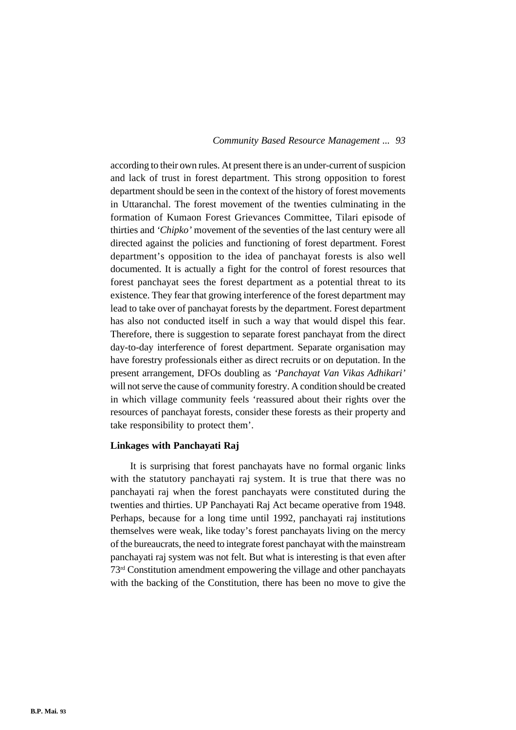according to their own rules. At present there is an under-current of suspicion and lack of trust in forest department. This strong opposition to forest department should be seen in the context of the history of forest movements in Uttaranchal. The forest movement of the twenties culminating in the formation of Kumaon Forest Grievances Committee, Tilari episode of thirties and *'Chipko'* movement of the seventies of the last century were all directed against the policies and functioning of forest department. Forest department's opposition to the idea of panchayat forests is also well documented. It is actually a fight for the control of forest resources that forest panchayat sees the forest department as a potential threat to its existence. They fear that growing interference of the forest department may lead to take over of panchayat forests by the department. Forest department has also not conducted itself in such a way that would dispel this fear. Therefore, there is suggestion to separate forest panchayat from the direct day-to-day interference of forest department. Separate organisation may have forestry professionals either as direct recruits or on deputation. In the present arrangement, DFOs doubling as *'Panchayat Van Vikas Adhikari'* will not serve the cause of community forestry. A condition should be created in which village community feels 'reassured about their rights over the resources of panchayat forests, consider these forests as their property and take responsibility to protect them'.

#### **Linkages with Panchayati Raj**

It is surprising that forest panchayats have no formal organic links with the statutory panchayati raj system. It is true that there was no panchayati raj when the forest panchayats were constituted during the twenties and thirties. UP Panchayati Raj Act became operative from 1948. Perhaps, because for a long time until 1992, panchayati raj institutions themselves were weak, like today's forest panchayats living on the mercy of the bureaucrats, the need to integrate forest panchayat with the mainstream panchayati raj system was not felt. But what is interesting is that even after 73rd Constitution amendment empowering the village and other panchayats with the backing of the Constitution, there has been no move to give the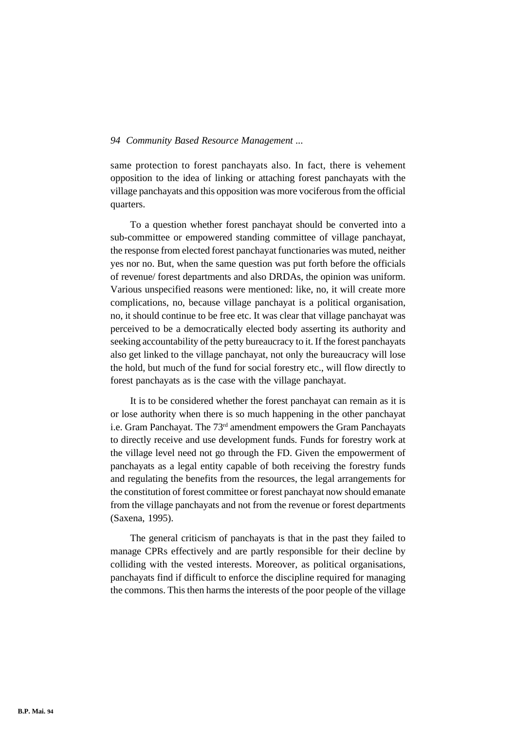same protection to forest panchayats also. In fact, there is vehement opposition to the idea of linking or attaching forest panchayats with the village panchayats and this opposition was more vociferous from the official quarters.

To a question whether forest panchayat should be converted into a sub-committee or empowered standing committee of village panchayat, the response from elected forest panchayat functionaries was muted, neither yes nor no. But, when the same question was put forth before the officials of revenue/ forest departments and also DRDAs, the opinion was uniform. Various unspecified reasons were mentioned: like, no, it will create more complications, no, because village panchayat is a political organisation, no, it should continue to be free etc. It was clear that village panchayat was perceived to be a democratically elected body asserting its authority and seeking accountability of the petty bureaucracy to it. If the forest panchayats also get linked to the village panchayat, not only the bureaucracy will lose the hold, but much of the fund for social forestry etc., will flow directly to forest panchayats as is the case with the village panchayat.

It is to be considered whether the forest panchayat can remain as it is or lose authority when there is so much happening in the other panchayat i.e. Gram Panchayat. The  $73<sup>rd</sup>$  amendment empowers the Gram Panchayats to directly receive and use development funds. Funds for forestry work at the village level need not go through the FD. Given the empowerment of panchayats as a legal entity capable of both receiving the forestry funds and regulating the benefits from the resources, the legal arrangements for the constitution of forest committee or forest panchayat now should emanate from the village panchayats and not from the revenue or forest departments (Saxena, 1995).

The general criticism of panchayats is that in the past they failed to manage CPRs effectively and are partly responsible for their decline by colliding with the vested interests. Moreover, as political organisations, panchayats find if difficult to enforce the discipline required for managing the commons. This then harms the interests of the poor people of the village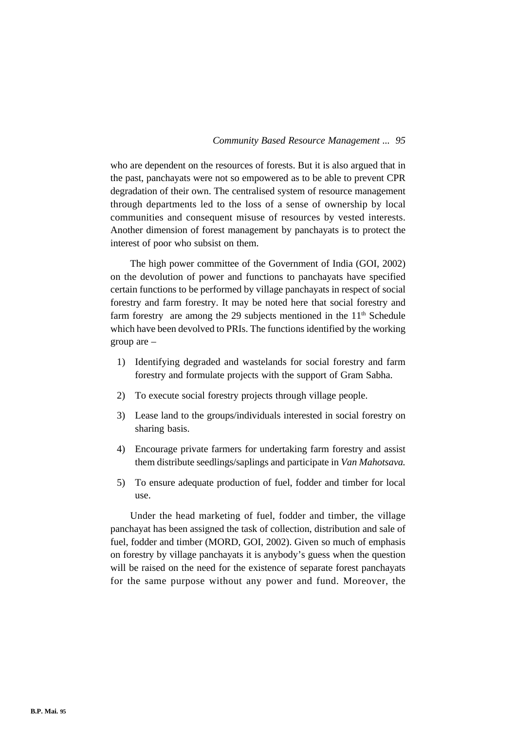who are dependent on the resources of forests. But it is also argued that in the past, panchayats were not so empowered as to be able to prevent CPR degradation of their own. The centralised system of resource management through departments led to the loss of a sense of ownership by local communities and consequent misuse of resources by vested interests. Another dimension of forest management by panchayats is to protect the interest of poor who subsist on them.

The high power committee of the Government of India (GOI, 2002) on the devolution of power and functions to panchayats have specified certain functions to be performed by village panchayats in respect of social forestry and farm forestry. It may be noted here that social forestry and farm forestry are among the 29 subjects mentioned in the 11<sup>th</sup> Schedule which have been devolved to PRIs. The functions identified by the working group are –

- 1) Identifying degraded and wastelands for social forestry and farm forestry and formulate projects with the support of Gram Sabha.
- 2) To execute social forestry projects through village people.
- 3) Lease land to the groups/individuals interested in social forestry on sharing basis.
- 4) Encourage private farmers for undertaking farm forestry and assist them distribute seedlings/saplings and participate in *Van Mahotsava.*
- 5) To ensure adequate production of fuel, fodder and timber for local use.

Under the head marketing of fuel, fodder and timber, the village panchayat has been assigned the task of collection, distribution and sale of fuel, fodder and timber (MORD, GOI, 2002). Given so much of emphasis on forestry by village panchayats it is anybody's guess when the question will be raised on the need for the existence of separate forest panchayats for the same purpose without any power and fund. Moreover, the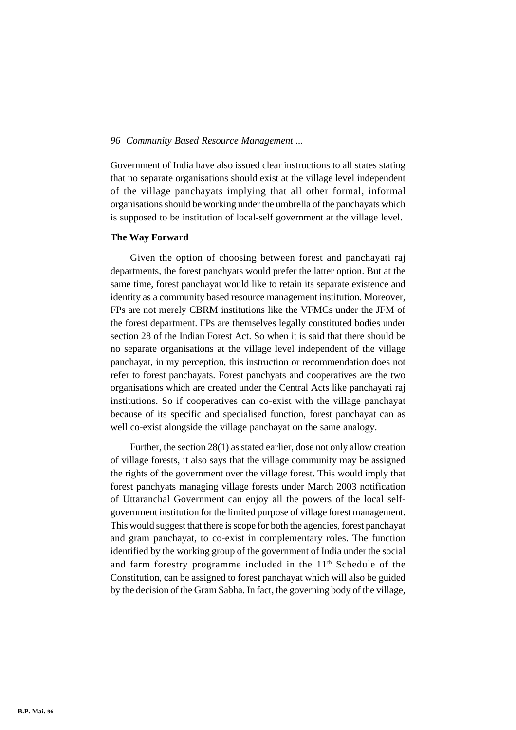Government of India have also issued clear instructions to all states stating that no separate organisations should exist at the village level independent of the village panchayats implying that all other formal, informal organisations should be working under the umbrella of the panchayats which is supposed to be institution of local-self government at the village level.

## **The Way Forward**

Given the option of choosing between forest and panchayati raj departments, the forest panchyats would prefer the latter option. But at the same time, forest panchayat would like to retain its separate existence and identity as a community based resource management institution. Moreover, FPs are not merely CBRM institutions like the VFMCs under the JFM of the forest department. FPs are themselves legally constituted bodies under section 28 of the Indian Forest Act. So when it is said that there should be no separate organisations at the village level independent of the village panchayat, in my perception, this instruction or recommendation does not refer to forest panchayats. Forest panchyats and cooperatives are the two organisations which are created under the Central Acts like panchayati raj institutions. So if cooperatives can co-exist with the village panchayat because of its specific and specialised function, forest panchayat can as well co-exist alongside the village panchayat on the same analogy.

Further, the section 28(1) as stated earlier, dose not only allow creation of village forests, it also says that the village community may be assigned the rights of the government over the village forest. This would imply that forest panchyats managing village forests under March 2003 notification of Uttaranchal Government can enjoy all the powers of the local selfgovernment institution for the limited purpose of village forest management. This would suggest that there is scope for both the agencies, forest panchayat and gram panchayat, to co-exist in complementary roles. The function identified by the working group of the government of India under the social and farm forestry programme included in the  $11<sup>th</sup>$  Schedule of the Constitution, can be assigned to forest panchayat which will also be guided by the decision of the Gram Sabha. In fact, the governing body of the village,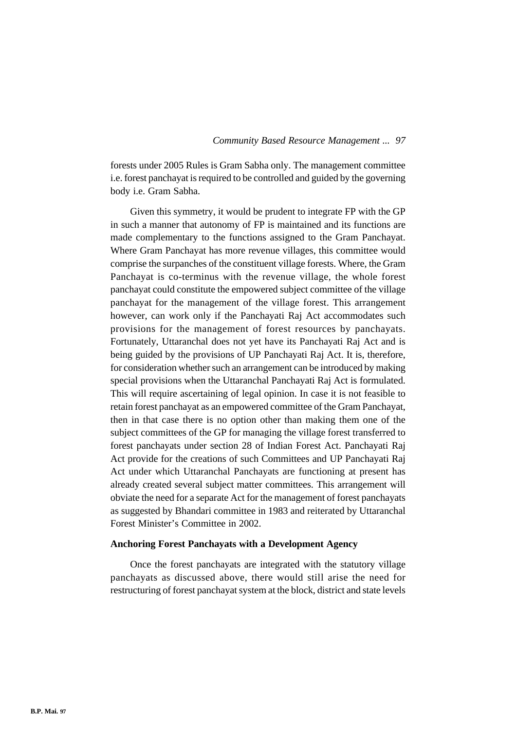forests under 2005 Rules is Gram Sabha only. The management committee i.e. forest panchayat is required to be controlled and guided by the governing body i.e. Gram Sabha.

Given this symmetry, it would be prudent to integrate FP with the GP in such a manner that autonomy of FP is maintained and its functions are made complementary to the functions assigned to the Gram Panchayat. Where Gram Panchayat has more revenue villages, this committee would comprise the surpanches of the constituent village forests. Where, the Gram Panchayat is co-terminus with the revenue village, the whole forest panchayat could constitute the empowered subject committee of the village panchayat for the management of the village forest. This arrangement however, can work only if the Panchayati Raj Act accommodates such provisions for the management of forest resources by panchayats. Fortunately, Uttaranchal does not yet have its Panchayati Raj Act and is being guided by the provisions of UP Panchayati Raj Act. It is, therefore, for consideration whether such an arrangement can be introduced by making special provisions when the Uttaranchal Panchayati Raj Act is formulated. This will require ascertaining of legal opinion. In case it is not feasible to retain forest panchayat as an empowered committee of the Gram Panchayat, then in that case there is no option other than making them one of the subject committees of the GP for managing the village forest transferred to forest panchayats under section 28 of Indian Forest Act. Panchayati Raj Act provide for the creations of such Committees and UP Panchayati Raj Act under which Uttaranchal Panchayats are functioning at present has already created several subject matter committees. This arrangement will obviate the need for a separate Act for the management of forest panchayats as suggested by Bhandari committee in 1983 and reiterated by Uttaranchal Forest Minister's Committee in 2002.

## **Anchoring Forest Panchayats with a Development Agency**

Once the forest panchayats are integrated with the statutory village panchayats as discussed above, there would still arise the need for restructuring of forest panchayat system at the block, district and state levels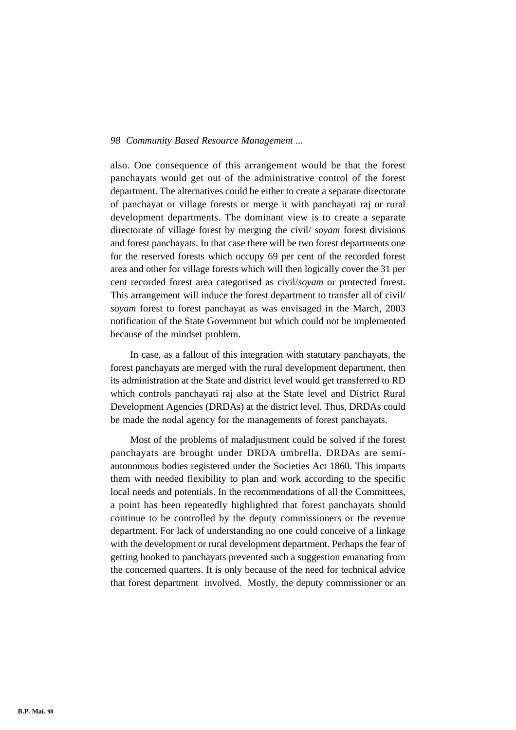also. One consequence of this arrangement would be that the forest panchayats would get out of the administrative control of the forest department. The alternatives could be either to create a separate directorate of panchayat or village forests or merge it with panchayati raj or rural development departments. The dominant view is to create a separate directorate of village forest by merging the civil/ *soyam* forest divisions and forest panchayats. In that case there will be two forest departments one for the reserved forests which occupy 69 per cent of the recorded forest area and other for village forests which will then logically cover the 31 per cent recorded forest area categorised as civil/*soyam* or protected forest. This arrangement will induce the forest department to transfer all of civil/ *soyam* forest to forest panchayat as was envisaged in the March, 2003 notification of the State Government but which could not be implemented because of the mindset problem.

In case, as a fallout of this integration with statutary panchayats, the forest panchayats are merged with the rural development department, then its administration at the State and district level would get transferred to RD which controls panchayati raj also at the State level and District Rural Development Agencies (DRDAs) at the district level. Thus, DRDAs could be made the nodal agency for the managements of forest panchayats.

Most of the problems of maladjustment could be solved if the forest panchayats are brought under DRDA umbrella. DRDAs are semiautonomous bodies registered under the Societies Act 1860. This imparts them with needed flexibility to plan and work according to the specific local needs and potentials. In the recommendations of all the Committees, a point has been repeatedly highlighted that forest panchayats should continue to be controlled by the deputy commissioners or the revenue department. For lack of understanding no one could conceive of a linkage with the development or rural development department. Perhaps the fear of getting hooked to panchayats prevented such a suggestion emanating from the concerned quarters. It is only because of the need for technical advice that forest department involved. Mostly, the deputy commissioner or an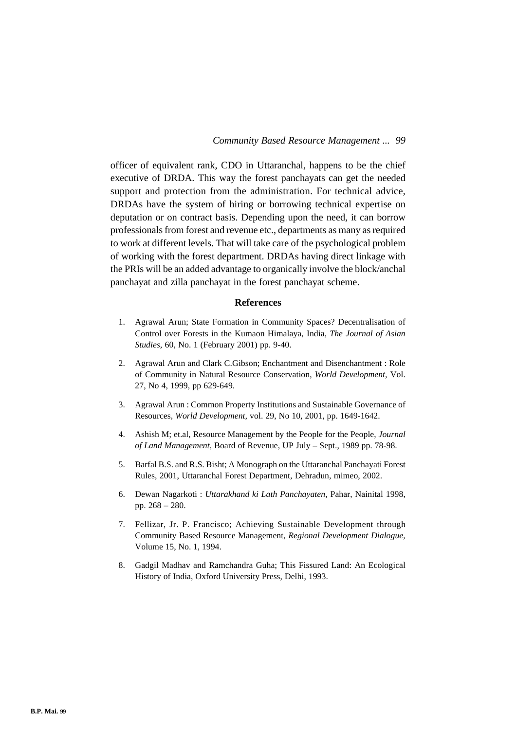officer of equivalent rank, CDO in Uttaranchal, happens to be the chief executive of DRDA. This way the forest panchayats can get the needed support and protection from the administration. For technical advice, DRDAs have the system of hiring or borrowing technical expertise on deputation or on contract basis. Depending upon the need, it can borrow professionals from forest and revenue etc., departments as many as required to work at different levels. That will take care of the psychological problem of working with the forest department. DRDAs having direct linkage with the PRIs will be an added advantage to organically involve the block/anchal panchayat and zilla panchayat in the forest panchayat scheme.

## **References**

- 1. Agrawal Arun; State Formation in Community Spaces? Decentralisation of Control over Forests in the Kumaon Himalaya, India, *The Journal of Asian Studies,* 60, No. 1 (February 2001) pp. 9-40.
- 2. Agrawal Arun and Clark C.Gibson; Enchantment and Disenchantment : Role of Community in Natural Resource Conservation, *World Development,* Vol. 27, No 4, 1999, pp 629-649.
- 3. Agrawal Arun : Common Property Institutions and Sustainable Governance of Resources, *World Development,* vol. 29, No 10, 2001, pp. 1649-1642.
- 4. Ashish M; et.al, Resource Management by the People for the People, *Journal of Land Management,* Board of Revenue, UP July – Sept., 1989 pp. 78-98.
- 5. Barfal B.S. and R.S. Bisht; A Monograph on the Uttaranchal Panchayati Forest Rules, 2001, Uttaranchal Forest Department, Dehradun, mimeo, 2002.
- 6. Dewan Nagarkoti : *Uttarakhand ki Lath Panchayaten,* Pahar, Nainital 1998, pp. 268 – 280.
- 7. Fellizar, Jr. P. Francisco; Achieving Sustainable Development through Community Based Resource Management, *Regional Development Dialogue,* Volume 15, No. 1, 1994.
- 8. Gadgil Madhav and Ramchandra Guha; This Fissured Land: An Ecological History of India, Oxford University Press, Delhi, 1993.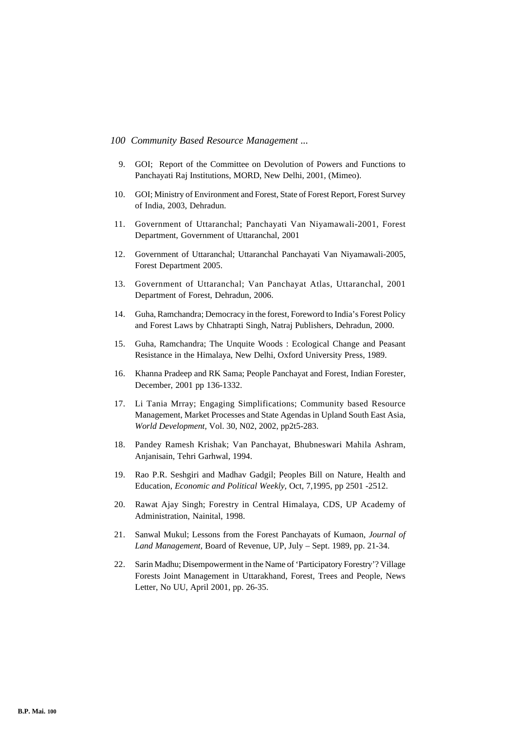- 9. GOI; Report of the Committee on Devolution of Powers and Functions to Panchayati Raj Institutions, MORD, New Delhi, 2001, (Mimeo).
- 10. GOI; Ministry of Environment and Forest, State of Forest Report, Forest Survey of India, 2003, Dehradun.
- 11. Government of Uttaranchal; Panchayati Van Niyamawali-2001, Forest Department, Government of Uttaranchal, 2001
- 12. Government of Uttaranchal; Uttaranchal Panchayati Van Niyamawali-2005, Forest Department 2005.
- 13. Government of Uttaranchal; Van Panchayat Atlas, Uttaranchal, 2001 Department of Forest, Dehradun, 2006.
- 14. Guha, Ramchandra; Democracy in the forest, Foreword to India's Forest Policy and Forest Laws by Chhatrapti Singh, Natraj Publishers, Dehradun, 2000.
- 15. Guha, Ramchandra; The Unquite Woods : Ecological Change and Peasant Resistance in the Himalaya, New Delhi, Oxford University Press, 1989.
- 16. Khanna Pradeep and RK Sama; People Panchayat and Forest, Indian Forester, December, 2001 pp 136-1332.
- 17. Li Tania Mrray; Engaging Simplifications; Community based Resource Management, Market Processes and State Agendas in Upland South East Asia, *World Development,* Vol. 30, N02, 2002, pp2t5-283.
- 18. Pandey Ramesh Krishak; Van Panchayat, Bhubneswari Mahila Ashram, Anjanisain, Tehri Garhwal, 1994.
- 19. Rao P.R. Seshgiri and Madhav Gadgil; Peoples Bill on Nature, Health and Education, *Economic and Political Weekly,* Oct, 7,1995, pp 2501 -2512.
- 20. Rawat Ajay Singh; Forestry in Central Himalaya, CDS, UP Academy of Administration, Nainital, 1998.
- 21. Sanwal Mukul; Lessons from the Forest Panchayats of Kumaon, *Journal of Land Management,* Board of Revenue, UP, July – Sept. 1989, pp. 21-34.
- 22. Sarin Madhu; Disempowerment in the Name of 'Participatory Forestry'? Village Forests Joint Management in Uttarakhand, Forest, Trees and People, News Letter, No UU, April 2001, pp. 26-35.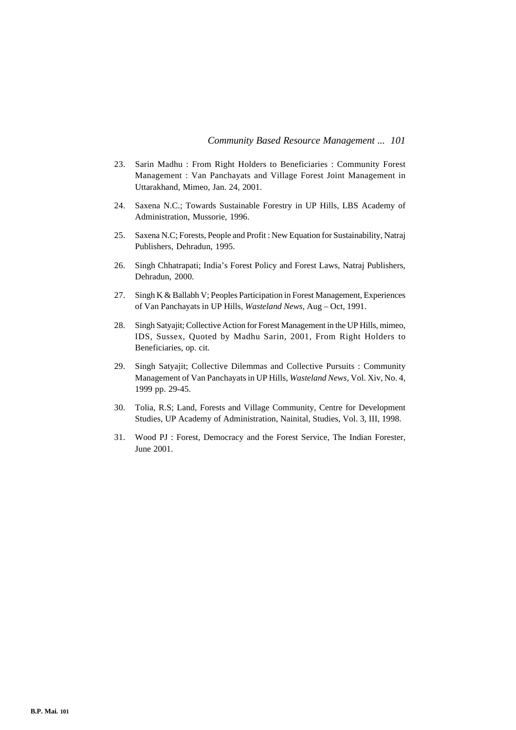- 23. Sarin Madhu : From Right Holders to Beneficiaries : Community Forest Management : Van Panchayats and Village Forest Joint Management in Uttarakhand, Mimeo, Jan. 24, 2001.
- 24. Saxena N.C.; Towards Sustainable Forestry in UP Hills, LBS Academy of Administration, Mussorie, 1996.
- 25. Saxena N.C; Forests, People and Profit : New Equation for Sustainability, Natraj Publishers, Dehradun, 1995.
- 26. Singh Chhatrapati; India's Forest Policy and Forest Laws, Natraj Publishers, Dehradun, 2000.
- 27. Singh K & Ballabh V; Peoples Participation in Forest Management, Experiences of Van Panchayats in UP Hills, *Wasteland News,* Aug – Oct, 1991.
- 28. Singh Satyajit; Collective Action for Forest Management in the UP Hills, mimeo, IDS, Sussex, Quoted by Madhu Sarin, 2001, From Right Holders to Beneficiaries, op. cit.
- 29. Singh Satyajit; Collective Dilemmas and Collective Pursuits : Community Management of Van Panchayats in UP Hills, *Wasteland News,* Vol. Xiv, No. 4, 1999 pp. 29-45.
- 30. Tolia, R.S; Land, Forests and Village Community, Centre for Development Studies, UP Academy of Administration, Nainital, Studies, Vol. 3, III, 1998.
- 31. Wood PJ : Forest, Democracy and the Forest Service, The Indian Forester, June 2001.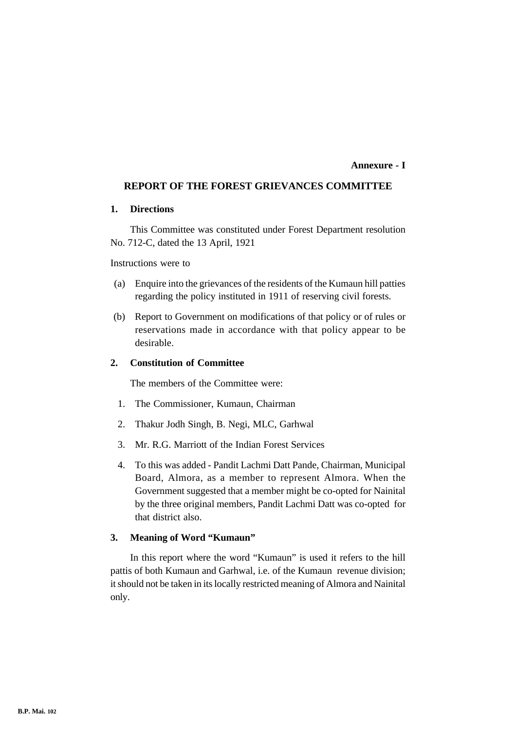## **Annexure - I**

## **REPORT OF THE FOREST GRIEVANCES COMMITTEE**

## **1. Directions**

This Committee was constituted under Forest Department resolution No. 712-C, dated the 13 April, 1921

Instructions were to

- (a) Enquire into the grievances of the residents of the Kumaun hill patties regarding the policy instituted in 1911 of reserving civil forests.
- (b) Report to Government on modifications of that policy or of rules or reservations made in accordance with that policy appear to be desirable.

## **2. Constitution of Committee**

The members of the Committee were:

- 1. The Commissioner, Kumaun, Chairman
- 2. Thakur Jodh Singh, B. Negi, MLC, Garhwal
- 3. Mr. R.G. Marriott of the Indian Forest Services
- 4. To this was added Pandit Lachmi Datt Pande, Chairman, Municipal Board, Almora, as a member to represent Almora. When the Government suggested that a member might be co-opted for Nainital by the three original members, Pandit Lachmi Datt was co-opted for that district also.

## **3. Meaning of Word "Kumaun"**

In this report where the word "Kumaun" is used it refers to the hill pattis of both Kumaun and Garhwal, i.e. of the Kumaun revenue division; it should not be taken in its locally restricted meaning of Almora and Nainital only.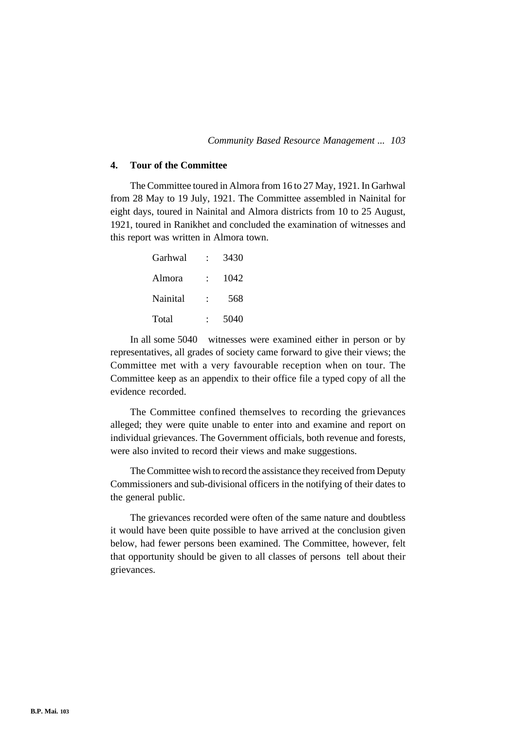## **4. Tour of the Committee**

The Committee toured in Almora from 16 to 27 May, 1921. In Garhwal from 28 May to 19 July, 1921. The Committee assembled in Nainital for eight days, toured in Nainital and Almora districts from 10 to 25 August, 1921, toured in Ranikhet and concluded the examination of witnesses and this report was written in Almora town.

| Garhwal  | 3430 |
|----------|------|
| Almora   | 1042 |
| Nainital | 568  |
| Total    | 5040 |

In all some 5040 witnesses were examined either in person or by representatives, all grades of society came forward to give their views; the Committee met with a very favourable reception when on tour. The Committee keep as an appendix to their office file a typed copy of all the evidence recorded.

The Committee confined themselves to recording the grievances alleged; they were quite unable to enter into and examine and report on individual grievances. The Government officials, both revenue and forests, were also invited to record their views and make suggestions.

The Committee wish to record the assistance they received from Deputy Commissioners and sub-divisional officers in the notifying of their dates to the general public.

The grievances recorded were often of the same nature and doubtless it would have been quite possible to have arrived at the conclusion given below, had fewer persons been examined. The Committee, however, felt that opportunity should be given to all classes of persons tell about their grievances.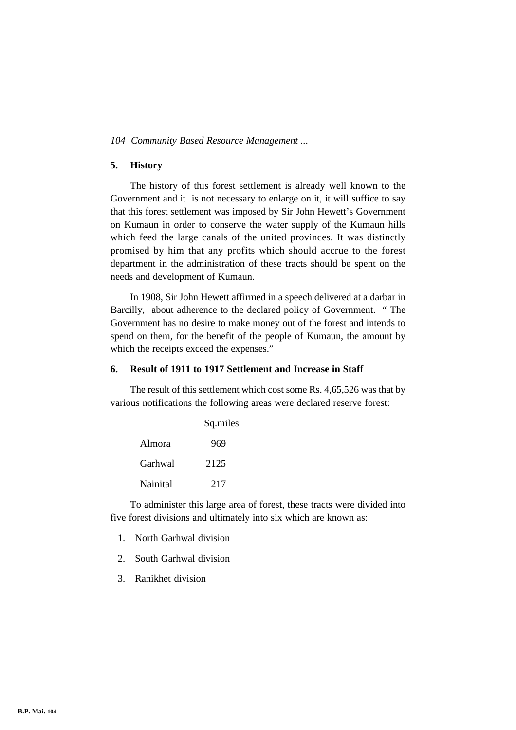## **5. History**

The history of this forest settlement is already well known to the Government and it is not necessary to enlarge on it, it will suffice to say that this forest settlement was imposed by Sir John Hewett's Government on Kumaun in order to conserve the water supply of the Kumaun hills which feed the large canals of the united provinces. It was distinctly promised by him that any profits which should accrue to the forest department in the administration of these tracts should be spent on the needs and development of Kumaun.

In 1908, Sir John Hewett affirmed in a speech delivered at a darbar in Barcilly, about adherence to the declared policy of Government. " The Government has no desire to make money out of the forest and intends to spend on them, for the benefit of the people of Kumaun, the amount by which the receipts exceed the expenses."

## **6. Result of 1911 to 1917 Settlement and Increase in Staff**

The result of this settlement which cost some Rs. 4,65,526 was that by various notifications the following areas were declared reserve forest:

|          | Sq.miles |  |  |
|----------|----------|--|--|
| Almora   | 969      |  |  |
| Garhwal  | 2125     |  |  |
| Nainital | 217      |  |  |

To administer this large area of forest, these tracts were divided into five forest divisions and ultimately into six which are known as:

- 1. North Garhwal division
- 2. South Garhwal division
- 3. Ranikhet division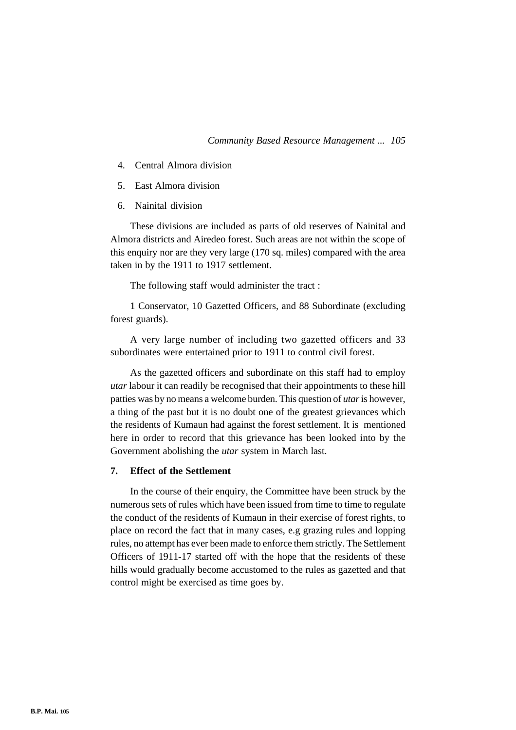- 4. Central Almora division
- 5. East Almora division
- 6. Nainital division

These divisions are included as parts of old reserves of Nainital and Almora districts and Airedeo forest. Such areas are not within the scope of this enquiry nor are they very large (170 sq. miles) compared with the area taken in by the 1911 to 1917 settlement.

The following staff would administer the tract :

1 Conservator, 10 Gazetted Officers, and 88 Subordinate (excluding forest guards).

A very large number of including two gazetted officers and 33 subordinates were entertained prior to 1911 to control civil forest.

As the gazetted officers and subordinate on this staff had to employ *utar* labour it can readily be recognised that their appointments to these hill patties was by no means a welcome burden. This question of *utar* is however, a thing of the past but it is no doubt one of the greatest grievances which the residents of Kumaun had against the forest settlement. It is mentioned here in order to record that this grievance has been looked into by the Government abolishing the *utar* system in March last.

## **7. Effect of the Settlement**

In the course of their enquiry, the Committee have been struck by the numerous sets of rules which have been issued from time to time to regulate the conduct of the residents of Kumaun in their exercise of forest rights, to place on record the fact that in many cases, e.g grazing rules and lopping rules, no attempt has ever been made to enforce them strictly. The Settlement Officers of 1911-17 started off with the hope that the residents of these hills would gradually become accustomed to the rules as gazetted and that control might be exercised as time goes by.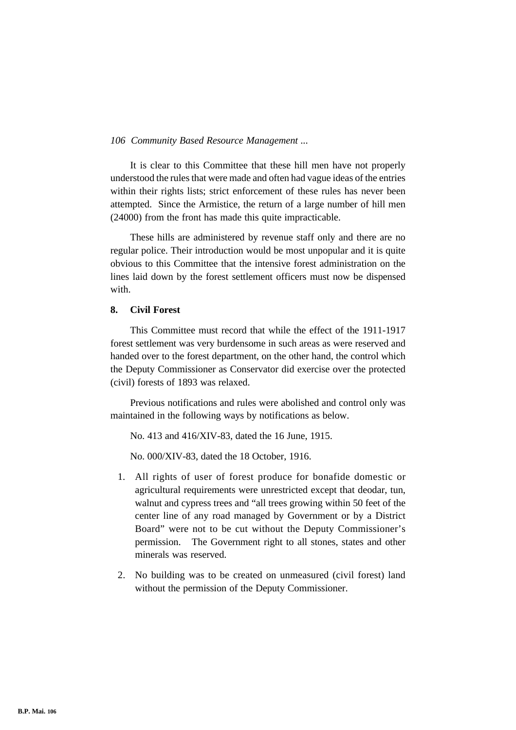It is clear to this Committee that these hill men have not properly understood the rules that were made and often had vague ideas of the entries within their rights lists; strict enforcement of these rules has never been attempted. Since the Armistice, the return of a large number of hill men (24000) from the front has made this quite impracticable.

These hills are administered by revenue staff only and there are no regular police. Their introduction would be most unpopular and it is quite obvious to this Committee that the intensive forest administration on the lines laid down by the forest settlement officers must now be dispensed with.

# **8. Civil Forest**

This Committee must record that while the effect of the 1911-1917 forest settlement was very burdensome in such areas as were reserved and handed over to the forest department, on the other hand, the control which the Deputy Commissioner as Conservator did exercise over the protected (civil) forests of 1893 was relaxed.

Previous notifications and rules were abolished and control only was maintained in the following ways by notifications as below.

No. 413 and 416/XIV-83, dated the 16 June, 1915.

No. 000/XIV-83, dated the 18 October, 1916.

- 1. All rights of user of forest produce for bonafide domestic or agricultural requirements were unrestricted except that deodar, tun, walnut and cypress trees and "all trees growing within 50 feet of the center line of any road managed by Government or by a District Board" were not to be cut without the Deputy Commissioner's permission. The Government right to all stones, states and other minerals was reserved.
- 2. No building was to be created on unmeasured (civil forest) land without the permission of the Deputy Commissioner.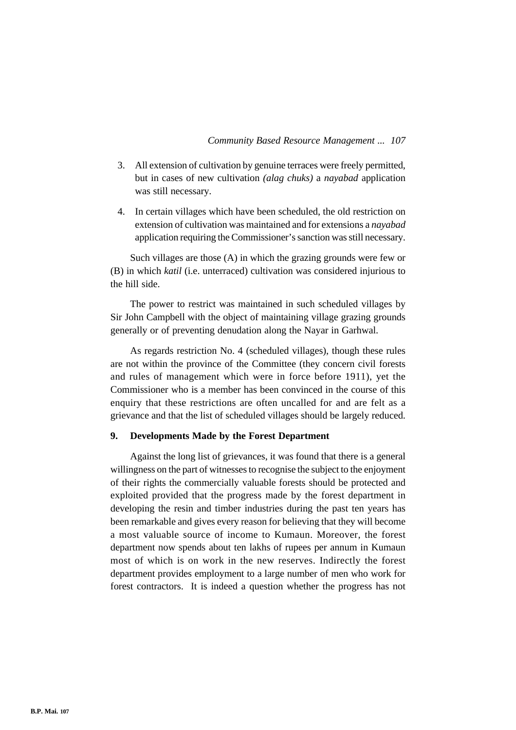- 3. All extension of cultivation by genuine terraces were freely permitted, but in cases of new cultivation *(alag chuks)* a *nayabad* application was still necessary.
- 4. In certain villages which have been scheduled, the old restriction on extension of cultivation was maintained and for extensions a *nayabad* application requiring the Commissioner's sanction was still necessary.

Such villages are those (A) in which the grazing grounds were few or (B) in which *katil* (i.e. unterraced) cultivation was considered injurious to the hill side.

The power to restrict was maintained in such scheduled villages by Sir John Campbell with the object of maintaining village grazing grounds generally or of preventing denudation along the Nayar in Garhwal.

As regards restriction No. 4 (scheduled villages), though these rules are not within the province of the Committee (they concern civil forests and rules of management which were in force before 1911), yet the Commissioner who is a member has been convinced in the course of this enquiry that these restrictions are often uncalled for and are felt as a grievance and that the list of scheduled villages should be largely reduced.

## **9. Developments Made by the Forest Department**

Against the long list of grievances, it was found that there is a general willingness on the part of witnesses to recognise the subject to the enjoyment of their rights the commercially valuable forests should be protected and exploited provided that the progress made by the forest department in developing the resin and timber industries during the past ten years has been remarkable and gives every reason for believing that they will become a most valuable source of income to Kumaun. Moreover, the forest department now spends about ten lakhs of rupees per annum in Kumaun most of which is on work in the new reserves. Indirectly the forest department provides employment to a large number of men who work for forest contractors. It is indeed a question whether the progress has not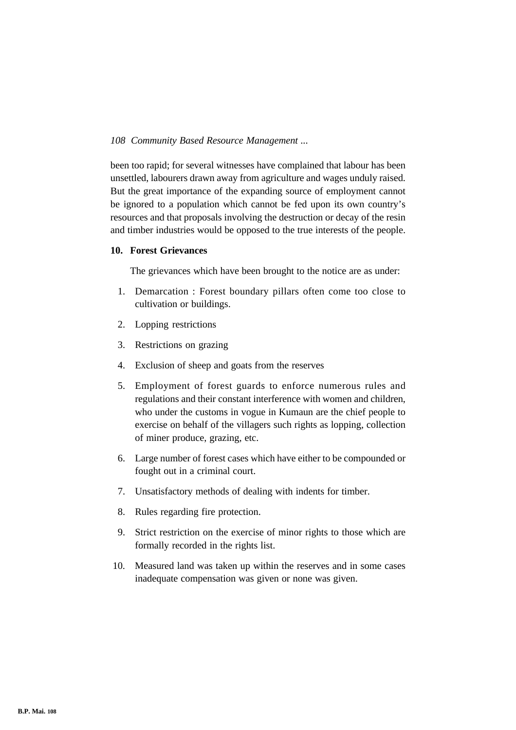been too rapid; for several witnesses have complained that labour has been unsettled, labourers drawn away from agriculture and wages unduly raised. But the great importance of the expanding source of employment cannot be ignored to a population which cannot be fed upon its own country's resources and that proposals involving the destruction or decay of the resin and timber industries would be opposed to the true interests of the people.

## **10. Forest Grievances**

The grievances which have been brought to the notice are as under:

- 1. Demarcation : Forest boundary pillars often come too close to cultivation or buildings.
- 2. Lopping restrictions
- 3. Restrictions on grazing
- 4. Exclusion of sheep and goats from the reserves
- 5. Employment of forest guards to enforce numerous rules and regulations and their constant interference with women and children, who under the customs in vogue in Kumaun are the chief people to exercise on behalf of the villagers such rights as lopping, collection of miner produce, grazing, etc.
- 6. Large number of forest cases which have either to be compounded or fought out in a criminal court.
- 7. Unsatisfactory methods of dealing with indents for timber.
- 8. Rules regarding fire protection.
- 9. Strict restriction on the exercise of minor rights to those which are formally recorded in the rights list.
- 10. Measured land was taken up within the reserves and in some cases inadequate compensation was given or none was given.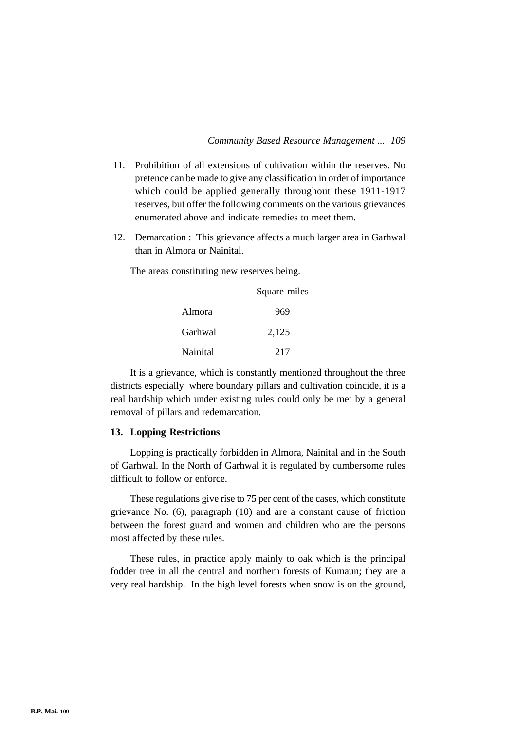- 11. Prohibition of all extensions of cultivation within the reserves. No pretence can be made to give any classification in order of importance which could be applied generally throughout these 1911-1917 reserves, but offer the following comments on the various grievances enumerated above and indicate remedies to meet them.
- 12. Demarcation : This grievance affects a much larger area in Garhwal than in Almora or Nainital.

The areas constituting new reserves being.

|          | Square miles |
|----------|--------------|
| Almora   | 969          |
| Garhwal  | 2,125        |
| Nainital | 217          |

It is a grievance, which is constantly mentioned throughout the three districts especially where boundary pillars and cultivation coincide, it is a real hardship which under existing rules could only be met by a general removal of pillars and redemarcation.

#### **13. Lopping Restrictions**

Lopping is practically forbidden in Almora, Nainital and in the South of Garhwal. In the North of Garhwal it is regulated by cumbersome rules difficult to follow or enforce.

These regulations give rise to 75 per cent of the cases, which constitute grievance No. (6), paragraph (10) and are a constant cause of friction between the forest guard and women and children who are the persons most affected by these rules.

These rules, in practice apply mainly to oak which is the principal fodder tree in all the central and northern forests of Kumaun; they are a very real hardship. In the high level forests when snow is on the ground,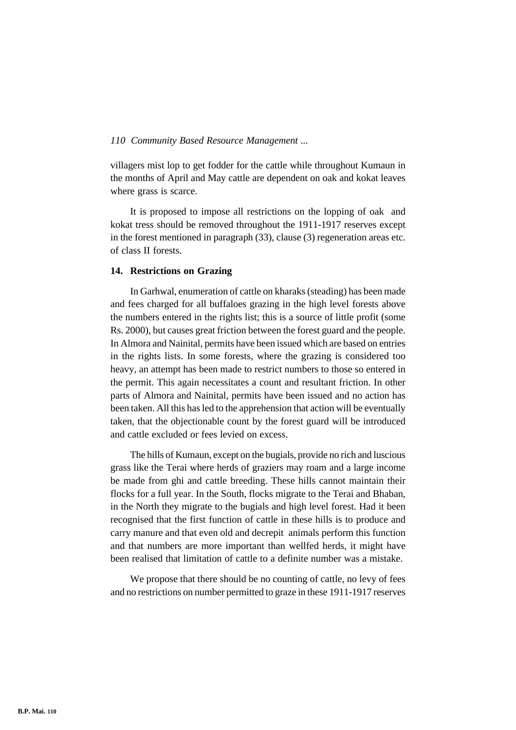villagers mist lop to get fodder for the cattle while throughout Kumaun in the months of April and May cattle are dependent on oak and kokat leaves where grass is scarce.

It is proposed to impose all restrictions on the lopping of oak and kokat tress should be removed throughout the 1911-1917 reserves except in the forest mentioned in paragraph (33), clause (3) regeneration areas etc. of class II forests.

# **14. Restrictions on Grazing**

In Garhwal, enumeration of cattle on kharaks (steading) has been made and fees charged for all buffaloes grazing in the high level forests above the numbers entered in the rights list; this is a source of little profit (some Rs. 2000), but causes great friction between the forest guard and the people. In Almora and Nainital, permits have been issued which are based on entries in the rights lists. In some forests, where the grazing is considered too heavy, an attempt has been made to restrict numbers to those so entered in the permit. This again necessitates a count and resultant friction. In other parts of Almora and Nainital, permits have been issued and no action has been taken. All this has led to the apprehension that action will be eventually taken, that the objectionable count by the forest guard will be introduced and cattle excluded or fees levied on excess.

The hills of Kumaun, except on the bugials, provide no rich and luscious grass like the Terai where herds of graziers may roam and a large income be made from ghi and cattle breeding. These hills cannot maintain their flocks for a full year. In the South, flocks migrate to the Terai and Bhaban, in the North they migrate to the bugials and high level forest. Had it been recognised that the first function of cattle in these hills is to produce and carry manure and that even old and decrepit animals perform this function and that numbers are more important than wellfed herds, it might have been realised that limitation of cattle to a definite number was a mistake.

We propose that there should be no counting of cattle, no levy of fees and no restrictions on number permitted to graze in these 1911-1917 reserves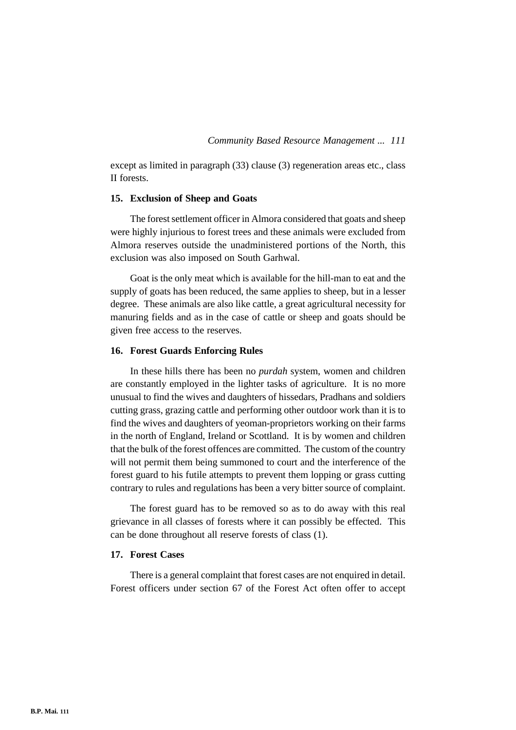except as limited in paragraph (33) clause (3) regeneration areas etc., class II forests.

#### **15. Exclusion of Sheep and Goats**

The forest settlement officer in Almora considered that goats and sheep were highly injurious to forest trees and these animals were excluded from Almora reserves outside the unadministered portions of the North, this exclusion was also imposed on South Garhwal.

Goat is the only meat which is available for the hill-man to eat and the supply of goats has been reduced, the same applies to sheep, but in a lesser degree. These animals are also like cattle, a great agricultural necessity for manuring fields and as in the case of cattle or sheep and goats should be given free access to the reserves.

#### **16. Forest Guards Enforcing Rules**

In these hills there has been no *purdah* system, women and children are constantly employed in the lighter tasks of agriculture. It is no more unusual to find the wives and daughters of hissedars, Pradhans and soldiers cutting grass, grazing cattle and performing other outdoor work than it is to find the wives and daughters of yeoman-proprietors working on their farms in the north of England, Ireland or Scottland. It is by women and children that the bulk of the forest offences are committed. The custom of the country will not permit them being summoned to court and the interference of the forest guard to his futile attempts to prevent them lopping or grass cutting contrary to rules and regulations has been a very bitter source of complaint.

The forest guard has to be removed so as to do away with this real grievance in all classes of forests where it can possibly be effected. This can be done throughout all reserve forests of class (1).

#### **17. Forest Cases**

There is a general complaint that forest cases are not enquired in detail. Forest officers under section 67 of the Forest Act often offer to accept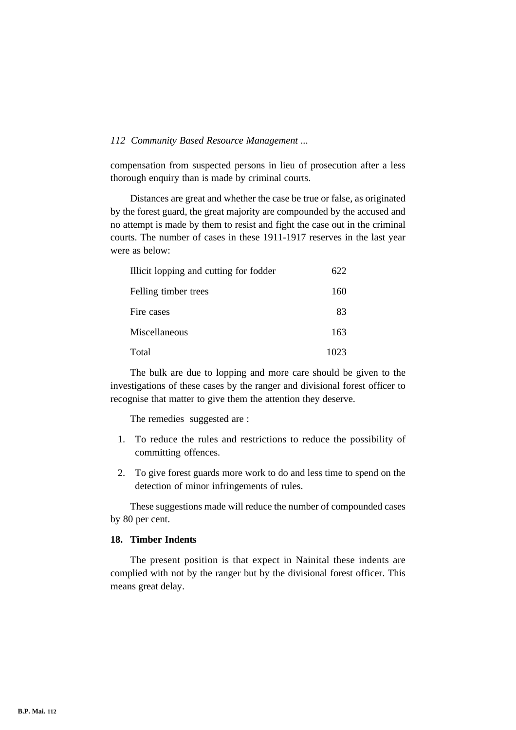compensation from suspected persons in lieu of prosecution after a less thorough enquiry than is made by criminal courts.

Distances are great and whether the case be true or false, as originated by the forest guard, the great majority are compounded by the accused and no attempt is made by them to resist and fight the case out in the criminal courts. The number of cases in these 1911-1917 reserves in the last year were as below:

| Illicit lopping and cutting for fodder | 622  |
|----------------------------------------|------|
| Felling timber trees                   | 160  |
| Fire cases                             | 83   |
| Miscellaneous                          | 163  |
| Total                                  | 1023 |

The bulk are due to lopping and more care should be given to the investigations of these cases by the ranger and divisional forest officer to recognise that matter to give them the attention they deserve.

The remedies suggested are :

- 1. To reduce the rules and restrictions to reduce the possibility of committing offences.
- 2. To give forest guards more work to do and less time to spend on the detection of minor infringements of rules.

These suggestions made will reduce the number of compounded cases by 80 per cent.

# **18. Timber Indents**

The present position is that expect in Nainital these indents are complied with not by the ranger but by the divisional forest officer. This means great delay.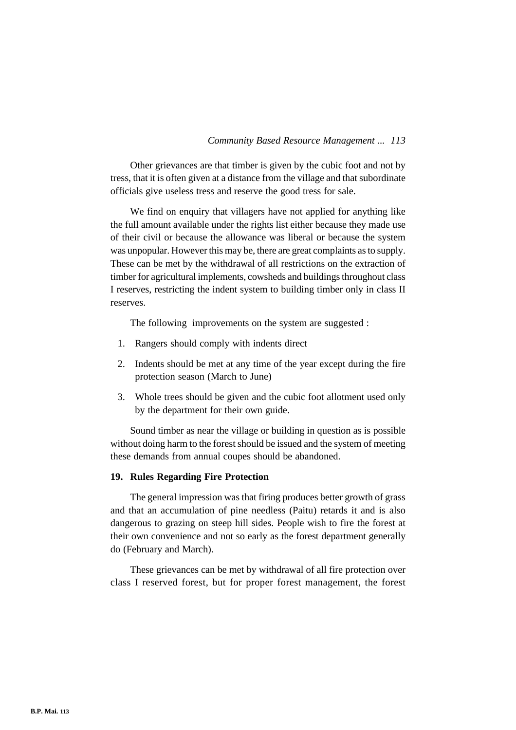Other grievances are that timber is given by the cubic foot and not by tress, that it is often given at a distance from the village and that subordinate officials give useless tress and reserve the good tress for sale.

We find on enquiry that villagers have not applied for anything like the full amount available under the rights list either because they made use of their civil or because the allowance was liberal or because the system was unpopular. However this may be, there are great complaints as to supply. These can be met by the withdrawal of all restrictions on the extraction of timber for agricultural implements, cowsheds and buildings throughout class I reserves, restricting the indent system to building timber only in class II reserves.

The following improvements on the system are suggested :

- 1. Rangers should comply with indents direct
- 2. Indents should be met at any time of the year except during the fire protection season (March to June)
- 3. Whole trees should be given and the cubic foot allotment used only by the department for their own guide.

Sound timber as near the village or building in question as is possible without doing harm to the forest should be issued and the system of meeting these demands from annual coupes should be abandoned.

#### **19. Rules Regarding Fire Protection**

The general impression was that firing produces better growth of grass and that an accumulation of pine needless (Paitu) retards it and is also dangerous to grazing on steep hill sides. People wish to fire the forest at their own convenience and not so early as the forest department generally do (February and March).

These grievances can be met by withdrawal of all fire protection over class I reserved forest, but for proper forest management, the forest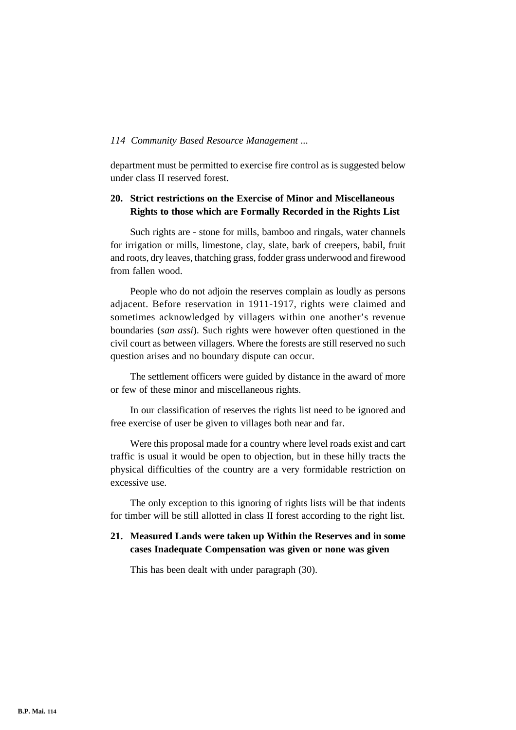department must be permitted to exercise fire control as is suggested below under class II reserved forest.

# **20. Strict restrictions on the Exercise of Minor and Miscellaneous Rights to those which are Formally Recorded in the Rights List**

Such rights are - stone for mills, bamboo and ringals, water channels for irrigation or mills, limestone, clay, slate, bark of creepers, babil, fruit and roots, dry leaves, thatching grass, fodder grass underwood and firewood from fallen wood.

People who do not adjoin the reserves complain as loudly as persons adjacent. Before reservation in 1911-1917, rights were claimed and sometimes acknowledged by villagers within one another's revenue boundaries (*san assi*). Such rights were however often questioned in the civil court as between villagers. Where the forests are still reserved no such question arises and no boundary dispute can occur.

The settlement officers were guided by distance in the award of more or few of these minor and miscellaneous rights.

In our classification of reserves the rights list need to be ignored and free exercise of user be given to villages both near and far.

Were this proposal made for a country where level roads exist and cart traffic is usual it would be open to objection, but in these hilly tracts the physical difficulties of the country are a very formidable restriction on excessive use.

The only exception to this ignoring of rights lists will be that indents for timber will be still allotted in class II forest according to the right list.

# **21. Measured Lands were taken up Within the Reserves and in some cases Inadequate Compensation was given or none was given**

This has been dealt with under paragraph (30).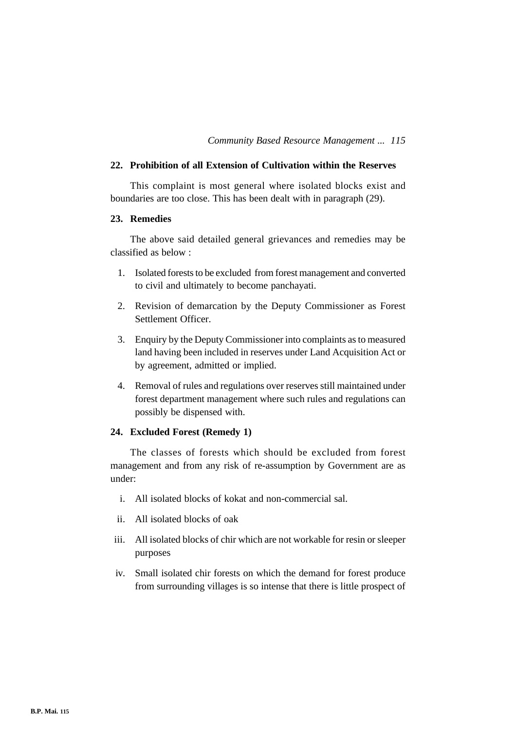# **22. Prohibition of all Extension of Cultivation within the Reserves**

This complaint is most general where isolated blocks exist and boundaries are too close. This has been dealt with in paragraph (29).

# **23. Remedies**

The above said detailed general grievances and remedies may be classified as below :

- 1. Isolated forests to be excluded from forest management and converted to civil and ultimately to become panchayati.
- 2. Revision of demarcation by the Deputy Commissioner as Forest Settlement Officer.
- 3. Enquiry by the Deputy Commissioner into complaints as to measured land having been included in reserves under Land Acquisition Act or by agreement, admitted or implied.
- 4. Removal of rules and regulations over reserves still maintained under forest department management where such rules and regulations can possibly be dispensed with.

# **24. Excluded Forest (Remedy 1)**

The classes of forests which should be excluded from forest management and from any risk of re-assumption by Government are as under:

- i. All isolated blocks of kokat and non-commercial sal.
- ii. All isolated blocks of oak
- iii. All isolated blocks of chir which are not workable for resin or sleeper purposes
- iv. Small isolated chir forests on which the demand for forest produce from surrounding villages is so intense that there is little prospect of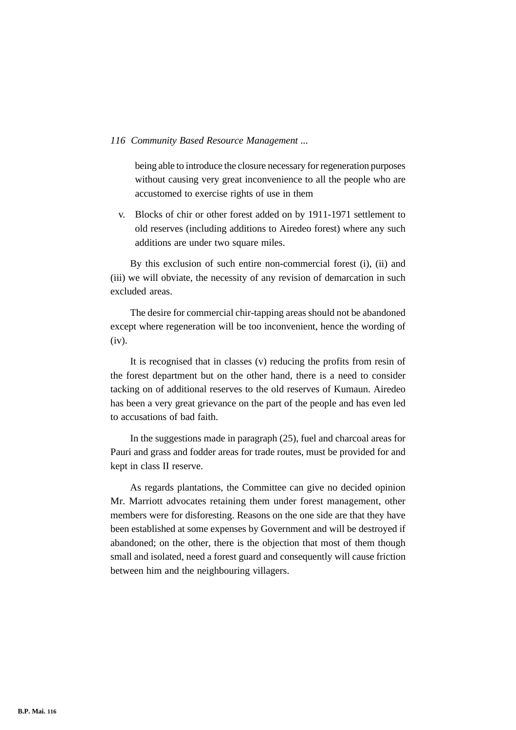being able to introduce the closure necessary for regeneration purposes without causing very great inconvenience to all the people who are accustomed to exercise rights of use in them

v. Blocks of chir or other forest added on by 1911-1971 settlement to old reserves (including additions to Airedeo forest) where any such additions are under two square miles.

By this exclusion of such entire non-commercial forest (i), (ii) and (iii) we will obviate, the necessity of any revision of demarcation in such excluded areas.

The desire for commercial chir-tapping areas should not be abandoned except where regeneration will be too inconvenient, hence the wording of (iv).

It is recognised that in classes (v) reducing the profits from resin of the forest department but on the other hand, there is a need to consider tacking on of additional reserves to the old reserves of Kumaun. Airedeo has been a very great grievance on the part of the people and has even led to accusations of bad faith.

In the suggestions made in paragraph (25), fuel and charcoal areas for Pauri and grass and fodder areas for trade routes, must be provided for and kept in class II reserve.

As regards plantations, the Committee can give no decided opinion Mr. Marriott advocates retaining them under forest management, other members were for disforesting. Reasons on the one side are that they have been established at some expenses by Government and will be destroyed if abandoned; on the other, there is the objection that most of them though small and isolated, need a forest guard and consequently will cause friction between him and the neighbouring villagers.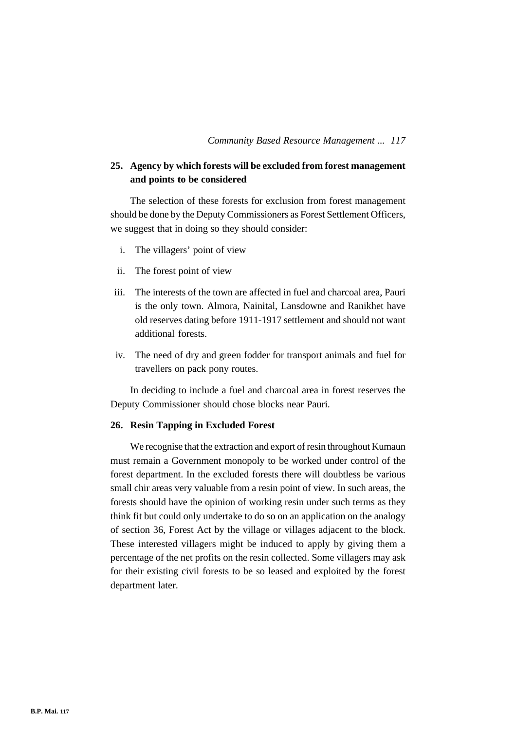# **25. Agency by which forests will be excluded from forest management and points to be considered**

The selection of these forests for exclusion from forest management should be done by the Deputy Commissioners as Forest Settlement Officers, we suggest that in doing so they should consider:

- i. The villagers' point of view
- ii. The forest point of view
- iii. The interests of the town are affected in fuel and charcoal area, Pauri is the only town. Almora, Nainital, Lansdowne and Ranikhet have old reserves dating before 1911-1917 settlement and should not want additional forests.
- iv. The need of dry and green fodder for transport animals and fuel for travellers on pack pony routes.

In deciding to include a fuel and charcoal area in forest reserves the Deputy Commissioner should chose blocks near Pauri.

#### **26. Resin Tapping in Excluded Forest**

We recognise that the extraction and export of resin throughout Kumaun must remain a Government monopoly to be worked under control of the forest department. In the excluded forests there will doubtless be various small chir areas very valuable from a resin point of view. In such areas, the forests should have the opinion of working resin under such terms as they think fit but could only undertake to do so on an application on the analogy of section 36, Forest Act by the village or villages adjacent to the block. These interested villagers might be induced to apply by giving them a percentage of the net profits on the resin collected. Some villagers may ask for their existing civil forests to be so leased and exploited by the forest department later.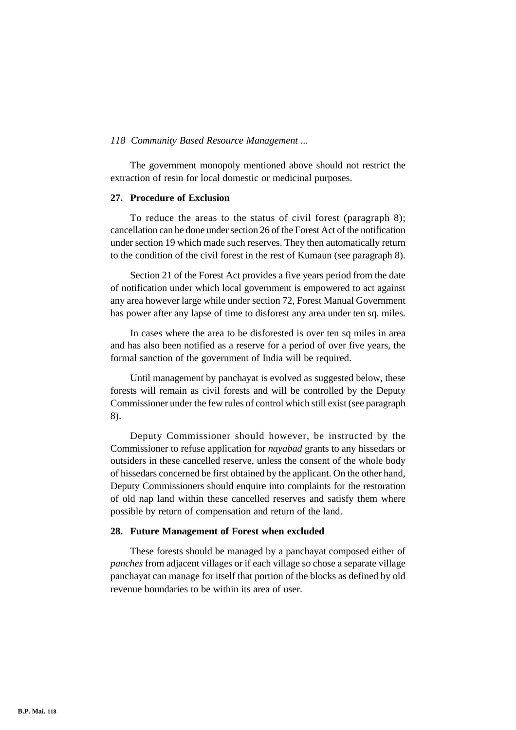The government monopoly mentioned above should not restrict the extraction of resin for local domestic or medicinal purposes.

#### **27. Procedure of Exclusion**

To reduce the areas to the status of civil forest (paragraph 8); cancellation can be done under section 26 of the Forest Act of the notification under section 19 which made such reserves. They then automatically return to the condition of the civil forest in the rest of Kumaun (see paragraph 8).

Section 21 of the Forest Act provides a five years period from the date of notification under which local government is empowered to act against any area however large while under section 72, Forest Manual Government has power after any lapse of time to disforest any area under ten sq. miles.

In cases where the area to be disforested is over ten sq miles in area and has also been notified as a reserve for a period of over five years, the formal sanction of the government of India will be required.

Until management by panchayat is evolved as suggested below, these forests will remain as civil forests and will be controlled by the Deputy Commissioner under the few rules of control which still exist (see paragraph 8).

Deputy Commissioner should however, be instructed by the Commissioner to refuse application for *nayabad* grants to any hissedars or outsiders in these cancelled reserve, unless the consent of the whole body of hissedars concerned be first obtained by the applicant. On the other hand, Deputy Commissioners should enquire into complaints for the restoration of old nap land within these cancelled reserves and satisfy them where possible by return of compensation and return of the land.

#### **28. Future Management of Forest when excluded**

These forests should be managed by a panchayat composed either of *panches* from adjacent villages or if each village so chose a separate village panchayat can manage for itself that portion of the blocks as defined by old revenue boundaries to be within its area of user.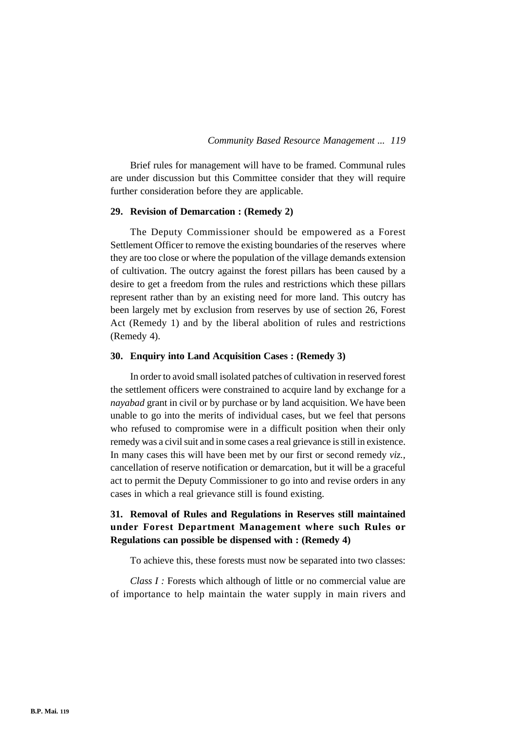Brief rules for management will have to be framed. Communal rules are under discussion but this Committee consider that they will require further consideration before they are applicable.

#### **29. Revision of Demarcation : (Remedy 2)**

The Deputy Commissioner should be empowered as a Forest Settlement Officer to remove the existing boundaries of the reserves where they are too close or where the population of the village demands extension of cultivation. The outcry against the forest pillars has been caused by a desire to get a freedom from the rules and restrictions which these pillars represent rather than by an existing need for more land. This outcry has been largely met by exclusion from reserves by use of section 26, Forest Act (Remedy 1) and by the liberal abolition of rules and restrictions (Remedy 4).

# **30. Enquiry into Land Acquisition Cases : (Remedy 3)**

In order to avoid small isolated patches of cultivation in reserved forest the settlement officers were constrained to acquire land by exchange for a *nayabad* grant in civil or by purchase or by land acquisition. We have been unable to go into the merits of individual cases, but we feel that persons who refused to compromise were in a difficult position when their only remedy was a civil suit and in some cases a real grievance is still in existence. In many cases this will have been met by our first or second remedy *viz.,* cancellation of reserve notification or demarcation, but it will be a graceful act to permit the Deputy Commissioner to go into and revise orders in any cases in which a real grievance still is found existing.

# **31. Removal of Rules and Regulations in Reserves still maintained under Forest Department Management where such Rules or Regulations can possible be dispensed with : (Remedy 4)**

To achieve this, these forests must now be separated into two classes:

*Class I :* Forests which although of little or no commercial value are of importance to help maintain the water supply in main rivers and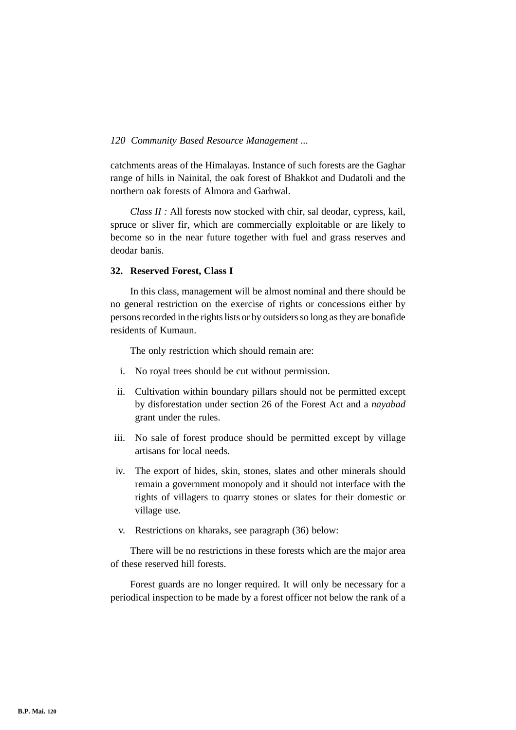catchments areas of the Himalayas. Instance of such forests are the Gaghar range of hills in Nainital, the oak forest of Bhakkot and Dudatoli and the northern oak forests of Almora and Garhwal.

*Class II :* All forests now stocked with chir, sal deodar, cypress, kail, spruce or sliver fir, which are commercially exploitable or are likely to become so in the near future together with fuel and grass reserves and deodar banis.

# **32. Reserved Forest, Class I**

In this class, management will be almost nominal and there should be no general restriction on the exercise of rights or concessions either by persons recorded in the rights lists or by outsiders so long as they are bonafide residents of Kumaun.

The only restriction which should remain are:

- i. No royal trees should be cut without permission.
- ii. Cultivation within boundary pillars should not be permitted except by disforestation under section 26 of the Forest Act and a *nayabad* grant under the rules.
- iii. No sale of forest produce should be permitted except by village artisans for local needs.
- iv. The export of hides, skin, stones, slates and other minerals should remain a government monopoly and it should not interface with the rights of villagers to quarry stones or slates for their domestic or village use.
- v. Restrictions on kharaks, see paragraph (36) below:

There will be no restrictions in these forests which are the major area of these reserved hill forests.

Forest guards are no longer required. It will only be necessary for a periodical inspection to be made by a forest officer not below the rank of a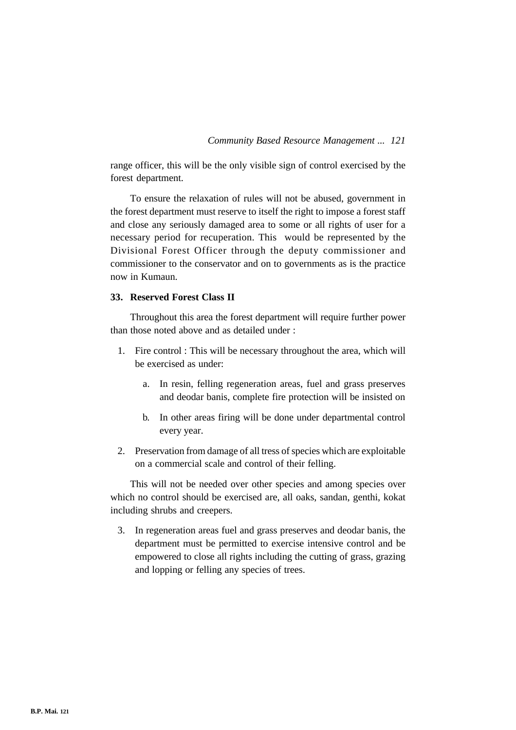range officer, this will be the only visible sign of control exercised by the forest department.

To ensure the relaxation of rules will not be abused, government in the forest department must reserve to itself the right to impose a forest staff and close any seriously damaged area to some or all rights of user for a necessary period for recuperation. This would be represented by the Divisional Forest Officer through the deputy commissioner and commissioner to the conservator and on to governments as is the practice now in Kumaun.

# **33. Reserved Forest Class II**

Throughout this area the forest department will require further power than those noted above and as detailed under :

- 1. Fire control : This will be necessary throughout the area, which will be exercised as under:
	- a. In resin, felling regeneration areas, fuel and grass preserves and deodar banis, complete fire protection will be insisted on
	- b. In other areas firing will be done under departmental control every year.
- 2. Preservation from damage of all tress of species which are exploitable on a commercial scale and control of their felling.

This will not be needed over other species and among species over which no control should be exercised are, all oaks, sandan, genthi, kokat including shrubs and creepers.

3. In regeneration areas fuel and grass preserves and deodar banis, the department must be permitted to exercise intensive control and be empowered to close all rights including the cutting of grass, grazing and lopping or felling any species of trees.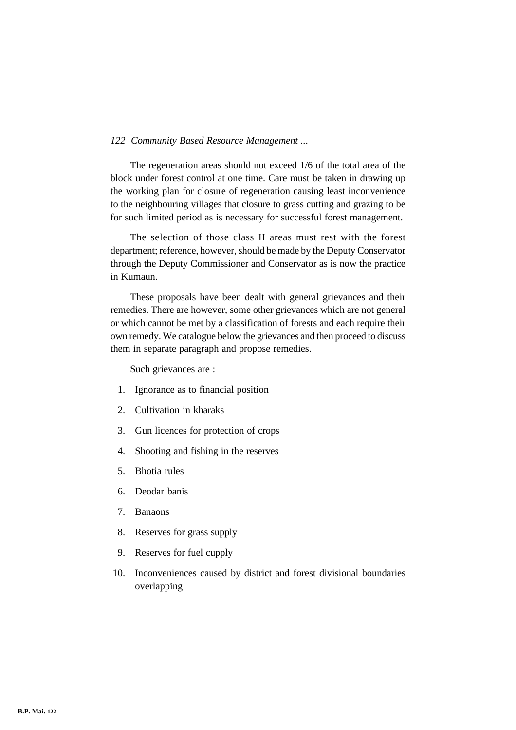The regeneration areas should not exceed 1/6 of the total area of the block under forest control at one time. Care must be taken in drawing up the working plan for closure of regeneration causing least inconvenience to the neighbouring villages that closure to grass cutting and grazing to be for such limited period as is necessary for successful forest management.

The selection of those class II areas must rest with the forest department; reference, however, should be made by the Deputy Conservator through the Deputy Commissioner and Conservator as is now the practice in Kumaun.

These proposals have been dealt with general grievances and their remedies. There are however, some other grievances which are not general or which cannot be met by a classification of forests and each require their own remedy. We catalogue below the grievances and then proceed to discuss them in separate paragraph and propose remedies.

Such grievances are :

- 1. Ignorance as to financial position
- 2. Cultivation in kharaks
- 3. Gun licences for protection of crops
- 4. Shooting and fishing in the reserves
- 5. Bhotia rules
- 6. Deodar banis
- 7. Banaons
- 8. Reserves for grass supply
- 9. Reserves for fuel cupply
- 10. Inconveniences caused by district and forest divisional boundaries overlapping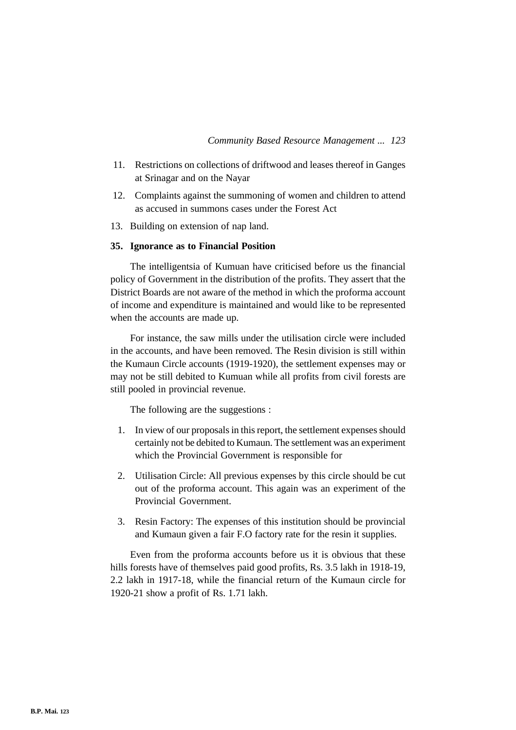- 11. Restrictions on collections of driftwood and leases thereof in Ganges at Srinagar and on the Nayar
- 12. Complaints against the summoning of women and children to attend as accused in summons cases under the Forest Act
- 13. Building on extension of nap land.

# **35. Ignorance as to Financial Position**

The intelligentsia of Kumuan have criticised before us the financial policy of Government in the distribution of the profits. They assert that the District Boards are not aware of the method in which the proforma account of income and expenditure is maintained and would like to be represented when the accounts are made up.

For instance, the saw mills under the utilisation circle were included in the accounts, and have been removed. The Resin division is still within the Kumaun Circle accounts (1919-1920), the settlement expenses may or may not be still debited to Kumuan while all profits from civil forests are still pooled in provincial revenue.

The following are the suggestions :

- 1. In view of our proposals in this report, the settlement expenses should certainly not be debited to Kumaun. The settlement was an experiment which the Provincial Government is responsible for
- 2. Utilisation Circle: All previous expenses by this circle should be cut out of the proforma account. This again was an experiment of the Provincial Government.
- 3. Resin Factory: The expenses of this institution should be provincial and Kumaun given a fair F.O factory rate for the resin it supplies.

Even from the proforma accounts before us it is obvious that these hills forests have of themselves paid good profits, Rs. 3.5 lakh in 1918-19, 2.2 lakh in 1917-18, while the financial return of the Kumaun circle for 1920-21 show a profit of Rs. 1.71 lakh.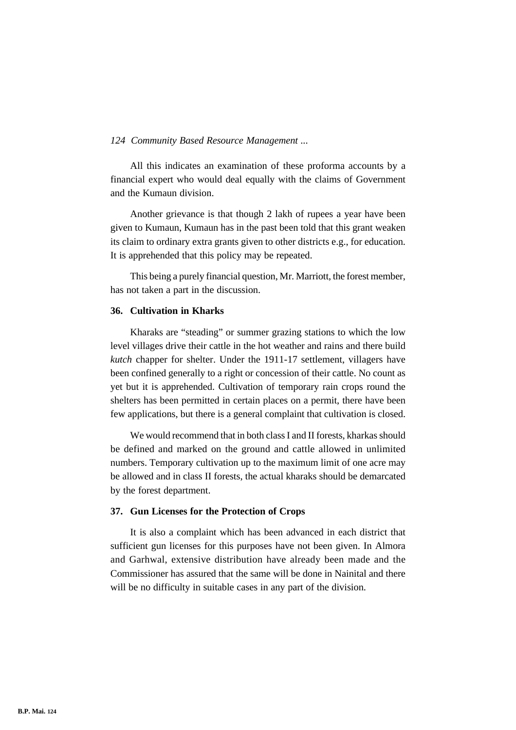All this indicates an examination of these proforma accounts by a financial expert who would deal equally with the claims of Government and the Kumaun division.

Another grievance is that though 2 lakh of rupees a year have been given to Kumaun, Kumaun has in the past been told that this grant weaken its claim to ordinary extra grants given to other districts e.g., for education. It is apprehended that this policy may be repeated.

This being a purely financial question, Mr. Marriott, the forest member, has not taken a part in the discussion.

### **36. Cultivation in Kharks**

Kharaks are "steading" or summer grazing stations to which the low level villages drive their cattle in the hot weather and rains and there build *kutch* chapper for shelter. Under the 1911-17 settlement, villagers have been confined generally to a right or concession of their cattle. No count as yet but it is apprehended. Cultivation of temporary rain crops round the shelters has been permitted in certain places on a permit, there have been few applications, but there is a general complaint that cultivation is closed.

We would recommend that in both class I and II forests, kharkas should be defined and marked on the ground and cattle allowed in unlimited numbers. Temporary cultivation up to the maximum limit of one acre may be allowed and in class II forests, the actual kharaks should be demarcated by the forest department.

#### **37. Gun Licenses for the Protection of Crops**

It is also a complaint which has been advanced in each district that sufficient gun licenses for this purposes have not been given. In Almora and Garhwal, extensive distribution have already been made and the Commissioner has assured that the same will be done in Nainital and there will be no difficulty in suitable cases in any part of the division.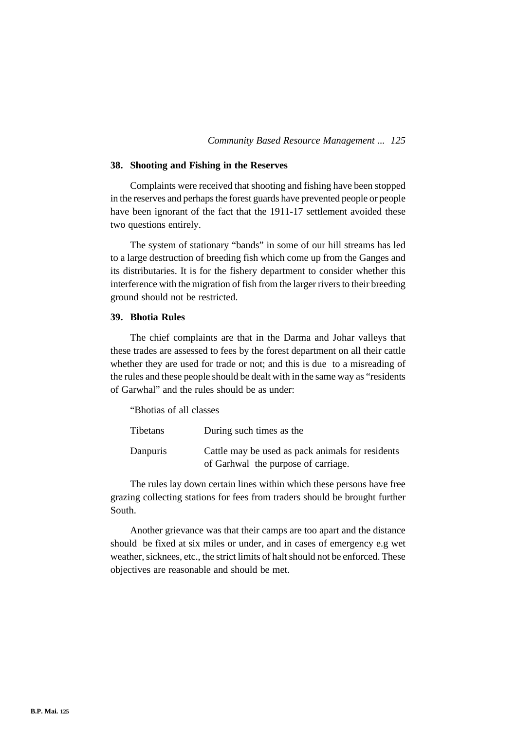#### **38. Shooting and Fishing in the Reserves**

Complaints were received that shooting and fishing have been stopped in the reserves and perhaps the forest guards have prevented people or people have been ignorant of the fact that the 1911-17 settlement avoided these two questions entirely.

The system of stationary "bands" in some of our hill streams has led to a large destruction of breeding fish which come up from the Ganges and its distributaries. It is for the fishery department to consider whether this interference with the migration of fish from the larger rivers to their breeding ground should not be restricted.

#### **39. Bhotia Rules**

The chief complaints are that in the Darma and Johar valleys that these trades are assessed to fees by the forest department on all their cattle whether they are used for trade or not; and this is due to a misreading of the rules and these people should be dealt with in the same way as "residents of Garwhal" and the rules should be as under:

"Bhotias of all classes

| Tibetans | During such times as the                         |
|----------|--------------------------------------------------|
| Danpuris | Cattle may be used as pack animals for residents |
|          | of Garhwal the purpose of carriage.              |

The rules lay down certain lines within which these persons have free grazing collecting stations for fees from traders should be brought further South.

Another grievance was that their camps are too apart and the distance should be fixed at six miles or under, and in cases of emergency e.g wet weather, sicknees, etc., the strict limits of halt should not be enforced. These objectives are reasonable and should be met.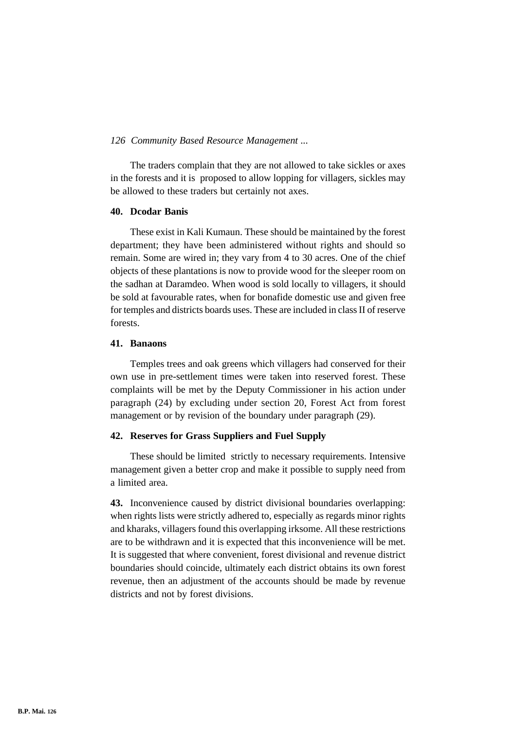The traders complain that they are not allowed to take sickles or axes in the forests and it is proposed to allow lopping for villagers, sickles may be allowed to these traders but certainly not axes.

#### **40. Dcodar Banis**

These exist in Kali Kumaun. These should be maintained by the forest department; they have been administered without rights and should so remain. Some are wired in; they vary from 4 to 30 acres. One of the chief objects of these plantations is now to provide wood for the sleeper room on the sadhan at Daramdeo. When wood is sold locally to villagers, it should be sold at favourable rates, when for bonafide domestic use and given free for temples and districts boards uses. These are included in class II of reserve forests.

#### **41. Banaons**

Temples trees and oak greens which villagers had conserved for their own use in pre-settlement times were taken into reserved forest. These complaints will be met by the Deputy Commissioner in his action under paragraph (24) by excluding under section 20, Forest Act from forest management or by revision of the boundary under paragraph (29).

# **42. Reserves for Grass Suppliers and Fuel Supply**

These should be limited strictly to necessary requirements. Intensive management given a better crop and make it possible to supply need from a limited area.

**43.** Inconvenience caused by district divisional boundaries overlapping: when rights lists were strictly adhered to, especially as regards minor rights and kharaks, villagers found this overlapping irksome. All these restrictions are to be withdrawn and it is expected that this inconvenience will be met. It is suggested that where convenient, forest divisional and revenue district boundaries should coincide, ultimately each district obtains its own forest revenue, then an adjustment of the accounts should be made by revenue districts and not by forest divisions.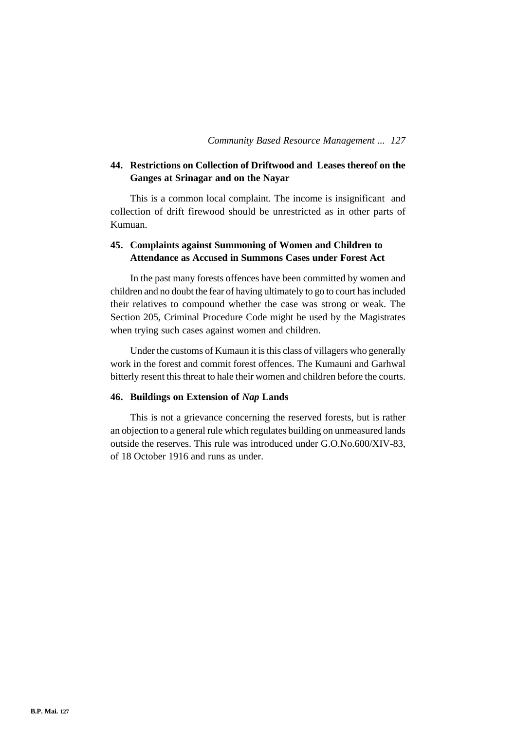# **44. Restrictions on Collection of Driftwood and Leases thereof on the Ganges at Srinagar and on the Nayar**

This is a common local complaint. The income is insignificant and collection of drift firewood should be unrestricted as in other parts of Kumuan.

# **45. Complaints against Summoning of Women and Children to Attendance as Accused in Summons Cases under Forest Act**

In the past many forests offences have been committed by women and children and no doubt the fear of having ultimately to go to court has included their relatives to compound whether the case was strong or weak. The Section 205, Criminal Procedure Code might be used by the Magistrates when trying such cases against women and children.

Under the customs of Kumaun it is this class of villagers who generally work in the forest and commit forest offences. The Kumauni and Garhwal bitterly resent this threat to hale their women and children before the courts.

# **46. Buildings on Extension of** *Nap* **Lands**

This is not a grievance concerning the reserved forests, but is rather an objection to a general rule which regulates building on unmeasured lands outside the reserves. This rule was introduced under G.O.No.600/XIV-83, of 18 October 1916 and runs as under.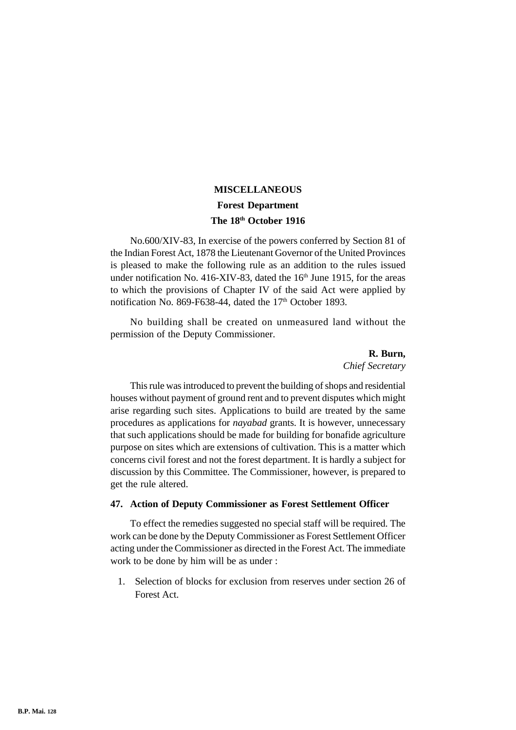# **MISCELLANEOUS Forest Department The 18th October 1916**

No.600/XIV-83, In exercise of the powers conferred by Section 81 of the Indian Forest Act, 1878 the Lieutenant Governor of the United Provinces is pleased to make the following rule as an addition to the rules issued under notification No. 416-XIV-83, dated the  $16<sup>th</sup>$  June 1915, for the areas to which the provisions of Chapter IV of the said Act were applied by notification No. 869-F638-44, dated the 17<sup>th</sup> October 1893.

No building shall be created on unmeasured land without the permission of the Deputy Commissioner.

> **R. Burn,** *Chief Secretary*

This rule was introduced to prevent the building of shops and residential houses without payment of ground rent and to prevent disputes which might arise regarding such sites. Applications to build are treated by the same procedures as applications for *nayabad* grants. It is however, unnecessary that such applications should be made for building for bonafide agriculture purpose on sites which are extensions of cultivation. This is a matter which concerns civil forest and not the forest department. It is hardly a subject for discussion by this Committee. The Commissioner, however, is prepared to get the rule altered.

#### **47. Action of Deputy Commissioner as Forest Settlement Officer**

To effect the remedies suggested no special staff will be required. The work can be done by the Deputy Commissioner as Forest Settlement Officer acting under the Commissioner as directed in the Forest Act. The immediate work to be done by him will be as under :

1. Selection of blocks for exclusion from reserves under section 26 of Forest Act.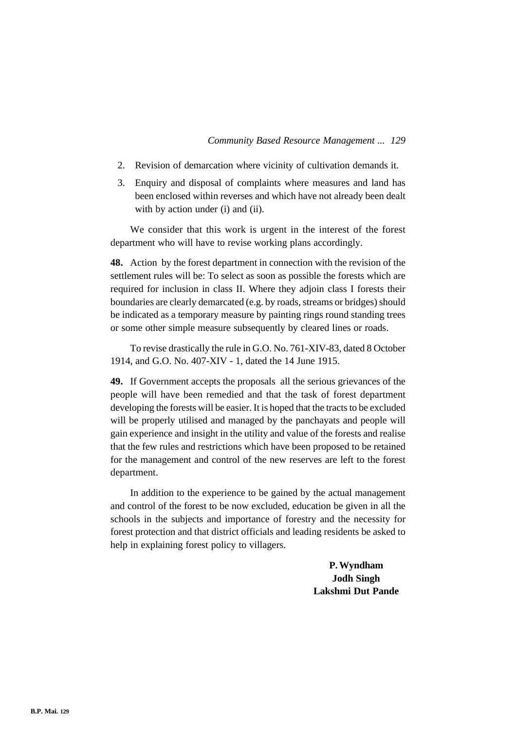- 2. Revision of demarcation where vicinity of cultivation demands it.
- 3. Enquiry and disposal of complaints where measures and land has been enclosed within reverses and which have not already been dealt with by action under (i) and (ii).

We consider that this work is urgent in the interest of the forest department who will have to revise working plans accordingly.

**48.** Action by the forest department in connection with the revision of the settlement rules will be: To select as soon as possible the forests which are required for inclusion in class II. Where they adjoin class I forests their boundaries are clearly demarcated (e.g. by roads, streams or bridges) should be indicated as a temporary measure by painting rings round standing trees or some other simple measure subsequently by cleared lines or roads.

To revise drastically the rule in G.O. No. 761-XIV-83, dated 8 October 1914, and G.O. No. 407-XIV - 1, dated the 14 June 1915.

**49.** If Government accepts the proposals all the serious grievances of the people will have been remedied and that the task of forest department developing the forests will be easier. It is hoped that the tracts to be excluded will be properly utilised and managed by the panchayats and people will gain experience and insight in the utility and value of the forests and realise that the few rules and restrictions which have been proposed to be retained for the management and control of the new reserves are left to the forest department.

In addition to the experience to be gained by the actual management and control of the forest to be now excluded, education be given in all the schools in the subjects and importance of forestry and the necessity for forest protection and that district officials and leading residents be asked to help in explaining forest policy to villagers.

> **P. Wyndham Jodh Singh Lakshmi Dut Pande**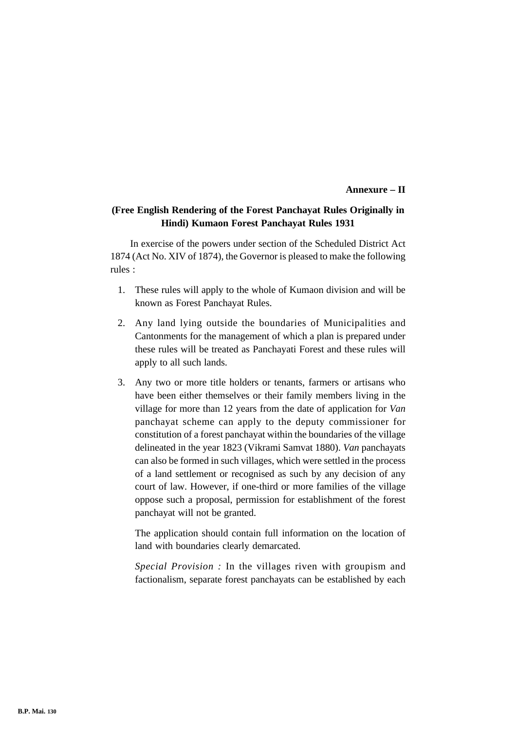#### **Annexure – II**

# **(Free English Rendering of the Forest Panchayat Rules Originally in Hindi) Kumaon Forest Panchayat Rules 1931**

In exercise of the powers under section of the Scheduled District Act 1874 (Act No. XIV of 1874), the Governor is pleased to make the following rules :

- 1. These rules will apply to the whole of Kumaon division and will be known as Forest Panchayat Rules.
- 2. Any land lying outside the boundaries of Municipalities and Cantonments for the management of which a plan is prepared under these rules will be treated as Panchayati Forest and these rules will apply to all such lands.
- 3. Any two or more title holders or tenants, farmers or artisans who have been either themselves or their family members living in the village for more than 12 years from the date of application for *Van* panchayat scheme can apply to the deputy commissioner for constitution of a forest panchayat within the boundaries of the village delineated in the year 1823 (Vikrami Samvat 1880). *Van* panchayats can also be formed in such villages, which were settled in the process of a land settlement or recognised as such by any decision of any court of law. However, if one-third or more families of the village oppose such a proposal, permission for establishment of the forest panchayat will not be granted.

The application should contain full information on the location of land with boundaries clearly demarcated.

*Special Provision :* In the villages riven with groupism and factionalism, separate forest panchayats can be established by each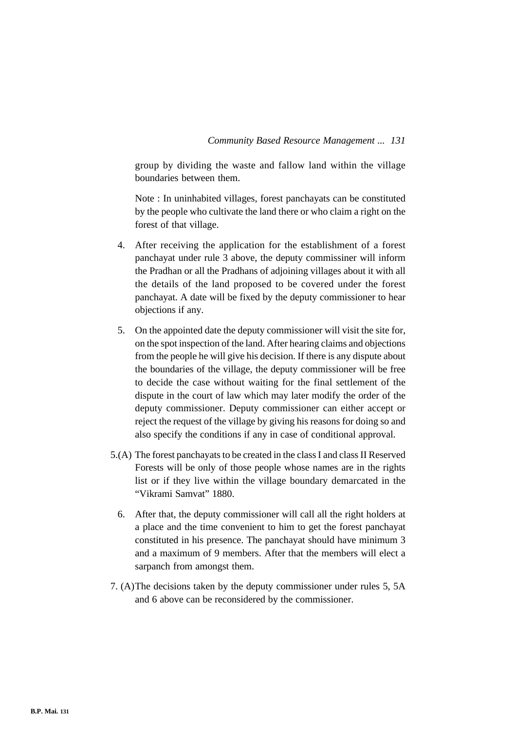group by dividing the waste and fallow land within the village boundaries between them.

Note : In uninhabited villages, forest panchayats can be constituted by the people who cultivate the land there or who claim a right on the forest of that village.

- 4. After receiving the application for the establishment of a forest panchayat under rule 3 above, the deputy commissiner will inform the Pradhan or all the Pradhans of adjoining villages about it with all the details of the land proposed to be covered under the forest panchayat. A date will be fixed by the deputy commissioner to hear objections if any.
- 5. On the appointed date the deputy commissioner will visit the site for, on the spot inspection of the land. After hearing claims and objections from the people he will give his decision. If there is any dispute about the boundaries of the village, the deputy commissioner will be free to decide the case without waiting for the final settlement of the dispute in the court of law which may later modify the order of the deputy commissioner. Deputy commissioner can either accept or reject the request of the village by giving his reasons for doing so and also specify the conditions if any in case of conditional approval.
- 5.(A) The forest panchayats to be created in the class I and class II Reserved Forests will be only of those people whose names are in the rights list or if they live within the village boundary demarcated in the "Vikrami Samvat" 1880.
	- 6. After that, the deputy commissioner will call all the right holders at a place and the time convenient to him to get the forest panchayat constituted in his presence. The panchayat should have minimum 3 and a maximum of 9 members. After that the members will elect a sarpanch from amongst them.
- 7. (A)The decisions taken by the deputy commissioner under rules 5, 5A and 6 above can be reconsidered by the commissioner.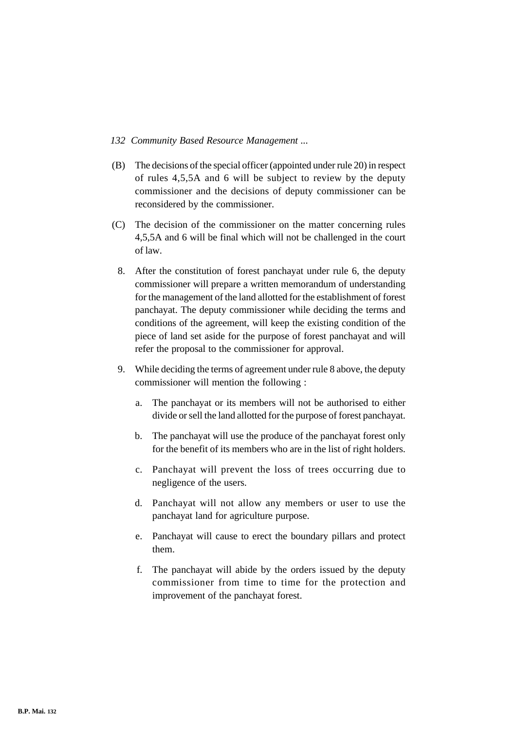- (B) The decisions of the special officer (appointed under rule 20) in respect of rules 4,5,5A and 6 will be subject to review by the deputy commissioner and the decisions of deputy commissioner can be reconsidered by the commissioner.
- (C) The decision of the commissioner on the matter concerning rules 4,5,5A and 6 will be final which will not be challenged in the court of law.
	- 8. After the constitution of forest panchayat under rule 6, the deputy commissioner will prepare a written memorandum of understanding for the management of the land allotted for the establishment of forest panchayat. The deputy commissioner while deciding the terms and conditions of the agreement, will keep the existing condition of the piece of land set aside for the purpose of forest panchayat and will refer the proposal to the commissioner for approval.
	- 9. While deciding the terms of agreement under rule 8 above, the deputy commissioner will mention the following :
		- a. The panchayat or its members will not be authorised to either divide or sell the land allotted for the purpose of forest panchayat.
		- b. The panchayat will use the produce of the panchayat forest only for the benefit of its members who are in the list of right holders.
		- c. Panchayat will prevent the loss of trees occurring due to negligence of the users.
		- d. Panchayat will not allow any members or user to use the panchayat land for agriculture purpose.
		- e. Panchayat will cause to erect the boundary pillars and protect them.
		- f. The panchayat will abide by the orders issued by the deputy commissioner from time to time for the protection and improvement of the panchayat forest.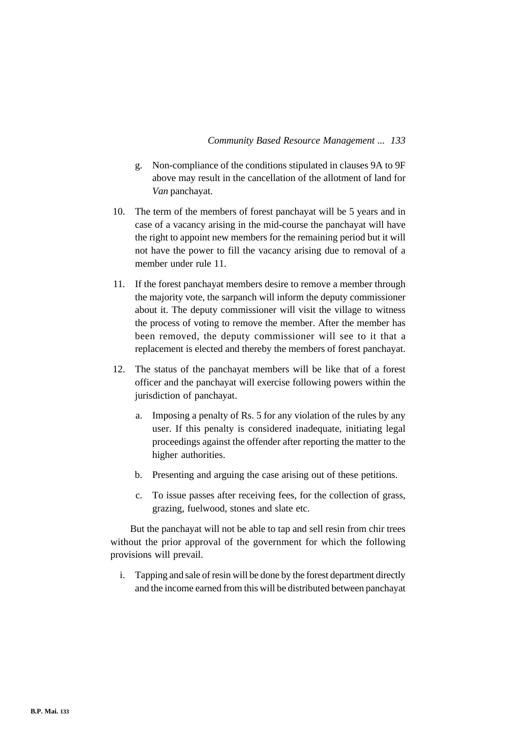- g. Non-compliance of the conditions stipulated in clauses 9A to 9F above may result in the cancellation of the allotment of land for *Van* panchayat.
- 10. The term of the members of forest panchayat will be 5 years and in case of a vacancy arising in the mid-course the panchayat will have the right to appoint new members for the remaining period but it will not have the power to fill the vacancy arising due to removal of a member under rule 11.
- 11. If the forest panchayat members desire to remove a member through the majority vote, the sarpanch will inform the deputy commissioner about it. The deputy commissioner will visit the village to witness the process of voting to remove the member. After the member has been removed, the deputy commissioner will see to it that a replacement is elected and thereby the members of forest panchayat.
- 12. The status of the panchayat members will be like that of a forest officer and the panchayat will exercise following powers within the jurisdiction of panchayat.
	- a. Imposing a penalty of Rs. 5 for any violation of the rules by any user. If this penalty is considered inadequate, initiating legal proceedings against the offender after reporting the matter to the higher authorities.
	- b. Presenting and arguing the case arising out of these petitions.
	- c. To issue passes after receiving fees, for the collection of grass, grazing, fuelwood, stones and slate etc.

But the panchayat will not be able to tap and sell resin from chir trees without the prior approval of the government for which the following provisions will prevail.

i. Tapping and sale of resin will be done by the forest department directly and the income earned from this will be distributed between panchayat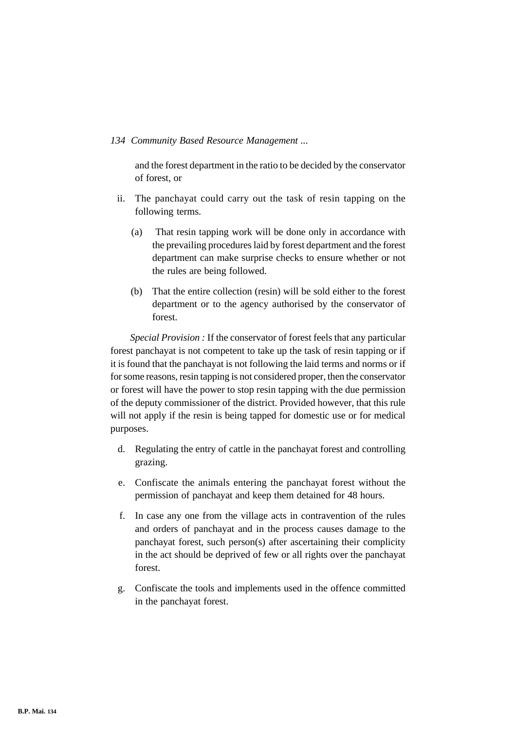and the forest department in the ratio to be decided by the conservator of forest, or

- ii. The panchayat could carry out the task of resin tapping on the following terms.
	- (a) That resin tapping work will be done only in accordance with the prevailing procedures laid by forest department and the forest department can make surprise checks to ensure whether or not the rules are being followed.
	- (b) That the entire collection (resin) will be sold either to the forest department or to the agency authorised by the conservator of forest.

*Special Provision :* If the conservator of forest feels that any particular forest panchayat is not competent to take up the task of resin tapping or if it is found that the panchayat is not following the laid terms and norms or if for some reasons, resin tapping is not considered proper, then the conservator or forest will have the power to stop resin tapping with the due permission of the deputy commissioner of the district. Provided however, that this rule will not apply if the resin is being tapped for domestic use or for medical purposes.

- d. Regulating the entry of cattle in the panchayat forest and controlling grazing.
- e. Confiscate the animals entering the panchayat forest without the permission of panchayat and keep them detained for 48 hours.
- f. In case any one from the village acts in contravention of the rules and orders of panchayat and in the process causes damage to the panchayat forest, such person(s) after ascertaining their complicity in the act should be deprived of few or all rights over the panchayat forest.
- g. Confiscate the tools and implements used in the offence committed in the panchayat forest.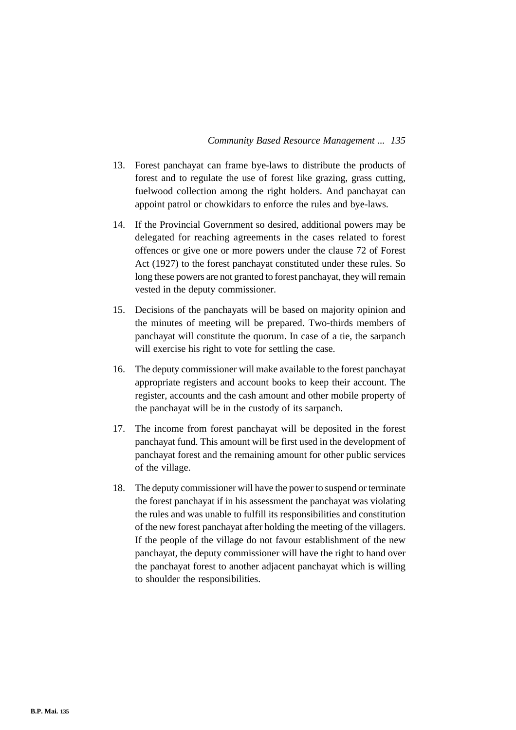- 13. Forest panchayat can frame bye-laws to distribute the products of forest and to regulate the use of forest like grazing, grass cutting, fuelwood collection among the right holders. And panchayat can appoint patrol or chowkidars to enforce the rules and bye-laws.
- 14. If the Provincial Government so desired, additional powers may be delegated for reaching agreements in the cases related to forest offences or give one or more powers under the clause 72 of Forest Act (1927) to the forest panchayat constituted under these rules. So long these powers are not granted to forest panchayat, they will remain vested in the deputy commissioner.
- 15. Decisions of the panchayats will be based on majority opinion and the minutes of meeting will be prepared. Two-thirds members of panchayat will constitute the quorum. In case of a tie, the sarpanch will exercise his right to vote for settling the case.
- 16. The deputy commissioner will make available to the forest panchayat appropriate registers and account books to keep their account. The register, accounts and the cash amount and other mobile property of the panchayat will be in the custody of its sarpanch.
- 17. The income from forest panchayat will be deposited in the forest panchayat fund. This amount will be first used in the development of panchayat forest and the remaining amount for other public services of the village.
- 18. The deputy commissioner will have the power to suspend or terminate the forest panchayat if in his assessment the panchayat was violating the rules and was unable to fulfill its responsibilities and constitution of the new forest panchayat after holding the meeting of the villagers. If the people of the village do not favour establishment of the new panchayat, the deputy commissioner will have the right to hand over the panchayat forest to another adjacent panchayat which is willing to shoulder the responsibilities.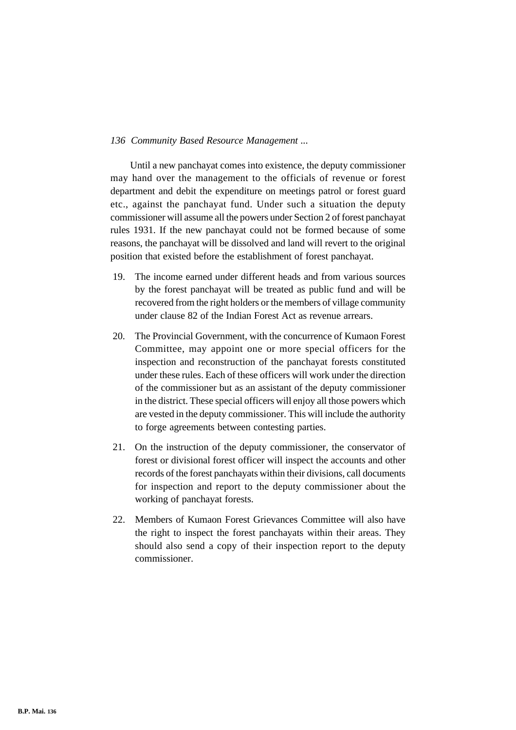Until a new panchayat comes into existence, the deputy commissioner may hand over the management to the officials of revenue or forest department and debit the expenditure on meetings patrol or forest guard etc., against the panchayat fund. Under such a situation the deputy commissioner will assume all the powers under Section 2 of forest panchayat rules 1931. If the new panchayat could not be formed because of some reasons, the panchayat will be dissolved and land will revert to the original position that existed before the establishment of forest panchayat.

- 19. The income earned under different heads and from various sources by the forest panchayat will be treated as public fund and will be recovered from the right holders or the members of village community under clause 82 of the Indian Forest Act as revenue arrears.
- 20. The Provincial Government, with the concurrence of Kumaon Forest Committee, may appoint one or more special officers for the inspection and reconstruction of the panchayat forests constituted under these rules. Each of these officers will work under the direction of the commissioner but as an assistant of the deputy commissioner in the district. These special officers will enjoy all those powers which are vested in the deputy commissioner. This will include the authority to forge agreements between contesting parties.
- 21. On the instruction of the deputy commissioner, the conservator of forest or divisional forest officer will inspect the accounts and other records of the forest panchayats within their divisions, call documents for inspection and report to the deputy commissioner about the working of panchayat forests.
- 22. Members of Kumaon Forest Grievances Committee will also have the right to inspect the forest panchayats within their areas. They should also send a copy of their inspection report to the deputy commissioner.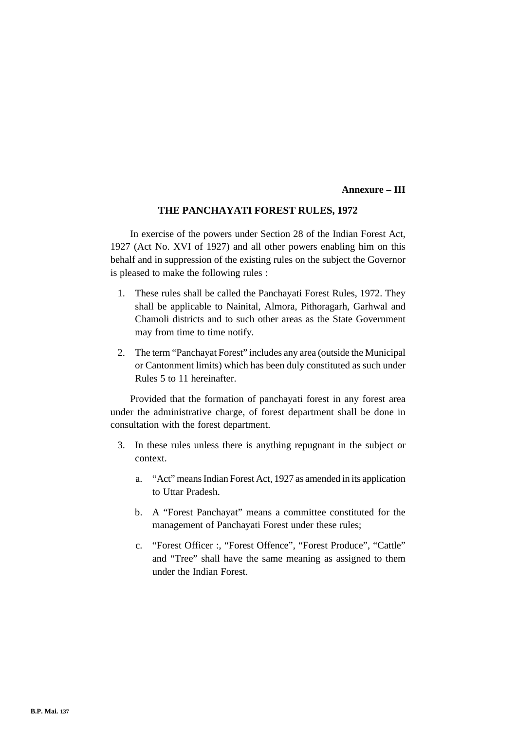### **Annexure – III**

# **THE PANCHAYATI FOREST RULES, 1972**

In exercise of the powers under Section 28 of the Indian Forest Act, 1927 (Act No. XVI of 1927) and all other powers enabling him on this behalf and in suppression of the existing rules on the subject the Governor is pleased to make the following rules :

- 1. These rules shall be called the Panchayati Forest Rules, 1972. They shall be applicable to Nainital, Almora, Pithoragarh, Garhwal and Chamoli districts and to such other areas as the State Government may from time to time notify.
- 2. The term "Panchayat Forest" includes any area (outside the Municipal or Cantonment limits) which has been duly constituted as such under Rules 5 to 11 hereinafter.

Provided that the formation of panchayati forest in any forest area under the administrative charge, of forest department shall be done in consultation with the forest department.

- 3. In these rules unless there is anything repugnant in the subject or context.
	- a. "Act" means Indian Forest Act, 1927 as amended in its application to Uttar Pradesh.
	- b. A "Forest Panchayat" means a committee constituted for the management of Panchayati Forest under these rules;
	- c. "Forest Officer :, "Forest Offence", "Forest Produce", "Cattle" and "Tree" shall have the same meaning as assigned to them under the Indian Forest.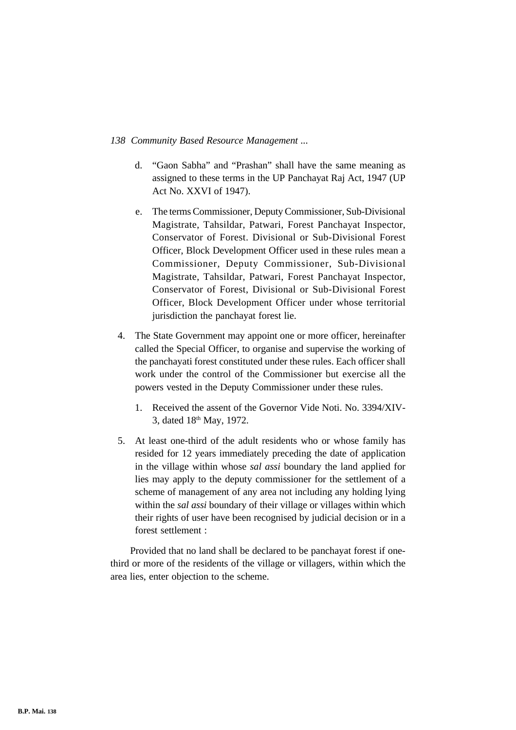- d. "Gaon Sabha" and "Prashan" shall have the same meaning as assigned to these terms in the UP Panchayat Raj Act, 1947 (UP Act No. XXVI of 1947).
- e. The terms Commissioner, Deputy Commissioner, Sub-Divisional Magistrate, Tahsildar, Patwari, Forest Panchayat Inspector, Conservator of Forest. Divisional or Sub-Divisional Forest Officer, Block Development Officer used in these rules mean a Commissioner, Deputy Commissioner, Sub-Divisional Magistrate, Tahsildar, Patwari, Forest Panchayat Inspector, Conservator of Forest, Divisional or Sub-Divisional Forest Officer, Block Development Officer under whose territorial jurisdiction the panchayat forest lie.
- 4. The State Government may appoint one or more officer, hereinafter called the Special Officer, to organise and supervise the working of the panchayati forest constituted under these rules. Each officer shall work under the control of the Commissioner but exercise all the powers vested in the Deputy Commissioner under these rules.
	- 1. Received the assent of the Governor Vide Noti. No. 3394/XIV-3, dated 18th May, 1972.
- 5. At least one-third of the adult residents who or whose family has resided for 12 years immediately preceding the date of application in the village within whose *sal assi* boundary the land applied for lies may apply to the deputy commissioner for the settlement of a scheme of management of any area not including any holding lying within the *sal assi* boundary of their village or villages within which their rights of user have been recognised by judicial decision or in a forest settlement :

Provided that no land shall be declared to be panchayat forest if onethird or more of the residents of the village or villagers, within which the area lies, enter objection to the scheme.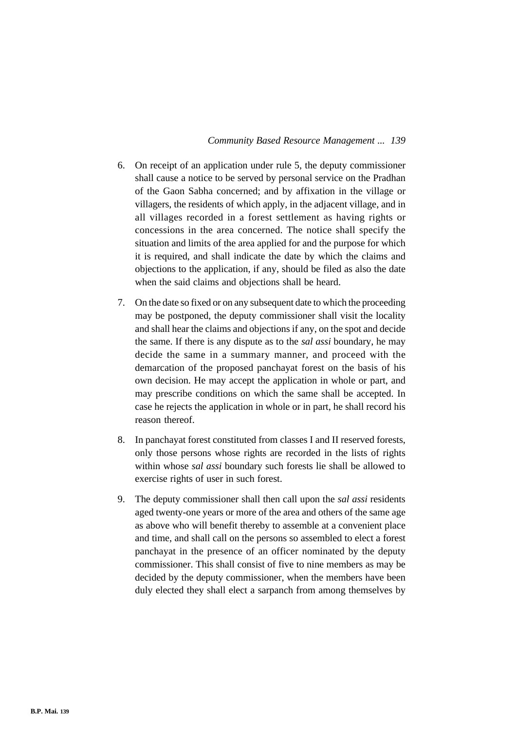- 6. On receipt of an application under rule 5, the deputy commissioner shall cause a notice to be served by personal service on the Pradhan of the Gaon Sabha concerned; and by affixation in the village or villagers, the residents of which apply, in the adjacent village, and in all villages recorded in a forest settlement as having rights or concessions in the area concerned. The notice shall specify the situation and limits of the area applied for and the purpose for which it is required, and shall indicate the date by which the claims and objections to the application, if any, should be filed as also the date when the said claims and objections shall be heard.
- 7. On the date so fixed or on any subsequent date to which the proceeding may be postponed, the deputy commissioner shall visit the locality and shall hear the claims and objections if any, on the spot and decide the same. If there is any dispute as to the *sal assi* boundary, he may decide the same in a summary manner, and proceed with the demarcation of the proposed panchayat forest on the basis of his own decision. He may accept the application in whole or part, and may prescribe conditions on which the same shall be accepted. In case he rejects the application in whole or in part, he shall record his reason thereof.
- 8. In panchayat forest constituted from classes I and II reserved forests, only those persons whose rights are recorded in the lists of rights within whose *sal assi* boundary such forests lie shall be allowed to exercise rights of user in such forest.
- 9. The deputy commissioner shall then call upon the *sal assi* residents aged twenty-one years or more of the area and others of the same age as above who will benefit thereby to assemble at a convenient place and time, and shall call on the persons so assembled to elect a forest panchayat in the presence of an officer nominated by the deputy commissioner. This shall consist of five to nine members as may be decided by the deputy commissioner, when the members have been duly elected they shall elect a sarpanch from among themselves by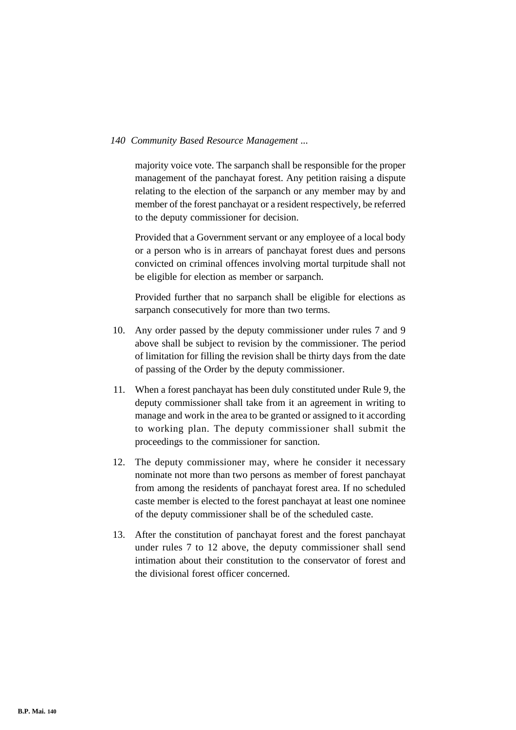majority voice vote. The sarpanch shall be responsible for the proper management of the panchayat forest. Any petition raising a dispute relating to the election of the sarpanch or any member may by and member of the forest panchayat or a resident respectively, be referred to the deputy commissioner for decision.

Provided that a Government servant or any employee of a local body or a person who is in arrears of panchayat forest dues and persons convicted on criminal offences involving mortal turpitude shall not be eligible for election as member or sarpanch.

Provided further that no sarpanch shall be eligible for elections as sarpanch consecutively for more than two terms.

- 10. Any order passed by the deputy commissioner under rules 7 and 9 above shall be subject to revision by the commissioner. The period of limitation for filling the revision shall be thirty days from the date of passing of the Order by the deputy commissioner.
- 11. When a forest panchayat has been duly constituted under Rule 9, the deputy commissioner shall take from it an agreement in writing to manage and work in the area to be granted or assigned to it according to working plan. The deputy commissioner shall submit the proceedings to the commissioner for sanction.
- 12. The deputy commissioner may, where he consider it necessary nominate not more than two persons as member of forest panchayat from among the residents of panchayat forest area. If no scheduled caste member is elected to the forest panchayat at least one nominee of the deputy commissioner shall be of the scheduled caste.
- 13. After the constitution of panchayat forest and the forest panchayat under rules 7 to 12 above, the deputy commissioner shall send intimation about their constitution to the conservator of forest and the divisional forest officer concerned.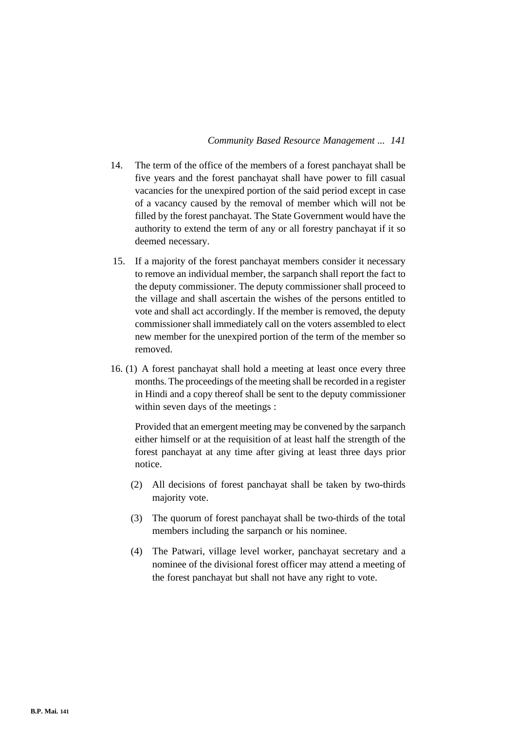- 14. The term of the office of the members of a forest panchayat shall be five years and the forest panchayat shall have power to fill casual vacancies for the unexpired portion of the said period except in case of a vacancy caused by the removal of member which will not be filled by the forest panchayat. The State Government would have the authority to extend the term of any or all forestry panchayat if it so deemed necessary.
- 15. If a majority of the forest panchayat members consider it necessary to remove an individual member, the sarpanch shall report the fact to the deputy commissioner. The deputy commissioner shall proceed to the village and shall ascertain the wishes of the persons entitled to vote and shall act accordingly. If the member is removed, the deputy commissioner shall immediately call on the voters assembled to elect new member for the unexpired portion of the term of the member so removed.
- 16. (1) A forest panchayat shall hold a meeting at least once every three months. The proceedings of the meeting shall be recorded in a register in Hindi and a copy thereof shall be sent to the deputy commissioner within seven days of the meetings :

Provided that an emergent meeting may be convened by the sarpanch either himself or at the requisition of at least half the strength of the forest panchayat at any time after giving at least three days prior notice.

- (2) All decisions of forest panchayat shall be taken by two-thirds majority vote.
- (3) The quorum of forest panchayat shall be two-thirds of the total members including the sarpanch or his nominee.
- (4) The Patwari, village level worker, panchayat secretary and a nominee of the divisional forest officer may attend a meeting of the forest panchayat but shall not have any right to vote.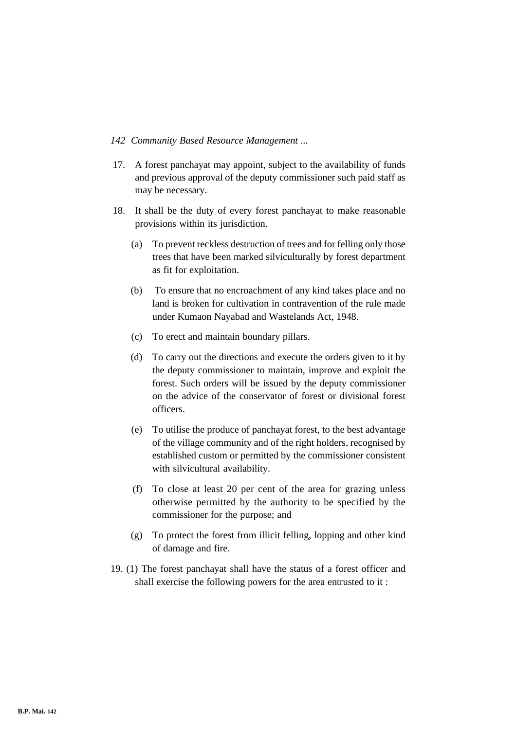- 17. A forest panchayat may appoint, subject to the availability of funds and previous approval of the deputy commissioner such paid staff as may be necessary.
- 18. It shall be the duty of every forest panchayat to make reasonable provisions within its jurisdiction.
	- (a) To prevent reckless destruction of trees and for felling only those trees that have been marked silviculturally by forest department as fit for exploitation.
	- (b) To ensure that no encroachment of any kind takes place and no land is broken for cultivation in contravention of the rule made under Kumaon Nayabad and Wastelands Act, 1948.
	- (c) To erect and maintain boundary pillars.
	- (d) To carry out the directions and execute the orders given to it by the deputy commissioner to maintain, improve and exploit the forest. Such orders will be issued by the deputy commissioner on the advice of the conservator of forest or divisional forest officers.
	- (e) To utilise the produce of panchayat forest, to the best advantage of the village community and of the right holders, recognised by established custom or permitted by the commissioner consistent with silvicultural availability.
	- (f) To close at least 20 per cent of the area for grazing unless otherwise permitted by the authority to be specified by the commissioner for the purpose; and
	- (g) To protect the forest from illicit felling, lopping and other kind of damage and fire.
- 19. (1) The forest panchayat shall have the status of a forest officer and shall exercise the following powers for the area entrusted to it :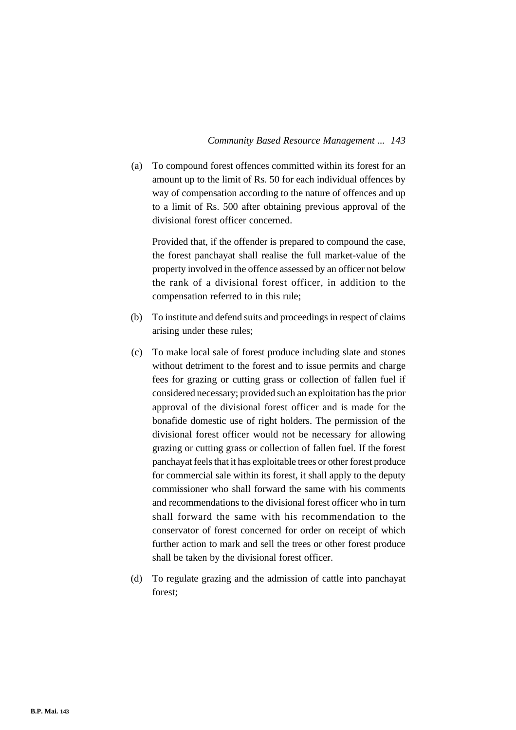(a) To compound forest offences committed within its forest for an amount up to the limit of Rs. 50 for each individual offences by way of compensation according to the nature of offences and up to a limit of Rs. 500 after obtaining previous approval of the divisional forest officer concerned.

Provided that, if the offender is prepared to compound the case, the forest panchayat shall realise the full market-value of the property involved in the offence assessed by an officer not below the rank of a divisional forest officer, in addition to the compensation referred to in this rule;

- (b) To institute and defend suits and proceedings in respect of claims arising under these rules;
- (c) To make local sale of forest produce including slate and stones without detriment to the forest and to issue permits and charge fees for grazing or cutting grass or collection of fallen fuel if considered necessary; provided such an exploitation has the prior approval of the divisional forest officer and is made for the bonafide domestic use of right holders. The permission of the divisional forest officer would not be necessary for allowing grazing or cutting grass or collection of fallen fuel. If the forest panchayat feels that it has exploitable trees or other forest produce for commercial sale within its forest, it shall apply to the deputy commissioner who shall forward the same with his comments and recommendations to the divisional forest officer who in turn shall forward the same with his recommendation to the conservator of forest concerned for order on receipt of which further action to mark and sell the trees or other forest produce shall be taken by the divisional forest officer.
- (d) To regulate grazing and the admission of cattle into panchayat forest;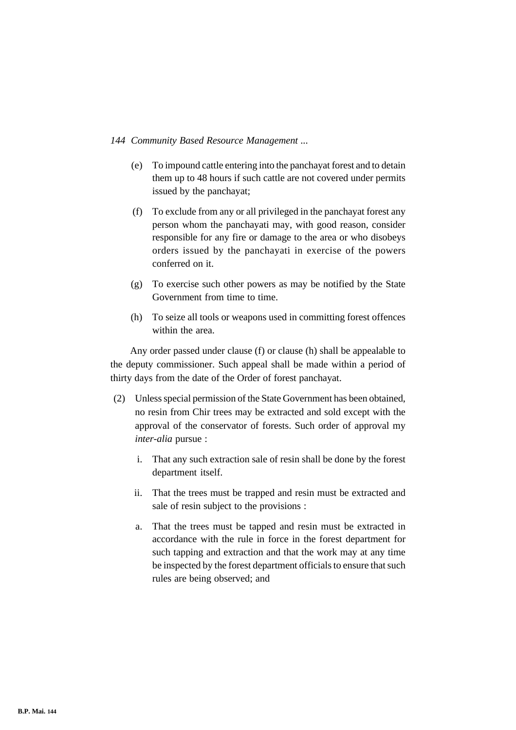- (e) To impound cattle entering into the panchayat forest and to detain them up to 48 hours if such cattle are not covered under permits issued by the panchayat;
- (f) To exclude from any or all privileged in the panchayat forest any person whom the panchayati may, with good reason, consider responsible for any fire or damage to the area or who disobeys orders issued by the panchayati in exercise of the powers conferred on it.
- (g) To exercise such other powers as may be notified by the State Government from time to time.
- (h) To seize all tools or weapons used in committing forest offences within the area.

Any order passed under clause (f) or clause (h) shall be appealable to the deputy commissioner. Such appeal shall be made within a period of thirty days from the date of the Order of forest panchayat.

- (2) Unless special permission of the State Government has been obtained, no resin from Chir trees may be extracted and sold except with the approval of the conservator of forests. Such order of approval my *inter-alia* pursue :
	- i. That any such extraction sale of resin shall be done by the forest department itself.
	- ii. That the trees must be trapped and resin must be extracted and sale of resin subject to the provisions :
	- a. That the trees must be tapped and resin must be extracted in accordance with the rule in force in the forest department for such tapping and extraction and that the work may at any time be inspected by the forest department officials to ensure that such rules are being observed; and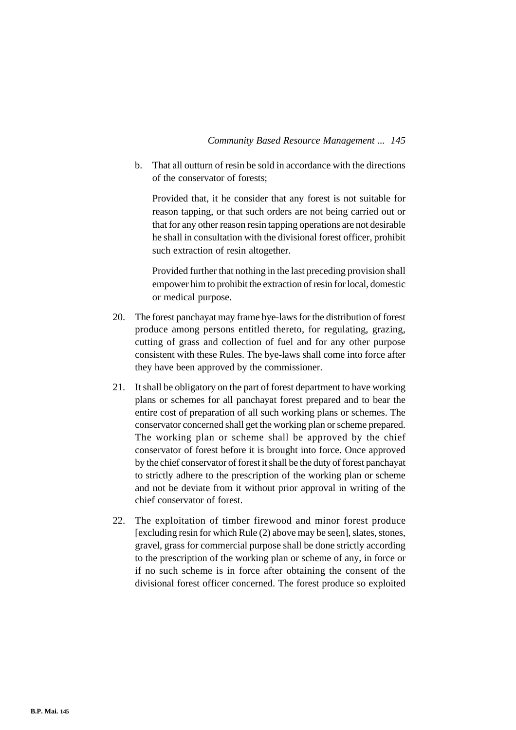b. That all outturn of resin be sold in accordance with the directions of the conservator of forests;

Provided that, it he consider that any forest is not suitable for reason tapping, or that such orders are not being carried out or that for any other reason resin tapping operations are not desirable he shall in consultation with the divisional forest officer, prohibit such extraction of resin altogether.

Provided further that nothing in the last preceding provision shall empower him to prohibit the extraction of resin for local, domestic or medical purpose.

- 20. The forest panchayat may frame bye-laws for the distribution of forest produce among persons entitled thereto, for regulating, grazing, cutting of grass and collection of fuel and for any other purpose consistent with these Rules. The bye-laws shall come into force after they have been approved by the commissioner.
- 21. It shall be obligatory on the part of forest department to have working plans or schemes for all panchayat forest prepared and to bear the entire cost of preparation of all such working plans or schemes. The conservator concerned shall get the working plan or scheme prepared. The working plan or scheme shall be approved by the chief conservator of forest before it is brought into force. Once approved by the chief conservator of forest it shall be the duty of forest panchayat to strictly adhere to the prescription of the working plan or scheme and not be deviate from it without prior approval in writing of the chief conservator of forest.
- 22. The exploitation of timber firewood and minor forest produce [excluding resin for which Rule (2) above may be seen], slates, stones, gravel, grass for commercial purpose shall be done strictly according to the prescription of the working plan or scheme of any, in force or if no such scheme is in force after obtaining the consent of the divisional forest officer concerned. The forest produce so exploited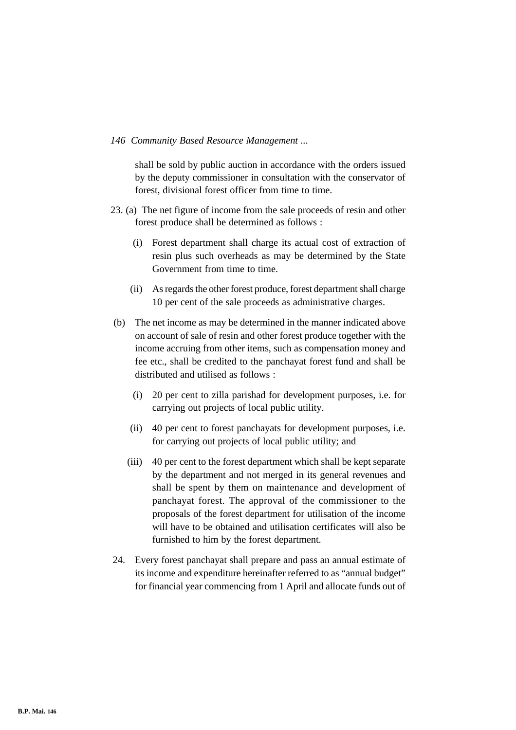shall be sold by public auction in accordance with the orders issued by the deputy commissioner in consultation with the conservator of forest, divisional forest officer from time to time.

- 23. (a) The net figure of income from the sale proceeds of resin and other forest produce shall be determined as follows :
	- (i) Forest department shall charge its actual cost of extraction of resin plus such overheads as may be determined by the State Government from time to time.
	- (ii) As regards the other forest produce, forest department shall charge 10 per cent of the sale proceeds as administrative charges.
- (b) The net income as may be determined in the manner indicated above on account of sale of resin and other forest produce together with the income accruing from other items, such as compensation money and fee etc., shall be credited to the panchayat forest fund and shall be distributed and utilised as follows :
	- (i) 20 per cent to zilla parishad for development purposes, i.e. for carrying out projects of local public utility.
	- (ii) 40 per cent to forest panchayats for development purposes, i.e. for carrying out projects of local public utility; and
	- (iii) 40 per cent to the forest department which shall be kept separate by the department and not merged in its general revenues and shall be spent by them on maintenance and development of panchayat forest. The approval of the commissioner to the proposals of the forest department for utilisation of the income will have to be obtained and utilisation certificates will also be furnished to him by the forest department.
- 24. Every forest panchayat shall prepare and pass an annual estimate of its income and expenditure hereinafter referred to as "annual budget" for financial year commencing from 1 April and allocate funds out of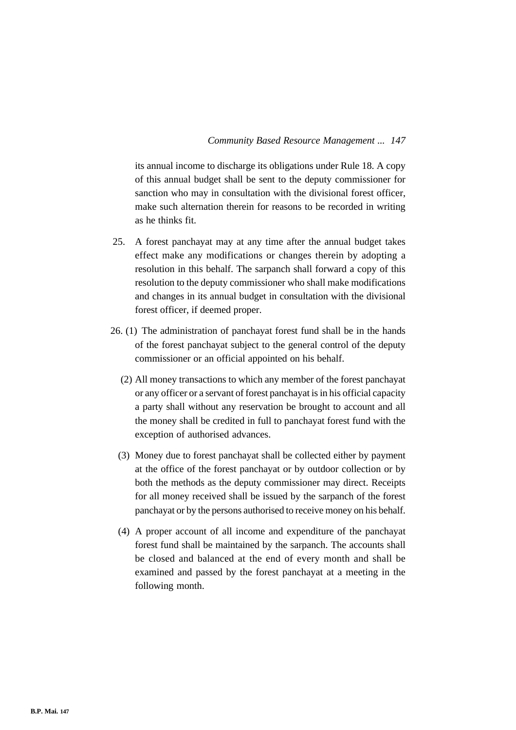its annual income to discharge its obligations under Rule 18. A copy of this annual budget shall be sent to the deputy commissioner for sanction who may in consultation with the divisional forest officer, make such alternation therein for reasons to be recorded in writing as he thinks fit.

- 25. A forest panchayat may at any time after the annual budget takes effect make any modifications or changes therein by adopting a resolution in this behalf. The sarpanch shall forward a copy of this resolution to the deputy commissioner who shall make modifications and changes in its annual budget in consultation with the divisional forest officer, if deemed proper.
- 26. (1) The administration of panchayat forest fund shall be in the hands of the forest panchayat subject to the general control of the deputy commissioner or an official appointed on his behalf.
	- (2) All money transactions to which any member of the forest panchayat or any officer or a servant of forest panchayat is in his official capacity a party shall without any reservation be brought to account and all the money shall be credited in full to panchayat forest fund with the exception of authorised advances.
	- (3) Money due to forest panchayat shall be collected either by payment at the office of the forest panchayat or by outdoor collection or by both the methods as the deputy commissioner may direct. Receipts for all money received shall be issued by the sarpanch of the forest panchayat or by the persons authorised to receive money on his behalf.
	- (4) A proper account of all income and expenditure of the panchayat forest fund shall be maintained by the sarpanch. The accounts shall be closed and balanced at the end of every month and shall be examined and passed by the forest panchayat at a meeting in the following month.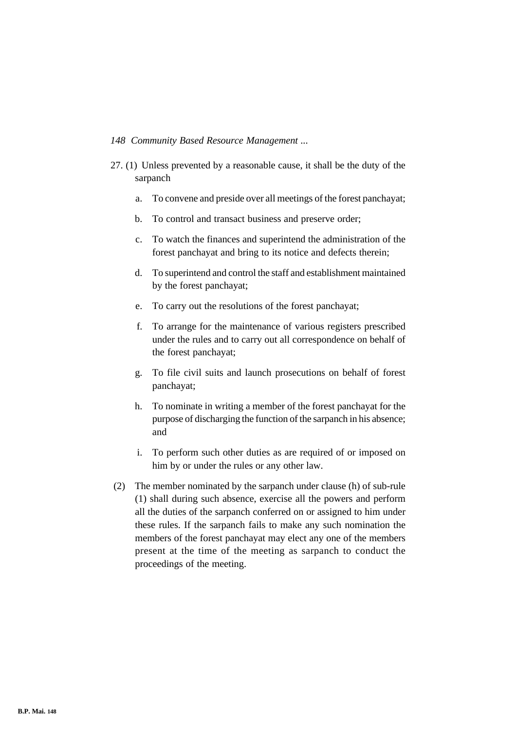- 27. (1) Unless prevented by a reasonable cause, it shall be the duty of the sarpanch
	- a. To convene and preside over all meetings of the forest panchayat;
	- b. To control and transact business and preserve order;
	- c. To watch the finances and superintend the administration of the forest panchayat and bring to its notice and defects therein;
	- d. To superintend and control the staff and establishment maintained by the forest panchayat;
	- e. To carry out the resolutions of the forest panchayat;
	- f. To arrange for the maintenance of various registers prescribed under the rules and to carry out all correspondence on behalf of the forest panchayat;
	- g. To file civil suits and launch prosecutions on behalf of forest panchayat;
	- h. To nominate in writing a member of the forest panchayat for the purpose of discharging the function of the sarpanch in his absence; and
	- i. To perform such other duties as are required of or imposed on him by or under the rules or any other law.
- (2) The member nominated by the sarpanch under clause (h) of sub-rule (1) shall during such absence, exercise all the powers and perform all the duties of the sarpanch conferred on or assigned to him under these rules. If the sarpanch fails to make any such nomination the members of the forest panchayat may elect any one of the members present at the time of the meeting as sarpanch to conduct the proceedings of the meeting.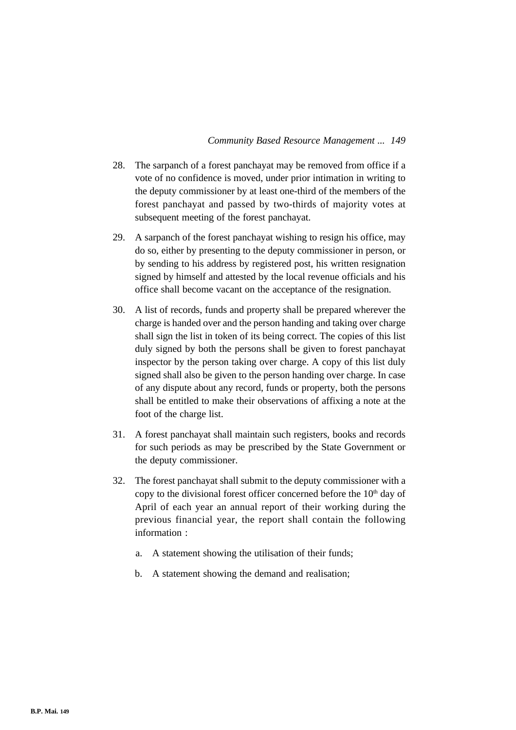- 28. The sarpanch of a forest panchayat may be removed from office if a vote of no confidence is moved, under prior intimation in writing to the deputy commissioner by at least one-third of the members of the forest panchayat and passed by two-thirds of majority votes at subsequent meeting of the forest panchayat.
- 29. A sarpanch of the forest panchayat wishing to resign his office, may do so, either by presenting to the deputy commissioner in person, or by sending to his address by registered post, his written resignation signed by himself and attested by the local revenue officials and his office shall become vacant on the acceptance of the resignation.
- 30. A list of records, funds and property shall be prepared wherever the charge is handed over and the person handing and taking over charge shall sign the list in token of its being correct. The copies of this list duly signed by both the persons shall be given to forest panchayat inspector by the person taking over charge. A copy of this list duly signed shall also be given to the person handing over charge. In case of any dispute about any record, funds or property, both the persons shall be entitled to make their observations of affixing a note at the foot of the charge list.
- 31. A forest panchayat shall maintain such registers, books and records for such periods as may be prescribed by the State Government or the deputy commissioner.
- 32. The forest panchayat shall submit to the deputy commissioner with a copy to the divisional forest officer concerned before the  $10<sup>th</sup>$  day of April of each year an annual report of their working during the previous financial year, the report shall contain the following information :
	- a. A statement showing the utilisation of their funds;
	- b. A statement showing the demand and realisation;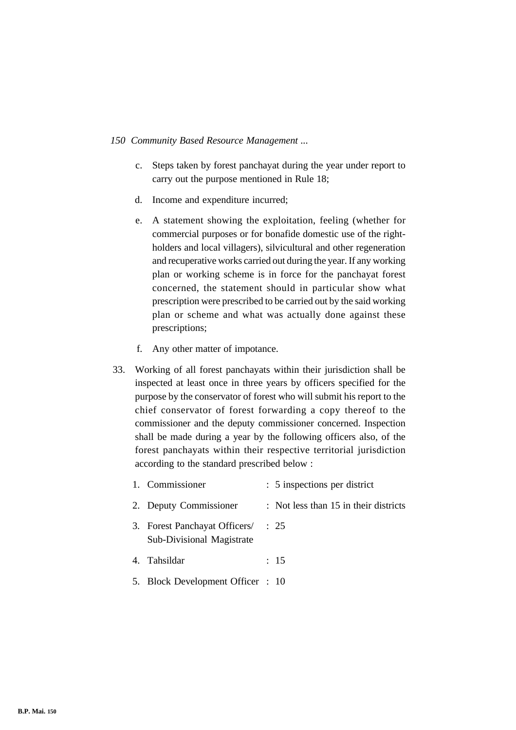- c. Steps taken by forest panchayat during the year under report to carry out the purpose mentioned in Rule 18;
- d. Income and expenditure incurred;
- e. A statement showing the exploitation, feeling (whether for commercial purposes or for bonafide domestic use of the rightholders and local villagers), silvicultural and other regeneration and recuperative works carried out during the year. If any working plan or working scheme is in force for the panchayat forest concerned, the statement should in particular show what prescription were prescribed to be carried out by the said working plan or scheme and what was actually done against these prescriptions;
- f. Any other matter of impotance.
- 33. Working of all forest panchayats within their jurisdiction shall be inspected at least once in three years by officers specified for the purpose by the conservator of forest who will submit his report to the chief conservator of forest forwarding a copy thereof to the commissioner and the deputy commissioner concerned. Inspection shall be made during a year by the following officers also, of the forest panchayats within their respective territorial jurisdiction according to the standard prescribed below :

| 1. Commissioner                                                 | : 5 inspections per district          |
|-----------------------------------------------------------------|---------------------------------------|
| 2. Deputy Commissioner                                          | : Not less than 15 in their districts |
| 3. Forest Panchayat Officers/ : 25<br>Sub-Divisional Magistrate |                                       |
| 4. Tahsildar                                                    | : 15                                  |
| 5. Block Development Officer : 10                               |                                       |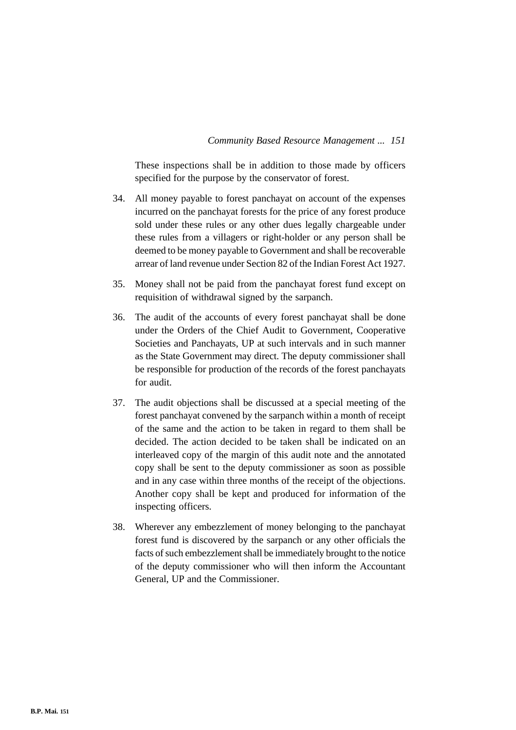These inspections shall be in addition to those made by officers specified for the purpose by the conservator of forest.

- 34. All money payable to forest panchayat on account of the expenses incurred on the panchayat forests for the price of any forest produce sold under these rules or any other dues legally chargeable under these rules from a villagers or right-holder or any person shall be deemed to be money payable to Government and shall be recoverable arrear of land revenue under Section 82 of the Indian Forest Act 1927.
- 35. Money shall not be paid from the panchayat forest fund except on requisition of withdrawal signed by the sarpanch.
- 36. The audit of the accounts of every forest panchayat shall be done under the Orders of the Chief Audit to Government, Cooperative Societies and Panchayats, UP at such intervals and in such manner as the State Government may direct. The deputy commissioner shall be responsible for production of the records of the forest panchayats for audit.
- 37. The audit objections shall be discussed at a special meeting of the forest panchayat convened by the sarpanch within a month of receipt of the same and the action to be taken in regard to them shall be decided. The action decided to be taken shall be indicated on an interleaved copy of the margin of this audit note and the annotated copy shall be sent to the deputy commissioner as soon as possible and in any case within three months of the receipt of the objections. Another copy shall be kept and produced for information of the inspecting officers.
- 38. Wherever any embezzlement of money belonging to the panchayat forest fund is discovered by the sarpanch or any other officials the facts of such embezzlement shall be immediately brought to the notice of the deputy commissioner who will then inform the Accountant General, UP and the Commissioner.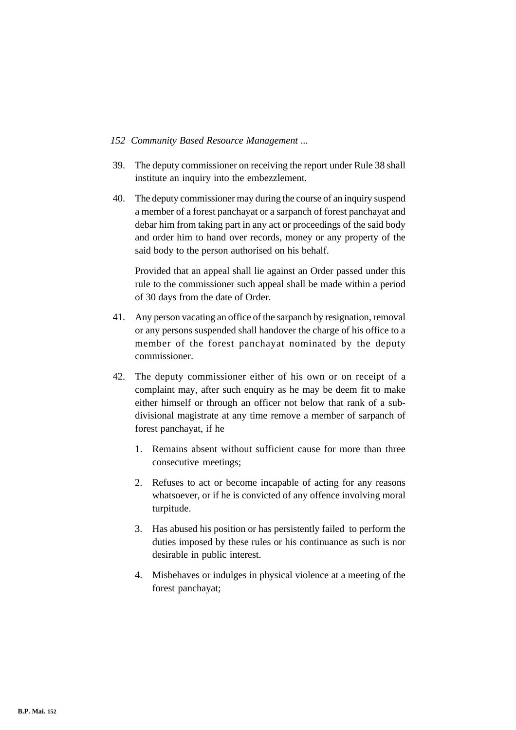- 39. The deputy commissioner on receiving the report under Rule 38 shall institute an inquiry into the embezzlement.
- 40. The deputy commissioner may during the course of an inquiry suspend a member of a forest panchayat or a sarpanch of forest panchayat and debar him from taking part in any act or proceedings of the said body and order him to hand over records, money or any property of the said body to the person authorised on his behalf.

Provided that an appeal shall lie against an Order passed under this rule to the commissioner such appeal shall be made within a period of 30 days from the date of Order.

- 41. Any person vacating an office of the sarpanch by resignation, removal or any persons suspended shall handover the charge of his office to a member of the forest panchayat nominated by the deputy commissioner.
- 42. The deputy commissioner either of his own or on receipt of a complaint may, after such enquiry as he may be deem fit to make either himself or through an officer not below that rank of a subdivisional magistrate at any time remove a member of sarpanch of forest panchayat, if he
	- 1. Remains absent without sufficient cause for more than three consecutive meetings;
	- 2. Refuses to act or become incapable of acting for any reasons whatsoever, or if he is convicted of any offence involving moral turpitude.
	- 3. Has abused his position or has persistently failed to perform the duties imposed by these rules or his continuance as such is nor desirable in public interest.
	- 4. Misbehaves or indulges in physical violence at a meeting of the forest panchayat;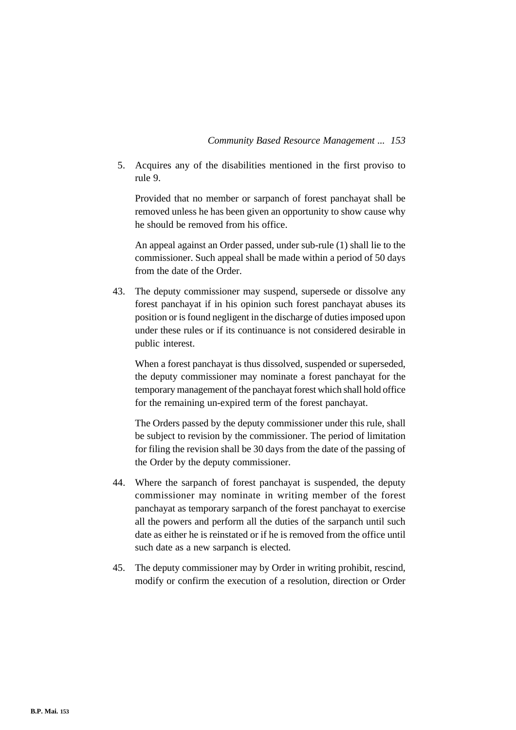5. Acquires any of the disabilities mentioned in the first proviso to rule 9.

Provided that no member or sarpanch of forest panchayat shall be removed unless he has been given an opportunity to show cause why he should be removed from his office.

An appeal against an Order passed, under sub-rule (1) shall lie to the commissioner. Such appeal shall be made within a period of 50 days from the date of the Order.

43. The deputy commissioner may suspend, supersede or dissolve any forest panchayat if in his opinion such forest panchayat abuses its position or is found negligent in the discharge of duties imposed upon under these rules or if its continuance is not considered desirable in public interest.

When a forest panchayat is thus dissolved, suspended or superseded, the deputy commissioner may nominate a forest panchayat for the temporary management of the panchayat forest which shall hold office for the remaining un-expired term of the forest panchayat.

The Orders passed by the deputy commissioner under this rule, shall be subject to revision by the commissioner. The period of limitation for filing the revision shall be 30 days from the date of the passing of the Order by the deputy commissioner.

- 44. Where the sarpanch of forest panchayat is suspended, the deputy commissioner may nominate in writing member of the forest panchayat as temporary sarpanch of the forest panchayat to exercise all the powers and perform all the duties of the sarpanch until such date as either he is reinstated or if he is removed from the office until such date as a new sarpanch is elected.
- 45. The deputy commissioner may by Order in writing prohibit, rescind, modify or confirm the execution of a resolution, direction or Order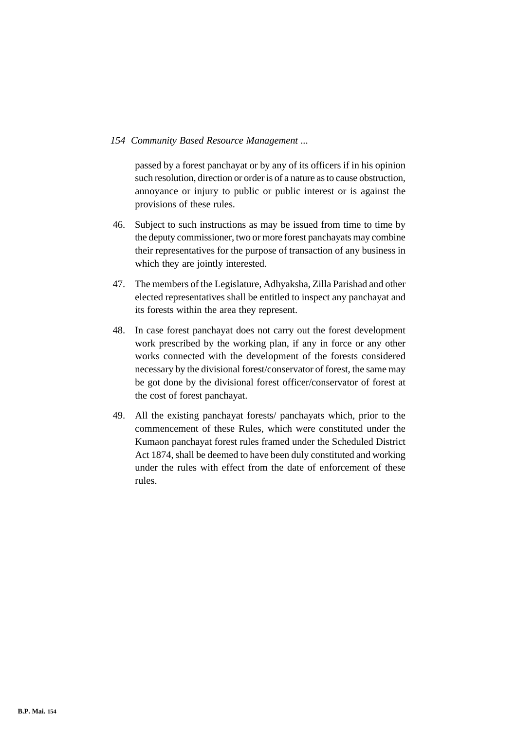passed by a forest panchayat or by any of its officers if in his opinion such resolution, direction or order is of a nature as to cause obstruction, annoyance or injury to public or public interest or is against the provisions of these rules.

- 46. Subject to such instructions as may be issued from time to time by the deputy commissioner, two or more forest panchayats may combine their representatives for the purpose of transaction of any business in which they are jointly interested.
- 47. The members of the Legislature, Adhyaksha, Zilla Parishad and other elected representatives shall be entitled to inspect any panchayat and its forests within the area they represent.
- 48. In case forest panchayat does not carry out the forest development work prescribed by the working plan, if any in force or any other works connected with the development of the forests considered necessary by the divisional forest/conservator of forest, the same may be got done by the divisional forest officer/conservator of forest at the cost of forest panchayat.
- 49. All the existing panchayat forests/ panchayats which, prior to the commencement of these Rules, which were constituted under the Kumaon panchayat forest rules framed under the Scheduled District Act 1874, shall be deemed to have been duly constituted and working under the rules with effect from the date of enforcement of these rules.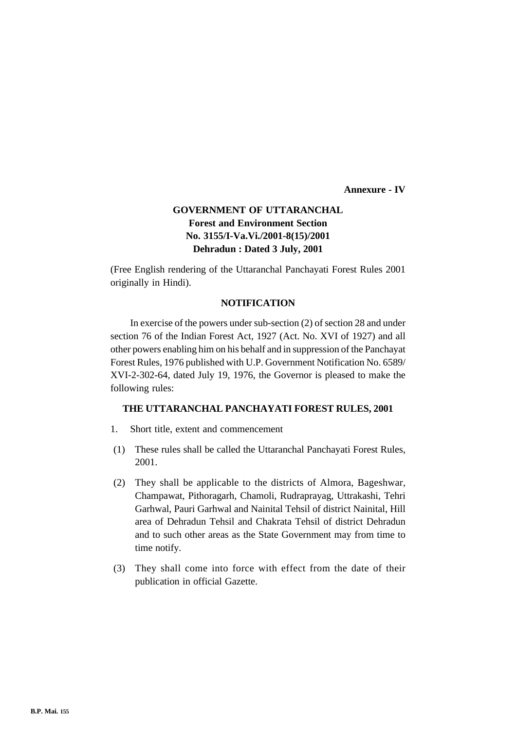**Annexure - IV**

# **GOVERNMENT OF UTTARANCHAL Forest and Environment Section No. 3155/I-Va.Vi./2001-8(15)/2001 Dehradun : Dated 3 July, 2001**

(Free English rendering of the Uttaranchal Panchayati Forest Rules 2001 originally in Hindi).

# **NOTIFICATION**

In exercise of the powers under sub-section (2) of section 28 and under section 76 of the Indian Forest Act, 1927 (Act. No. XVI of 1927) and all other powers enabling him on his behalf and in suppression of the Panchayat Forest Rules, 1976 published with U.P. Government Notification No. 6589/ XVI-2-302-64, dated July 19, 1976, the Governor is pleased to make the following rules:

#### **THE UTTARANCHAL PANCHAYATI FOREST RULES, 2001**

- 1. Short title, extent and commencement
- (1) These rules shall be called the Uttaranchal Panchayati Forest Rules, 2001.
- (2) They shall be applicable to the districts of Almora, Bageshwar, Champawat, Pithoragarh, Chamoli, Rudraprayag, Uttrakashi, Tehri Garhwal, Pauri Garhwal and Nainital Tehsil of district Nainital, Hill area of Dehradun Tehsil and Chakrata Tehsil of district Dehradun and to such other areas as the State Government may from time to time notify.
- (3) They shall come into force with effect from the date of their publication in official Gazette.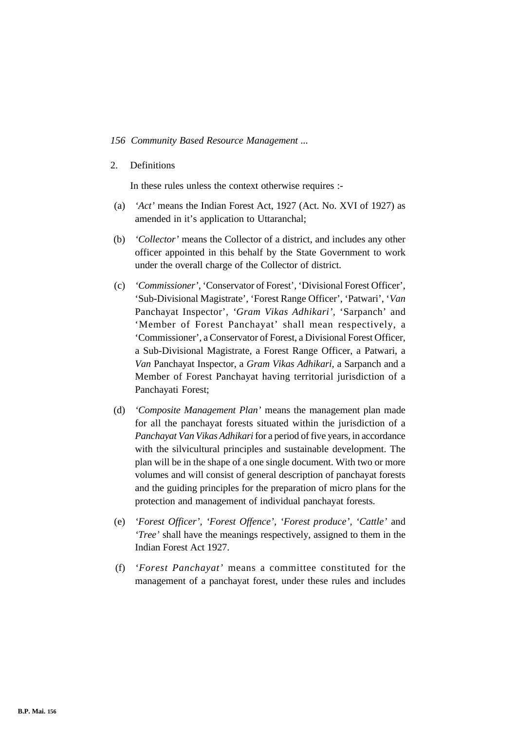### 2. Definitions

In these rules unless the context otherwise requires :-

- (a) *'Act'* means the Indian Forest Act, 1927 (Act. No. XVI of 1927) as amended in it's application to Uttaranchal;
- (b) *'Collector'* means the Collector of a district, and includes any other officer appointed in this behalf by the State Government to work under the overall charge of the Collector of district.
- (c) *'Commissioner'*, 'Conservator of Forest', 'Divisional Forest Officer', 'Sub-Divisional Magistrate', 'Forest Range Officer', 'Patwari', '*Van* Panchayat Inspector', *'Gram Vikas Adhikari',* 'Sarpanch' and 'Member of Forest Panchayat' shall mean respectively, a 'Commissioner', a Conservator of Forest, a Divisional Forest Officer, a Sub-Divisional Magistrate, a Forest Range Officer, a Patwari, a *Van* Panchayat Inspector, a *Gram Vikas Adhikari,* a Sarpanch and a Member of Forest Panchayat having territorial jurisdiction of a Panchayati Forest;
- (d) *'Composite Management Plan'* means the management plan made for all the panchayat forests situated within the jurisdiction of a *Panchayat Van Vikas Adhikari* for a period of five years, in accordance with the silvicultural principles and sustainable development. The plan will be in the shape of a one single document. With two or more volumes and will consist of general description of panchayat forests and the guiding principles for the preparation of micro plans for the protection and management of individual panchayat forests.
- (e) *'Forest Officer', 'Forest Offence', 'Forest produce', 'Cattle'* and *'Tree'* shall have the meanings respectively, assigned to them in the Indian Forest Act 1927.
- (f) *'Forest Panchayat'* means a committee constituted for the management of a panchayat forest, under these rules and includes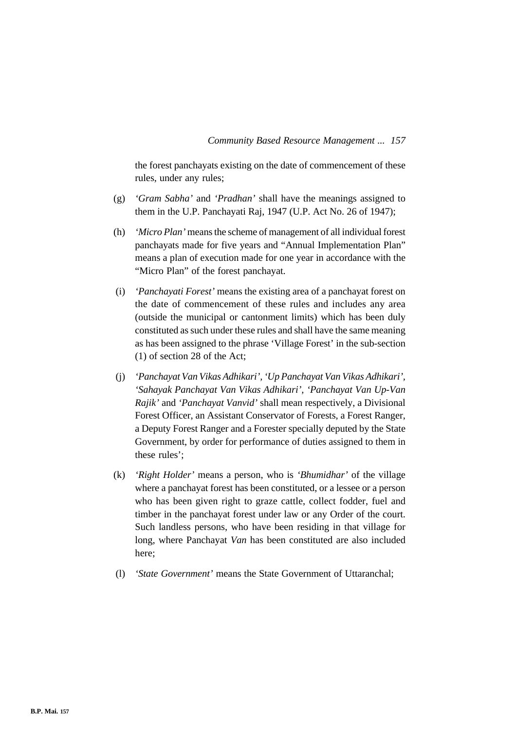the forest panchayats existing on the date of commencement of these rules, under any rules;

- (g) *'Gram Sabha'* and *'Pradhan'* shall have the meanings assigned to them in the U.P. Panchayati Raj, 1947 (U.P. Act No. 26 of 1947);
- (h) *'Micro Plan'* means the scheme of management of all individual forest panchayats made for five years and "Annual Implementation Plan" means a plan of execution made for one year in accordance with the "Micro Plan" of the forest panchayat.
- (i) *'Panchayati Forest'* means the existing area of a panchayat forest on the date of commencement of these rules and includes any area (outside the municipal or cantonment limits) which has been duly constituted as such under these rules and shall have the same meaning as has been assigned to the phrase 'Village Forest' in the sub-section (1) of section 28 of the Act;
- (j) *'Panchayat Van Vikas Adhikari', 'Up Panchayat Van Vikas Adhikari', 'Sahayak Panchayat Van Vikas Adhikari', 'Panchayat Van Up-Van Rajik'* and *'Panchayat Vanvid'* shall mean respectively, a Divisional Forest Officer, an Assistant Conservator of Forests, a Forest Ranger, a Deputy Forest Ranger and a Forester specially deputed by the State Government, by order for performance of duties assigned to them in these rules';
- (k) *'Right Holder'* means a person, who is *'Bhumidhar'* of the village where a panchayat forest has been constituted, or a lessee or a person who has been given right to graze cattle, collect fodder, fuel and timber in the panchayat forest under law or any Order of the court. Such landless persons, who have been residing in that village for long, where Panchayat *Van* has been constituted are also included here;
- (l) *'State Government'* means the State Government of Uttaranchal;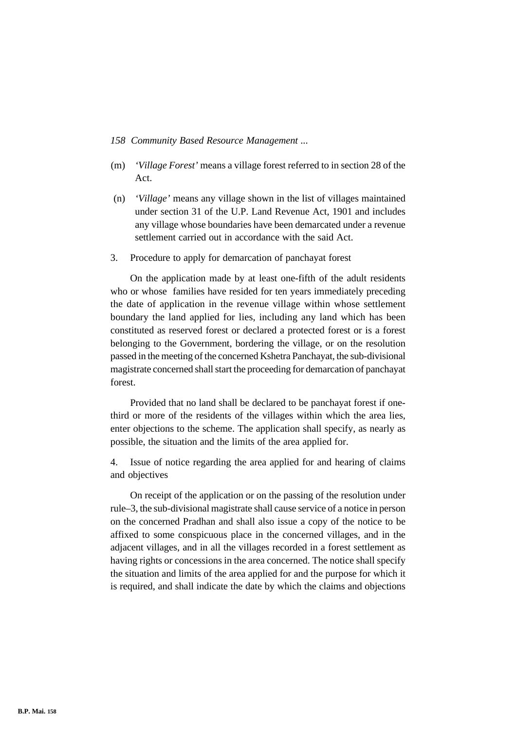- (m) *'Village Forest'* means a village forest referred to in section 28 of the Act.
- (n) *'Village'* means any village shown in the list of villages maintained under section 31 of the U.P. Land Revenue Act, 1901 and includes any village whose boundaries have been demarcated under a revenue settlement carried out in accordance with the said Act.
- 3. Procedure to apply for demarcation of panchayat forest

On the application made by at least one-fifth of the adult residents who or whose families have resided for ten years immediately preceding the date of application in the revenue village within whose settlement boundary the land applied for lies, including any land which has been constituted as reserved forest or declared a protected forest or is a forest belonging to the Government, bordering the village, or on the resolution passed in the meeting of the concerned Kshetra Panchayat, the sub-divisional magistrate concerned shall start the proceeding for demarcation of panchayat forest.

Provided that no land shall be declared to be panchayat forest if onethird or more of the residents of the villages within which the area lies, enter objections to the scheme. The application shall specify, as nearly as possible, the situation and the limits of the area applied for.

4. Issue of notice regarding the area applied for and hearing of claims and objectives

On receipt of the application or on the passing of the resolution under rule–3, the sub-divisional magistrate shall cause service of a notice in person on the concerned Pradhan and shall also issue a copy of the notice to be affixed to some conspicuous place in the concerned villages, and in the adjacent villages, and in all the villages recorded in a forest settlement as having rights or concessions in the area concerned. The notice shall specify the situation and limits of the area applied for and the purpose for which it is required, and shall indicate the date by which the claims and objections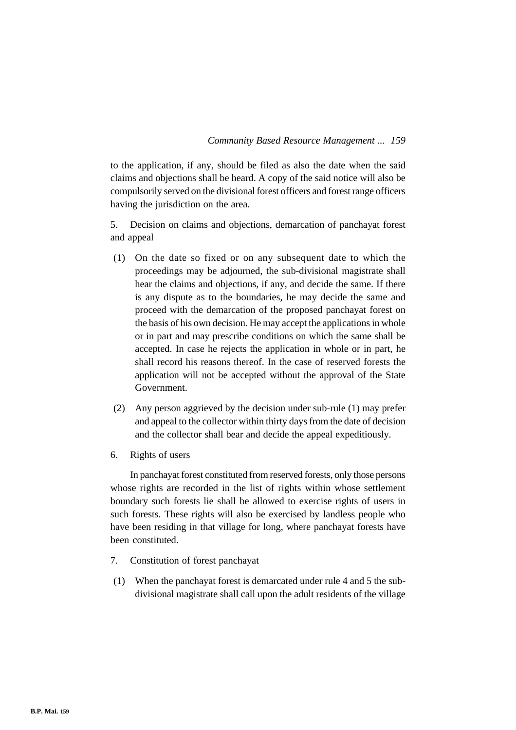to the application, if any, should be filed as also the date when the said claims and objections shall be heard. A copy of the said notice will also be compulsorily served on the divisional forest officers and forest range officers having the jurisdiction on the area.

5. Decision on claims and objections, demarcation of panchayat forest and appeal

- (1) On the date so fixed or on any subsequent date to which the proceedings may be adjourned, the sub-divisional magistrate shall hear the claims and objections, if any, and decide the same. If there is any dispute as to the boundaries, he may decide the same and proceed with the demarcation of the proposed panchayat forest on the basis of his own decision. He may accept the applications in whole or in part and may prescribe conditions on which the same shall be accepted. In case he rejects the application in whole or in part, he shall record his reasons thereof. In the case of reserved forests the application will not be accepted without the approval of the State Government.
- (2) Any person aggrieved by the decision under sub-rule (1) may prefer and appeal to the collector within thirty days from the date of decision and the collector shall bear and decide the appeal expeditiously.
- 6. Rights of users

In panchayat forest constituted from reserved forests, only those persons whose rights are recorded in the list of rights within whose settlement boundary such forests lie shall be allowed to exercise rights of users in such forests. These rights will also be exercised by landless people who have been residing in that village for long, where panchayat forests have been constituted.

- 7. Constitution of forest panchayat
- (1) When the panchayat forest is demarcated under rule 4 and 5 the subdivisional magistrate shall call upon the adult residents of the village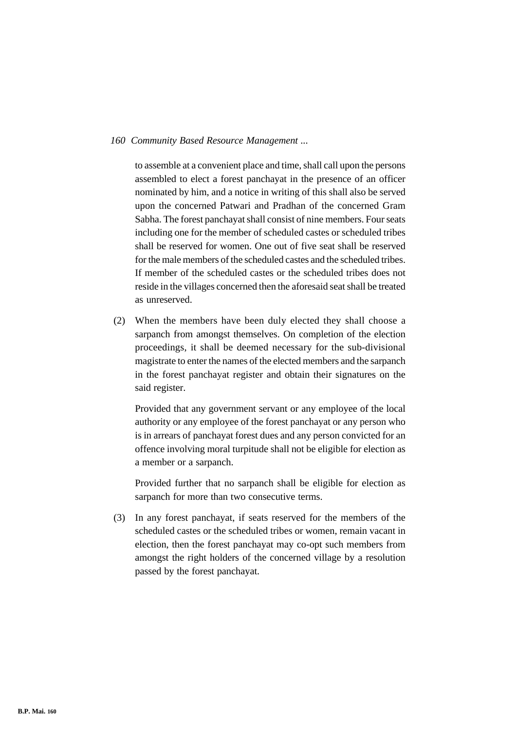to assemble at a convenient place and time, shall call upon the persons assembled to elect a forest panchayat in the presence of an officer nominated by him, and a notice in writing of this shall also be served upon the concerned Patwari and Pradhan of the concerned Gram Sabha. The forest panchayat shall consist of nine members. Four seats including one for the member of scheduled castes or scheduled tribes shall be reserved for women. One out of five seat shall be reserved for the male members of the scheduled castes and the scheduled tribes. If member of the scheduled castes or the scheduled tribes does not reside in the villages concerned then the aforesaid seat shall be treated as unreserved.

(2) When the members have been duly elected they shall choose a sarpanch from amongst themselves. On completion of the election proceedings, it shall be deemed necessary for the sub-divisional magistrate to enter the names of the elected members and the sarpanch in the forest panchayat register and obtain their signatures on the said register.

Provided that any government servant or any employee of the local authority or any employee of the forest panchayat or any person who is in arrears of panchayat forest dues and any person convicted for an offence involving moral turpitude shall not be eligible for election as a member or a sarpanch.

Provided further that no sarpanch shall be eligible for election as sarpanch for more than two consecutive terms.

(3) In any forest panchayat, if seats reserved for the members of the scheduled castes or the scheduled tribes or women, remain vacant in election, then the forest panchayat may co-opt such members from amongst the right holders of the concerned village by a resolution passed by the forest panchayat.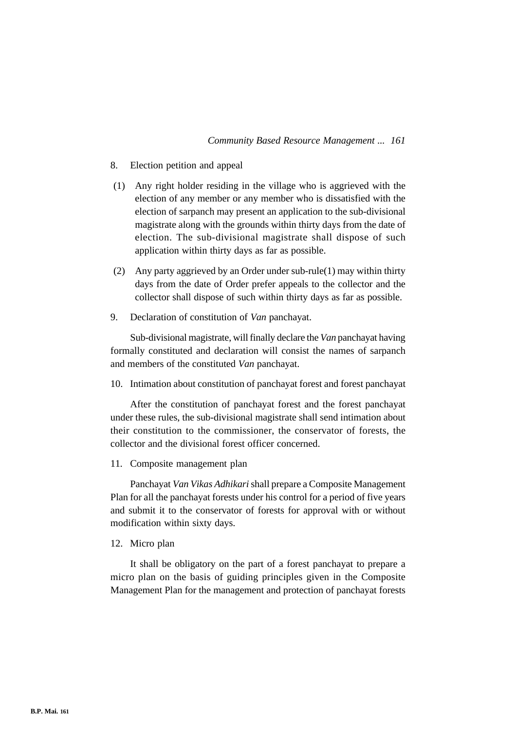- 8. Election petition and appeal
- (1) Any right holder residing in the village who is aggrieved with the election of any member or any member who is dissatisfied with the election of sarpanch may present an application to the sub-divisional magistrate along with the grounds within thirty days from the date of election. The sub-divisional magistrate shall dispose of such application within thirty days as far as possible.
- (2) Any party aggrieved by an Order under sub-rule(1) may within thirty days from the date of Order prefer appeals to the collector and the collector shall dispose of such within thirty days as far as possible.
- 9. Declaration of constitution of *Van* panchayat.

Sub-divisional magistrate, will finally declare the *Van* panchayat having formally constituted and declaration will consist the names of sarpanch and members of the constituted *Van* panchayat.

10. Intimation about constitution of panchayat forest and forest panchayat

After the constitution of panchayat forest and the forest panchayat under these rules, the sub-divisional magistrate shall send intimation about their constitution to the commissioner, the conservator of forests, the collector and the divisional forest officer concerned.

11. Composite management plan

Panchayat *Van Vikas Adhikari* shall prepare a Composite Management Plan for all the panchayat forests under his control for a period of five years and submit it to the conservator of forests for approval with or without modification within sixty days.

12. Micro plan

It shall be obligatory on the part of a forest panchayat to prepare a micro plan on the basis of guiding principles given in the Composite Management Plan for the management and protection of panchayat forests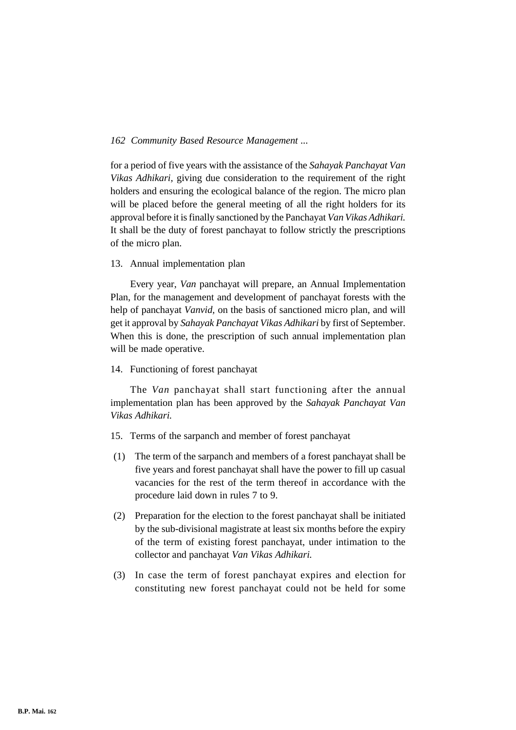for a period of five years with the assistance of the *Sahayak Panchayat Van Vikas Adhikari,* giving due consideration to the requirement of the right holders and ensuring the ecological balance of the region. The micro plan will be placed before the general meeting of all the right holders for its approval before it is finally sanctioned by the Panchayat *Van Vikas Adhikari.* It shall be the duty of forest panchayat to follow strictly the prescriptions of the micro plan.

# 13. Annual implementation plan

Every year, *Van* panchayat will prepare, an Annual Implementation Plan, for the management and development of panchayat forests with the help of panchayat *Vanvid,* on the basis of sanctioned micro plan, and will get it approval by *Sahayak Panchayat Vikas Adhikari* by first of September. When this is done, the prescription of such annual implementation plan will be made operative.

#### 14. Functioning of forest panchayat

The *Van* panchayat shall start functioning after the annual implementation plan has been approved by the *Sahayak Panchayat Van Vikas Adhikari.*

- 15. Terms of the sarpanch and member of forest panchayat
- (1) The term of the sarpanch and members of a forest panchayat shall be five years and forest panchayat shall have the power to fill up casual vacancies for the rest of the term thereof in accordance with the procedure laid down in rules 7 to 9.
- (2) Preparation for the election to the forest panchayat shall be initiated by the sub-divisional magistrate at least six months before the expiry of the term of existing forest panchayat, under intimation to the collector and panchayat *Van Vikas Adhikari.*
- (3) In case the term of forest panchayat expires and election for constituting new forest panchayat could not be held for some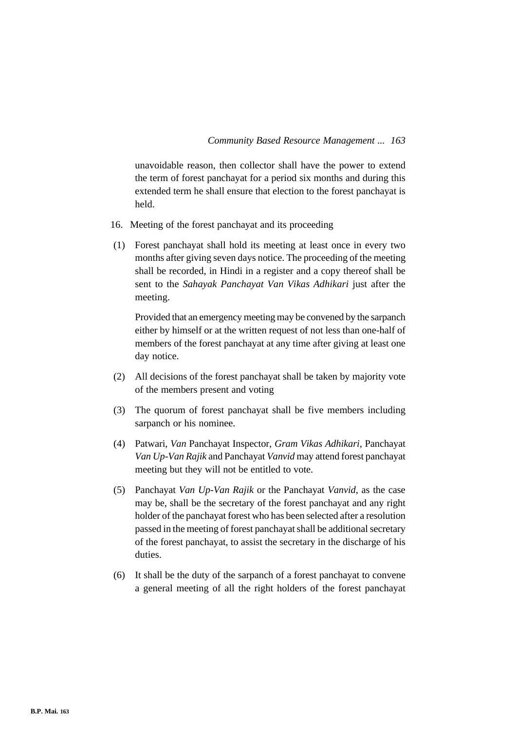unavoidable reason, then collector shall have the power to extend the term of forest panchayat for a period six months and during this extended term he shall ensure that election to the forest panchayat is held.

- 16. Meeting of the forest panchayat and its proceeding
- (1) Forest panchayat shall hold its meeting at least once in every two months after giving seven days notice. The proceeding of the meeting shall be recorded, in Hindi in a register and a copy thereof shall be sent to the *Sahayak Panchayat Van Vikas Adhikari* just after the meeting.

Provided that an emergency meeting may be convened by the sarpanch either by himself or at the written request of not less than one-half of members of the forest panchayat at any time after giving at least one day notice.

- (2) All decisions of the forest panchayat shall be taken by majority vote of the members present and voting
- (3) The quorum of forest panchayat shall be five members including sarpanch or his nominee.
- (4) Patwari, *Van* Panchayat Inspector, *Gram Vikas Adhikari,* Panchayat *Van Up-Van Rajik* and Panchayat *Vanvid* may attend forest panchayat meeting but they will not be entitled to vote.
- (5) Panchayat *Van Up-Van Rajik* or the Panchayat *Vanvid,* as the case may be, shall be the secretary of the forest panchayat and any right holder of the panchayat forest who has been selected after a resolution passed in the meeting of forest panchayat shall be additional secretary of the forest panchayat, to assist the secretary in the discharge of his duties.
- (6) It shall be the duty of the sarpanch of a forest panchayat to convene a general meeting of all the right holders of the forest panchayat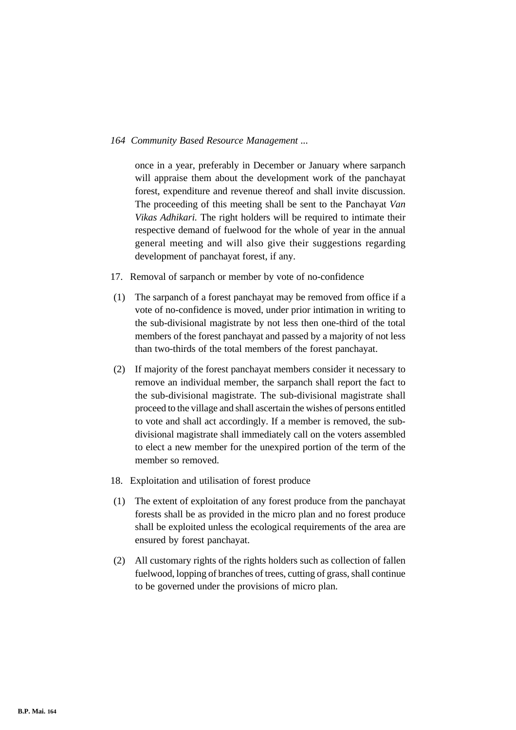once in a year, preferably in December or January where sarpanch will appraise them about the development work of the panchayat forest, expenditure and revenue thereof and shall invite discussion. The proceeding of this meeting shall be sent to the Panchayat *Van Vikas Adhikari.* The right holders will be required to intimate their respective demand of fuelwood for the whole of year in the annual general meeting and will also give their suggestions regarding development of panchayat forest, if any.

- 17. Removal of sarpanch or member by vote of no-confidence
- (1) The sarpanch of a forest panchayat may be removed from office if a vote of no-confidence is moved, under prior intimation in writing to the sub-divisional magistrate by not less then one-third of the total members of the forest panchayat and passed by a majority of not less than two-thirds of the total members of the forest panchayat.
- (2) If majority of the forest panchayat members consider it necessary to remove an individual member, the sarpanch shall report the fact to the sub-divisional magistrate. The sub-divisional magistrate shall proceed to the village and shall ascertain the wishes of persons entitled to vote and shall act accordingly. If a member is removed, the subdivisional magistrate shall immediately call on the voters assembled to elect a new member for the unexpired portion of the term of the member so removed.
- 18. Exploitation and utilisation of forest produce
- (1) The extent of exploitation of any forest produce from the panchayat forests shall be as provided in the micro plan and no forest produce shall be exploited unless the ecological requirements of the area are ensured by forest panchayat.
- (2) All customary rights of the rights holders such as collection of fallen fuelwood, lopping of branches of trees, cutting of grass, shall continue to be governed under the provisions of micro plan.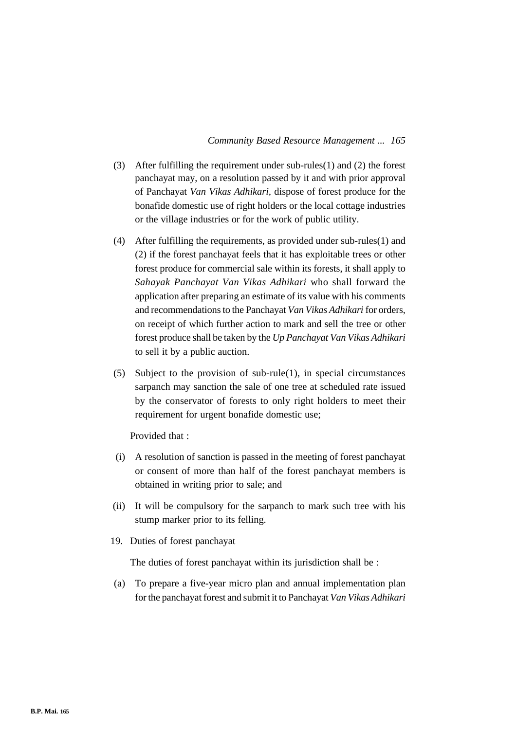- (3) After fulfilling the requirement under sub-rules(1) and (2) the forest panchayat may, on a resolution passed by it and with prior approval of Panchayat *Van Vikas Adhikari,* dispose of forest produce for the bonafide domestic use of right holders or the local cottage industries or the village industries or for the work of public utility.
- (4) After fulfilling the requirements, as provided under sub-rules(1) and (2) if the forest panchayat feels that it has exploitable trees or other forest produce for commercial sale within its forests, it shall apply to *Sahayak Panchayat Van Vikas Adhikari* who shall forward the application after preparing an estimate of its value with his comments and recommendations to the Panchayat *Van Vikas Adhikari* for orders, on receipt of which further action to mark and sell the tree or other forest produce shall be taken by the *Up Panchayat Van Vikas Adhikari* to sell it by a public auction.
- (5) Subject to the provision of sub-rule(1), in special circumstances sarpanch may sanction the sale of one tree at scheduled rate issued by the conservator of forests to only right holders to meet their requirement for urgent bonafide domestic use;

Provided that :

- (i) A resolution of sanction is passed in the meeting of forest panchayat or consent of more than half of the forest panchayat members is obtained in writing prior to sale; and
- (ii) It will be compulsory for the sarpanch to mark such tree with his stump marker prior to its felling.
- 19. Duties of forest panchayat

The duties of forest panchayat within its jurisdiction shall be :

(a) To prepare a five-year micro plan and annual implementation plan for the panchayat forest and submit it to Panchayat *Van Vikas Adhikari*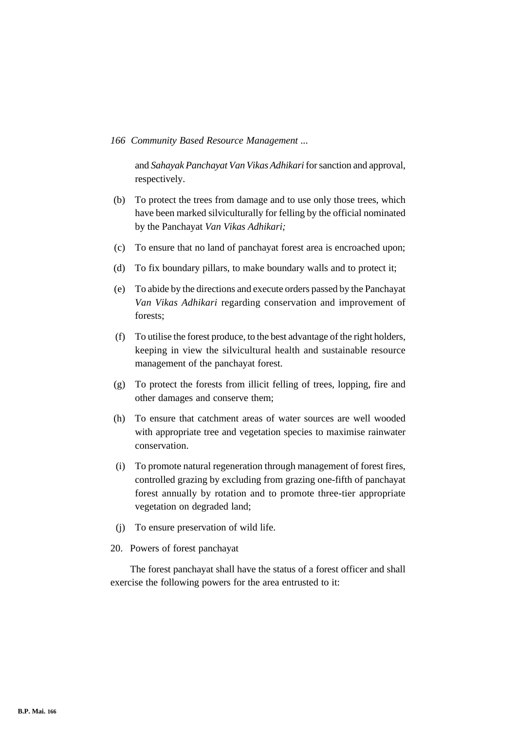and *Sahayak Panchayat Van Vikas Adhikari* for sanction and approval, respectively.

- (b) To protect the trees from damage and to use only those trees, which have been marked silviculturally for felling by the official nominated by the Panchayat *Van Vikas Adhikari;*
- (c) To ensure that no land of panchayat forest area is encroached upon;
- (d) To fix boundary pillars, to make boundary walls and to protect it;
- (e) To abide by the directions and execute orders passed by the Panchayat *Van Vikas Adhikari* regarding conservation and improvement of forests;
- (f) To utilise the forest produce, to the best advantage of the right holders, keeping in view the silvicultural health and sustainable resource management of the panchayat forest.
- (g) To protect the forests from illicit felling of trees, lopping, fire and other damages and conserve them;
- (h) To ensure that catchment areas of water sources are well wooded with appropriate tree and vegetation species to maximise rainwater conservation.
- (i) To promote natural regeneration through management of forest fires, controlled grazing by excluding from grazing one-fifth of panchayat forest annually by rotation and to promote three-tier appropriate vegetation on degraded land;
- (j) To ensure preservation of wild life.
- 20. Powers of forest panchayat

The forest panchayat shall have the status of a forest officer and shall exercise the following powers for the area entrusted to it: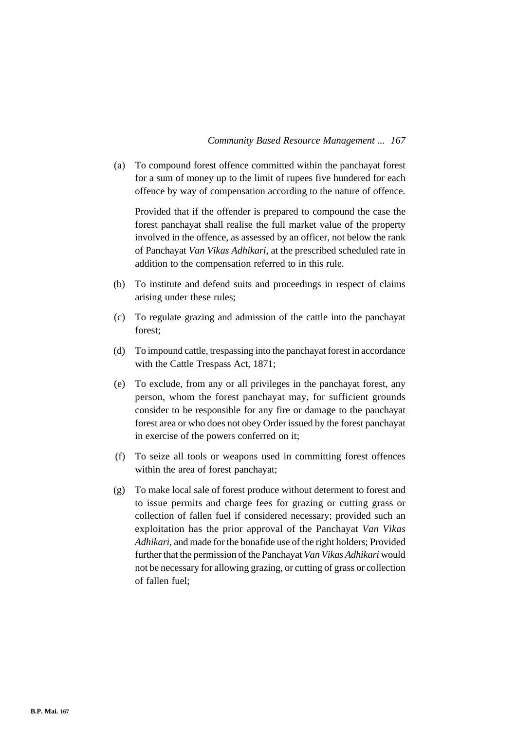(a) To compound forest offence committed within the panchayat forest for a sum of money up to the limit of rupees five hundered for each offence by way of compensation according to the nature of offence.

Provided that if the offender is prepared to compound the case the forest panchayat shall realise the full market value of the property involved in the offence, as assessed by an officer, not below the rank of Panchayat *Van Vikas Adhikari,* at the prescribed scheduled rate in addition to the compensation referred to in this rule.

- (b) To institute and defend suits and proceedings in respect of claims arising under these rules;
- (c) To regulate grazing and admission of the cattle into the panchayat forest;
- (d) To impound cattle, trespassing into the panchayat forest in accordance with the Cattle Trespass Act, 1871;
- (e) To exclude, from any or all privileges in the panchayat forest, any person, whom the forest panchayat may, for sufficient grounds consider to be responsible for any fire or damage to the panchayat forest area or who does not obey Order issued by the forest panchayat in exercise of the powers conferred on it;
- (f) To seize all tools or weapons used in committing forest offences within the area of forest panchayat;
- (g) To make local sale of forest produce without determent to forest and to issue permits and charge fees for grazing or cutting grass or collection of fallen fuel if considered necessary; provided such an exploitation has the prior approval of the Panchayat *Van Vikas Adhikari,* and made for the bonafide use of the right holders; Provided further that the permission of the Panchayat *Van Vikas Adhikari* would not be necessary for allowing grazing, or cutting of grass or collection of fallen fuel;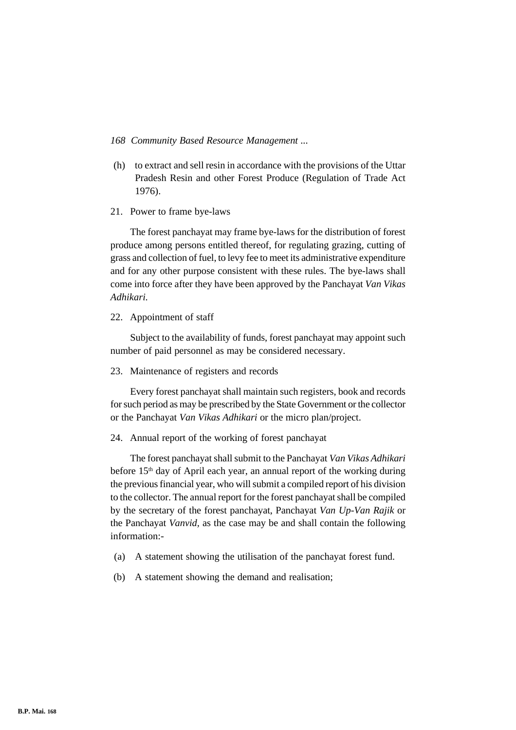- (h) to extract and sell resin in accordance with the provisions of the Uttar Pradesh Resin and other Forest Produce (Regulation of Trade Act 1976).
- 21. Power to frame bye-laws

The forest panchayat may frame bye-laws for the distribution of forest produce among persons entitled thereof, for regulating grazing, cutting of grass and collection of fuel, to levy fee to meet its administrative expenditure and for any other purpose consistent with these rules. The bye-laws shall come into force after they have been approved by the Panchayat *Van Vikas Adhikari.*

22. Appointment of staff

Subject to the availability of funds, forest panchayat may appoint such number of paid personnel as may be considered necessary.

23. Maintenance of registers and records

Every forest panchayat shall maintain such registers, book and records for such period as may be prescribed by the State Government or the collector or the Panchayat *Van Vikas Adhikari* or the micro plan/project.

24. Annual report of the working of forest panchayat

The forest panchayat shall submit to the Panchayat *Van Vikas Adhikari* before  $15<sup>th</sup>$  day of April each year, an annual report of the working during the previous financial year, who will submit a compiled report of his division to the collector. The annual report for the forest panchayat shall be compiled by the secretary of the forest panchayat, Panchayat *Van Up-Van Rajik* or the Panchayat *Vanvid,* as the case may be and shall contain the following information:-

- (a) A statement showing the utilisation of the panchayat forest fund.
- (b) A statement showing the demand and realisation;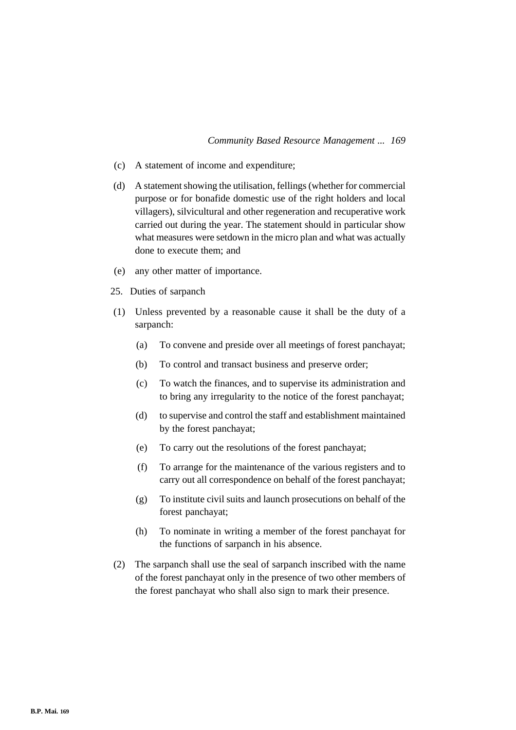- (c) A statement of income and expenditure;
- (d) A statement showing the utilisation, fellings (whether for commercial purpose or for bonafide domestic use of the right holders and local villagers), silvicultural and other regeneration and recuperative work carried out during the year. The statement should in particular show what measures were setdown in the micro plan and what was actually done to execute them; and
- (e) any other matter of importance.
- 25. Duties of sarpanch
- (1) Unless prevented by a reasonable cause it shall be the duty of a sarpanch:
	- (a) To convene and preside over all meetings of forest panchayat;
	- (b) To control and transact business and preserve order;
	- (c) To watch the finances, and to supervise its administration and to bring any irregularity to the notice of the forest panchayat;
	- (d) to supervise and control the staff and establishment maintained by the forest panchayat;
	- (e) To carry out the resolutions of the forest panchayat;
	- (f) To arrange for the maintenance of the various registers and to carry out all correspondence on behalf of the forest panchayat;
	- (g) To institute civil suits and launch prosecutions on behalf of the forest panchayat;
	- (h) To nominate in writing a member of the forest panchayat for the functions of sarpanch in his absence.
- (2) The sarpanch shall use the seal of sarpanch inscribed with the name of the forest panchayat only in the presence of two other members of the forest panchayat who shall also sign to mark their presence.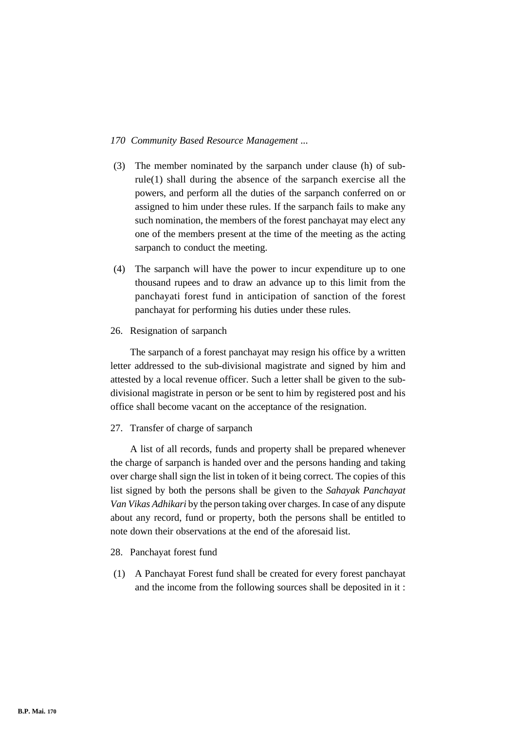- (3) The member nominated by the sarpanch under clause (h) of subrule(1) shall during the absence of the sarpanch exercise all the powers, and perform all the duties of the sarpanch conferred on or assigned to him under these rules. If the sarpanch fails to make any such nomination, the members of the forest panchayat may elect any one of the members present at the time of the meeting as the acting sarpanch to conduct the meeting.
- (4) The sarpanch will have the power to incur expenditure up to one thousand rupees and to draw an advance up to this limit from the panchayati forest fund in anticipation of sanction of the forest panchayat for performing his duties under these rules.
- 26. Resignation of sarpanch

The sarpanch of a forest panchayat may resign his office by a written letter addressed to the sub-divisional magistrate and signed by him and attested by a local revenue officer. Such a letter shall be given to the subdivisional magistrate in person or be sent to him by registered post and his office shall become vacant on the acceptance of the resignation.

27. Transfer of charge of sarpanch

A list of all records, funds and property shall be prepared whenever the charge of sarpanch is handed over and the persons handing and taking over charge shall sign the list in token of it being correct. The copies of this list signed by both the persons shall be given to the *Sahayak Panchayat Van Vikas Adhikari* by the person taking over charges. In case of any dispute about any record, fund or property, both the persons shall be entitled to note down their observations at the end of the aforesaid list.

- 28. Panchayat forest fund
- (1) A Panchayat Forest fund shall be created for every forest panchayat and the income from the following sources shall be deposited in it :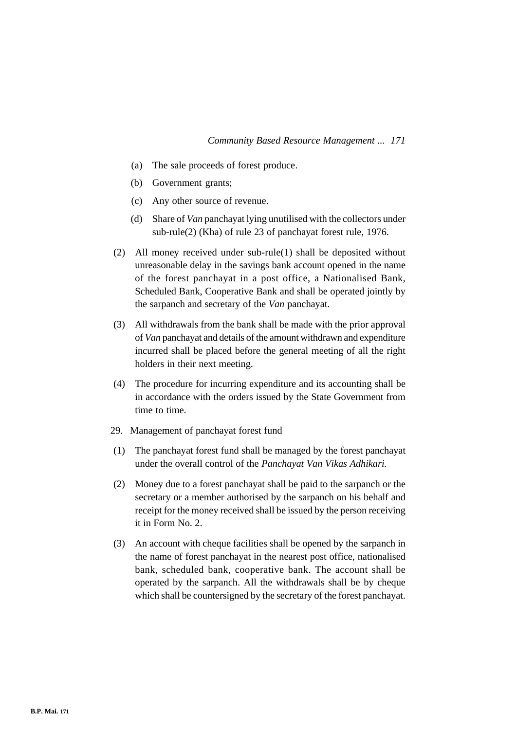- (a) The sale proceeds of forest produce.
- (b) Government grants;
- (c) Any other source of revenue.
- (d) Share of *Van* panchayat lying unutilised with the collectors under sub-rule(2) (Kha) of rule 23 of panchayat forest rule, 1976.
- (2) All money received under sub-rule(1) shall be deposited without unreasonable delay in the savings bank account opened in the name of the forest panchayat in a post office, a Nationalised Bank, Scheduled Bank, Cooperative Bank and shall be operated jointly by the sarpanch and secretary of the *Van* panchayat.
- (3) All withdrawals from the bank shall be made with the prior approval of *Van* panchayat and details of the amount withdrawn and expenditure incurred shall be placed before the general meeting of all the right holders in their next meeting.
- (4) The procedure for incurring expenditure and its accounting shall be in accordance with the orders issued by the State Government from time to time.
- 29. Management of panchayat forest fund
- (1) The panchayat forest fund shall be managed by the forest panchayat under the overall control of the *Panchayat Van Vikas Adhikari.*
- (2) Money due to a forest panchayat shall be paid to the sarpanch or the secretary or a member authorised by the sarpanch on his behalf and receipt for the money received shall be issued by the person receiving it in Form No. 2.
- (3) An account with cheque facilities shall be opened by the sarpanch in the name of forest panchayat in the nearest post office, nationalised bank, scheduled bank, cooperative bank. The account shall be operated by the sarpanch. All the withdrawals shall be by cheque which shall be countersigned by the secretary of the forest panchayat.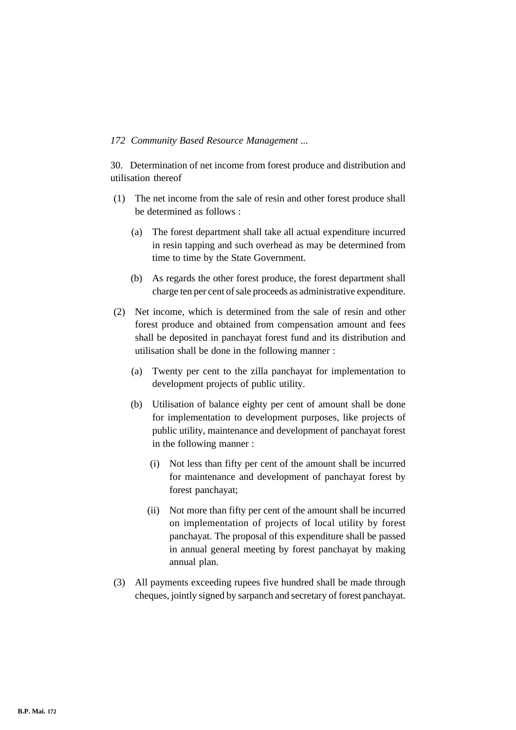30. Determination of net income from forest produce and distribution and utilisation thereof

- (1) The net income from the sale of resin and other forest produce shall be determined as follows :
	- (a) The forest department shall take all actual expenditure incurred in resin tapping and such overhead as may be determined from time to time by the State Government.
	- (b) As regards the other forest produce, the forest department shall charge ten per cent of sale proceeds as administrative expenditure.
- (2) Net income, which is determined from the sale of resin and other forest produce and obtained from compensation amount and fees shall be deposited in panchayat forest fund and its distribution and utilisation shall be done in the following manner :
	- (a) Twenty per cent to the zilla panchayat for implementation to development projects of public utility.
	- (b) Utilisation of balance eighty per cent of amount shall be done for implementation to development purposes, like projects of public utility, maintenance and development of panchayat forest in the following manner :
		- (i) Not less than fifty per cent of the amount shall be incurred for maintenance and development of panchayat forest by forest panchayat;
		- (ii) Not more than fifty per cent of the amount shall be incurred on implementation of projects of local utility by forest panchayat. The proposal of this expenditure shall be passed in annual general meeting by forest panchayat by making annual plan.
- (3) All payments exceeding rupees five hundred shall be made through cheques, jointly signed by sarpanch and secretary of forest panchayat.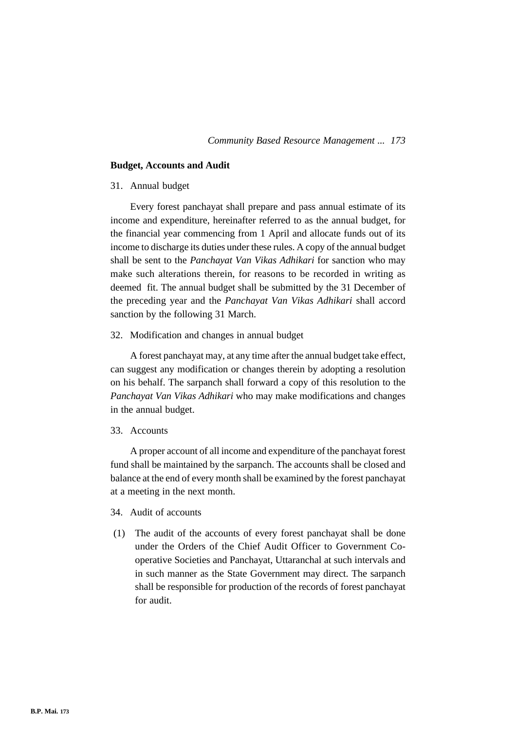#### **Budget, Accounts and Audit**

# 31. Annual budget

Every forest panchayat shall prepare and pass annual estimate of its income and expenditure, hereinafter referred to as the annual budget, for the financial year commencing from 1 April and allocate funds out of its income to discharge its duties under these rules. A copy of the annual budget shall be sent to the *Panchayat Van Vikas Adhikari* for sanction who may make such alterations therein, for reasons to be recorded in writing as deemed fit. The annual budget shall be submitted by the 31 December of the preceding year and the *Panchayat Van Vikas Adhikari* shall accord sanction by the following 31 March.

32. Modification and changes in annual budget

A forest panchayat may, at any time after the annual budget take effect, can suggest any modification or changes therein by adopting a resolution on his behalf. The sarpanch shall forward a copy of this resolution to the *Panchayat Van Vikas Adhikari* who may make modifications and changes in the annual budget.

#### 33. Accounts

A proper account of all income and expenditure of the panchayat forest fund shall be maintained by the sarpanch. The accounts shall be closed and balance at the end of every month shall be examined by the forest panchayat at a meeting in the next month.

- 34. Audit of accounts
- (1) The audit of the accounts of every forest panchayat shall be done under the Orders of the Chief Audit Officer to Government Cooperative Societies and Panchayat, Uttaranchal at such intervals and in such manner as the State Government may direct. The sarpanch shall be responsible for production of the records of forest panchayat for audit.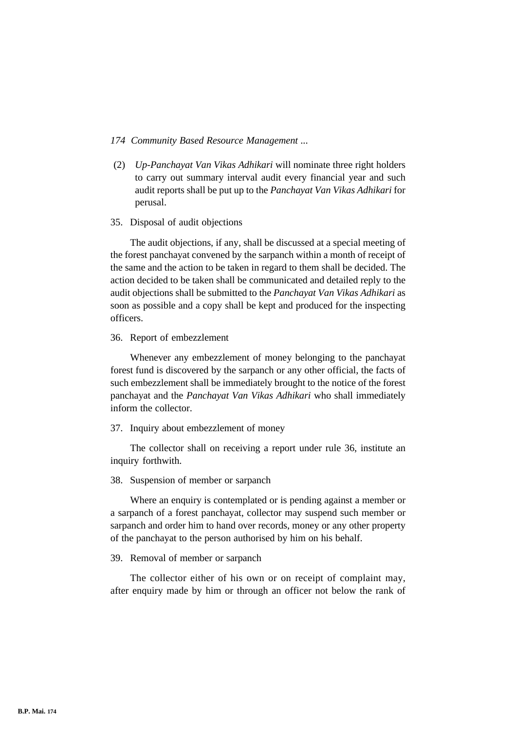- (2) *Up-Panchayat Van Vikas Adhikari* will nominate three right holders to carry out summary interval audit every financial year and such audit reports shall be put up to the *Panchayat Van Vikas Adhikari* for perusal.
- 35. Disposal of audit objections

The audit objections, if any, shall be discussed at a special meeting of the forest panchayat convened by the sarpanch within a month of receipt of the same and the action to be taken in regard to them shall be decided. The action decided to be taken shall be communicated and detailed reply to the audit objections shall be submitted to the *Panchayat Van Vikas Adhikari* as soon as possible and a copy shall be kept and produced for the inspecting officers.

#### 36. Report of embezzlement

Whenever any embezzlement of money belonging to the panchayat forest fund is discovered by the sarpanch or any other official, the facts of such embezzlement shall be immediately brought to the notice of the forest panchayat and the *Panchayat Van Vikas Adhikari* who shall immediately inform the collector.

# 37. Inquiry about embezzlement of money

The collector shall on receiving a report under rule 36, institute an inquiry forthwith.

# 38. Suspension of member or sarpanch

Where an enquiry is contemplated or is pending against a member or a sarpanch of a forest panchayat, collector may suspend such member or sarpanch and order him to hand over records, money or any other property of the panchayat to the person authorised by him on his behalf.

#### 39. Removal of member or sarpanch

The collector either of his own or on receipt of complaint may, after enquiry made by him or through an officer not below the rank of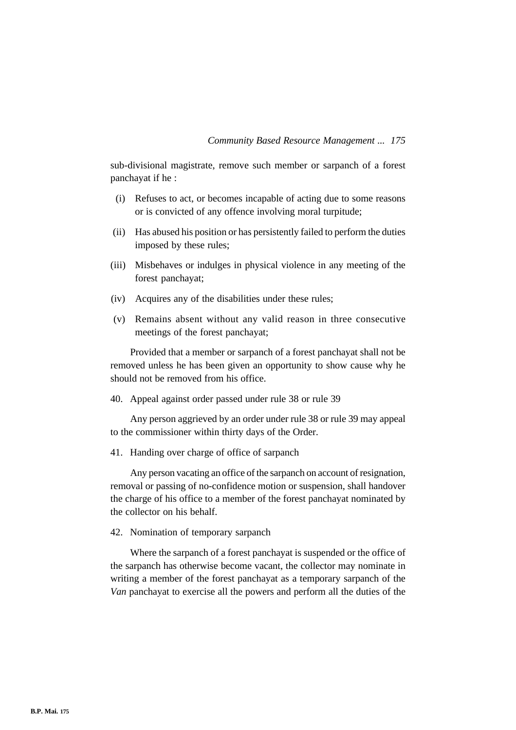sub-divisional magistrate, remove such member or sarpanch of a forest panchayat if he :

- (i) Refuses to act, or becomes incapable of acting due to some reasons or is convicted of any offence involving moral turpitude;
- (ii) Has abused his position or has persistently failed to perform the duties imposed by these rules;
- (iii) Misbehaves or indulges in physical violence in any meeting of the forest panchayat;
- (iv) Acquires any of the disabilities under these rules;
- (v) Remains absent without any valid reason in three consecutive meetings of the forest panchayat;

Provided that a member or sarpanch of a forest panchayat shall not be removed unless he has been given an opportunity to show cause why he should not be removed from his office.

40. Appeal against order passed under rule 38 or rule 39

Any person aggrieved by an order under rule 38 or rule 39 may appeal to the commissioner within thirty days of the Order.

41. Handing over charge of office of sarpanch

Any person vacating an office of the sarpanch on account of resignation, removal or passing of no-confidence motion or suspension, shall handover the charge of his office to a member of the forest panchayat nominated by the collector on his behalf.

42. Nomination of temporary sarpanch

Where the sarpanch of a forest panchayat is suspended or the office of the sarpanch has otherwise become vacant, the collector may nominate in writing a member of the forest panchayat as a temporary sarpanch of the *Van* panchayat to exercise all the powers and perform all the duties of the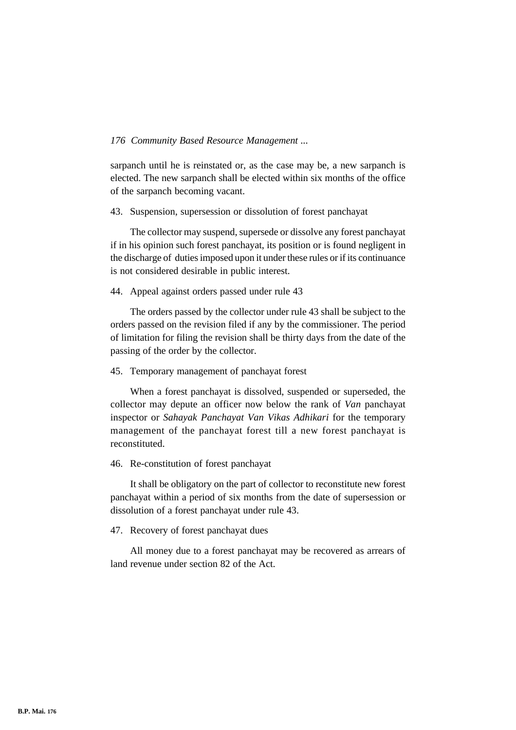sarpanch until he is reinstated or, as the case may be, a new sarpanch is elected. The new sarpanch shall be elected within six months of the office of the sarpanch becoming vacant.

#### 43. Suspension, supersession or dissolution of forest panchayat

The collector may suspend, supersede or dissolve any forest panchayat if in his opinion such forest panchayat, its position or is found negligent in the discharge of duties imposed upon it under these rules or if its continuance is not considered desirable in public interest.

### 44. Appeal against orders passed under rule 43

The orders passed by the collector under rule 43 shall be subject to the orders passed on the revision filed if any by the commissioner. The period of limitation for filing the revision shall be thirty days from the date of the passing of the order by the collector.

#### 45. Temporary management of panchayat forest

When a forest panchayat is dissolved, suspended or superseded, the collector may depute an officer now below the rank of *Van* panchayat inspector or *Sahayak Panchayat Van Vikas Adhikari* for the temporary management of the panchayat forest till a new forest panchayat is reconstituted.

#### 46. Re-constitution of forest panchayat

It shall be obligatory on the part of collector to reconstitute new forest panchayat within a period of six months from the date of supersession or dissolution of a forest panchayat under rule 43.

#### 47. Recovery of forest panchayat dues

All money due to a forest panchayat may be recovered as arrears of land revenue under section 82 of the Act.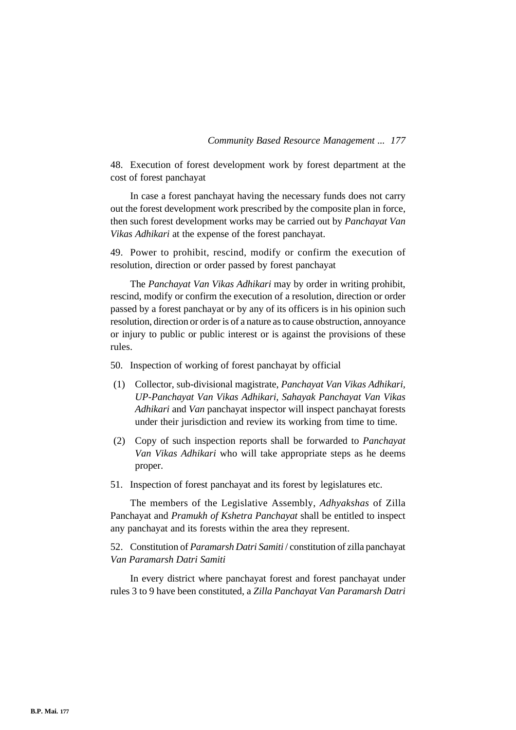48. Execution of forest development work by forest department at the cost of forest panchayat

In case a forest panchayat having the necessary funds does not carry out the forest development work prescribed by the composite plan in force, then such forest development works may be carried out by *Panchayat Van Vikas Adhikari* at the expense of the forest panchayat.

49. Power to prohibit, rescind, modify or confirm the execution of resolution, direction or order passed by forest panchayat

The *Panchayat Van Vikas Adhikari* may by order in writing prohibit, rescind, modify or confirm the execution of a resolution, direction or order passed by a forest panchayat or by any of its officers is in his opinion such resolution, direction or order is of a nature as to cause obstruction, annoyance or injury to public or public interest or is against the provisions of these rules.

50. Inspection of working of forest panchayat by official

- (1) Collector, sub-divisional magistrate, *Panchayat Van Vikas Adhikari, UP-Panchayat Van Vikas Adhikari, Sahayak Panchayat Van Vikas Adhikari* and *Van* panchayat inspector will inspect panchayat forests under their jurisdiction and review its working from time to time.
- (2) Copy of such inspection reports shall be forwarded to *Panchayat Van Vikas Adhikari* who will take appropriate steps as he deems proper.
- 51. Inspection of forest panchayat and its forest by legislatures etc.

The members of the Legislative Assembly, *Adhyakshas* of Zilla Panchayat and *Pramukh of Kshetra Panchayat* shall be entitled to inspect any panchayat and its forests within the area they represent.

52. Constitution of *Paramarsh Datri Samiti* / constitution of zilla panchayat *Van Paramarsh Datri Samiti*

In every district where panchayat forest and forest panchayat under rules 3 to 9 have been constituted, a *Zilla Panchayat Van Paramarsh Datri*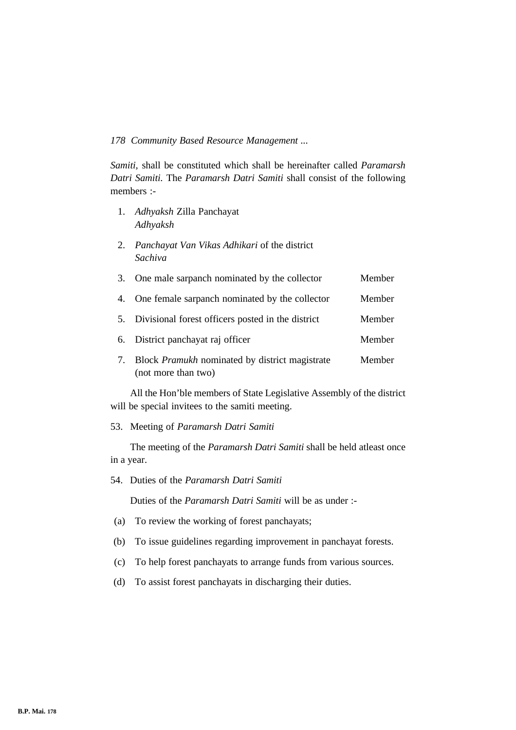*Samiti,* shall be constituted which shall be hereinafter called *Paramarsh Datri Samiti.* The *Paramarsh Datri Samiti* shall consist of the following members :-

- 1. *Adhyaksh* Zilla Panchayat *Adhyaksh*
- 2. *Panchayat Van Vikas Adhikari* of the district *Sachiva*

| 3. | One male sarpanch nominated by the collector | Member |
|----|----------------------------------------------|--------|
|    |                                              |        |

- 4. One female sarpanch nominated by the collector Member
- 5. Divisional forest officers posted in the district Member
- 6. District panchayat raj officer Member
- 7. Block *Pramukh* nominated by district magistrate Member (not more than two)

All the Hon'ble members of State Legislative Assembly of the district will be special invitees to the samiti meeting.

53. Meeting of *Paramarsh Datri Samiti*

The meeting of the *Paramarsh Datri Samiti* shall be held atleast once in a year.

Duties of the *Paramarsh Datri Samiti* will be as under :-

- (a) To review the working of forest panchayats;
- (b) To issue guidelines regarding improvement in panchayat forests.
- (c) To help forest panchayats to arrange funds from various sources.
- (d) To assist forest panchayats in discharging their duties.

<sup>54.</sup> Duties of the *Paramarsh Datri Samiti*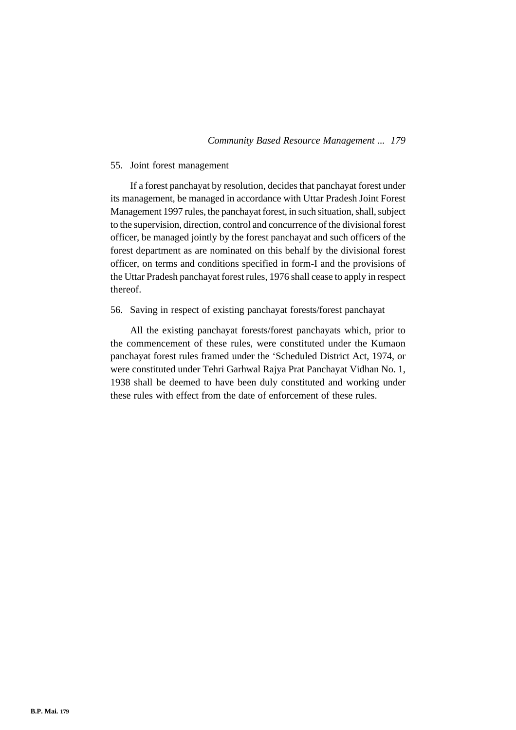# 55. Joint forest management

If a forest panchayat by resolution, decides that panchayat forest under its management, be managed in accordance with Uttar Pradesh Joint Forest Management 1997 rules, the panchayat forest, in such situation, shall, subject to the supervision, direction, control and concurrence of the divisional forest officer, be managed jointly by the forest panchayat and such officers of the forest department as are nominated on this behalf by the divisional forest officer, on terms and conditions specified in form-I and the provisions of the Uttar Pradesh panchayat forest rules, 1976 shall cease to apply in respect thereof.

# 56. Saving in respect of existing panchayat forests/forest panchayat

All the existing panchayat forests/forest panchayats which, prior to the commencement of these rules, were constituted under the Kumaon panchayat forest rules framed under the 'Scheduled District Act, 1974, or were constituted under Tehri Garhwal Rajya Prat Panchayat Vidhan No. 1, 1938 shall be deemed to have been duly constituted and working under these rules with effect from the date of enforcement of these rules.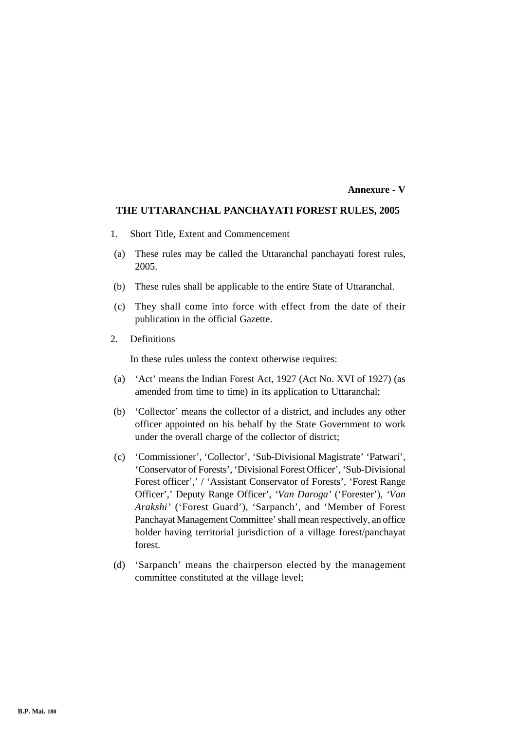#### **Annexure - V**

# **THE UTTARANCHAL PANCHAYATI FOREST RULES, 2005**

- 1. Short Title, Extent and Commencement
- (a) These rules may be called the Uttaranchal panchayati forest rules, 2005.
- (b) These rules shall be applicable to the entire State of Uttaranchal.
- (c) They shall come into force with effect from the date of their publication in the official Gazette.
- 2. Definitions

In these rules unless the context otherwise requires:

- (a) 'Act' means the Indian Forest Act, 1927 (Act No. XVI of 1927) (as amended from time to time) in its application to Uttaranchal;
- (b) 'Collector' means the collector of a district, and includes any other officer appointed on his behalf by the State Government to work under the overall charge of the collector of district;
- (c) 'Commissioner', 'Collector', 'Sub-Divisional Magistrate' 'Patwari', 'Conservator of Forests', 'Divisional Forest Officer', 'Sub-Divisional Forest officer',' / 'Assistant Conservator of Forests', 'Forest Range Officer',' Deputy Range Officer', *'Van Daroga'* ('Forester'), *'Van Arakshi'* ('Forest Guard'), 'Sarpanch', and 'Member of Forest Panchayat Management Committee' shall mean respectively, an office holder having territorial jurisdiction of a village forest/panchayat forest.
- (d) 'Sarpanch' means the chairperson elected by the management committee constituted at the village level;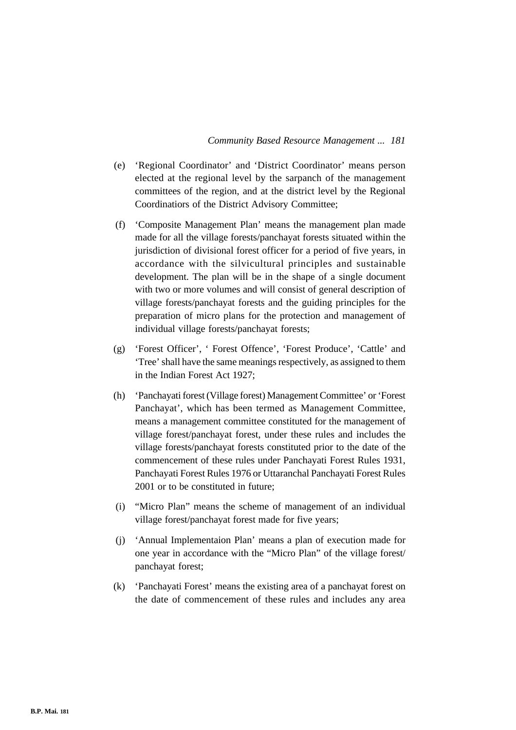- (e) 'Regional Coordinator' and 'District Coordinator' means person elected at the regional level by the sarpanch of the management committees of the region, and at the district level by the Regional Coordinatiors of the District Advisory Committee;
- (f) 'Composite Management Plan' means the management plan made made for all the village forests/panchayat forests situated within the jurisdiction of divisional forest officer for a period of five years, in accordance with the silvicultural principles and sustainable development. The plan will be in the shape of a single document with two or more volumes and will consist of general description of village forests/panchayat forests and the guiding principles for the preparation of micro plans for the protection and management of individual village forests/panchayat forests;
- (g) 'Forest Officer', ' Forest Offence', 'Forest Produce', 'Cattle' and 'Tree' shall have the same meanings respectively, as assigned to them in the Indian Forest Act 1927;
- (h) 'Panchayati forest (Village forest) Management Committee' or 'Forest Panchayat', which has been termed as Management Committee, means a management committee constituted for the management of village forest/panchayat forest, under these rules and includes the village forests/panchayat forests constituted prior to the date of the commencement of these rules under Panchayati Forest Rules 1931, Panchayati Forest Rules 1976 or Uttaranchal Panchayati Forest Rules 2001 or to be constituted in future;
- (i) "Micro Plan" means the scheme of management of an individual village forest/panchayat forest made for five years;
- (j) 'Annual Implementaion Plan' means a plan of execution made for one year in accordance with the "Micro Plan" of the village forest/ panchayat forest;
- (k) 'Panchayati Forest' means the existing area of a panchayat forest on the date of commencement of these rules and includes any area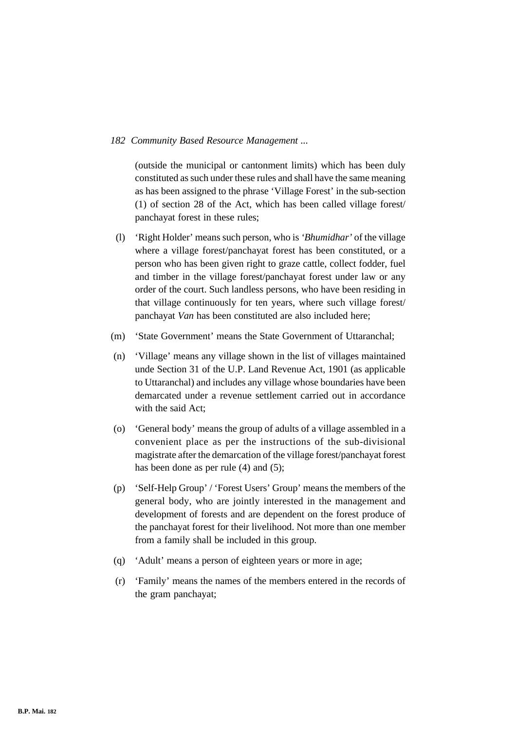(outside the municipal or cantonment limits) which has been duly constituted as such under these rules and shall have the same meaning as has been assigned to the phrase 'Village Forest' in the sub-section (1) of section 28 of the Act, which has been called village forest/ panchayat forest in these rules;

- (l) 'Right Holder' means such person, who is *'Bhumidhar'* of the village where a village forest/panchayat forest has been constituted, or a person who has been given right to graze cattle, collect fodder, fuel and timber in the village forest/panchayat forest under law or any order of the court. Such landless persons, who have been residing in that village continuously for ten years, where such village forest/ panchayat *Van* has been constituted are also included here;
- (m) 'State Government' means the State Government of Uttaranchal;
- (n) 'Village' means any village shown in the list of villages maintained unde Section 31 of the U.P. Land Revenue Act, 1901 (as applicable to Uttaranchal) and includes any village whose boundaries have been demarcated under a revenue settlement carried out in accordance with the said Act;
- (o) 'General body' means the group of adults of a village assembled in a convenient place as per the instructions of the sub-divisional magistrate after the demarcation of the village forest/panchayat forest has been done as per rule (4) and (5);
- (p) 'Self-Help Group' / 'Forest Users' Group' means the members of the general body, who are jointly interested in the management and development of forests and are dependent on the forest produce of the panchayat forest for their livelihood. Not more than one member from a family shall be included in this group.
- (q) 'Adult' means a person of eighteen years or more in age;
- (r) 'Family' means the names of the members entered in the records of the gram panchayat;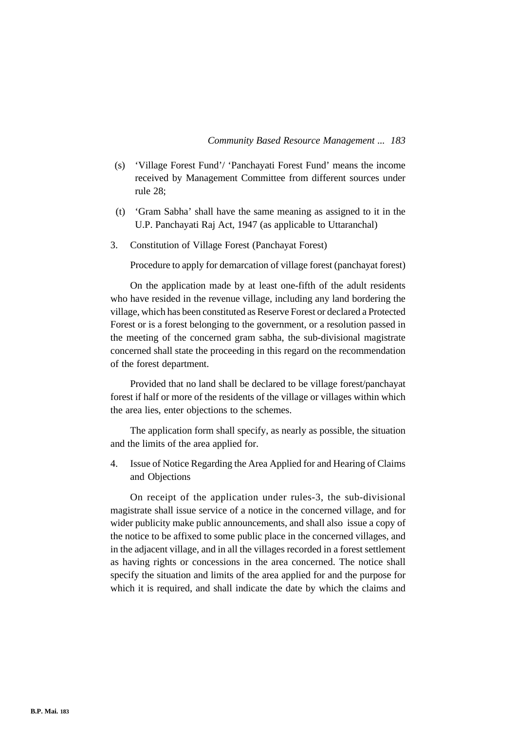- (s) 'Village Forest Fund'/ 'Panchayati Forest Fund' means the income received by Management Committee from different sources under rule 28;
- (t) 'Gram Sabha' shall have the same meaning as assigned to it in the U.P. Panchayati Raj Act, 1947 (as applicable to Uttaranchal)
- 3. Constitution of Village Forest (Panchayat Forest)

Procedure to apply for demarcation of village forest (panchayat forest)

On the application made by at least one-fifth of the adult residents who have resided in the revenue village, including any land bordering the village, which has been constituted as Reserve Forest or declared a Protected Forest or is a forest belonging to the government, or a resolution passed in the meeting of the concerned gram sabha, the sub-divisional magistrate concerned shall state the proceeding in this regard on the recommendation of the forest department.

Provided that no land shall be declared to be village forest/panchayat forest if half or more of the residents of the village or villages within which the area lies, enter objections to the schemes.

The application form shall specify, as nearly as possible, the situation and the limits of the area applied for.

4. Issue of Notice Regarding the Area Applied for and Hearing of Claims and Objections

On receipt of the application under rules-3, the sub-divisional magistrate shall issue service of a notice in the concerned village, and for wider publicity make public announcements, and shall also issue a copy of the notice to be affixed to some public place in the concerned villages, and in the adjacent village, and in all the villages recorded in a forest settlement as having rights or concessions in the area concerned. The notice shall specify the situation and limits of the area applied for and the purpose for which it is required, and shall indicate the date by which the claims and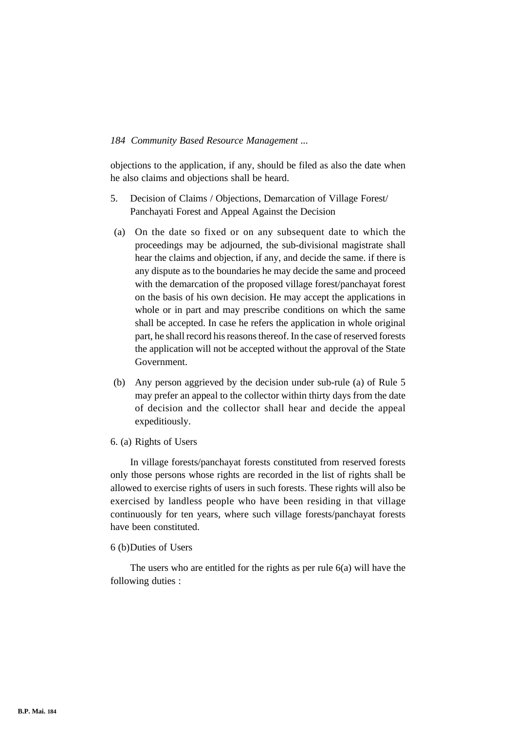objections to the application, if any, should be filed as also the date when he also claims and objections shall be heard.

- 5. Decision of Claims / Objections, Demarcation of Village Forest/ Panchayati Forest and Appeal Against the Decision
- (a) On the date so fixed or on any subsequent date to which the proceedings may be adjourned, the sub-divisional magistrate shall hear the claims and objection, if any, and decide the same. if there is any dispute as to the boundaries he may decide the same and proceed with the demarcation of the proposed village forest/panchayat forest on the basis of his own decision. He may accept the applications in whole or in part and may prescribe conditions on which the same shall be accepted. In case he refers the application in whole original part, he shall record his reasons thereof. In the case of reserved forests the application will not be accepted without the approval of the State Government.
- (b) Any person aggrieved by the decision under sub-rule (a) of Rule 5 may prefer an appeal to the collector within thirty days from the date of decision and the collector shall hear and decide the appeal expeditiously.

### 6. (a) Rights of Users

In village forests/panchayat forests constituted from reserved forests only those persons whose rights are recorded in the list of rights shall be allowed to exercise rights of users in such forests. These rights will also be exercised by landless people who have been residing in that village continuously for ten years, where such village forests/panchayat forests have been constituted.

#### 6 (b)Duties of Users

The users who are entitled for the rights as per rule 6(a) will have the following duties :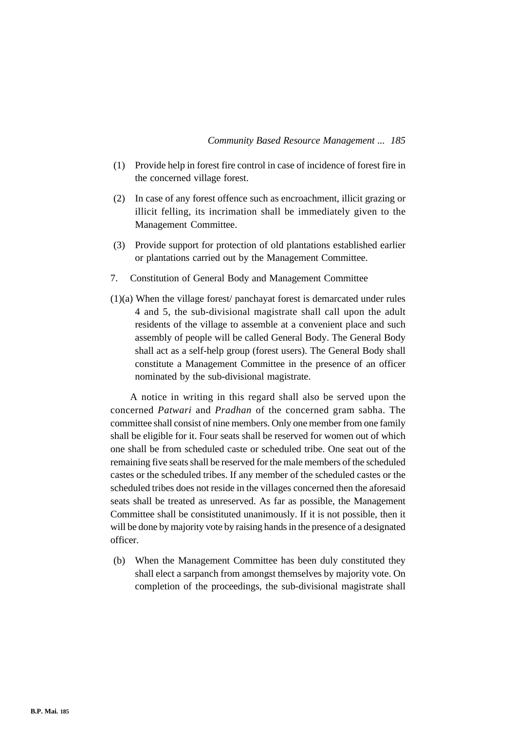- (1) Provide help in forest fire control in case of incidence of forest fire in the concerned village forest.
- (2) In case of any forest offence such as encroachment, illicit grazing or illicit felling, its incrimation shall be immediately given to the Management Committee.
- (3) Provide support for protection of old plantations established earlier or plantations carried out by the Management Committee.
- 7. Constitution of General Body and Management Committee
- (1)(a) When the village forest/ panchayat forest is demarcated under rules 4 and 5, the sub-divisional magistrate shall call upon the adult residents of the village to assemble at a convenient place and such assembly of people will be called General Body. The General Body shall act as a self-help group (forest users). The General Body shall constitute a Management Committee in the presence of an officer nominated by the sub-divisional magistrate.

A notice in writing in this regard shall also be served upon the concerned *Patwari* and *Pradhan* of the concerned gram sabha. The committee shall consist of nine members. Only one member from one family shall be eligible for it. Four seats shall be reserved for women out of which one shall be from scheduled caste or scheduled tribe. One seat out of the remaining five seats shall be reserved for the male members of the scheduled castes or the scheduled tribes. If any member of the scheduled castes or the scheduled tribes does not reside in the villages concerned then the aforesaid seats shall be treated as unreserved. As far as possible, the Management Committee shall be consistituted unanimously. If it is not possible, then it will be done by majority vote by raising hands in the presence of a designated officer.

(b) When the Management Committee has been duly constituted they shall elect a sarpanch from amongst themselves by majority vote. On completion of the proceedings, the sub-divisional magistrate shall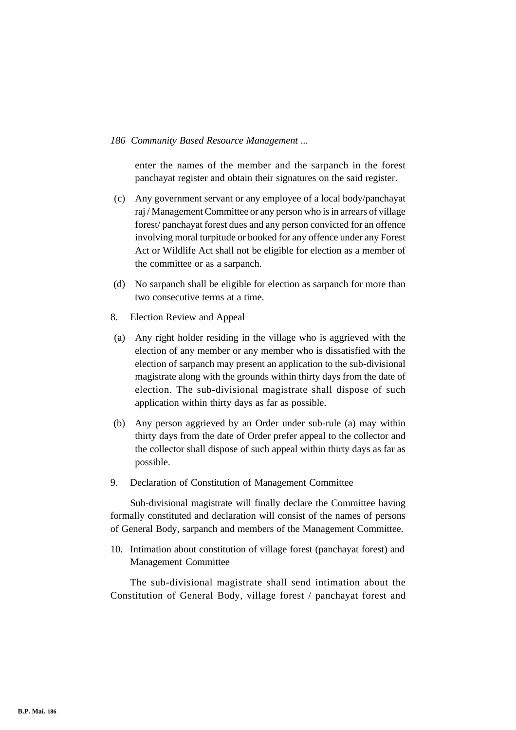enter the names of the member and the sarpanch in the forest panchayat register and obtain their signatures on the said register.

- (c) Any government servant or any employee of a local body/panchayat raj / Management Committee or any person who is in arrears of village forest/ panchayat forest dues and any person convicted for an offence involving moral turpitude or booked for any offence under any Forest Act or Wildlife Act shall not be eligible for election as a member of the committee or as a sarpanch.
- (d) No sarpanch shall be eligible for election as sarpanch for more than two consecutive terms at a time.
- 8. Election Review and Appeal
- (a) Any right holder residing in the village who is aggrieved with the election of any member or any member who is dissatisfied with the election of sarpanch may present an application to the sub-divisional magistrate along with the grounds within thirty days from the date of election. The sub-divisional magistrate shall dispose of such application within thirty days as far as possible.
- (b) Any person aggrieved by an Order under sub-rule (a) may within thirty days from the date of Order prefer appeal to the collector and the collector shall dispose of such appeal within thirty days as far as possible.
- 9. Declaration of Constitution of Management Committee

Sub-divisional magistrate will finally declare the Committee having formally constituted and declaration will consist of the names of persons of General Body, sarpanch and members of the Management Committee.

10. Intimation about constitution of village forest (panchayat forest) and Management Committee

The sub-divisional magistrate shall send intimation about the Constitution of General Body, village forest / panchayat forest and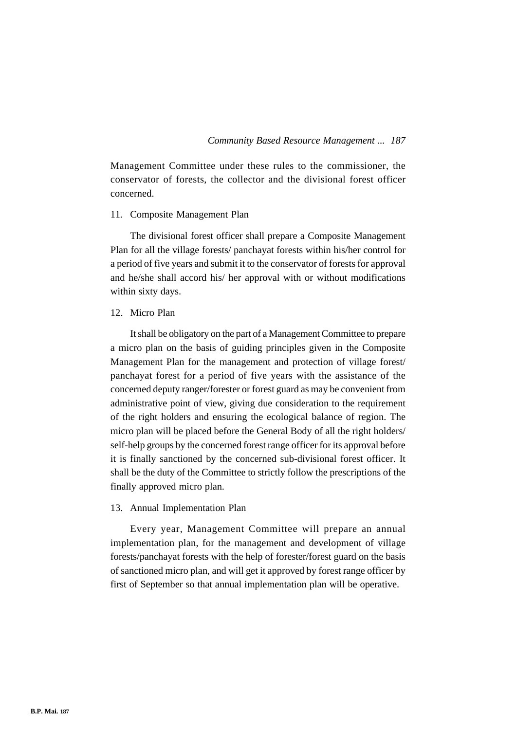Management Committee under these rules to the commissioner, the conservator of forests, the collector and the divisional forest officer concerned.

## 11. Composite Management Plan

The divisional forest officer shall prepare a Composite Management Plan for all the village forests/ panchayat forests within his/her control for a period of five years and submit it to the conservator of forests for approval and he/she shall accord his/ her approval with or without modifications within sixty days.

## 12. Micro Plan

It shall be obligatory on the part of a Management Committee to prepare a micro plan on the basis of guiding principles given in the Composite Management Plan for the management and protection of village forest/ panchayat forest for a period of five years with the assistance of the concerned deputy ranger/forester or forest guard as may be convenient from administrative point of view, giving due consideration to the requirement of the right holders and ensuring the ecological balance of region. The micro plan will be placed before the General Body of all the right holders/ self-help groups by the concerned forest range officer for its approval before it is finally sanctioned by the concerned sub-divisional forest officer. It shall be the duty of the Committee to strictly follow the prescriptions of the finally approved micro plan.

#### 13. Annual Implementation Plan

Every year, Management Committee will prepare an annual implementation plan, for the management and development of village forests/panchayat forests with the help of forester/forest guard on the basis of sanctioned micro plan, and will get it approved by forest range officer by first of September so that annual implementation plan will be operative.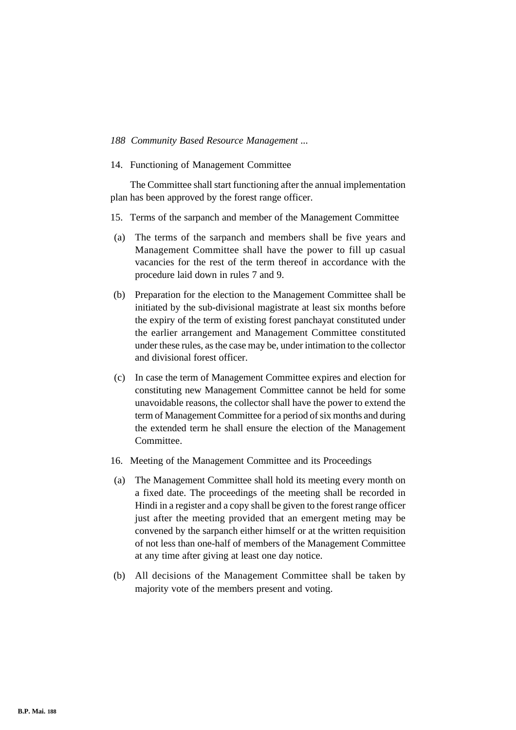14. Functioning of Management Committee

The Committee shall start functioning after the annual implementation plan has been approved by the forest range officer.

- 15. Terms of the sarpanch and member of the Management Committee
- (a) The terms of the sarpanch and members shall be five years and Management Committee shall have the power to fill up casual vacancies for the rest of the term thereof in accordance with the procedure laid down in rules 7 and 9.
- (b) Preparation for the election to the Management Committee shall be initiated by the sub-divisional magistrate at least six months before the expiry of the term of existing forest panchayat constituted under the earlier arrangement and Management Committee constituted under these rules, as the case may be, under intimation to the collector and divisional forest officer.
- (c) In case the term of Management Committee expires and election for constituting new Management Committee cannot be held for some unavoidable reasons, the collector shall have the power to extend the term of Management Committee for a period of six months and during the extended term he shall ensure the election of the Management Committee.
- 16. Meeting of the Management Committee and its Proceedings
- (a) The Management Committee shall hold its meeting every month on a fixed date. The proceedings of the meeting shall be recorded in Hindi in a register and a copy shall be given to the forest range officer just after the meeting provided that an emergent meting may be convened by the sarpanch either himself or at the written requisition of not less than one-half of members of the Management Committee at any time after giving at least one day notice.
- (b) All decisions of the Management Committee shall be taken by majority vote of the members present and voting.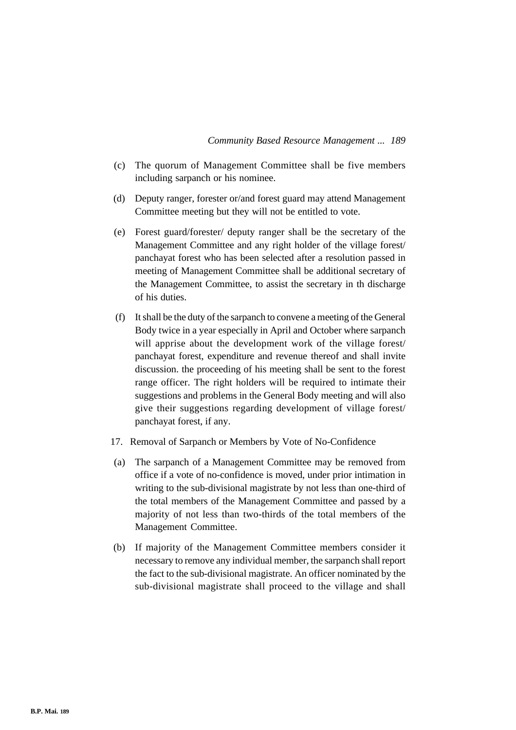- (c) The quorum of Management Committee shall be five members including sarpanch or his nominee.
- (d) Deputy ranger, forester or/and forest guard may attend Management Committee meeting but they will not be entitled to vote.
- (e) Forest guard/forester/ deputy ranger shall be the secretary of the Management Committee and any right holder of the village forest/ panchayat forest who has been selected after a resolution passed in meeting of Management Committee shall be additional secretary of the Management Committee, to assist the secretary in th discharge of his duties.
- (f) It shall be the duty of the sarpanch to convene a meeting of the General Body twice in a year especially in April and October where sarpanch will apprise about the development work of the village forest/ panchayat forest, expenditure and revenue thereof and shall invite discussion. the proceeding of his meeting shall be sent to the forest range officer. The right holders will be required to intimate their suggestions and problems in the General Body meeting and will also give their suggestions regarding development of village forest/ panchayat forest, if any.
- 17. Removal of Sarpanch or Members by Vote of No-Confidence
- (a) The sarpanch of a Management Committee may be removed from office if a vote of no-confidence is moved, under prior intimation in writing to the sub-divisional magistrate by not less than one-third of the total members of the Management Committee and passed by a majority of not less than two-thirds of the total members of the Management Committee.
- (b) If majority of the Management Committee members consider it necessary to remove any individual member, the sarpanch shall report the fact to the sub-divisional magistrate. An officer nominated by the sub-divisional magistrate shall proceed to the village and shall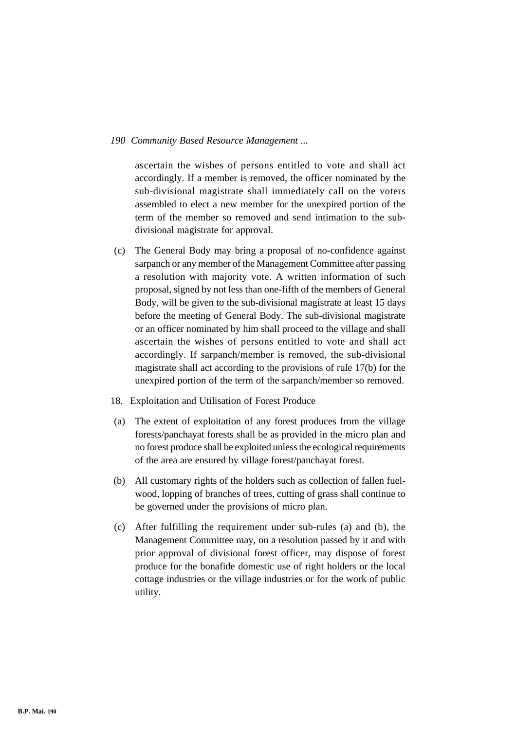ascertain the wishes of persons entitled to vote and shall act accordingly. If a member is removed, the officer nominated by the sub-divisional magistrate shall immediately call on the voters assembled to elect a new member for the unexpired portion of the term of the member so removed and send intimation to the subdivisional magistrate for approval.

- (c) The General Body may bring a proposal of no-confidence against sarpanch or any member of the Management Committee after passing a resolution with majority vote. A written information of such proposal, signed by not less than one-fifth of the members of General Body, will be given to the sub-divisional magistrate at least 15 days before the meeting of General Body. The sub-divisional magistrate or an officer nominated by him shall proceed to the village and shall ascertain the wishes of persons entitled to vote and shall act accordingly. If sarpanch/member is removed, the sub-divisional magistrate shall act according to the provisions of rule 17(b) for the unexpired portion of the term of the sarpanch/member so removed.
- 18. Exploitation and Utilisation of Forest Produce
- (a) The extent of exploitation of any forest produces from the village forests/panchayat forests shall be as provided in the micro plan and no forest produce shall be exploited unless the ecological requirements of the area are ensured by village forest/panchayat forest.
- (b) All customary rights of the holders such as collection of fallen fuelwood, lopping of branches of trees, cutting of grass shall continue to be governed under the provisions of micro plan.
- (c) After fulfilling the requirement under sub-rules (a) and (b), the Management Committee may, on a resolution passed by it and with prior approval of divisional forest officer, may dispose of forest produce for the bonafide domestic use of right holders or the local cottage industries or the village industries or for the work of public utility.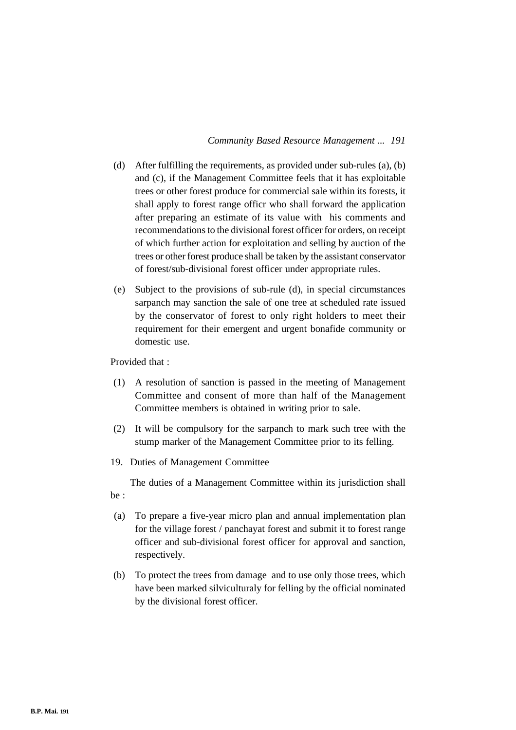- (d) After fulfilling the requirements, as provided under sub-rules (a), (b) and (c), if the Management Committee feels that it has exploitable trees or other forest produce for commercial sale within its forests, it shall apply to forest range officr who shall forward the application after preparing an estimate of its value with his comments and recommendations to the divisional forest officer for orders, on receipt of which further action for exploitation and selling by auction of the trees or other forest produce shall be taken by the assistant conservator of forest/sub-divisional forest officer under appropriate rules.
- (e) Subject to the provisions of sub-rule (d), in special circumstances sarpanch may sanction the sale of one tree at scheduled rate issued by the conservator of forest to only right holders to meet their requirement for their emergent and urgent bonafide community or domestic use.

Provided that :

- (1) A resolution of sanction is passed in the meeting of Management Committee and consent of more than half of the Management Committee members is obtained in writing prior to sale.
- (2) It will be compulsory for the sarpanch to mark such tree with the stump marker of the Management Committee prior to its felling.
- 19. Duties of Management Committee

The duties of a Management Committee within its jurisdiction shall be :

- (a) To prepare a five-year micro plan and annual implementation plan for the village forest / panchayat forest and submit it to forest range officer and sub-divisional forest officer for approval and sanction, respectively.
- (b) To protect the trees from damage and to use only those trees, which have been marked silviculturaly for felling by the official nominated by the divisional forest officer.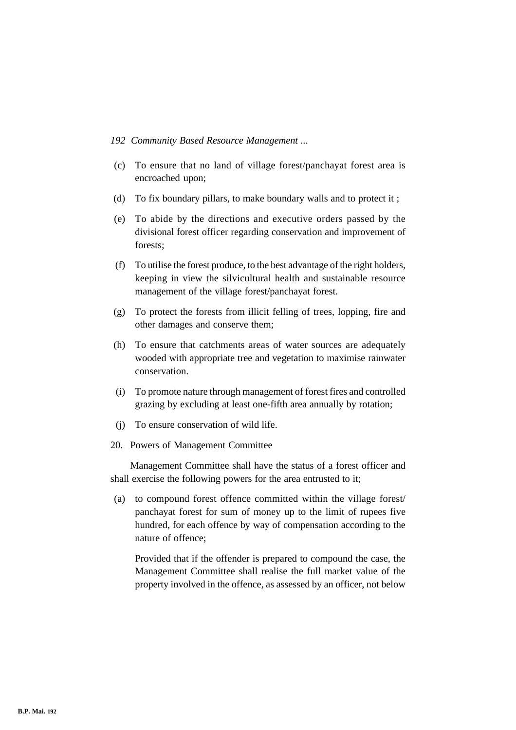- (c) To ensure that no land of village forest/panchayat forest area is encroached upon;
- (d) To fix boundary pillars, to make boundary walls and to protect it ;
- (e) To abide by the directions and executive orders passed by the divisional forest officer regarding conservation and improvement of forests;
- (f) To utilise the forest produce, to the best advantage of the right holders, keeping in view the silvicultural health and sustainable resource management of the village forest/panchayat forest.
- (g) To protect the forests from illicit felling of trees, lopping, fire and other damages and conserve them;
- (h) To ensure that catchments areas of water sources are adequately wooded with appropriate tree and vegetation to maximise rainwater conservation.
- (i) To promote nature through management of forest fires and controlled grazing by excluding at least one-fifth area annually by rotation;
- (j) To ensure conservation of wild life.
- 20. Powers of Management Committee

Management Committee shall have the status of a forest officer and shall exercise the following powers for the area entrusted to it;

(a) to compound forest offence committed within the village forest/ panchayat forest for sum of money up to the limit of rupees five hundred, for each offence by way of compensation according to the nature of offence;

Provided that if the offender is prepared to compound the case, the Management Committee shall realise the full market value of the property involved in the offence, as assessed by an officer, not below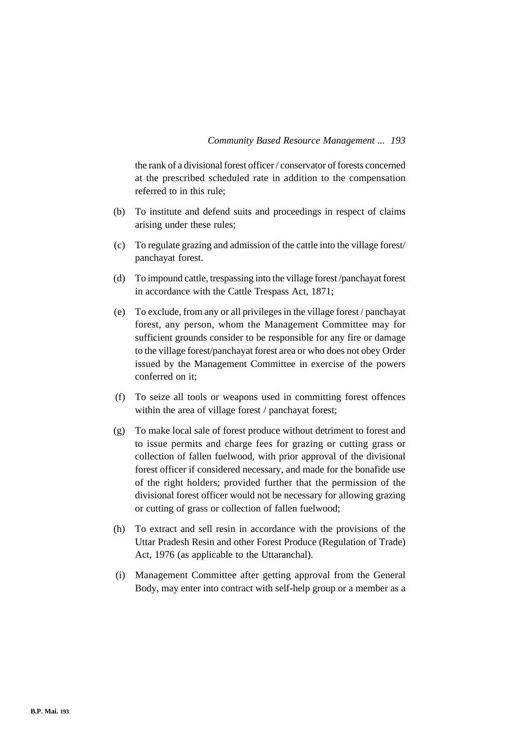the rank of a divisional forest officer / conservator of forests concerned at the prescribed scheduled rate in addition to the compensation referred to in this rule;

- (b) To institute and defend suits and proceedings in respect of claims arising under these rules;
- (c) To regulate grazing and admission of the cattle into the village forest/ panchayat forest.
- (d) To impound cattle, trespassing into the village forest /panchayat forest in accordance with the Cattle Trespass Act, 1871;
- (e) To exclude, from any or all privileges in the village forest / panchayat forest, any person, whom the Management Committee may for sufficient grounds consider to be responsible for any fire or damage to the village forest/panchayat forest area or who does not obey Order issued by the Management Committee in exercise of the powers conferred on it;
- (f) To seize all tools or weapons used in committing forest offences within the area of village forest / panchayat forest;
- (g) To make local sale of forest produce without detriment to forest and to issue permits and charge fees for grazing or cutting grass or collection of fallen fuelwood, with prior approval of the divisional forest officer if considered necessary, and made for the bonafide use of the right holders; provided further that the permission of the divisional forest officer would not be necessary for allowing grazing or cutting of grass or collection of fallen fuelwood;
- (h) To extract and sell resin in accordance with the provisions of the Uttar Pradesh Resin and other Forest Produce (Regulation of Trade) Act, 1976 (as applicable to the Uttaranchal).
- (i) Management Committee after getting approval from the General Body, may enter into contract with self-help group or a member as a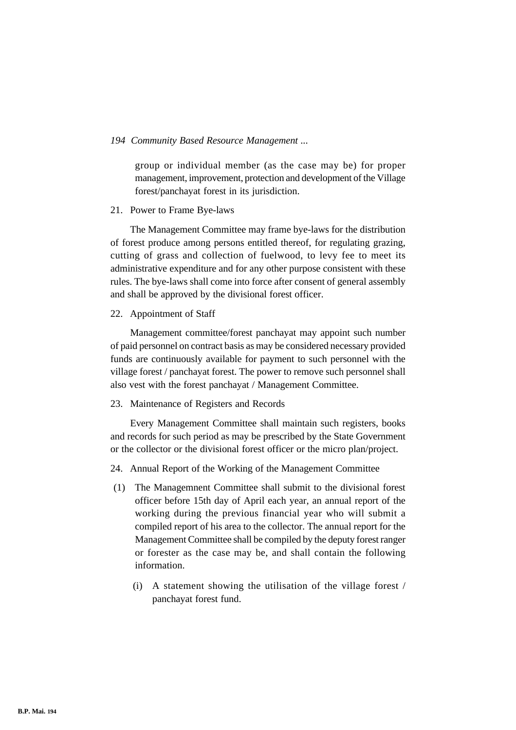group or individual member (as the case may be) for proper management, improvement, protection and development of the Village forest/panchayat forest in its jurisdiction.

#### 21. Power to Frame Bye-laws

The Management Committee may frame bye-laws for the distribution of forest produce among persons entitled thereof, for regulating grazing, cutting of grass and collection of fuelwood, to levy fee to meet its administrative expenditure and for any other purpose consistent with these rules. The bye-laws shall come into force after consent of general assembly and shall be approved by the divisional forest officer.

## 22. Appointment of Staff

Management committee/forest panchayat may appoint such number of paid personnel on contract basis as may be considered necessary provided funds are continuously available for payment to such personnel with the village forest / panchayat forest. The power to remove such personnel shall also vest with the forest panchayat / Management Committee.

# 23. Maintenance of Registers and Records

Every Management Committee shall maintain such registers, books and records for such period as may be prescribed by the State Government or the collector or the divisional forest officer or the micro plan/project.

- 24. Annual Report of the Working of the Management Committee
- (1) The Managemnent Committee shall submit to the divisional forest officer before 15th day of April each year, an annual report of the working during the previous financial year who will submit a compiled report of his area to the collector. The annual report for the Management Committee shall be compiled by the deputy forest ranger or forester as the case may be, and shall contain the following information.
	- (i) A statement showing the utilisation of the village forest / panchayat forest fund.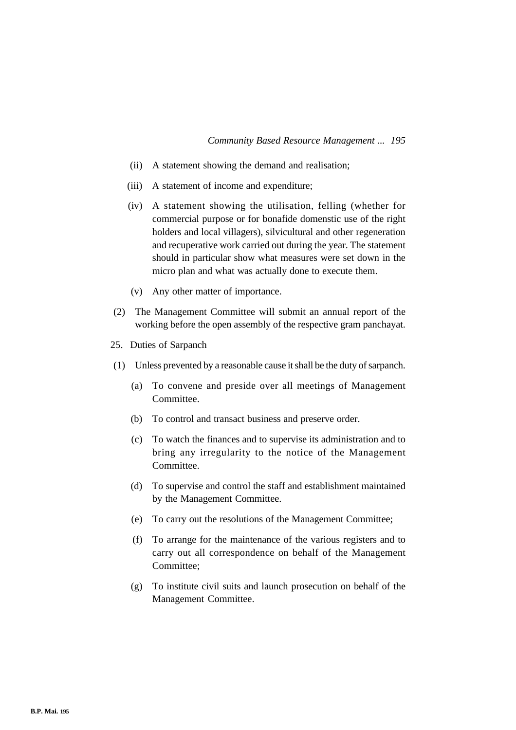- (ii) A statement showing the demand and realisation;
- (iii) A statement of income and expenditure;
- (iv) A statement showing the utilisation, felling (whether for commercial purpose or for bonafide domenstic use of the right holders and local villagers), silvicultural and other regeneration and recuperative work carried out during the year. The statement should in particular show what measures were set down in the micro plan and what was actually done to execute them.
- (v) Any other matter of importance.
- (2) The Management Committee will submit an annual report of the working before the open assembly of the respective gram panchayat.
- 25. Duties of Sarpanch
- (1) Unless prevented by a reasonable cause it shall be the duty of sarpanch.
	- (a) To convene and preside over all meetings of Management Committee.
	- (b) To control and transact business and preserve order.
	- (c) To watch the finances and to supervise its administration and to bring any irregularity to the notice of the Management Committee.
	- (d) To supervise and control the staff and establishment maintained by the Management Committee.
	- (e) To carry out the resolutions of the Management Committee;
	- (f) To arrange for the maintenance of the various registers and to carry out all correspondence on behalf of the Management Committee;
	- (g) To institute civil suits and launch prosecution on behalf of the Management Committee.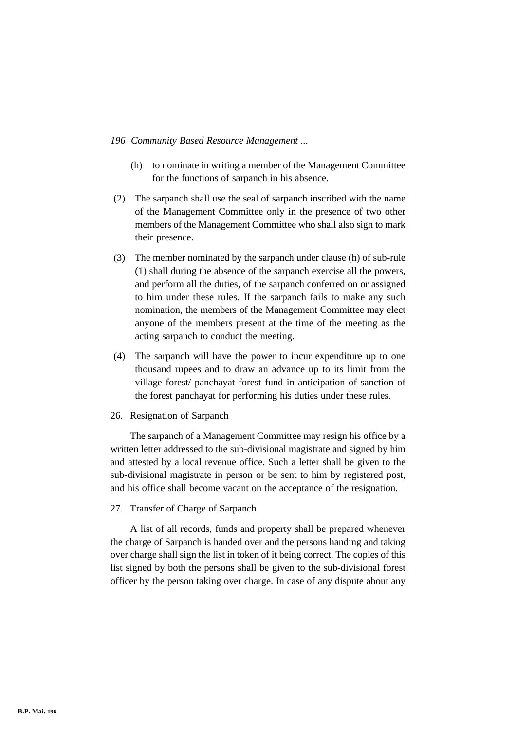- (h) to nominate in writing a member of the Management Committee for the functions of sarpanch in his absence.
- (2) The sarpanch shall use the seal of sarpanch inscribed with the name of the Management Committee only in the presence of two other members of the Management Committee who shall also sign to mark their presence.
- (3) The member nominated by the sarpanch under clause (h) of sub-rule (1) shall during the absence of the sarpanch exercise all the powers, and perform all the duties, of the sarpanch conferred on or assigned to him under these rules. If the sarpanch fails to make any such nomination, the members of the Management Committee may elect anyone of the members present at the time of the meeting as the acting sarpanch to conduct the meeting.
- (4) The sarpanch will have the power to incur expenditure up to one thousand rupees and to draw an advance up to its limit from the village forest/ panchayat forest fund in anticipation of sanction of the forest panchayat for performing his duties under these rules.

#### 26. Resignation of Sarpanch

The sarpanch of a Management Committee may resign his office by a written letter addressed to the sub-divisional magistrate and signed by him and attested by a local revenue office. Such a letter shall be given to the sub-divisional magistrate in person or be sent to him by registered post, and his office shall become vacant on the acceptance of the resignation.

#### 27. Transfer of Charge of Sarpanch

A list of all records, funds and property shall be prepared whenever the charge of Sarpanch is handed over and the persons handing and taking over charge shall sign the list in token of it being correct. The copies of this list signed by both the persons shall be given to the sub-divisional forest officer by the person taking over charge. In case of any dispute about any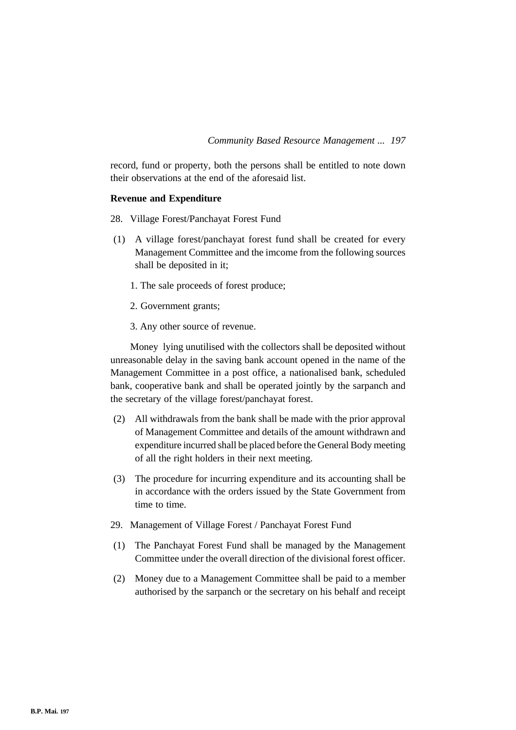record, fund or property, both the persons shall be entitled to note down their observations at the end of the aforesaid list.

# **Revenue and Expenditure**

- 28. Village Forest/Panchayat Forest Fund
- (1) A village forest/panchayat forest fund shall be created for every Management Committee and the imcome from the following sources shall be deposited in it;
	- 1. The sale proceeds of forest produce;
	- 2. Government grants;
	- 3. Any other source of revenue.

Money lying unutilised with the collectors shall be deposited without unreasonable delay in the saving bank account opened in the name of the Management Committee in a post office, a nationalised bank, scheduled bank, cooperative bank and shall be operated jointly by the sarpanch and the secretary of the village forest/panchayat forest.

- (2) All withdrawals from the bank shall be made with the prior approval of Management Committee and details of the amount withdrawn and expenditure incurred shall be placed before the General Body meeting of all the right holders in their next meeting.
- (3) The procedure for incurring expenditure and its accounting shall be in accordance with the orders issued by the State Government from time to time.
- 29. Management of Village Forest / Panchayat Forest Fund
- (1) The Panchayat Forest Fund shall be managed by the Management Committee under the overall direction of the divisional forest officer.
- (2) Money due to a Management Committee shall be paid to a member authorised by the sarpanch or the secretary on his behalf and receipt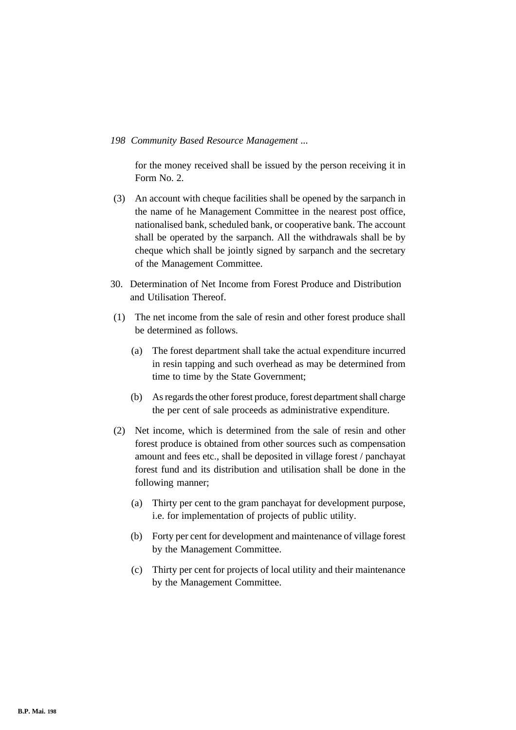for the money received shall be issued by the person receiving it in Form No. 2.

- (3) An account with cheque facilities shall be opened by the sarpanch in the name of he Management Committee in the nearest post office, nationalised bank, scheduled bank, or cooperative bank. The account shall be operated by the sarpanch. All the withdrawals shall be by cheque which shall be jointly signed by sarpanch and the secretary of the Management Committee.
- 30. Determination of Net Income from Forest Produce and Distribution and Utilisation Thereof.
- (1) The net income from the sale of resin and other forest produce shall be determined as follows.
	- (a) The forest department shall take the actual expenditure incurred in resin tapping and such overhead as may be determined from time to time by the State Government;
	- (b) As regards the other forest produce, forest department shall charge the per cent of sale proceeds as administrative expenditure.
- (2) Net income, which is determined from the sale of resin and other forest produce is obtained from other sources such as compensation amount and fees etc., shall be deposited in village forest / panchayat forest fund and its distribution and utilisation shall be done in the following manner;
	- (a) Thirty per cent to the gram panchayat for development purpose, i.e. for implementation of projects of public utility.
	- (b) Forty per cent for development and maintenance of village forest by the Management Committee.
	- (c) Thirty per cent for projects of local utility and their maintenance by the Management Committee.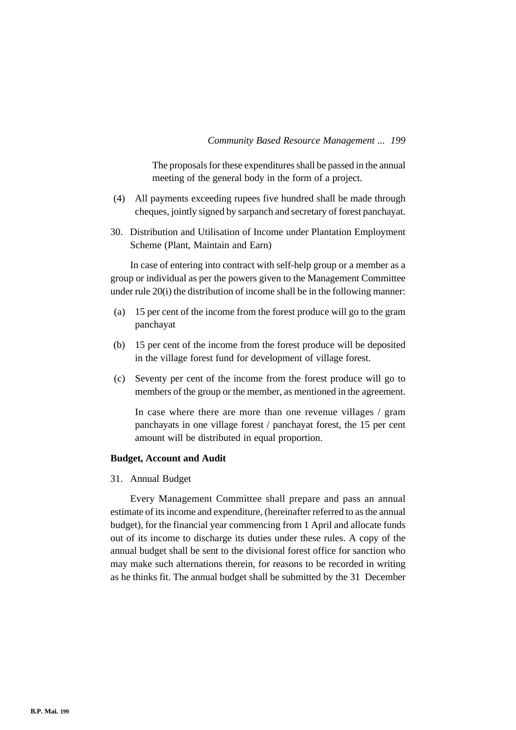The proposals for these expenditures shall be passed in the annual meeting of the general body in the form of a project.

- (4) All payments exceeding rupees five hundred shall be made through cheques, jointly signed by sarpanch and secretary of forest panchayat.
- 30. Distribution and Utilisation of Income under Plantation Employment Scheme (Plant, Maintain and Earn)

In case of entering into contract with self-help group or a member as a group or individual as per the powers given to the Management Committee under rule 20(i) the distribution of income shall be in the following manner:

- (a) 15 per cent of the income from the forest produce will go to the gram panchayat
- (b) 15 per cent of the income from the forest produce will be deposited in the village forest fund for development of village forest.
- (c) Seventy per cent of the income from the forest produce will go to members of the group or the member, as mentioned in the agreement.

In case where there are more than one revenue villages / gram panchayats in one village forest / panchayat forest, the 15 per cent amount will be distributed in equal proportion.

#### **Budget, Account and Audit**

31. Annual Budget

Every Management Committee shall prepare and pass an annual estimate of its income and expenditure, (hereinafter referred to as the annual budget), for the financial year commencing from 1 April and allocate funds out of its income to discharge its duties under these rules. A copy of the annual budget shall be sent to the divisional forest office for sanction who may make such alternations therein, for reasons to be recorded in writing as he thinks fit. The annual budget shall be submitted by the 31 December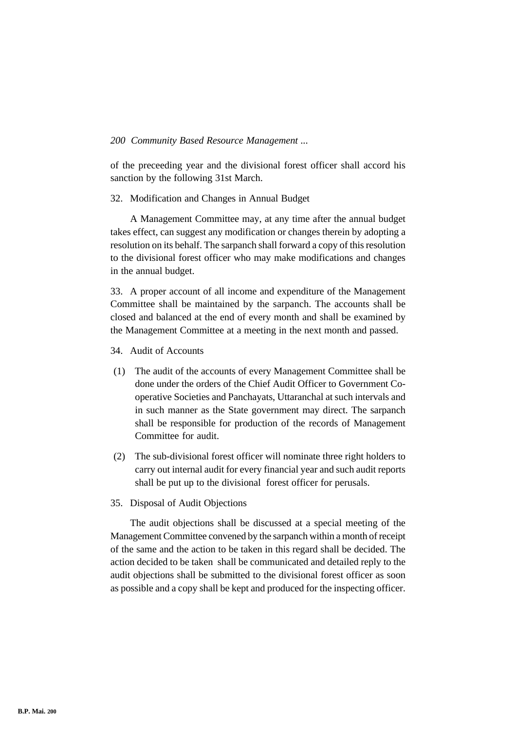of the preceeding year and the divisional forest officer shall accord his sanction by the following 31st March.

## 32. Modification and Changes in Annual Budget

A Management Committee may, at any time after the annual budget takes effect, can suggest any modification or changes therein by adopting a resolution on its behalf. The sarpanch shall forward a copy of this resolution to the divisional forest officer who may make modifications and changes in the annual budget.

33. A proper account of all income and expenditure of the Management Committee shall be maintained by the sarpanch. The accounts shall be closed and balanced at the end of every month and shall be examined by the Management Committee at a meeting in the next month and passed.

- 34. Audit of Accounts
- (1) The audit of the accounts of every Management Committee shall be done under the orders of the Chief Audit Officer to Government Cooperative Societies and Panchayats, Uttaranchal at such intervals and in such manner as the State government may direct. The sarpanch shall be responsible for production of the records of Management Committee for audit.
- (2) The sub-divisional forest officer will nominate three right holders to carry out internal audit for every financial year and such audit reports shall be put up to the divisional forest officer for perusals.
- 35. Disposal of Audit Objections

The audit objections shall be discussed at a special meeting of the Management Committee convened by the sarpanch within a month of receipt of the same and the action to be taken in this regard shall be decided. The action decided to be taken shall be communicated and detailed reply to the audit objections shall be submitted to the divisional forest officer as soon as possible and a copy shall be kept and produced for the inspecting officer.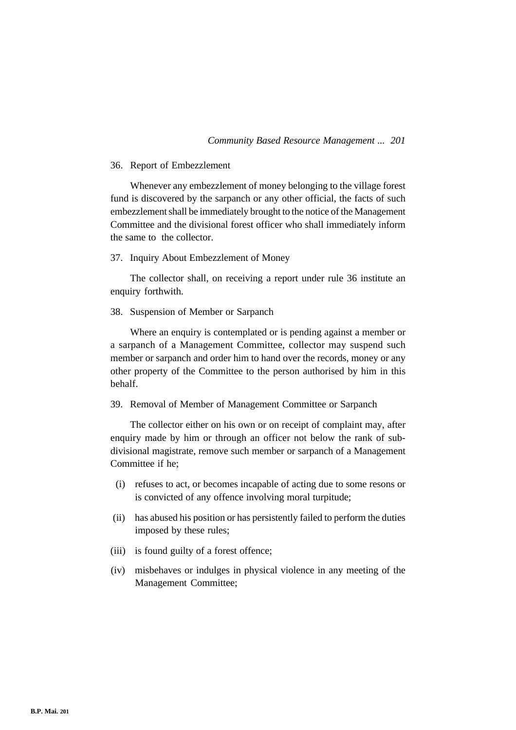## 36. Report of Embezzlement

Whenever any embezzlement of money belonging to the village forest fund is discovered by the sarpanch or any other official, the facts of such embezzlement shall be immediately brought to the notice of the Management Committee and the divisional forest officer who shall immediately inform the same to the collector.

#### 37. Inquiry About Embezzlement of Money

The collector shall, on receiving a report under rule 36 institute an enquiry forthwith.

38. Suspension of Member or Sarpanch

Where an enquiry is contemplated or is pending against a member or a sarpanch of a Management Committee, collector may suspend such member or sarpanch and order him to hand over the records, money or any other property of the Committee to the person authorised by him in this behalf.

# 39. Removal of Member of Management Committee or Sarpanch

The collector either on his own or on receipt of complaint may, after enquiry made by him or through an officer not below the rank of subdivisional magistrate, remove such member or sarpanch of a Management Committee if he;

- (i) refuses to act, or becomes incapable of acting due to some resons or is convicted of any offence involving moral turpitude;
- (ii) has abused his position or has persistently failed to perform the duties imposed by these rules;
- (iii) is found guilty of a forest offence;
- (iv) misbehaves or indulges in physical violence in any meeting of the Management Committee;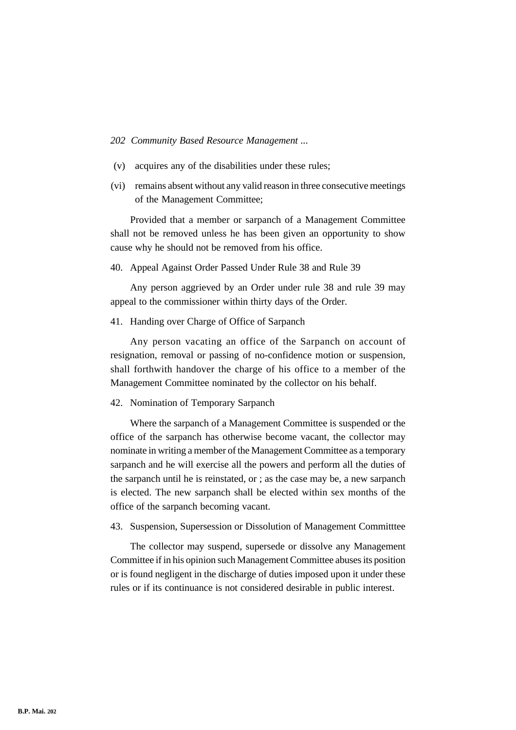- (v) acquires any of the disabilities under these rules;
- (vi) remains absent without any valid reason in three consecutive meetings of the Management Committee;

Provided that a member or sarpanch of a Management Committee shall not be removed unless he has been given an opportunity to show cause why he should not be removed from his office.

40. Appeal Against Order Passed Under Rule 38 and Rule 39

Any person aggrieved by an Order under rule 38 and rule 39 may appeal to the commissioner within thirty days of the Order.

41. Handing over Charge of Office of Sarpanch

Any person vacating an office of the Sarpanch on account of resignation, removal or passing of no-confidence motion or suspension, shall forthwith handover the charge of his office to a member of the Management Committee nominated by the collector on his behalf.

42. Nomination of Temporary Sarpanch

Where the sarpanch of a Management Committee is suspended or the office of the sarpanch has otherwise become vacant, the collector may nominate in writing a member of the Management Committee as a temporary sarpanch and he will exercise all the powers and perform all the duties of the sarpanch until he is reinstated, or ; as the case may be, a new sarpanch is elected. The new sarpanch shall be elected within sex months of the office of the sarpanch becoming vacant.

43. Suspension, Supersession or Dissolution of Management Committtee

The collector may suspend, supersede or dissolve any Management Committee if in his opinion such Management Committee abuses its position or is found negligent in the discharge of duties imposed upon it under these rules or if its continuance is not considered desirable in public interest.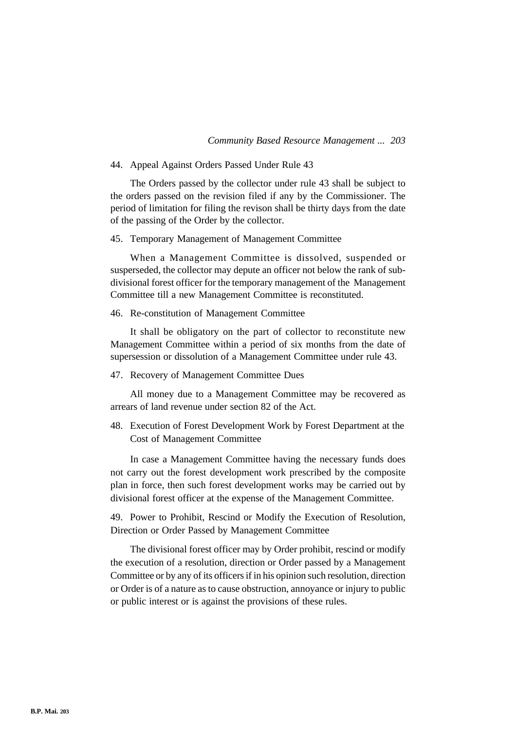## 44. Appeal Against Orders Passed Under Rule 43

The Orders passed by the collector under rule 43 shall be subject to the orders passed on the revision filed if any by the Commissioner. The period of limitation for filing the revison shall be thirty days from the date of the passing of the Order by the collector.

#### 45. Temporary Management of Management Committee

When a Management Committee is dissolved, suspended or susperseded, the collector may depute an officer not below the rank of subdivisional forest officer for the temporary management of the Management Committee till a new Management Committee is reconstituted.

#### 46. Re-constitution of Management Committee

It shall be obligatory on the part of collector to reconstitute new Management Committee within a period of six months from the date of supersession or dissolution of a Management Committee under rule 43.

## 47. Recovery of Management Committee Dues

All money due to a Management Committee may be recovered as arrears of land revenue under section 82 of the Act.

48. Execution of Forest Development Work by Forest Department at the Cost of Management Committee

In case a Management Committee having the necessary funds does not carry out the forest development work prescribed by the composite plan in force, then such forest development works may be carried out by divisional forest officer at the expense of the Management Committee.

49. Power to Prohibit, Rescind or Modify the Execution of Resolution, Direction or Order Passed by Management Committee

The divisional forest officer may by Order prohibit, rescind or modify the execution of a resolution, direction or Order passed by a Management Committee or by any of its officers if in his opinion such resolution, direction or Order is of a nature as to cause obstruction, annoyance or injury to public or public interest or is against the provisions of these rules.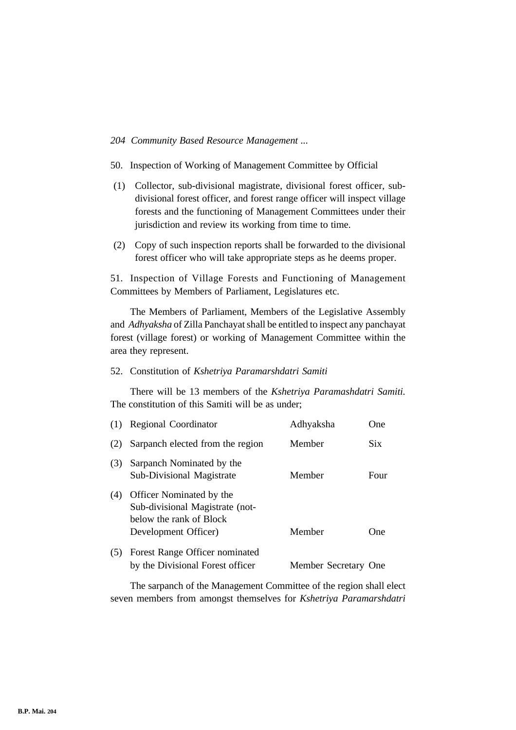- 50. Inspection of Working of Management Committee by Official
- (1) Collector, sub-divisional magistrate, divisional forest officer, subdivisional forest officer, and forest range officer will inspect village forests and the functioning of Management Committees under their jurisdiction and review its working from time to time.
- (2) Copy of such inspection reports shall be forwarded to the divisional forest officer who will take appropriate steps as he deems proper.

51. Inspection of Village Forests and Functioning of Management Committees by Members of Parliament, Legislatures etc.

The Members of Parliament, Members of the Legislative Assembly and *Adhyaksha* of Zilla Panchayat shall be entitled to inspect any panchayat forest (village forest) or working of Management Committee within the area they represent.

# 52. Constitution of *Kshetriya Paramarshdatri Samiti*

There will be 13 members of the *Kshetriya Paramashdatri Samiti.* The constitution of this Samiti will be as under;

| (1) | <b>Regional Coordinator</b>                                                                                    | Adhyaksha            | One        |
|-----|----------------------------------------------------------------------------------------------------------------|----------------------|------------|
| (2) | Sarpanch elected from the region                                                                               | Member               | <b>Six</b> |
| (3) | Sarpanch Nominated by the<br><b>Sub-Divisional Magistrate</b>                                                  | Member               | Four       |
| (4) | Officer Nominated by the<br>Sub-divisional Magistrate (not-<br>below the rank of Block<br>Development Officer) | Member               | One        |
| (5) | Forest Range Officer nominated<br>by the Divisional Forest officer                                             | Member Secretary One |            |

The sarpanch of the Management Committee of the region shall elect seven members from amongst themselves for *Kshetriya Paramarshdatri*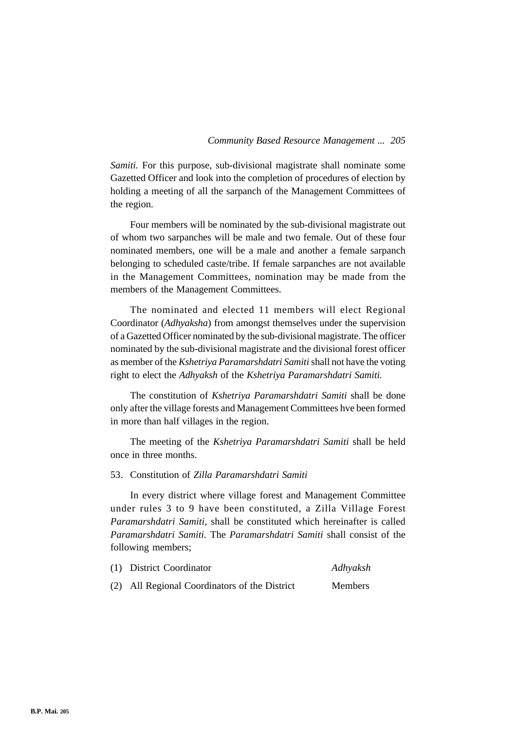*Samiti.* For this purpose, sub-divisional magistrate shall nominate some Gazetted Officer and look into the completion of procedures of election by holding a meeting of all the sarpanch of the Management Committees of the region.

Four members will be nominated by the sub-divisional magistrate out of whom two sarpanches will be male and two female. Out of these four nominated members, one will be a male and another a female sarpanch belonging to scheduled caste/tribe. If female sarpanches are not available in the Management Committees, nomination may be made from the members of the Management Committees.

The nominated and elected 11 members will elect Regional Coordinator (*Adhyaksha*) from amongst themselves under the supervision of a Gazetted Officer nominated by the sub-divisional magistrate. The officer nominated by the sub-divisional magistrate and the divisional forest officer as member of the *Kshetriya Paramarshdatri Samiti* shall not have the voting right to elect the *Adhyaksh* of the *Kshetriya Paramarshdatri Samiti.*

The constitution of *Kshetriya Paramarshdatri Samiti* shall be done only after the village forests and Management Committees hve been formed in more than half villages in the region.

The meeting of the *Kshetriya Paramarshdatri Samiti* shall be held once in three months.

# 53. Constitution of *Zilla Paramarshdatri Samiti*

In every district where village forest and Management Committee under rules 3 to 9 have been constituted, a Zilla Village Forest *Paramarshdatri Samiti,* shall be constituted which hereinafter is called *Paramarshdatri Samiti.* The *Paramarshdatri Samiti* shall consist of the following members;

| (1) District Coordinator                      | Adhyaksh       |
|-----------------------------------------------|----------------|
| (2) All Regional Coordinators of the District | <b>Members</b> |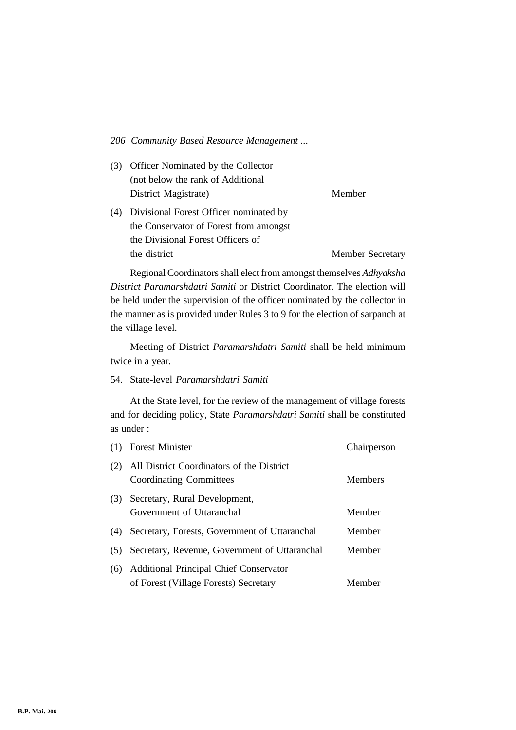(3) Officer Nominated by the Collector (not below the rank of Additional District Magistrate) Member

(4) Divisional Forest Officer nominated by the Conservator of Forest from amongst the Divisional Forest Officers of the district Member Secretary

Regional Coordinators shall elect from amongst themselves *Adhyaksha District Paramarshdatri Samiti* or District Coordinator. The election will be held under the supervision of the officer nominated by the collector in the manner as is provided under Rules 3 to 9 for the election of sarpanch at the village level.

Meeting of District *Paramarshdatri Samiti* shall be held minimum twice in a year.

54. State-level *Paramarshdatri Samiti*

At the State level, for the review of the management of village forests and for deciding policy, State *Paramarshdatri Samiti* shall be constituted as under :

| (1) | <b>Forest Minister</b>                                                                 | Chairperson |
|-----|----------------------------------------------------------------------------------------|-------------|
| (2) | All District Coordinators of the District<br>Coordinating Committees                   | Members     |
| (3) | Secretary, Rural Development,<br>Government of Uttaranchal                             | Member      |
| (4) | Secretary, Forests, Government of Uttaranchal                                          | Member      |
| (5) | Secretary, Revenue, Government of Uttaranchal                                          | Member      |
| (6) | <b>Additional Principal Chief Conservator</b><br>of Forest (Village Forests) Secretary | Member      |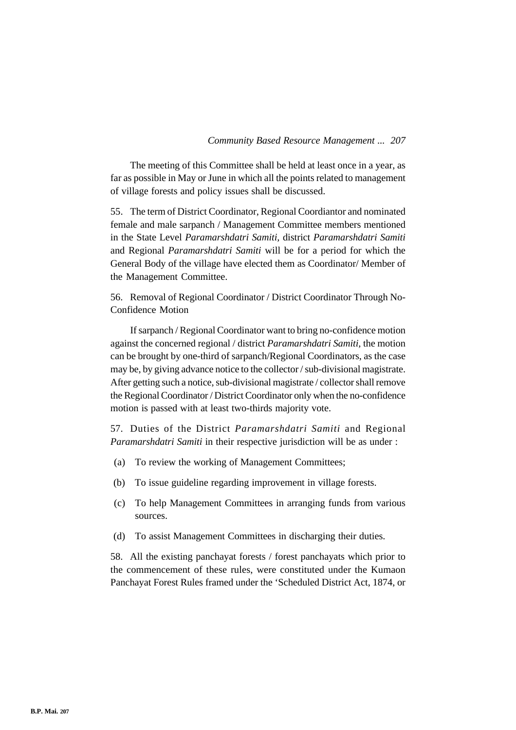The meeting of this Committee shall be held at least once in a year, as far as possible in May or June in which all the points related to management of village forests and policy issues shall be discussed.

55. The term of District Coordinator, Regional Coordiantor and nominated female and male sarpanch / Management Committee members mentioned in the State Level *Paramarshdatri Samiti,* district *Paramarshdatri Samiti* and Regional *Paramarshdatri Samiti* will be for a period for which the General Body of the village have elected them as Coordinator/ Member of the Management Committee.

56. Removal of Regional Coordinator / District Coordinator Through No-Confidence Motion

If sarpanch / Regional Coordinator want to bring no-confidence motion against the concerned regional / district *Paramarshdatri Samiti,* the motion can be brought by one-third of sarpanch/Regional Coordinators, as the case may be, by giving advance notice to the collector / sub-divisional magistrate. After getting such a notice, sub-divisional magistrate / collector shall remove the Regional Coordinator / District Coordinator only when the no-confidence motion is passed with at least two-thirds majority vote.

57. Duties of the District *Paramarshdatri Samiti* and Regional *Paramarshdatri Samiti* in their respective jurisdiction will be as under :

- (a) To review the working of Management Committees;
- (b) To issue guideline regarding improvement in village forests.
- (c) To help Management Committees in arranging funds from various sources.
- (d) To assist Management Committees in discharging their duties.

58. All the existing panchayat forests / forest panchayats which prior to the commencement of these rules, were constituted under the Kumaon Panchayat Forest Rules framed under the 'Scheduled District Act, 1874, or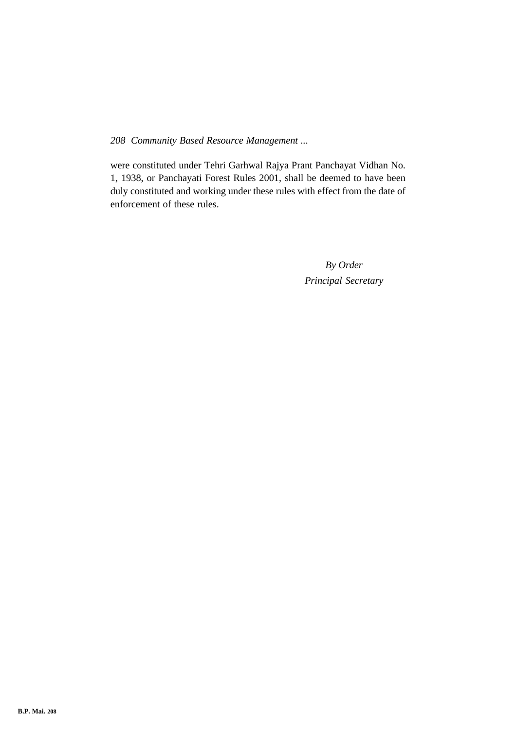were constituted under Tehri Garhwal Rajya Prant Panchayat Vidhan No. 1, 1938, or Panchayati Forest Rules 2001, shall be deemed to have been duly constituted and working under these rules with effect from the date of enforcement of these rules.

> *By Order Principal Secretary*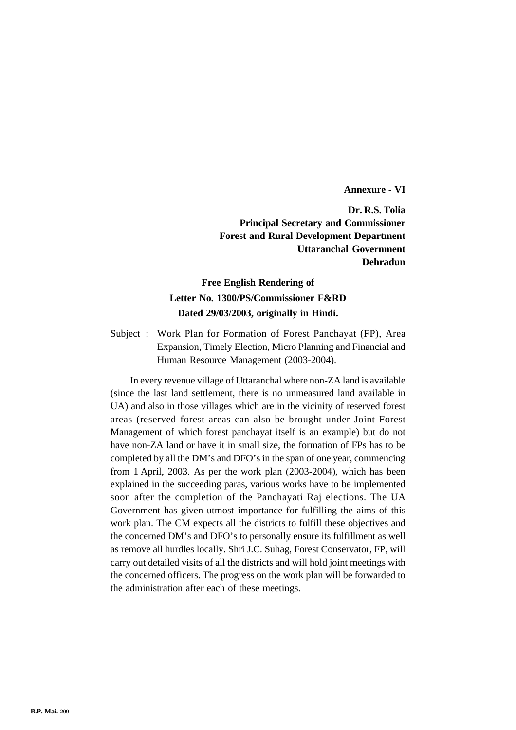**Annexure - VI**

**Dr. R.S. Tolia Principal Secretary and Commissioner Forest and Rural Development Department Uttaranchal Government Dehradun**

# **Free English Rendering of Letter No. 1300/PS/Commissioner F&RD Dated 29/03/2003, originally in Hindi.**

Subject : Work Plan for Formation of Forest Panchayat (FP), Area Expansion, Timely Election, Micro Planning and Financial and Human Resource Management (2003-2004).

In every revenue village of Uttaranchal where non-ZA land is available (since the last land settlement, there is no unmeasured land available in UA) and also in those villages which are in the vicinity of reserved forest areas (reserved forest areas can also be brought under Joint Forest Management of which forest panchayat itself is an example) but do not have non-ZA land or have it in small size, the formation of FPs has to be completed by all the DM's and DFO's in the span of one year, commencing from 1 April, 2003. As per the work plan (2003-2004), which has been explained in the succeeding paras, various works have to be implemented soon after the completion of the Panchayati Raj elections. The UA Government has given utmost importance for fulfilling the aims of this work plan. The CM expects all the districts to fulfill these objectives and the concerned DM's and DFO's to personally ensure its fulfillment as well as remove all hurdles locally. Shri J.C. Suhag, Forest Conservator, FP, will carry out detailed visits of all the districts and will hold joint meetings with the concerned officers. The progress on the work plan will be forwarded to the administration after each of these meetings.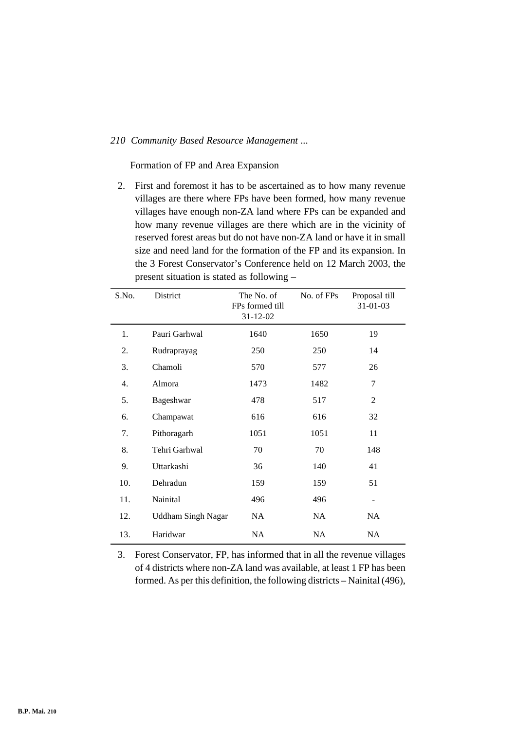Formation of FP and Area Expansion

2. First and foremost it has to be ascertained as to how many revenue villages are there where FPs have been formed, how many revenue villages have enough non-ZA land where FPs can be expanded and how many revenue villages are there which are in the vicinity of reserved forest areas but do not have non-ZA land or have it in small size and need land for the formation of the FP and its expansion. In the 3 Forest Conservator's Conference held on 12 March 2003, the present situation is stated as following –

| S.No. | District                  | The No. of<br>FPs formed till<br>$31 - 12 - 02$ | No. of FPs | Proposal till<br>31-01-03 |
|-------|---------------------------|-------------------------------------------------|------------|---------------------------|
| 1.    | Pauri Garhwal             | 1640                                            | 1650       | 19                        |
| 2.    | Rudraprayag               | 250                                             | 250        | 14                        |
| 3.    | Chamoli                   | 570                                             | 577        | 26                        |
| 4.    | Almora                    | 1473                                            | 1482       | 7                         |
| 5.    | Bageshwar                 | 478                                             | 517        | 2                         |
| 6.    | Champawat                 | 616                                             | 616        | 32                        |
| 7.    | Pithoragarh               | 1051                                            | 1051       | 11                        |
| 8.    | Tehri Garhwal             | 70                                              | 70         | 148                       |
| 9.    | Uttarkashi                | 36                                              | 140        | 41                        |
| 10.   | Dehradun                  | 159                                             | 159        | 51                        |
| 11.   | Nainital                  | 496                                             | 496        | $\overline{\phantom{a}}$  |
| 12.   | <b>Uddham Singh Nagar</b> | NA                                              | NA         | NA.                       |
| 13.   | Haridwar                  | NA                                              | NA         | NA.                       |

3. Forest Conservator, FP, has informed that in all the revenue villages of 4 districts where non-ZA land was available, at least 1 FP has been formed. As per this definition, the following districts – Nainital (496),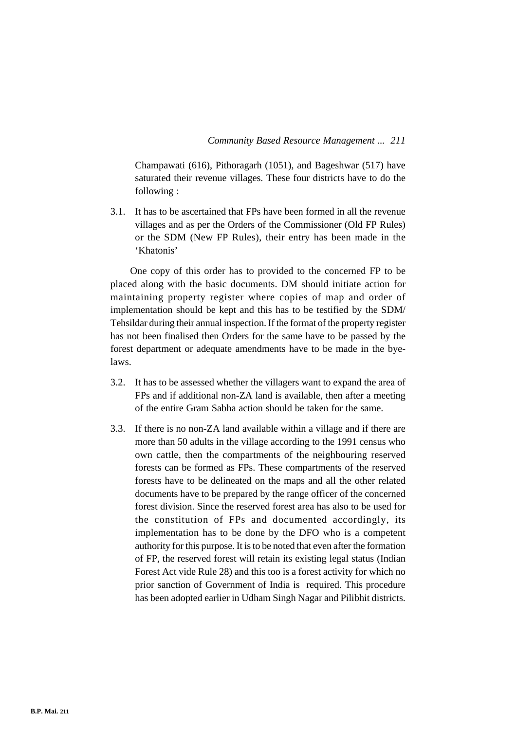Champawati (616), Pithoragarh (1051), and Bageshwar (517) have saturated their revenue villages. These four districts have to do the following :

3.1. It has to be ascertained that FPs have been formed in all the revenue villages and as per the Orders of the Commissioner (Old FP Rules) or the SDM (New FP Rules), their entry has been made in the 'Khatonis'

One copy of this order has to provided to the concerned FP to be placed along with the basic documents. DM should initiate action for maintaining property register where copies of map and order of implementation should be kept and this has to be testified by the SDM/ Tehsildar during their annual inspection. If the format of the property register has not been finalised then Orders for the same have to be passed by the forest department or adequate amendments have to be made in the byelaws.

- 3.2. It has to be assessed whether the villagers want to expand the area of FPs and if additional non-ZA land is available, then after a meeting of the entire Gram Sabha action should be taken for the same.
- 3.3. If there is no non-ZA land available within a village and if there are more than 50 adults in the village according to the 1991 census who own cattle, then the compartments of the neighbouring reserved forests can be formed as FPs. These compartments of the reserved forests have to be delineated on the maps and all the other related documents have to be prepared by the range officer of the concerned forest division. Since the reserved forest area has also to be used for the constitution of FPs and documented accordingly, its implementation has to be done by the DFO who is a competent authority for this purpose. It is to be noted that even after the formation of FP, the reserved forest will retain its existing legal status (Indian Forest Act vide Rule 28) and this too is a forest activity for which no prior sanction of Government of India is required. This procedure has been adopted earlier in Udham Singh Nagar and Pilibhit districts.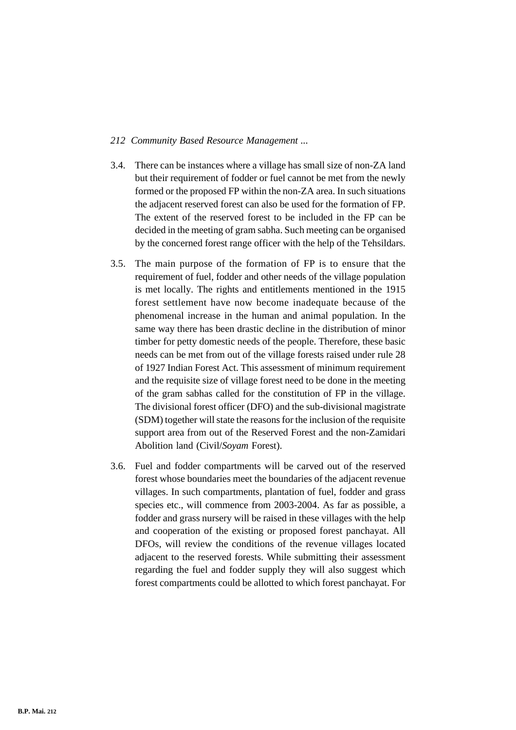- 3.4. There can be instances where a village has small size of non-ZA land but their requirement of fodder or fuel cannot be met from the newly formed or the proposed FP within the non-ZA area. In such situations the adjacent reserved forest can also be used for the formation of FP. The extent of the reserved forest to be included in the FP can be decided in the meeting of gram sabha. Such meeting can be organised by the concerned forest range officer with the help of the Tehsildars.
- 3.5. The main purpose of the formation of FP is to ensure that the requirement of fuel, fodder and other needs of the village population is met locally. The rights and entitlements mentioned in the 1915 forest settlement have now become inadequate because of the phenomenal increase in the human and animal population. In the same way there has been drastic decline in the distribution of minor timber for petty domestic needs of the people. Therefore, these basic needs can be met from out of the village forests raised under rule 28 of 1927 Indian Forest Act. This assessment of minimum requirement and the requisite size of village forest need to be done in the meeting of the gram sabhas called for the constitution of FP in the village. The divisional forest officer (DFO) and the sub-divisional magistrate (SDM) together will state the reasons for the inclusion of the requisite support area from out of the Reserved Forest and the non-Zamidari Abolition land (Civil/*Soyam* Forest).
- 3.6. Fuel and fodder compartments will be carved out of the reserved forest whose boundaries meet the boundaries of the adjacent revenue villages. In such compartments, plantation of fuel, fodder and grass species etc., will commence from 2003-2004. As far as possible, a fodder and grass nursery will be raised in these villages with the help and cooperation of the existing or proposed forest panchayat. All DFOs, will review the conditions of the revenue villages located adjacent to the reserved forests. While submitting their assessment regarding the fuel and fodder supply they will also suggest which forest compartments could be allotted to which forest panchayat. For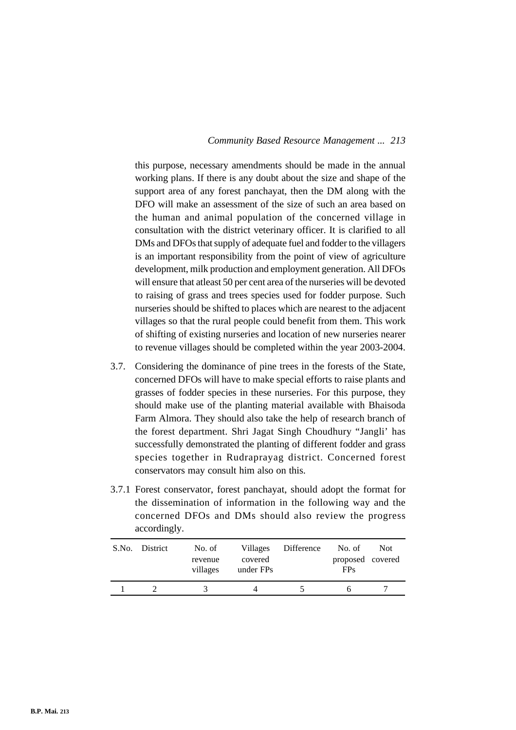this purpose, necessary amendments should be made in the annual working plans. If there is any doubt about the size and shape of the support area of any forest panchayat, then the DM along with the DFO will make an assessment of the size of such an area based on the human and animal population of the concerned village in consultation with the district veterinary officer. It is clarified to all DMs and DFOs that supply of adequate fuel and fodder to the villagers is an important responsibility from the point of view of agriculture development, milk production and employment generation. All DFOs will ensure that atleast 50 per cent area of the nurseries will be devoted to raising of grass and trees species used for fodder purpose. Such nurseries should be shifted to places which are nearest to the adjacent villages so that the rural people could benefit from them. This work of shifting of existing nurseries and location of new nurseries nearer to revenue villages should be completed within the year 2003-2004.

- 3.7. Considering the dominance of pine trees in the forests of the State, concerned DFOs will have to make special efforts to raise plants and grasses of fodder species in these nurseries. For this purpose, they should make use of the planting material available with Bhaisoda Farm Almora. They should also take the help of research branch of the forest department. Shri Jagat Singh Choudhury "Jangli' has successfully demonstrated the planting of different fodder and grass species together in Rudraprayag district. Concerned forest conservators may consult him also on this.
- 3.7.1 Forest conservator, forest panchayat, should adopt the format for the dissemination of information in the following way and the concerned DFOs and DMs should also review the progress accordingly.

|  | S.No. District | No. of<br>revenue<br>villages | Villages<br>covered<br>under FPs | Difference | No. of<br>proposed covered<br><b>FPs</b> | <b>Not</b> |
|--|----------------|-------------------------------|----------------------------------|------------|------------------------------------------|------------|
|  |                |                               |                                  |            |                                          |            |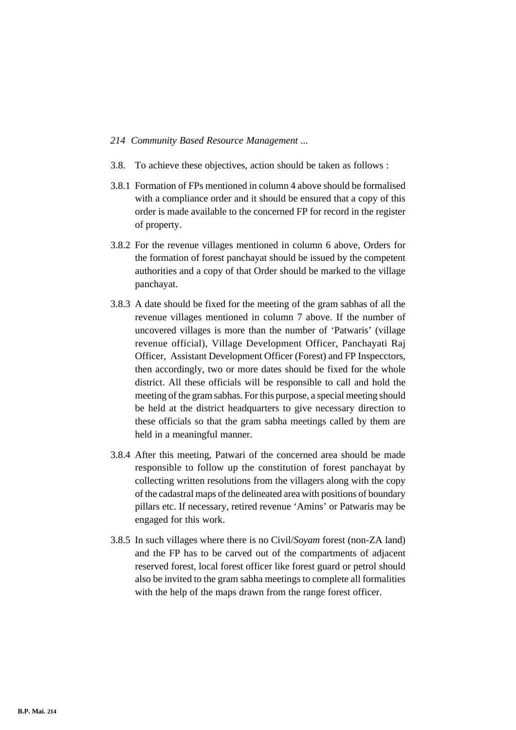- 3.8. To achieve these objectives, action should be taken as follows :
- 3.8.1 Formation of FPs mentioned in column 4 above should be formalised with a compliance order and it should be ensured that a copy of this order is made available to the concerned FP for record in the register of property.
- 3.8.2 For the revenue villages mentioned in column 6 above, Orders for the formation of forest panchayat should be issued by the competent authorities and a copy of that Order should be marked to the village panchayat.
- 3.8.3 A date should be fixed for the meeting of the gram sabhas of all the revenue villages mentioned in column 7 above. If the number of uncovered villages is more than the number of 'Patwaris' (village revenue official), Village Development Officer, Panchayati Raj Officer, Assistant Development Officer (Forest) and FP Inspecctors, then accordingly, two or more dates should be fixed for the whole district. All these officials will be responsible to call and hold the meeting of the gram sabhas. For this purpose, a special meeting should be held at the district headquarters to give necessary direction to these officials so that the gram sabha meetings called by them are held in a meaningful manner.
- 3.8.4 After this meeting, Patwari of the concerned area should be made responsible to follow up the constitution of forest panchayat by collecting written resolutions from the villagers along with the copy of the cadastral maps of the delineated area with positions of boundary pillars etc. If necessary, retired revenue 'Amins' or Patwaris may be engaged for this work.
- 3.8.5 In such villages where there is no Civil/*Soyam* forest (non-ZA land) and the FP has to be carved out of the compartments of adjacent reserved forest, local forest officer like forest guard or petrol should also be invited to the gram sabha meetings to complete all formalities with the help of the maps drawn from the range forest officer.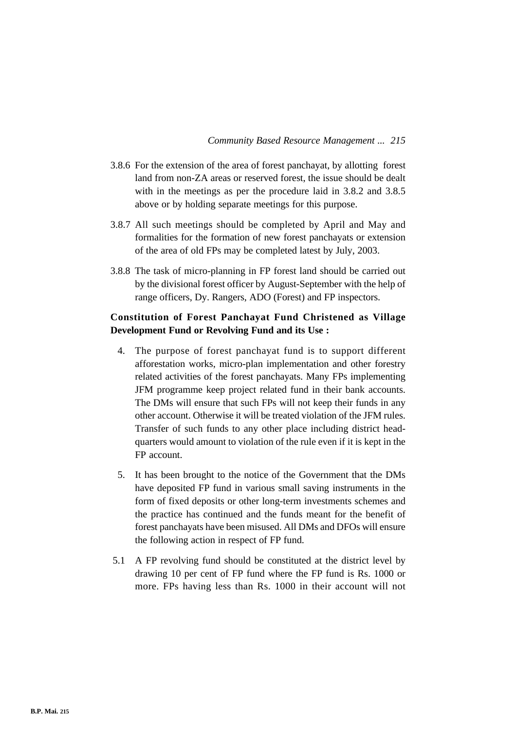- 3.8.6 For the extension of the area of forest panchayat, by allotting forest land from non-ZA areas or reserved forest, the issue should be dealt with in the meetings as per the procedure laid in 3.8.2 and 3.8.5 above or by holding separate meetings for this purpose.
- 3.8.7 All such meetings should be completed by April and May and formalities for the formation of new forest panchayats or extension of the area of old FPs may be completed latest by July, 2003.
- 3.8.8 The task of micro-planning in FP forest land should be carried out by the divisional forest officer by August-September with the help of range officers, Dy. Rangers, ADO (Forest) and FP inspectors.

# **Constitution of Forest Panchayat Fund Christened as Village Development Fund or Revolving Fund and its Use :**

- 4. The purpose of forest panchayat fund is to support different afforestation works, micro-plan implementation and other forestry related activities of the forest panchayats. Many FPs implementing JFM programme keep project related fund in their bank accounts. The DMs will ensure that such FPs will not keep their funds in any other account. Otherwise it will be treated violation of the JFM rules. Transfer of such funds to any other place including district headquarters would amount to violation of the rule even if it is kept in the FP account.
- 5. It has been brought to the notice of the Government that the DMs have deposited FP fund in various small saving instruments in the form of fixed deposits or other long-term investments schemes and the practice has continued and the funds meant for the benefit of forest panchayats have been misused. All DMs and DFOs will ensure the following action in respect of FP fund.
- 5.1 A FP revolving fund should be constituted at the district level by drawing 10 per cent of FP fund where the FP fund is Rs. 1000 or more. FPs having less than Rs. 1000 in their account will not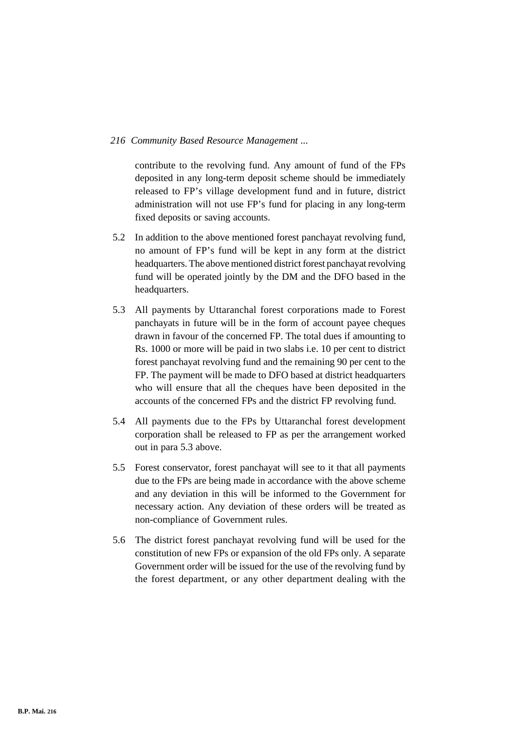contribute to the revolving fund. Any amount of fund of the FPs deposited in any long-term deposit scheme should be immediately released to FP's village development fund and in future, district administration will not use FP's fund for placing in any long-term fixed deposits or saving accounts.

- 5.2 In addition to the above mentioned forest panchayat revolving fund, no amount of FP's fund will be kept in any form at the district headquarters. The above mentioned district forest panchayat revolving fund will be operated jointly by the DM and the DFO based in the headquarters.
- 5.3 All payments by Uttaranchal forest corporations made to Forest panchayats in future will be in the form of account payee cheques drawn in favour of the concerned FP. The total dues if amounting to Rs. 1000 or more will be paid in two slabs i.e. 10 per cent to district forest panchayat revolving fund and the remaining 90 per cent to the FP. The payment will be made to DFO based at district headquarters who will ensure that all the cheques have been deposited in the accounts of the concerned FPs and the district FP revolving fund.
- 5.4 All payments due to the FPs by Uttaranchal forest development corporation shall be released to FP as per the arrangement worked out in para 5.3 above.
- 5.5 Forest conservator, forest panchayat will see to it that all payments due to the FPs are being made in accordance with the above scheme and any deviation in this will be informed to the Government for necessary action. Any deviation of these orders will be treated as non-compliance of Government rules.
- 5.6 The district forest panchayat revolving fund will be used for the constitution of new FPs or expansion of the old FPs only. A separate Government order will be issued for the use of the revolving fund by the forest department, or any other department dealing with the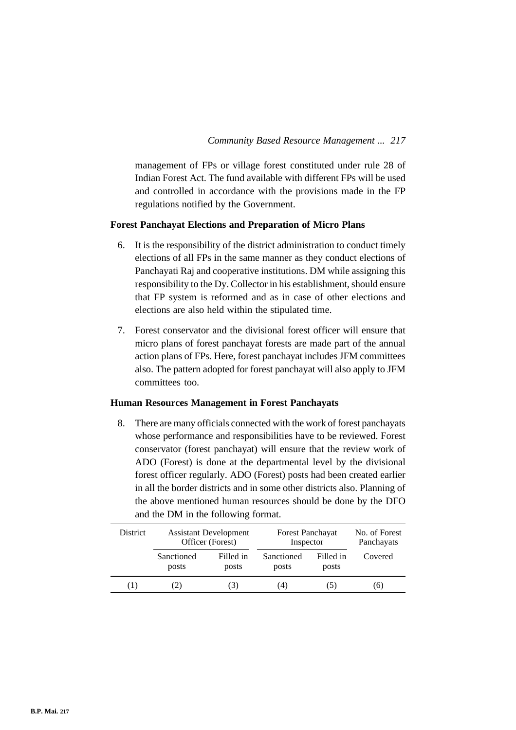management of FPs or village forest constituted under rule 28 of Indian Forest Act. The fund available with different FPs will be used and controlled in accordance with the provisions made in the FP regulations notified by the Government.

#### **Forest Panchayat Elections and Preparation of Micro Plans**

- 6. It is the responsibility of the district administration to conduct timely elections of all FPs in the same manner as they conduct elections of Panchayati Raj and cooperative institutions. DM while assigning this responsibility to the Dy. Collector in his establishment, should ensure that FP system is reformed and as in case of other elections and elections are also held within the stipulated time.
- 7. Forest conservator and the divisional forest officer will ensure that micro plans of forest panchayat forests are made part of the annual action plans of FPs. Here, forest panchayat includes JFM committees also. The pattern adopted for forest panchayat will also apply to JFM committees too.

#### **Human Resources Management in Forest Panchayats**

8. There are many officials connected with the work of forest panchayats whose performance and responsibilities have to be reviewed. Forest conservator (forest panchayat) will ensure that the review work of ADO (Forest) is done at the departmental level by the divisional forest officer regularly. ADO (Forest) posts had been created earlier in all the border districts and in some other districts also. Planning of the above mentioned human resources should be done by the DFO and the DM in the following format.

| <b>District</b> | <b>Assistant Development</b><br>Officer (Forest) |                    | Forest Panchayat<br>Inspector |                    | No. of Forest<br>Panchayats |  |
|-----------------|--------------------------------------------------|--------------------|-------------------------------|--------------------|-----------------------------|--|
|                 | Sanctioned<br>posts                              | Filled in<br>posts | Sanctioned<br>posts           | Filled in<br>posts | Covered                     |  |
| (1)             | (2)                                              | 3)                 | (4)                           | (C)                | (6)                         |  |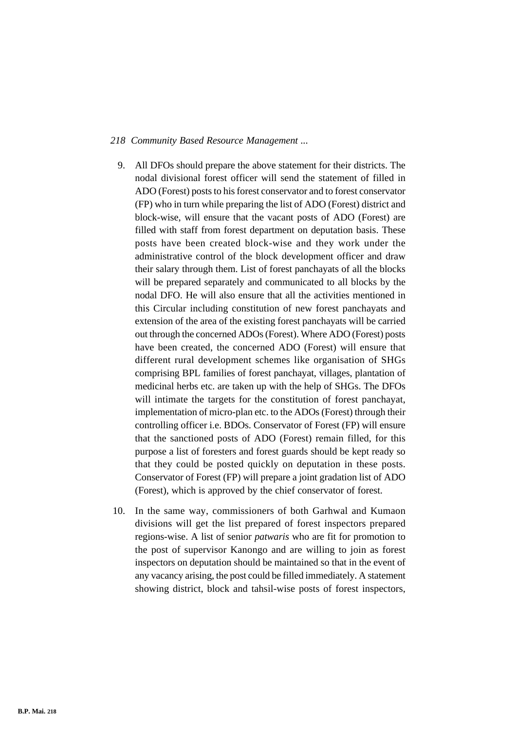- 9. All DFOs should prepare the above statement for their districts. The nodal divisional forest officer will send the statement of filled in ADO (Forest) posts to his forest conservator and to forest conservator (FP) who in turn while preparing the list of ADO (Forest) district and block-wise, will ensure that the vacant posts of ADO (Forest) are filled with staff from forest department on deputation basis. These posts have been created block-wise and they work under the administrative control of the block development officer and draw their salary through them. List of forest panchayats of all the blocks will be prepared separately and communicated to all blocks by the nodal DFO. He will also ensure that all the activities mentioned in this Circular including constitution of new forest panchayats and extension of the area of the existing forest panchayats will be carried out through the concerned ADOs (Forest). Where ADO (Forest) posts have been created, the concerned ADO (Forest) will ensure that different rural development schemes like organisation of SHGs comprising BPL families of forest panchayat, villages, plantation of medicinal herbs etc. are taken up with the help of SHGs. The DFOs will intimate the targets for the constitution of forest panchayat, implementation of micro-plan etc. to the ADOs (Forest) through their controlling officer i.e. BDOs. Conservator of Forest (FP) will ensure that the sanctioned posts of ADO (Forest) remain filled, for this purpose a list of foresters and forest guards should be kept ready so that they could be posted quickly on deputation in these posts. Conservator of Forest (FP) will prepare a joint gradation list of ADO (Forest), which is approved by the chief conservator of forest.
- 10. In the same way, commissioners of both Garhwal and Kumaon divisions will get the list prepared of forest inspectors prepared regions-wise. A list of senior *patwaris* who are fit for promotion to the post of supervisor Kanongo and are willing to join as forest inspectors on deputation should be maintained so that in the event of any vacancy arising, the post could be filled immediately. A statement showing district, block and tahsil-wise posts of forest inspectors,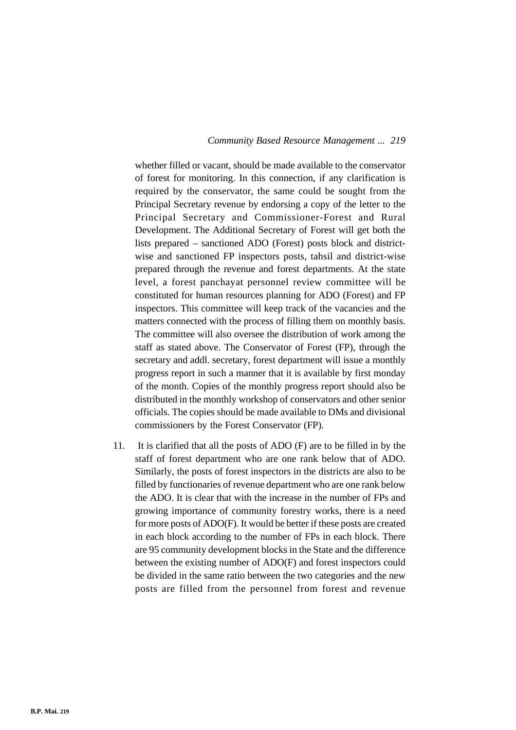whether filled or vacant, should be made available to the conservator of forest for monitoring. In this connection, if any clarification is required by the conservator, the same could be sought from the Principal Secretary revenue by endorsing a copy of the letter to the Principal Secretary and Commissioner-Forest and Rural Development. The Additional Secretary of Forest will get both the lists prepared – sanctioned ADO (Forest) posts block and districtwise and sanctioned FP inspectors posts, tahsil and district-wise prepared through the revenue and forest departments. At the state level, a forest panchayat personnel review committee will be constituted for human resources planning for ADO (Forest) and FP inspectors. This committee will keep track of the vacancies and the matters connected with the process of filling them on monthly basis. The committee will also oversee the distribution of work among the staff as stated above. The Conservator of Forest (FP), through the secretary and addl. secretary, forest department will issue a monthly progress report in such a manner that it is available by first monday of the month. Copies of the monthly progress report should also be distributed in the monthly workshop of conservators and other senior officials. The copies should be made available to DMs and divisional commissioners by the Forest Conservator (FP).

11. It is clarified that all the posts of ADO (F) are to be filled in by the staff of forest department who are one rank below that of ADO. Similarly, the posts of forest inspectors in the districts are also to be filled by functionaries of revenue department who are one rank below the ADO. It is clear that with the increase in the number of FPs and growing importance of community forestry works, there is a need for more posts of ADO(F). It would be better if these posts are created in each block according to the number of FPs in each block. There are 95 community development blocks in the State and the difference between the existing number of ADO(F) and forest inspectors could be divided in the same ratio between the two categories and the new posts are filled from the personnel from forest and revenue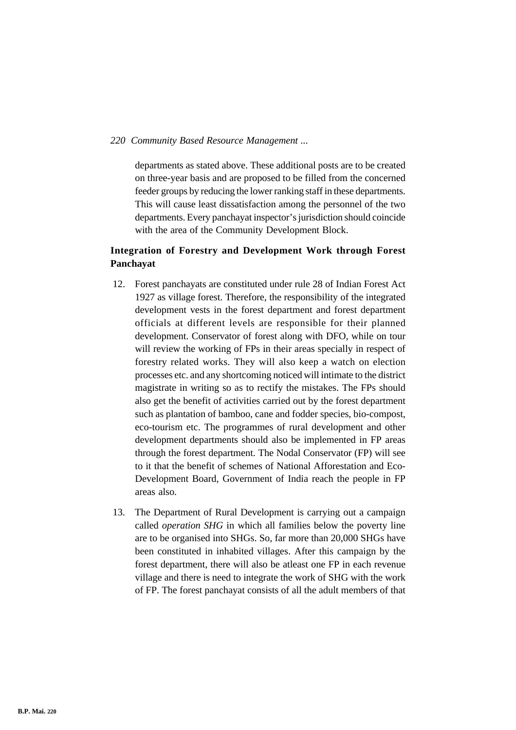departments as stated above. These additional posts are to be created on three-year basis and are proposed to be filled from the concerned feeder groups by reducing the lower ranking staff in these departments. This will cause least dissatisfaction among the personnel of the two departments. Every panchayat inspector's jurisdiction should coincide with the area of the Community Development Block.

### **Integration of Forestry and Development Work through Forest Panchayat**

- 12. Forest panchayats are constituted under rule 28 of Indian Forest Act 1927 as village forest. Therefore, the responsibility of the integrated development vests in the forest department and forest department officials at different levels are responsible for their planned development. Conservator of forest along with DFO, while on tour will review the working of FPs in their areas specially in respect of forestry related works. They will also keep a watch on election processes etc. and any shortcoming noticed will intimate to the district magistrate in writing so as to rectify the mistakes. The FPs should also get the benefit of activities carried out by the forest department such as plantation of bamboo, cane and fodder species, bio-compost, eco-tourism etc. The programmes of rural development and other development departments should also be implemented in FP areas through the forest department. The Nodal Conservator (FP) will see to it that the benefit of schemes of National Afforestation and Eco-Development Board, Government of India reach the people in FP areas also.
- 13. The Department of Rural Development is carrying out a campaign called *operation SHG* in which all families below the poverty line are to be organised into SHGs. So, far more than 20,000 SHGs have been constituted in inhabited villages. After this campaign by the forest department, there will also be atleast one FP in each revenue village and there is need to integrate the work of SHG with the work of FP. The forest panchayat consists of all the adult members of that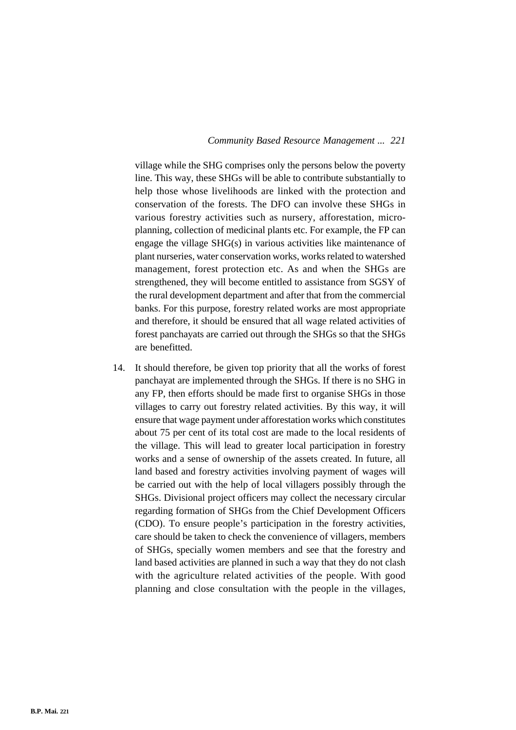village while the SHG comprises only the persons below the poverty line. This way, these SHGs will be able to contribute substantially to help those whose livelihoods are linked with the protection and conservation of the forests. The DFO can involve these SHGs in various forestry activities such as nursery, afforestation, microplanning, collection of medicinal plants etc. For example, the FP can engage the village SHG(s) in various activities like maintenance of plant nurseries, water conservation works, works related to watershed management, forest protection etc. As and when the SHGs are strengthened, they will become entitled to assistance from SGSY of the rural development department and after that from the commercial banks. For this purpose, forestry related works are most appropriate and therefore, it should be ensured that all wage related activities of forest panchayats are carried out through the SHGs so that the SHGs are benefitted.

14. It should therefore, be given top priority that all the works of forest panchayat are implemented through the SHGs. If there is no SHG in any FP, then efforts should be made first to organise SHGs in those villages to carry out forestry related activities. By this way, it will ensure that wage payment under afforestation works which constitutes about 75 per cent of its total cost are made to the local residents of the village. This will lead to greater local participation in forestry works and a sense of ownership of the assets created. In future, all land based and forestry activities involving payment of wages will be carried out with the help of local villagers possibly through the SHGs. Divisional project officers may collect the necessary circular regarding formation of SHGs from the Chief Development Officers (CDO). To ensure people's participation in the forestry activities, care should be taken to check the convenience of villagers, members of SHGs, specially women members and see that the forestry and land based activities are planned in such a way that they do not clash with the agriculture related activities of the people. With good planning and close consultation with the people in the villages,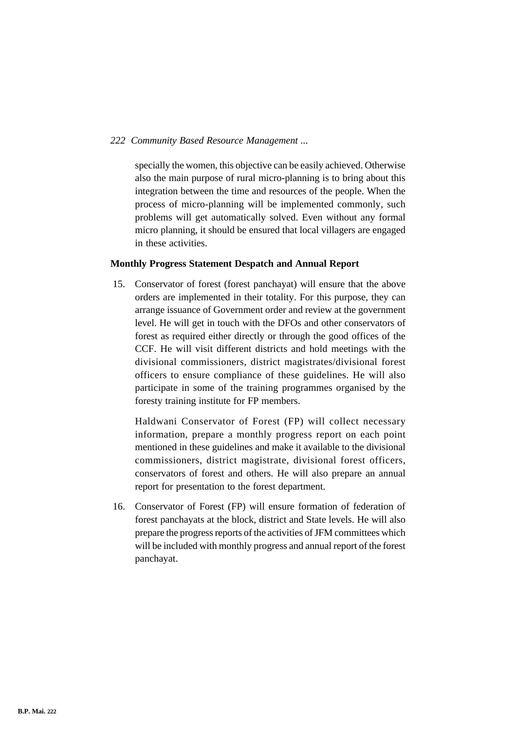specially the women, this objective can be easily achieved. Otherwise also the main purpose of rural micro-planning is to bring about this integration between the time and resources of the people. When the process of micro-planning will be implemented commonly, such problems will get automatically solved. Even without any formal micro planning, it should be ensured that local villagers are engaged in these activities.

#### **Monthly Progress Statement Despatch and Annual Report**

15. Conservator of forest (forest panchayat) will ensure that the above orders are implemented in their totality. For this purpose, they can arrange issuance of Government order and review at the government level. He will get in touch with the DFOs and other conservators of forest as required either directly or through the good offices of the CCF. He will visit different districts and hold meetings with the divisional commissioners, district magistrates/divisional forest officers to ensure compliance of these guidelines. He will also participate in some of the training programmes organised by the foresty training institute for FP members.

Haldwani Conservator of Forest (FP) will collect necessary information, prepare a monthly progress report on each point mentioned in these guidelines and make it available to the divisional commissioners, district magistrate, divisional forest officers, conservators of forest and others. He will also prepare an annual report for presentation to the forest department.

16. Conservator of Forest (FP) will ensure formation of federation of forest panchayats at the block, district and State levels. He will also prepare the progress reports of the activities of JFM committees which will be included with monthly progress and annual report of the forest panchayat.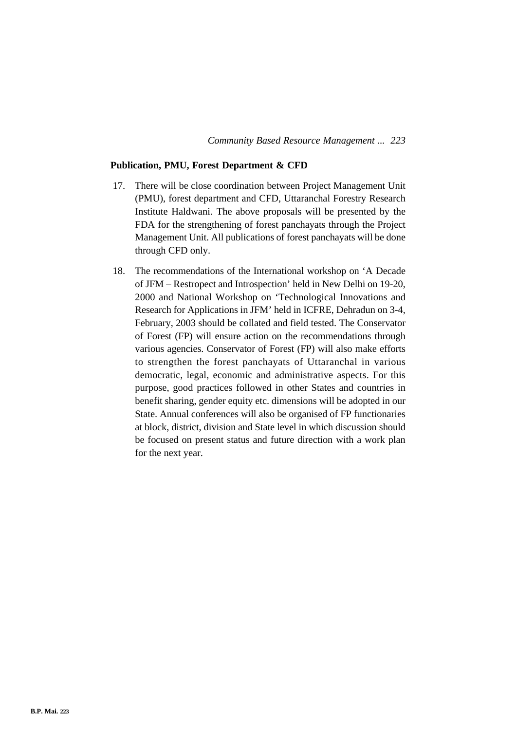#### **Publication, PMU, Forest Department & CFD**

- 17. There will be close coordination between Project Management Unit (PMU), forest department and CFD, Uttaranchal Forestry Research Institute Haldwani. The above proposals will be presented by the FDA for the strengthening of forest panchayats through the Project Management Unit. All publications of forest panchayats will be done through CFD only.
- 18. The recommendations of the International workshop on 'A Decade of JFM – Restropect and Introspection' held in New Delhi on 19-20, 2000 and National Workshop on 'Technological Innovations and Research for Applications in JFM' held in ICFRE, Dehradun on 3-4, February, 2003 should be collated and field tested. The Conservator of Forest (FP) will ensure action on the recommendations through various agencies. Conservator of Forest (FP) will also make efforts to strengthen the forest panchayats of Uttaranchal in various democratic, legal, economic and administrative aspects. For this purpose, good practices followed in other States and countries in benefit sharing, gender equity etc. dimensions will be adopted in our State. Annual conferences will also be organised of FP functionaries at block, district, division and State level in which discussion should be focused on present status and future direction with a work plan for the next year.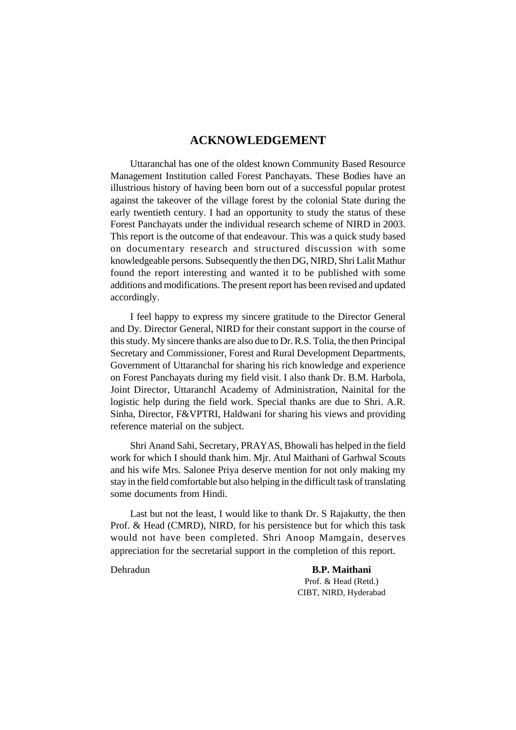### **ACKNOWLEDGEMENT**

Uttaranchal has one of the oldest known Community Based Resource Management Institution called Forest Panchayats. These Bodies have an illustrious history of having been born out of a successful popular protest against the takeover of the village forest by the colonial State during the early twentieth century. I had an opportunity to study the status of these Forest Panchayats under the individual research scheme of NIRD in 2003. This report is the outcome of that endeavour. This was a quick study based on documentary research and structured discussion with some knowledgeable persons. Subsequently the then DG, NIRD, Shri Lalit Mathur found the report interesting and wanted it to be published with some additions and modifications. The present report has been revised and updated accordingly.

I feel happy to express my sincere gratitude to the Director General and Dy. Director General, NIRD for their constant support in the course of this study. My sincere thanks are also due to Dr. R.S. Tolia, the then Principal Secretary and Commissioner, Forest and Rural Development Departments, Government of Uttaranchal for sharing his rich knowledge and experience on Forest Panchayats during my field visit. I also thank Dr. B.M. Harbola, Joint Director, Uttaranchl Academy of Administration, Nainital for the logistic help during the field work. Special thanks are due to Shri. A.R. Sinha, Director, F&VPTRI, Haldwani for sharing his views and providing reference material on the subject.

Shri Anand Sahi, Secretary, PRAYAS, Bhowali has helped in the field work for which I should thank him. Mjr. Atul Maithani of Garhwal Scouts and his wife Mrs. Salonee Priya deserve mention for not only making my stay in the field comfortable but also helping in the difficult task of translating some documents from Hindi.

Last but not the least, I would like to thank Dr. S Rajakutty, the then Prof. & Head (CMRD), NIRD, for his persistence but for which this task would not have been completed. Shri Anoop Mamgain, deserves appreciation for the secretarial support in the completion of this report.

Dehradun **B.P. Maithani** Prof. & Head (Retd.) CIBT, NIRD, Hyderabad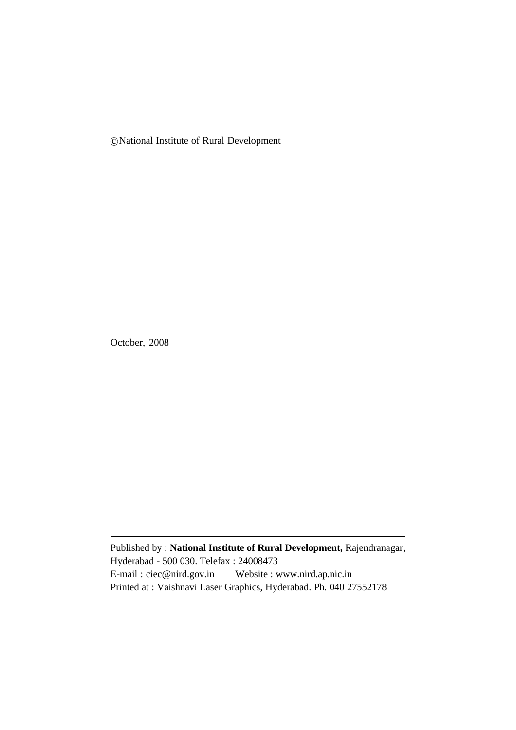c National Institute of Rural Development

October, 2008

Published by : **National Institute of Rural Development,** Rajendranagar, Hyderabad - 500 030. Telefax : 24008473 E-mail : ciec@nird.gov.in Website : www.nird.ap.nic.in Printed at : Vaishnavi Laser Graphics, Hyderabad. Ph. 040 27552178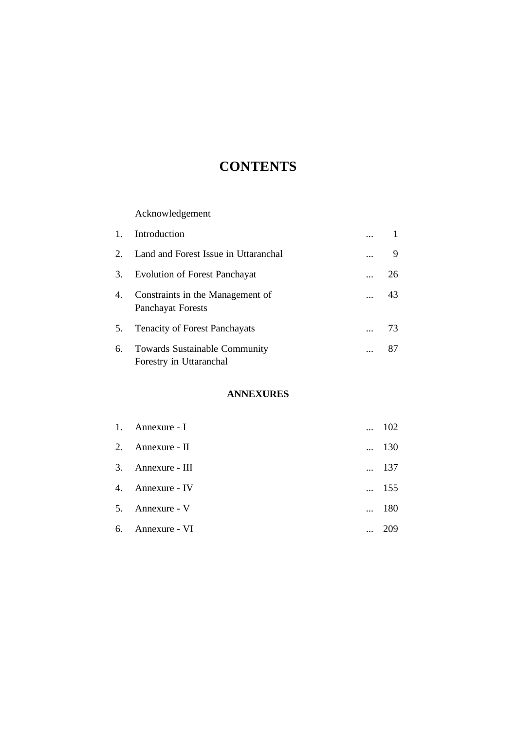# **CONTENTS**

## Acknowledgement

|             | Introduction                                                    |       |
|-------------|-----------------------------------------------------------------|-------|
| $2^{\circ}$ | Land and Forest Issue in Uttaranchal                            | <br>9 |
| 3.          | <b>Evolution of Forest Panchayat</b>                            | 26    |
| 4.          | Constraints in the Management of<br><b>Panchayat Forests</b>    | 43    |
| 5.          | <b>Tenacity of Forest Panchayats</b>                            | 73    |
| 6.          | <b>Towards Sustainable Community</b><br>Forestry in Uttaranchal | 87    |

## **ANNEXURES**

| 1. | Annexure - I      | 102          |
|----|-------------------|--------------|
|    | 2. Annexure - II  | $\dots$ 130  |
|    | 3. Annexure - III | $\ldots$ 137 |
|    | 4. Annexure - IV  | $\dots$ 155  |
|    | 5. Annexure - V   | - 180        |
| 6. | Annexure - VI     |              |